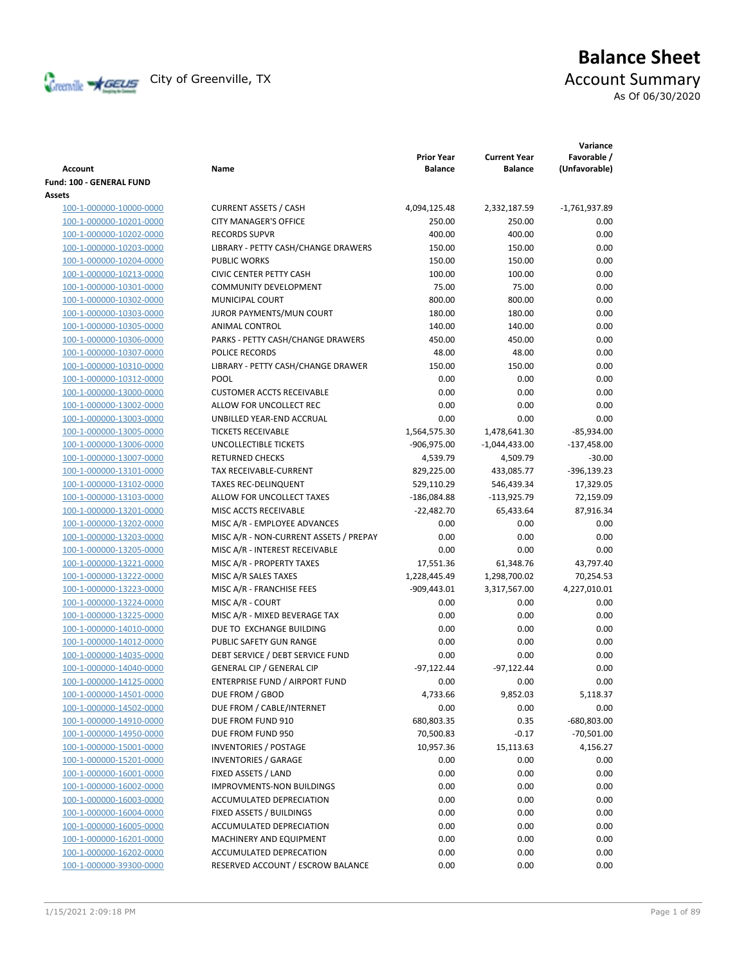

# **Balance Sheet**

As Of 06/30/2020

| <b>Account</b>           | Name                                   | <b>Prior Year</b><br><b>Balance</b> | <b>Current Year</b><br><b>Balance</b> | Variance<br>Favorable /<br>(Unfavorable) |
|--------------------------|----------------------------------------|-------------------------------------|---------------------------------------|------------------------------------------|
| Fund: 100 - GENERAL FUND |                                        |                                     |                                       |                                          |
| Assets                   |                                        |                                     |                                       |                                          |
| 100-1-000000-10000-0000  | <b>CURRENT ASSETS / CASH</b>           | 4,094,125.48                        | 2,332,187.59                          | $-1,761,937.89$                          |
| 100-1-000000-10201-0000  | <b>CITY MANAGER'S OFFICE</b>           | 250.00                              | 250.00                                | 0.00                                     |
| 100-1-000000-10202-0000  | <b>RECORDS SUPVR</b>                   | 400.00                              | 400.00                                | 0.00                                     |
| 100-1-000000-10203-0000  | LIBRARY - PETTY CASH/CHANGE DRAWERS    | 150.00                              | 150.00                                | 0.00                                     |
| 100-1-000000-10204-0000  | <b>PUBLIC WORKS</b>                    | 150.00                              | 150.00                                | 0.00                                     |
| 100-1-000000-10213-0000  | <b>CIVIC CENTER PETTY CASH</b>         | 100.00                              | 100.00                                | 0.00                                     |
| 100-1-000000-10301-0000  | <b>COMMUNITY DEVELOPMENT</b>           | 75.00                               | 75.00                                 | 0.00                                     |
| 100-1-000000-10302-0000  | <b>MUNICIPAL COURT</b>                 | 800.00                              | 800.00                                | 0.00                                     |
| 100-1-000000-10303-0000  | JUROR PAYMENTS/MUN COURT               | 180.00                              | 180.00                                | 0.00                                     |
| 100-1-000000-10305-0000  | ANIMAL CONTROL                         | 140.00                              | 140.00                                | 0.00                                     |
| 100-1-000000-10306-0000  | PARKS - PETTY CASH/CHANGE DRAWERS      | 450.00                              | 450.00                                | 0.00                                     |
| 100-1-000000-10307-0000  | POLICE RECORDS                         | 48.00                               | 48.00                                 | 0.00                                     |
| 100-1-000000-10310-0000  | LIBRARY - PETTY CASH/CHANGE DRAWER     | 150.00                              | 150.00                                | 0.00                                     |
| 100-1-000000-10312-0000  | POOL                                   | 0.00                                | 0.00                                  | 0.00                                     |
| 100-1-000000-13000-0000  | <b>CUSTOMER ACCTS RECEIVABLE</b>       | 0.00                                | 0.00                                  | 0.00                                     |
| 100-1-000000-13002-0000  | ALLOW FOR UNCOLLECT REC                | 0.00                                | 0.00                                  | 0.00                                     |
| 100-1-000000-13003-0000  | UNBILLED YEAR-END ACCRUAL              | 0.00                                | 0.00                                  | 0.00                                     |
| 100-1-000000-13005-0000  | <b>TICKETS RECEIVABLE</b>              | 1,564,575.30                        | 1,478,641.30                          | $-85,934.00$                             |
| 100-1-000000-13006-0000  | UNCOLLECTIBLE TICKETS                  | -906,975.00                         | $-1,044,433.00$                       | $-137,458.00$                            |
| 100-1-000000-13007-0000  | <b>RETURNED CHECKS</b>                 | 4,539.79                            | 4,509.79                              | $-30.00$                                 |
| 100-1-000000-13101-0000  | TAX RECEIVABLE-CURRENT                 | 829,225.00                          | 433,085.77                            | $-396, 139.23$                           |
| 100-1-000000-13102-0000  | <b>TAXES REC-DELINQUENT</b>            | 529,110.29                          | 546,439.34                            | 17,329.05                                |
| 100-1-000000-13103-0000  | ALLOW FOR UNCOLLECT TAXES              | $-186,084.88$                       | $-113,925.79$                         | 72,159.09                                |
| 100-1-000000-13201-0000  | MISC ACCTS RECEIVABLE                  | $-22,482.70$                        | 65,433.64                             | 87,916.34                                |
| 100-1-000000-13202-0000  | MISC A/R - EMPLOYEE ADVANCES           | 0.00                                | 0.00                                  | 0.00                                     |
| 100-1-000000-13203-0000  | MISC A/R - NON-CURRENT ASSETS / PREPAY | 0.00                                | 0.00                                  | 0.00                                     |
| 100-1-000000-13205-0000  | MISC A/R - INTEREST RECEIVABLE         | 0.00                                | 0.00                                  | 0.00                                     |
| 100-1-000000-13221-0000  | MISC A/R - PROPERTY TAXES              | 17,551.36                           | 61,348.76                             | 43,797.40                                |
| 100-1-000000-13222-0000  | MISC A/R SALES TAXES                   | 1,228,445.49                        | 1,298,700.02                          | 70,254.53                                |
| 100-1-000000-13223-0000  | MISC A/R - FRANCHISE FEES              | $-909,443.01$                       | 3,317,567.00                          | 4,227,010.01                             |
| 100-1-000000-13224-0000  | MISC A/R - COURT                       | 0.00                                | 0.00                                  | 0.00                                     |
| 100-1-000000-13225-0000  | MISC A/R - MIXED BEVERAGE TAX          | 0.00                                | 0.00                                  | 0.00                                     |
| 100-1-000000-14010-0000  | DUE TO EXCHANGE BUILDING               | 0.00                                | 0.00                                  | 0.00                                     |
| 100-1-000000-14012-0000  | PUBLIC SAFETY GUN RANGE                | 0.00                                | 0.00                                  | 0.00                                     |
| 100-1-000000-14035-0000  | DEBT SERVICE / DEBT SERVICE FUND       | 0.00                                | 0.00                                  | 0.00                                     |
| 100-1-000000-14040-0000  | <b>GENERAL CIP / GENERAL CIP</b>       | $-97,122.44$                        | $-97,122.44$                          | 0.00                                     |
| 100-1-000000-14125-0000  | ENTERPRISE FUND / AIRPORT FUND         | 0.00                                | 0.00                                  | 0.00                                     |
| 100-1-000000-14501-0000  | DUE FROM / GBOD                        | 4,733.66                            | 9,852.03                              | 5,118.37                                 |
| 100-1-000000-14502-0000  | DUE FROM / CABLE/INTERNET              | 0.00                                | 0.00                                  | 0.00                                     |
| 100-1-000000-14910-0000  | DUE FROM FUND 910                      | 680,803.35                          | 0.35                                  | $-680,803.00$                            |
| 100-1-000000-14950-0000  | DUE FROM FUND 950                      | 70,500.83                           | $-0.17$                               | $-70,501.00$                             |
| 100-1-000000-15001-0000  | <b>INVENTORIES / POSTAGE</b>           | 10,957.36                           | 15,113.63                             | 4,156.27                                 |
| 100-1-000000-15201-0000  | <b>INVENTORIES / GARAGE</b>            | 0.00                                | 0.00                                  | 0.00                                     |
| 100-1-000000-16001-0000  | FIXED ASSETS / LAND                    | 0.00                                | 0.00                                  | 0.00                                     |
| 100-1-000000-16002-0000  | IMPROVMENTS-NON BUILDINGS              | 0.00                                | 0.00                                  | 0.00                                     |
| 100-1-000000-16003-0000  | ACCUMULATED DEPRECIATION               | 0.00                                | 0.00                                  | 0.00                                     |
| 100-1-000000-16004-0000  | FIXED ASSETS / BUILDINGS               | 0.00                                | 0.00                                  | 0.00                                     |
| 100-1-000000-16005-0000  | ACCUMULATED DEPRECIATION               | 0.00                                | 0.00                                  | 0.00                                     |
| 100-1-000000-16201-0000  | MACHINERY AND EQUIPMENT                | 0.00                                | 0.00                                  | 0.00                                     |
| 100-1-000000-16202-0000  | ACCUMULATED DEPRECATION                | 0.00                                | 0.00                                  | 0.00                                     |
| 100-1-000000-39300-0000  | RESERVED ACCOUNT / ESCROW BALANCE      | 0.00                                | 0.00                                  | 0.00                                     |
|                          |                                        |                                     |                                       |                                          |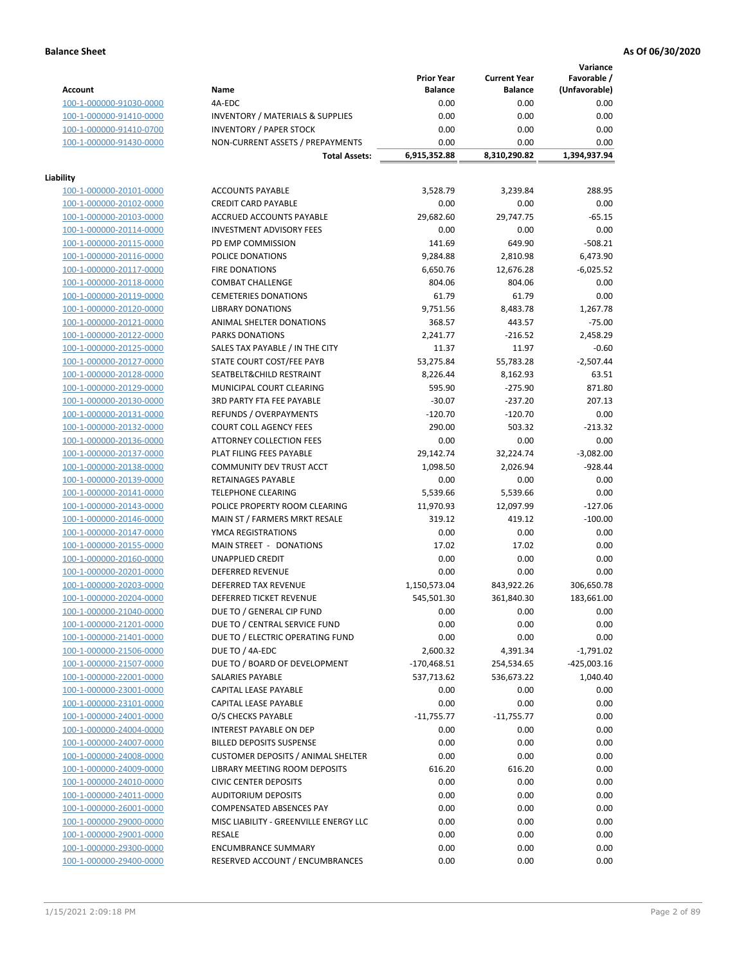**Variance**

|                                                    |                                                     | <b>Prior Year</b> | <b>Current Year</b> | Favorable /   |
|----------------------------------------------------|-----------------------------------------------------|-------------------|---------------------|---------------|
| <b>Account</b>                                     | Name                                                | <b>Balance</b>    | <b>Balance</b>      | (Unfavorable) |
| 100-1-000000-91030-0000                            | 4A-EDC                                              | 0.00              | 0.00                | 0.00          |
| 100-1-000000-91410-0000                            | <b>INVENTORY / MATERIALS &amp; SUPPLIES</b>         | 0.00              | 0.00                | 0.00          |
| 100-1-000000-91410-0700                            | <b>INVENTORY / PAPER STOCK</b>                      | 0.00              | 0.00                | 0.00          |
| 100-1-000000-91430-0000                            | NON-CURRENT ASSETS / PREPAYMENTS                    | 0.00              | 0.00                | 0.00          |
|                                                    | <b>Total Assets:</b>                                | 6,915,352.88      | 8,310,290.82        | 1,394,937.94  |
|                                                    |                                                     |                   |                     |               |
| Liability                                          |                                                     |                   |                     |               |
| 100-1-000000-20101-0000                            | <b>ACCOUNTS PAYABLE</b>                             | 3,528.79          | 3,239.84            | 288.95        |
| 100-1-000000-20102-0000                            | <b>CREDIT CARD PAYABLE</b>                          | 0.00              | 0.00                | 0.00          |
| 100-1-000000-20103-0000                            | <b>ACCRUED ACCOUNTS PAYABLE</b>                     | 29,682.60         | 29,747.75           | $-65.15$      |
| 100-1-000000-20114-0000                            | <b>INVESTMENT ADVISORY FEES</b>                     | 0.00              | 0.00                | 0.00          |
| 100-1-000000-20115-0000                            | PD EMP COMMISSION                                   | 141.69            | 649.90              | $-508.21$     |
| 100-1-000000-20116-0000                            | POLICE DONATIONS                                    | 9,284.88          | 2,810.98            | 6,473.90      |
| 100-1-000000-20117-0000                            | <b>FIRE DONATIONS</b>                               | 6,650.76          | 12,676.28           | $-6,025.52$   |
| 100-1-000000-20118-0000                            | <b>COMBAT CHALLENGE</b>                             | 804.06            | 804.06              | 0.00          |
| 100-1-000000-20119-0000                            | <b>CEMETERIES DONATIONS</b>                         | 61.79             | 61.79               | 0.00          |
| 100-1-000000-20120-0000                            | <b>LIBRARY DONATIONS</b>                            | 9,751.56          | 8,483.78            | 1,267.78      |
| 100-1-000000-20121-0000                            | ANIMAL SHELTER DONATIONS                            | 368.57            | 443.57              | $-75.00$      |
| 100-1-000000-20122-0000                            | <b>PARKS DONATIONS</b>                              | 2,241.77          | $-216.52$           | 2,458.29      |
| 100-1-000000-20125-0000                            | SALES TAX PAYABLE / IN THE CITY                     | 11.37             | 11.97               | $-0.60$       |
| 100-1-000000-20127-0000                            | STATE COURT COST/FEE PAYB                           | 53,275.84         | 55,783.28           | $-2,507.44$   |
| 100-1-000000-20128-0000                            | SEATBELT&CHILD RESTRAINT                            | 8,226.44          | 8,162.93            | 63.51         |
| 100-1-000000-20129-0000                            | MUNICIPAL COURT CLEARING                            | 595.90            | $-275.90$           | 871.80        |
| 100-1-000000-20130-0000                            | 3RD PARTY FTA FEE PAYABLE                           | $-30.07$          | $-237.20$           | 207.13        |
| 100-1-000000-20131-0000                            | REFUNDS / OVERPAYMENTS                              | $-120.70$         | $-120.70$           | 0.00          |
| 100-1-000000-20132-0000                            | <b>COURT COLL AGENCY FEES</b>                       | 290.00            | 503.32              | $-213.32$     |
| 100-1-000000-20136-0000                            | <b>ATTORNEY COLLECTION FEES</b>                     | 0.00              | 0.00                | 0.00          |
| 100-1-000000-20137-0000                            | PLAT FILING FEES PAYABLE                            | 29,142.74         | 32,224.74           | $-3,082.00$   |
| 100-1-000000-20138-0000                            | COMMUNITY DEV TRUST ACCT                            | 1,098.50          | 2,026.94            | $-928.44$     |
| 100-1-000000-20139-0000                            | RETAINAGES PAYABLE                                  | 0.00              | 0.00                | 0.00          |
| 100-1-000000-20141-0000                            | <b>TELEPHONE CLEARING</b>                           | 5,539.66          | 5,539.66            | 0.00          |
| 100-1-000000-20143-0000                            | POLICE PROPERTY ROOM CLEARING                       | 11,970.93         |                     | $-127.06$     |
|                                                    |                                                     | 319.12            | 12,097.99<br>419.12 | $-100.00$     |
| 100-1-000000-20146-0000<br>100-1-000000-20147-0000 | MAIN ST / FARMERS MRKT RESALE<br>YMCA REGISTRATIONS | 0.00              | 0.00                | 0.00          |
|                                                    | MAIN STREET - DONATIONS                             | 17.02             | 17.02               | 0.00          |
| 100-1-000000-20155-0000                            |                                                     | 0.00              | 0.00                |               |
| 100-1-000000-20160-0000                            | <b>UNAPPLIED CREDIT</b>                             |                   |                     | 0.00          |
| 100-1-000000-20201-0000                            | <b>DEFERRED REVENUE</b>                             | 0.00              | 0.00                | 0.00          |
| 100-1-000000-20203-0000                            | DEFERRED TAX REVENUE                                | 1,150,573.04      | 843,922.26          | 306,650.78    |
| 100-1-000000-20204-0000                            | DEFERRED TICKET REVENUE                             | 545,501.30        | 361,840.30          | 183,661.00    |
| 100-1-000000-21040-0000                            | DUE TO / GENERAL CIP FUND                           | 0.00              | 0.00                | 0.00          |
| 100-1-000000-21201-0000                            | DUE TO / CENTRAL SERVICE FUND                       | 0.00              | 0.00                | 0.00          |
| 100-1-000000-21401-0000                            | DUE TO / ELECTRIC OPERATING FUND                    | 0.00              | 0.00                | 0.00          |
| 100-1-000000-21506-0000                            | DUE TO / 4A-EDC                                     | 2,600.32          | 4,391.34            | $-1,791.02$   |
| 100-1-000000-21507-0000                            | DUE TO / BOARD OF DEVELOPMENT                       | $-170,468.51$     | 254,534.65          | $-425,003.16$ |
| 100-1-000000-22001-0000                            | SALARIES PAYABLE                                    | 537,713.62        | 536,673.22          | 1,040.40      |
| 100-1-000000-23001-0000                            | CAPITAL LEASE PAYABLE                               | 0.00              | 0.00                | 0.00          |
| 100-1-000000-23101-0000                            | CAPITAL LEASE PAYABLE                               | 0.00              | 0.00                | 0.00          |
| 100-1-000000-24001-0000                            | O/S CHECKS PAYABLE                                  | $-11,755.77$      | $-11,755.77$        | 0.00          |
| 100-1-000000-24004-0000                            | INTEREST PAYABLE ON DEP                             | 0.00              | 0.00                | 0.00          |
| 100-1-000000-24007-0000                            | <b>BILLED DEPOSITS SUSPENSE</b>                     | 0.00              | 0.00                | 0.00          |
| 100-1-000000-24008-0000                            | <b>CUSTOMER DEPOSITS / ANIMAL SHELTER</b>           | 0.00              | 0.00                | 0.00          |
| 100-1-000000-24009-0000                            | LIBRARY MEETING ROOM DEPOSITS                       | 616.20            | 616.20              | 0.00          |
| 100-1-000000-24010-0000                            | <b>CIVIC CENTER DEPOSITS</b>                        | 0.00              | 0.00                | 0.00          |
| 100-1-000000-24011-0000                            | <b>AUDITORIUM DEPOSITS</b>                          | 0.00              | 0.00                | 0.00          |
| 100-1-000000-26001-0000                            | COMPENSATED ABSENCES PAY                            | 0.00              | 0.00                | 0.00          |
| 100-1-000000-29000-0000                            | MISC LIABILITY - GREENVILLE ENERGY LLC              | 0.00              | 0.00                | 0.00          |
| 100-1-000000-29001-0000                            | <b>RESALE</b>                                       | 0.00              | 0.00                | 0.00          |
| 100-1-000000-29300-0000                            | <b>ENCUMBRANCE SUMMARY</b>                          | 0.00              | 0.00                | 0.00          |
| 100-1-000000-29400-0000                            | RESERVED ACCOUNT / ENCUMBRANCES                     | 0.00              | 0.00                | 0.00          |
|                                                    |                                                     |                   |                     |               |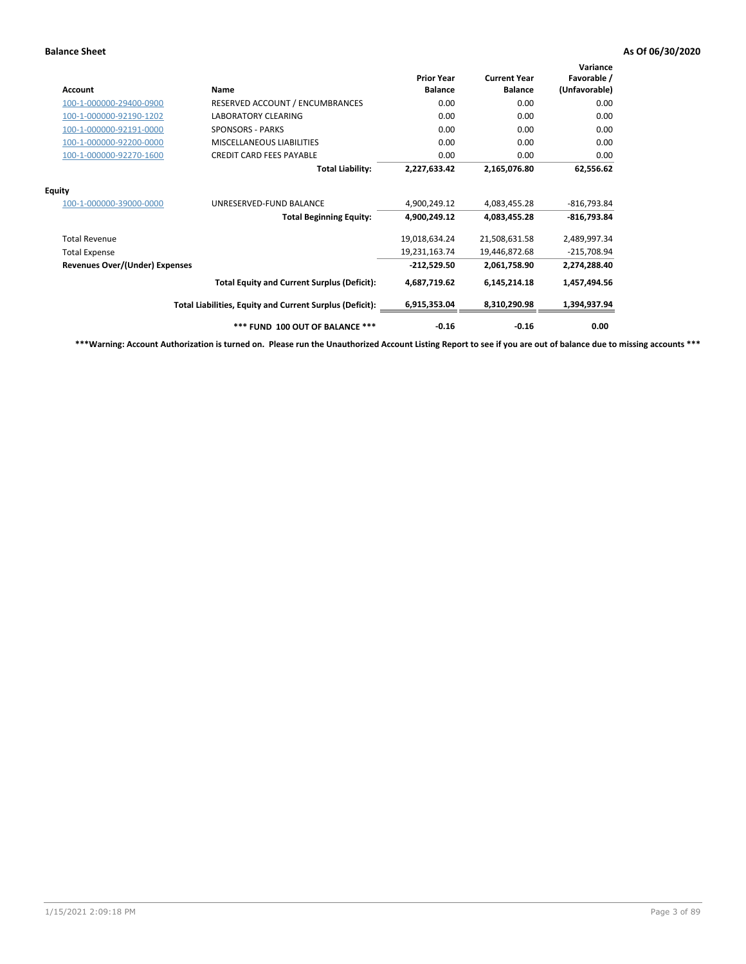| Account                               | Name                                                     | <b>Prior Year</b><br><b>Balance</b> | <b>Current Year</b><br><b>Balance</b> | Variance<br>Favorable /<br>(Unfavorable) |
|---------------------------------------|----------------------------------------------------------|-------------------------------------|---------------------------------------|------------------------------------------|
| 100-1-000000-29400-0900               | RESERVED ACCOUNT / ENCUMBRANCES                          | 0.00                                | 0.00                                  | 0.00                                     |
| 100-1-000000-92190-1202               | <b>LABORATORY CLEARING</b>                               | 0.00                                | 0.00                                  | 0.00                                     |
| 100-1-000000-92191-0000               | <b>SPONSORS - PARKS</b>                                  | 0.00                                | 0.00                                  | 0.00                                     |
| 100-1-000000-92200-0000               | <b>MISCELLANEOUS LIABILITIES</b>                         | 0.00                                | 0.00                                  | 0.00                                     |
| 100-1-000000-92270-1600               | <b>CREDIT CARD FEES PAYABLE</b>                          | 0.00                                | 0.00                                  | 0.00                                     |
|                                       | <b>Total Liability:</b>                                  | 2,227,633.42                        | 2,165,076.80                          | 62,556.62                                |
| <b>Equity</b>                         |                                                          |                                     |                                       |                                          |
| 100-1-000000-39000-0000               | UNRESERVED-FUND BALANCE                                  | 4,900,249.12                        | 4,083,455.28                          | $-816,793.84$                            |
|                                       | <b>Total Beginning Equity:</b>                           | 4,900,249.12                        | 4,083,455.28                          | $-816,793.84$                            |
| <b>Total Revenue</b>                  |                                                          | 19,018,634.24                       | 21,508,631.58                         | 2,489,997.34                             |
| <b>Total Expense</b>                  |                                                          | 19,231,163.74                       | 19,446,872.68                         | $-215,708.94$                            |
| <b>Revenues Over/(Under) Expenses</b> |                                                          | $-212,529.50$                       | 2,061,758.90                          | 2,274,288.40                             |
|                                       | <b>Total Equity and Current Surplus (Deficit):</b>       | 4,687,719.62                        | 6,145,214.18                          | 1,457,494.56                             |
|                                       | Total Liabilities, Equity and Current Surplus (Deficit): | 6,915,353.04                        | 8,310,290.98                          | 1,394,937.94                             |
|                                       | *** FUND 100 OUT OF BALANCE ***                          | $-0.16$                             | $-0.16$                               | 0.00                                     |

**\*\*\*Warning: Account Authorization is turned on. Please run the Unauthorized Account Listing Report to see if you are out of balance due to missing accounts \*\*\***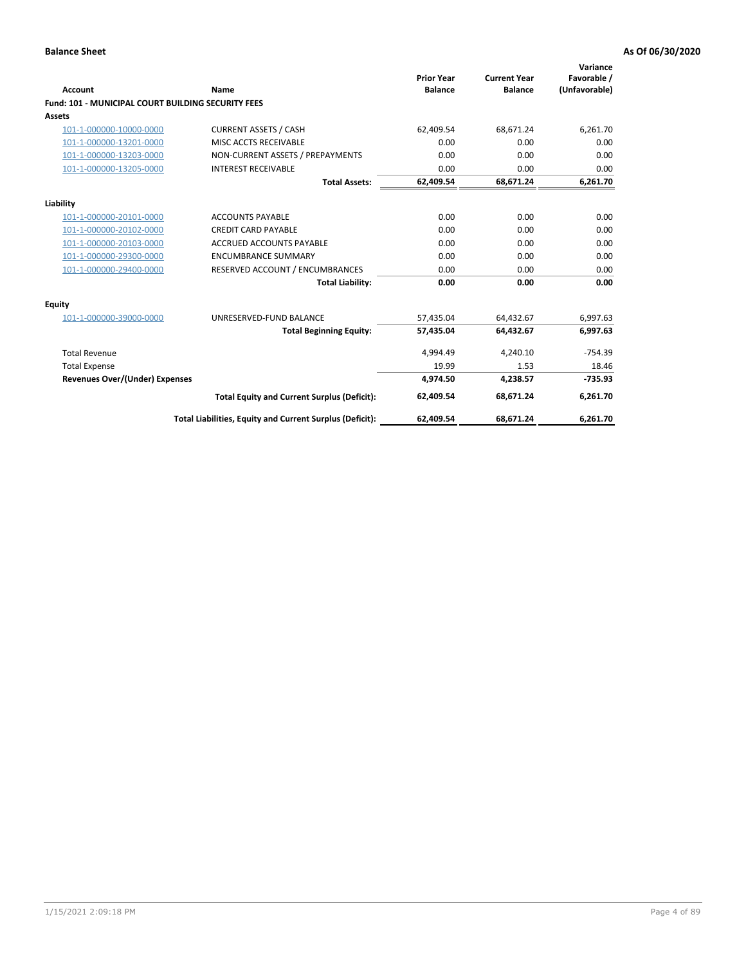| Account                                                   | Name                                                     | <b>Prior Year</b><br><b>Balance</b> | <b>Current Year</b><br><b>Balance</b> | Variance<br>Favorable /<br>(Unfavorable) |
|-----------------------------------------------------------|----------------------------------------------------------|-------------------------------------|---------------------------------------|------------------------------------------|
| <b>Fund: 101 - MUNICIPAL COURT BUILDING SECURITY FEES</b> |                                                          |                                     |                                       |                                          |
| Assets                                                    |                                                          |                                     |                                       |                                          |
| 101-1-000000-10000-0000                                   | <b>CURRENT ASSETS / CASH</b>                             | 62,409.54                           | 68,671.24                             | 6,261.70                                 |
| 101-1-000000-13201-0000                                   | MISC ACCTS RECEIVABLE                                    | 0.00                                | 0.00                                  | 0.00                                     |
| 101-1-000000-13203-0000                                   | NON-CURRENT ASSETS / PREPAYMENTS                         | 0.00                                | 0.00                                  | 0.00                                     |
| 101-1-000000-13205-0000                                   | <b>INTEREST RECEIVABLE</b>                               | 0.00                                | 0.00                                  | 0.00                                     |
|                                                           | <b>Total Assets:</b>                                     | 62,409.54                           | 68,671.24                             | 6,261.70                                 |
| Liability                                                 |                                                          |                                     |                                       |                                          |
| 101-1-000000-20101-0000                                   | <b>ACCOUNTS PAYABLE</b>                                  | 0.00                                | 0.00                                  | 0.00                                     |
| 101-1-000000-20102-0000                                   | <b>CREDIT CARD PAYABLE</b>                               | 0.00                                | 0.00                                  | 0.00                                     |
| 101-1-000000-20103-0000                                   | <b>ACCRUED ACCOUNTS PAYABLE</b>                          | 0.00                                | 0.00                                  | 0.00                                     |
| 101-1-000000-29300-0000                                   | <b>ENCUMBRANCE SUMMARY</b>                               | 0.00                                | 0.00                                  | 0.00                                     |
| 101-1-000000-29400-0000                                   | RESERVED ACCOUNT / ENCUMBRANCES                          | 0.00                                | 0.00                                  | 0.00                                     |
|                                                           | <b>Total Liability:</b>                                  | 0.00                                | 0.00                                  | 0.00                                     |
| <b>Equity</b>                                             |                                                          |                                     |                                       |                                          |
| 101-1-000000-39000-0000                                   | UNRESERVED-FUND BALANCE                                  | 57,435.04                           | 64.432.67                             | 6,997.63                                 |
|                                                           | <b>Total Beginning Equity:</b>                           | 57,435.04                           | 64,432.67                             | 6,997.63                                 |
| <b>Total Revenue</b>                                      |                                                          | 4,994.49                            | 4,240.10                              | $-754.39$                                |
| <b>Total Expense</b>                                      |                                                          | 19.99                               | 1.53                                  | 18.46                                    |
| <b>Revenues Over/(Under) Expenses</b>                     |                                                          | 4,974.50                            | 4,238.57                              | $-735.93$                                |
|                                                           | <b>Total Equity and Current Surplus (Deficit):</b>       | 62.409.54                           | 68.671.24                             | 6,261.70                                 |
|                                                           | Total Liabilities, Equity and Current Surplus (Deficit): | 62,409.54                           | 68,671.24                             | 6,261.70                                 |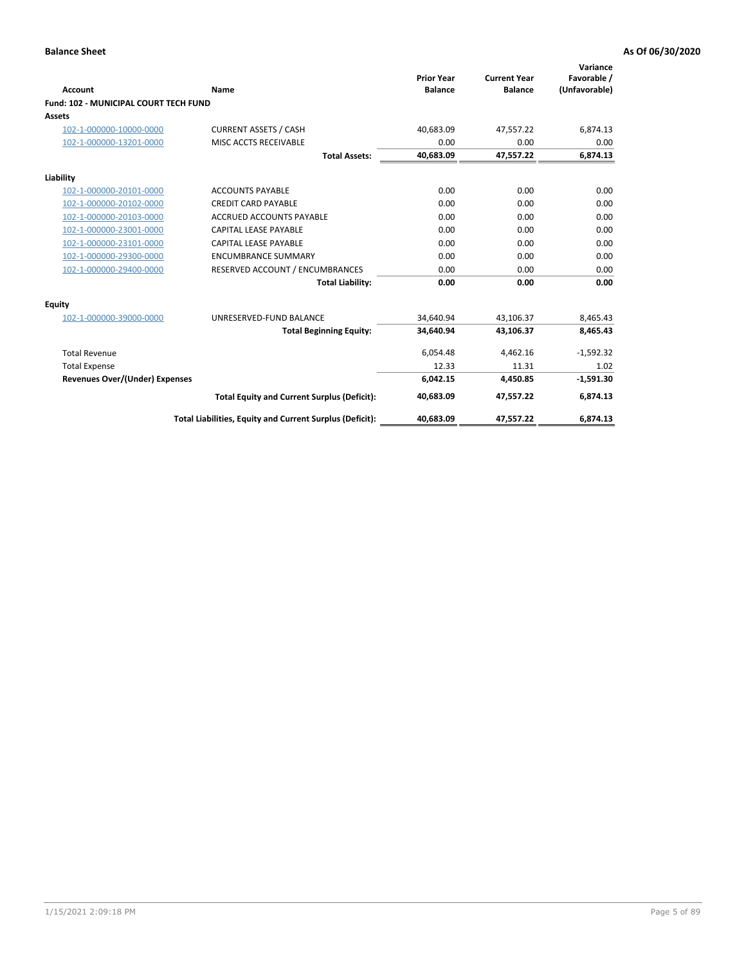|                                              |                                                          |                                     |                                       | Variance                     |
|----------------------------------------------|----------------------------------------------------------|-------------------------------------|---------------------------------------|------------------------------|
| <b>Account</b>                               | <b>Name</b>                                              | <b>Prior Year</b><br><b>Balance</b> | <b>Current Year</b><br><b>Balance</b> | Favorable /<br>(Unfavorable) |
| <b>Fund: 102 - MUNICIPAL COURT TECH FUND</b> |                                                          |                                     |                                       |                              |
| <b>Assets</b>                                |                                                          |                                     |                                       |                              |
| 102-1-000000-10000-0000                      | <b>CURRENT ASSETS / CASH</b>                             | 40,683.09                           | 47,557.22                             | 6,874.13                     |
| 102-1-000000-13201-0000                      | MISC ACCTS RECEIVABLE                                    | 0.00                                | 0.00                                  | 0.00                         |
|                                              | <b>Total Assets:</b>                                     | 40,683.09                           | 47,557.22                             | 6,874.13                     |
| Liability                                    |                                                          |                                     |                                       |                              |
| 102-1-000000-20101-0000                      | <b>ACCOUNTS PAYABLE</b>                                  | 0.00                                | 0.00                                  | 0.00                         |
| 102-1-000000-20102-0000                      | <b>CREDIT CARD PAYABLE</b>                               | 0.00                                | 0.00                                  | 0.00                         |
| 102-1-000000-20103-0000                      | <b>ACCRUED ACCOUNTS PAYABLE</b>                          | 0.00                                | 0.00                                  | 0.00                         |
| 102-1-000000-23001-0000                      | <b>CAPITAL LEASE PAYABLE</b>                             | 0.00                                | 0.00                                  | 0.00                         |
| 102-1-000000-23101-0000                      | <b>CAPITAL LEASE PAYABLE</b>                             | 0.00                                | 0.00                                  | 0.00                         |
| 102-1-000000-29300-0000                      | <b>ENCUMBRANCE SUMMARY</b>                               | 0.00                                | 0.00                                  | 0.00                         |
| 102-1-000000-29400-0000                      | RESERVED ACCOUNT / ENCUMBRANCES                          | 0.00                                | 0.00                                  | 0.00                         |
|                                              | <b>Total Liability:</b>                                  | 0.00                                | 0.00                                  | 0.00                         |
| Equity                                       |                                                          |                                     |                                       |                              |
| 102-1-000000-39000-0000                      | UNRESERVED-FUND BALANCE                                  | 34.640.94                           | 43,106.37                             | 8,465.43                     |
|                                              | <b>Total Beginning Equity:</b>                           | 34,640.94                           | 43,106.37                             | 8,465.43                     |
| <b>Total Revenue</b>                         |                                                          | 6,054.48                            | 4,462.16                              | $-1,592.32$                  |
| <b>Total Expense</b>                         |                                                          | 12.33                               | 11.31                                 | 1.02                         |
| <b>Revenues Over/(Under) Expenses</b>        |                                                          | 6,042.15                            | 4,450.85                              | $-1,591.30$                  |
|                                              | <b>Total Equity and Current Surplus (Deficit):</b>       | 40.683.09                           | 47.557.22                             | 6,874.13                     |
|                                              | Total Liabilities, Equity and Current Surplus (Deficit): | 40,683.09                           | 47,557.22                             | 6,874.13                     |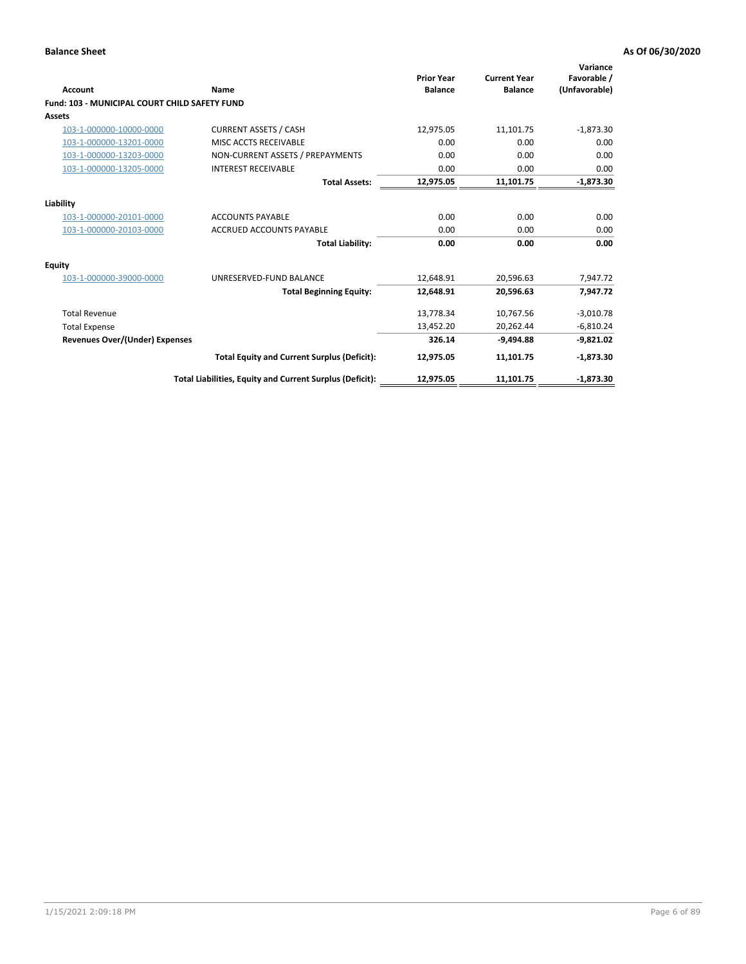| <b>Account</b>                                | Name                                                     | <b>Prior Year</b><br><b>Balance</b> | <b>Current Year</b><br><b>Balance</b> | Variance<br>Favorable /<br>(Unfavorable) |
|-----------------------------------------------|----------------------------------------------------------|-------------------------------------|---------------------------------------|------------------------------------------|
| Fund: 103 - MUNICIPAL COURT CHILD SAFETY FUND |                                                          |                                     |                                       |                                          |
| <b>Assets</b>                                 |                                                          |                                     |                                       |                                          |
| 103-1-000000-10000-0000                       | <b>CURRENT ASSETS / CASH</b>                             | 12,975.05                           | 11,101.75                             | $-1,873.30$                              |
| 103-1-000000-13201-0000                       | MISC ACCTS RECEIVABLE                                    | 0.00                                | 0.00                                  | 0.00                                     |
| 103-1-000000-13203-0000                       | NON-CURRENT ASSETS / PREPAYMENTS                         | 0.00                                | 0.00                                  | 0.00                                     |
| 103-1-000000-13205-0000                       | <b>INTEREST RECEIVABLE</b>                               | 0.00                                | 0.00                                  | 0.00                                     |
|                                               | <b>Total Assets:</b>                                     | 12,975.05                           | 11,101.75                             | $-1,873.30$                              |
| Liability                                     |                                                          |                                     |                                       |                                          |
| 103-1-000000-20101-0000                       | <b>ACCOUNTS PAYABLE</b>                                  | 0.00                                | 0.00                                  | 0.00                                     |
| 103-1-000000-20103-0000                       | <b>ACCRUED ACCOUNTS PAYABLE</b>                          | 0.00                                | 0.00                                  | 0.00                                     |
|                                               | <b>Total Liability:</b>                                  | 0.00                                | 0.00                                  | 0.00                                     |
| Equity                                        |                                                          |                                     |                                       |                                          |
| 103-1-000000-39000-0000                       | UNRESERVED-FUND BALANCE                                  | 12,648.91                           | 20,596.63                             | 7,947.72                                 |
|                                               | <b>Total Beginning Equity:</b>                           | 12,648.91                           | 20,596.63                             | 7.947.72                                 |
| <b>Total Revenue</b>                          |                                                          | 13,778.34                           | 10,767.56                             | $-3,010.78$                              |
| <b>Total Expense</b>                          |                                                          | 13,452.20                           | 20,262.44                             | $-6,810.24$                              |
| <b>Revenues Over/(Under) Expenses</b>         |                                                          | 326.14                              | $-9.494.88$                           | $-9,821.02$                              |
|                                               | <b>Total Equity and Current Surplus (Deficit):</b>       | 12,975.05                           | 11,101.75                             | $-1,873.30$                              |
|                                               | Total Liabilities, Equity and Current Surplus (Deficit): | 12,975.05                           | 11,101.75                             | $-1,873.30$                              |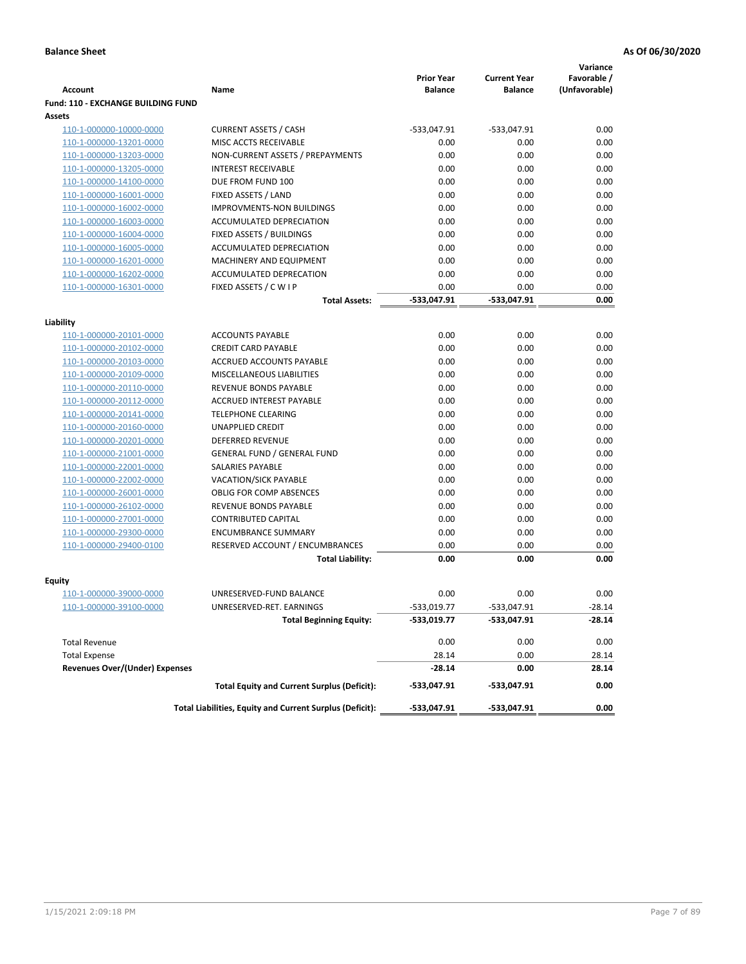|                                           |                                                          |                                     |                                       | Variance                     |
|-------------------------------------------|----------------------------------------------------------|-------------------------------------|---------------------------------------|------------------------------|
| <b>Account</b>                            | Name                                                     | <b>Prior Year</b><br><b>Balance</b> | <b>Current Year</b><br><b>Balance</b> | Favorable /<br>(Unfavorable) |
| <b>Fund: 110 - EXCHANGE BUILDING FUND</b> |                                                          |                                     |                                       |                              |
| Assets                                    |                                                          |                                     |                                       |                              |
| 110-1-000000-10000-0000                   | <b>CURRENT ASSETS / CASH</b>                             | -533,047.91                         | $-533,047.91$                         | 0.00                         |
| 110-1-000000-13201-0000                   | MISC ACCTS RECEIVABLE                                    | 0.00                                | 0.00                                  | 0.00                         |
| 110-1-000000-13203-0000                   | NON-CURRENT ASSETS / PREPAYMENTS                         | 0.00                                | 0.00                                  | 0.00                         |
| 110-1-000000-13205-0000                   | <b>INTEREST RECEIVABLE</b>                               | 0.00                                | 0.00                                  | 0.00                         |
| 110-1-000000-14100-0000                   | DUE FROM FUND 100                                        | 0.00                                | 0.00                                  | 0.00                         |
| 110-1-000000-16001-0000                   | FIXED ASSETS / LAND                                      | 0.00                                | 0.00                                  | 0.00                         |
| 110-1-000000-16002-0000                   | <b>IMPROVMENTS-NON BUILDINGS</b>                         | 0.00                                | 0.00                                  | 0.00                         |
| 110-1-000000-16003-0000                   | ACCUMULATED DEPRECIATION                                 | 0.00                                | 0.00                                  | 0.00                         |
| 110-1-000000-16004-0000                   | FIXED ASSETS / BUILDINGS                                 | 0.00                                | 0.00                                  | 0.00                         |
| 110-1-000000-16005-0000                   | ACCUMULATED DEPRECIATION                                 | 0.00                                | 0.00                                  | 0.00                         |
| 110-1-000000-16201-0000                   | <b>MACHINERY AND EQUIPMENT</b>                           | 0.00                                | 0.00                                  | 0.00                         |
| 110-1-000000-16202-0000                   | ACCUMULATED DEPRECATION                                  | 0.00                                | 0.00                                  | 0.00                         |
| 110-1-000000-16301-0000                   | FIXED ASSETS / C W I P                                   | 0.00                                | 0.00                                  | 0.00                         |
|                                           | <b>Total Assets:</b>                                     | $-533,047.91$                       | -533,047.91                           | 0.00                         |
| Liability                                 |                                                          |                                     |                                       |                              |
| 110-1-000000-20101-0000                   | <b>ACCOUNTS PAYABLE</b>                                  | 0.00                                | 0.00                                  | 0.00                         |
| 110-1-000000-20102-0000                   | <b>CREDIT CARD PAYABLE</b>                               | 0.00                                | 0.00                                  | 0.00                         |
| 110-1-000000-20103-0000                   | ACCRUED ACCOUNTS PAYABLE                                 | 0.00                                | 0.00                                  | 0.00                         |
| 110-1-000000-20109-0000                   | MISCELLANEOUS LIABILITIES                                | 0.00                                | 0.00                                  | 0.00                         |
| 110-1-000000-20110-0000                   | REVENUE BONDS PAYABLE                                    | 0.00                                | 0.00                                  | 0.00                         |
| 110-1-000000-20112-0000                   | <b>ACCRUED INTEREST PAYABLE</b>                          | 0.00                                | 0.00                                  | 0.00                         |
| 110-1-000000-20141-0000                   | <b>TELEPHONE CLEARING</b>                                | 0.00                                | 0.00                                  | 0.00                         |
| 110-1-000000-20160-0000                   | <b>UNAPPLIED CREDIT</b>                                  | 0.00                                | 0.00                                  | 0.00                         |
| 110-1-000000-20201-0000                   | <b>DEFERRED REVENUE</b>                                  | 0.00                                | 0.00                                  | 0.00                         |
| 110-1-000000-21001-0000                   | <b>GENERAL FUND / GENERAL FUND</b>                       | 0.00                                | 0.00                                  | 0.00                         |
| 110-1-000000-22001-0000                   | SALARIES PAYABLE                                         | 0.00                                | 0.00                                  | 0.00                         |
| 110-1-000000-22002-0000                   | <b>VACATION/SICK PAYABLE</b>                             | 0.00                                | 0.00                                  | 0.00                         |
| 110-1-000000-26001-0000                   | <b>OBLIG FOR COMP ABSENCES</b>                           | 0.00                                | 0.00                                  | 0.00                         |
| 110-1-000000-26102-0000                   | REVENUE BONDS PAYABLE                                    | 0.00                                | 0.00                                  | 0.00                         |
| 110-1-000000-27001-0000                   | <b>CONTRIBUTED CAPITAL</b>                               | 0.00                                | 0.00                                  | 0.00                         |
| 110-1-000000-29300-0000                   | <b>ENCUMBRANCE SUMMARY</b>                               | 0.00                                | 0.00                                  | 0.00                         |
| 110-1-000000-29400-0100                   | RESERVED ACCOUNT / ENCUMBRANCES                          | 0.00                                | 0.00                                  | 0.00                         |
|                                           | <b>Total Liability:</b>                                  | 0.00                                | 0.00                                  | 0.00                         |
|                                           |                                                          |                                     |                                       |                              |
| <b>Equity</b>                             | UNRESERVED-FUND BALANCE                                  | 0.00                                | 0.00                                  |                              |
| 110-1-000000-39000-0000                   |                                                          | $-533,019.77$                       |                                       | 0.00<br>$-28.14$             |
| <u>110-1-000000-39100-0000</u>            | UNRESERVED-RET. EARNINGS                                 |                                     | -533,047.91                           |                              |
|                                           | <b>Total Beginning Equity:</b>                           | -533,019.77                         | -533,047.91                           | -28.14                       |
| <b>Total Revenue</b>                      |                                                          | 0.00                                | 0.00                                  | 0.00                         |
| <b>Total Expense</b>                      |                                                          | 28.14                               | 0.00                                  | 28.14                        |
| <b>Revenues Over/(Under) Expenses</b>     |                                                          | $-28.14$                            | 0.00                                  | 28.14                        |
|                                           | <b>Total Equity and Current Surplus (Deficit):</b>       | -533,047.91                         | -533,047.91                           | 0.00                         |
|                                           | Total Liabilities, Equity and Current Surplus (Deficit): | -533,047.91                         | -533,047.91                           | 0.00                         |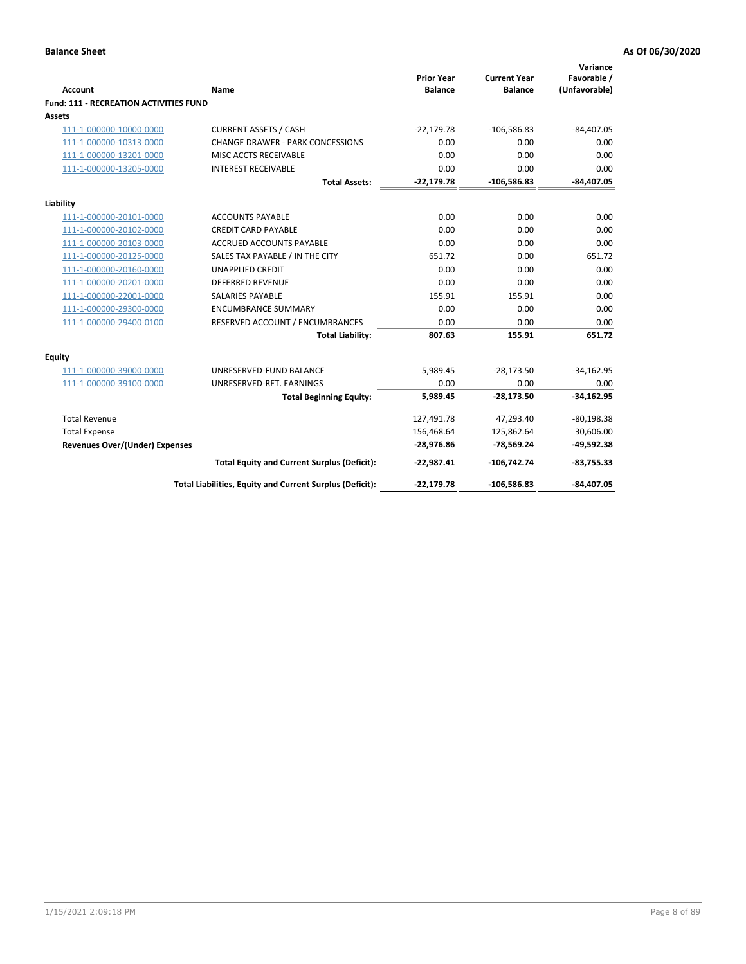| <b>Account</b>                                | Name                                                     | <b>Prior Year</b><br><b>Balance</b> | <b>Current Year</b><br><b>Balance</b> | Variance<br>Favorable /<br>(Unfavorable) |
|-----------------------------------------------|----------------------------------------------------------|-------------------------------------|---------------------------------------|------------------------------------------|
| <b>Fund: 111 - RECREATION ACTIVITIES FUND</b> |                                                          |                                     |                                       |                                          |
| Assets                                        |                                                          |                                     |                                       |                                          |
| 111-1-000000-10000-0000                       | <b>CURRENT ASSETS / CASH</b>                             | $-22,179.78$                        | $-106,586.83$                         | $-84,407.05$                             |
| 111-1-000000-10313-0000                       | <b>CHANGE DRAWER - PARK CONCESSIONS</b>                  | 0.00                                | 0.00                                  | 0.00                                     |
| 111-1-000000-13201-0000                       | MISC ACCTS RECEIVABLE                                    | 0.00                                | 0.00                                  | 0.00                                     |
| 111-1-000000-13205-0000                       | <b>INTEREST RECEIVABLE</b>                               | 0.00                                | 0.00                                  | 0.00                                     |
|                                               | <b>Total Assets:</b>                                     | $-22,179.78$                        | $-106,586.83$                         | $-84,407.05$                             |
| Liability                                     |                                                          |                                     |                                       |                                          |
| 111-1-000000-20101-0000                       | <b>ACCOUNTS PAYABLE</b>                                  | 0.00                                | 0.00                                  | 0.00                                     |
| 111-1-000000-20102-0000                       | <b>CREDIT CARD PAYABLE</b>                               | 0.00                                | 0.00                                  | 0.00                                     |
| 111-1-000000-20103-0000                       | ACCRUED ACCOUNTS PAYABLE                                 | 0.00                                | 0.00                                  | 0.00                                     |
| 111-1-000000-20125-0000                       | SALES TAX PAYABLE / IN THE CITY                          | 651.72                              | 0.00                                  | 651.72                                   |
| 111-1-000000-20160-0000                       | <b>UNAPPLIED CREDIT</b>                                  | 0.00                                | 0.00                                  | 0.00                                     |
| 111-1-000000-20201-0000                       | <b>DEFERRED REVENUE</b>                                  | 0.00                                | 0.00                                  | 0.00                                     |
| 111-1-000000-22001-0000                       | <b>SALARIES PAYABLE</b>                                  | 155.91                              | 155.91                                | 0.00                                     |
| 111-1-000000-29300-0000                       | <b>ENCUMBRANCE SUMMARY</b>                               | 0.00                                | 0.00                                  | 0.00                                     |
| 111-1-000000-29400-0100                       | RESERVED ACCOUNT / ENCUMBRANCES                          | 0.00                                | 0.00                                  | 0.00                                     |
|                                               | <b>Total Liability:</b>                                  | 807.63                              | 155.91                                | 651.72                                   |
| Equity                                        |                                                          |                                     |                                       |                                          |
| 111-1-000000-39000-0000                       | UNRESERVED-FUND BALANCE                                  | 5,989.45                            | $-28,173.50$                          | $-34,162.95$                             |
| 111-1-000000-39100-0000                       | UNRESERVED-RET. EARNINGS                                 | 0.00                                | 0.00                                  | 0.00                                     |
|                                               | <b>Total Beginning Equity:</b>                           | 5,989.45                            | $-28,173.50$                          | $-34,162.95$                             |
| <b>Total Revenue</b>                          |                                                          | 127,491.78                          | 47,293.40                             | $-80,198.38$                             |
| <b>Total Expense</b>                          |                                                          | 156,468.64                          | 125,862.64                            | 30,606.00                                |
| <b>Revenues Over/(Under) Expenses</b>         |                                                          | $-28,976.86$                        | $-78,569.24$                          | $-49,592.38$                             |
|                                               | <b>Total Equity and Current Surplus (Deficit):</b>       | $-22,987.41$                        | $-106,742.74$                         | $-83,755.33$                             |
|                                               | Total Liabilities, Equity and Current Surplus (Deficit): | $-22,179.78$                        | $-106,586.83$                         | $-84,407.05$                             |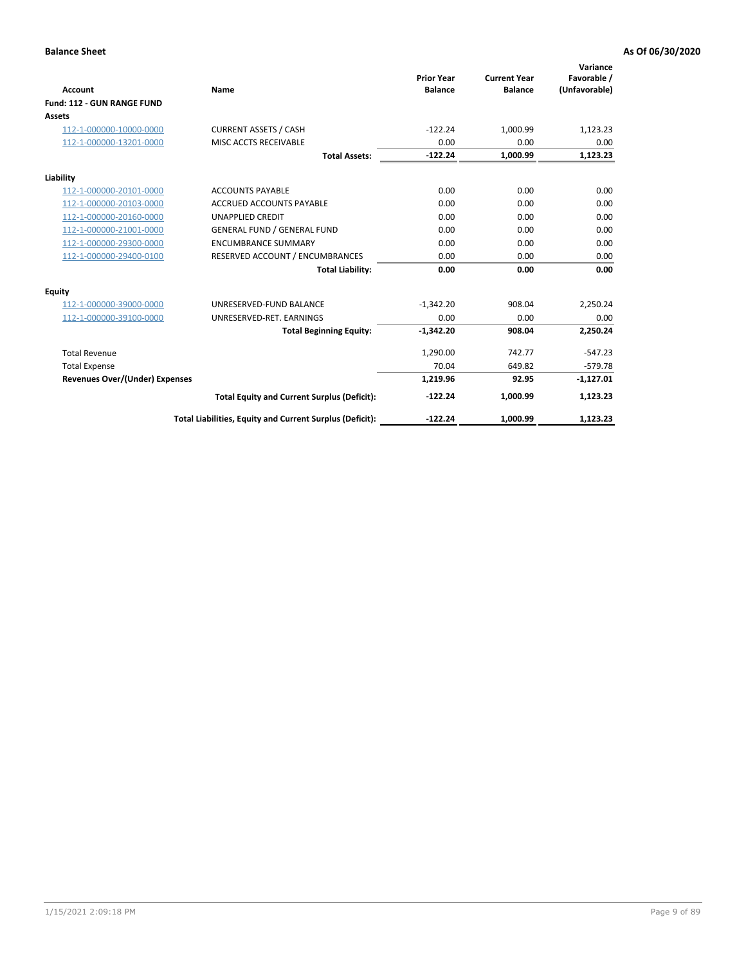|                                       |                                                          |                                     |                                       | Variance                     |
|---------------------------------------|----------------------------------------------------------|-------------------------------------|---------------------------------------|------------------------------|
| <b>Account</b>                        | Name                                                     | <b>Prior Year</b><br><b>Balance</b> | <b>Current Year</b><br><b>Balance</b> | Favorable /<br>(Unfavorable) |
| Fund: 112 - GUN RANGE FUND            |                                                          |                                     |                                       |                              |
| <b>Assets</b>                         |                                                          |                                     |                                       |                              |
| 112-1-000000-10000-0000               | <b>CURRENT ASSETS / CASH</b>                             | $-122.24$                           | 1,000.99                              | 1,123.23                     |
| 112-1-000000-13201-0000               | MISC ACCTS RECEIVABLE                                    | 0.00                                | 0.00                                  | 0.00                         |
|                                       | <b>Total Assets:</b>                                     | $-122.24$                           | 1,000.99                              | 1,123.23                     |
| Liability                             |                                                          |                                     |                                       |                              |
| 112-1-000000-20101-0000               | <b>ACCOUNTS PAYABLE</b>                                  | 0.00                                | 0.00                                  | 0.00                         |
| 112-1-000000-20103-0000               | <b>ACCRUED ACCOUNTS PAYABLE</b>                          | 0.00                                | 0.00                                  | 0.00                         |
| 112-1-000000-20160-0000               | <b>UNAPPLIED CREDIT</b>                                  | 0.00                                | 0.00                                  | 0.00                         |
| 112-1-000000-21001-0000               | <b>GENERAL FUND / GENERAL FUND</b>                       | 0.00                                | 0.00                                  | 0.00                         |
| 112-1-000000-29300-0000               | <b>ENCUMBRANCE SUMMARY</b>                               | 0.00                                | 0.00                                  | 0.00                         |
| 112-1-000000-29400-0100               | RESERVED ACCOUNT / ENCUMBRANCES                          | 0.00                                | 0.00                                  | 0.00                         |
|                                       | <b>Total Liability:</b>                                  | 0.00                                | 0.00                                  | 0.00                         |
| Equity                                |                                                          |                                     |                                       |                              |
| 112-1-000000-39000-0000               | UNRESERVED-FUND BALANCE                                  | $-1,342.20$                         | 908.04                                | 2,250.24                     |
| 112-1-000000-39100-0000               | UNRESERVED-RET. EARNINGS                                 | 0.00                                | 0.00                                  | 0.00                         |
|                                       | <b>Total Beginning Equity:</b>                           | $-1.342.20$                         | 908.04                                | 2.250.24                     |
| <b>Total Revenue</b>                  |                                                          | 1,290.00                            | 742.77                                | $-547.23$                    |
| <b>Total Expense</b>                  |                                                          | 70.04                               | 649.82                                | $-579.78$                    |
| <b>Revenues Over/(Under) Expenses</b> |                                                          | 1,219.96                            | 92.95                                 | $-1,127.01$                  |
|                                       | <b>Total Equity and Current Surplus (Deficit):</b>       | $-122.24$                           | 1,000.99                              | 1,123.23                     |
|                                       | Total Liabilities, Equity and Current Surplus (Deficit): | $-122.24$                           | 1,000.99                              | 1,123.23                     |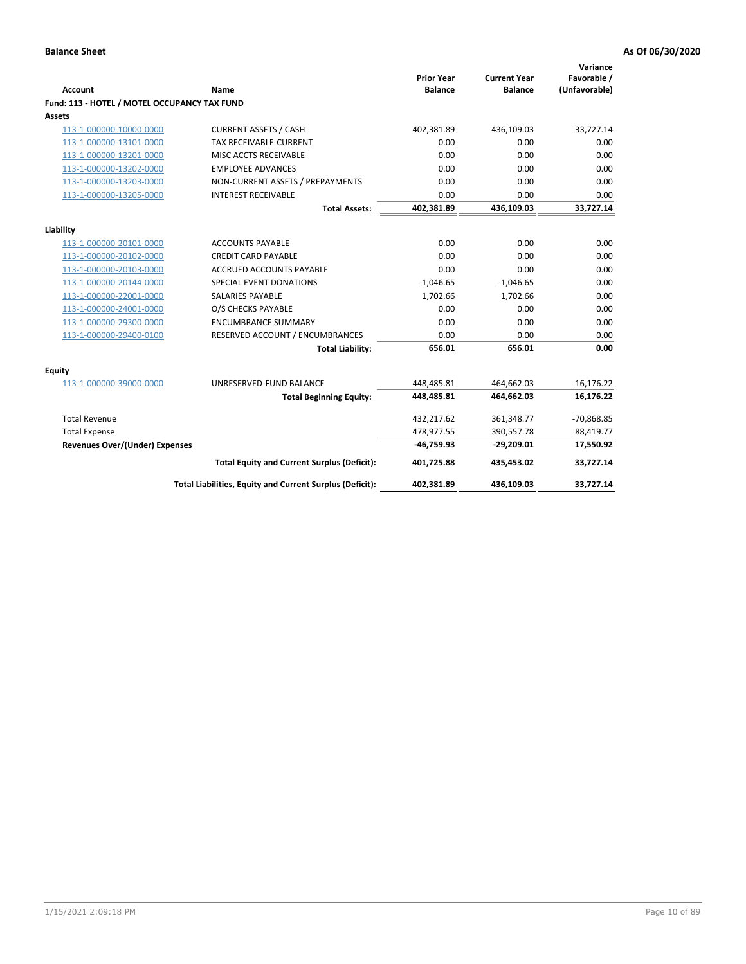| <b>Account</b>                               | Name                                                     | <b>Prior Year</b><br><b>Balance</b> | <b>Current Year</b><br><b>Balance</b> | Variance<br>Favorable /<br>(Unfavorable) |
|----------------------------------------------|----------------------------------------------------------|-------------------------------------|---------------------------------------|------------------------------------------|
| Fund: 113 - HOTEL / MOTEL OCCUPANCY TAX FUND |                                                          |                                     |                                       |                                          |
| Assets                                       |                                                          |                                     |                                       |                                          |
| 113-1-000000-10000-0000                      | <b>CURRENT ASSETS / CASH</b>                             | 402,381.89                          | 436,109.03                            | 33,727.14                                |
| 113-1-000000-13101-0000                      | <b>TAX RECEIVABLE-CURRENT</b>                            | 0.00                                | 0.00                                  | 0.00                                     |
| 113-1-000000-13201-0000                      | MISC ACCTS RECEIVABLE                                    | 0.00                                | 0.00                                  | 0.00                                     |
| 113-1-000000-13202-0000                      | <b>EMPLOYEE ADVANCES</b>                                 | 0.00                                | 0.00                                  | 0.00                                     |
| 113-1-000000-13203-0000                      | NON-CURRENT ASSETS / PREPAYMENTS                         | 0.00                                | 0.00                                  | 0.00                                     |
| 113-1-000000-13205-0000                      | <b>INTEREST RECEIVABLE</b>                               | 0.00                                | 0.00                                  | 0.00                                     |
|                                              | <b>Total Assets:</b>                                     | 402,381.89                          | 436,109.03                            | 33,727.14                                |
|                                              |                                                          |                                     |                                       |                                          |
| Liability                                    |                                                          |                                     |                                       |                                          |
| 113-1-000000-20101-0000                      | <b>ACCOUNTS PAYABLE</b>                                  | 0.00                                | 0.00                                  | 0.00                                     |
| 113-1-000000-20102-0000                      | <b>CREDIT CARD PAYABLE</b>                               | 0.00                                | 0.00                                  | 0.00                                     |
| 113-1-000000-20103-0000                      | ACCRUED ACCOUNTS PAYABLE                                 | 0.00                                | 0.00                                  | 0.00                                     |
| 113-1-000000-20144-0000                      | SPECIAL EVENT DONATIONS                                  | $-1,046.65$                         | $-1,046.65$                           | 0.00                                     |
| 113-1-000000-22001-0000                      | <b>SALARIES PAYABLE</b>                                  | 1,702.66                            | 1,702.66                              | 0.00                                     |
| 113-1-000000-24001-0000                      | O/S CHECKS PAYABLE                                       | 0.00                                | 0.00                                  | 0.00                                     |
| 113-1-000000-29300-0000                      | <b>ENCUMBRANCE SUMMARY</b>                               | 0.00                                | 0.00                                  | 0.00                                     |
| 113-1-000000-29400-0100                      | RESERVED ACCOUNT / ENCUMBRANCES                          | 0.00                                | 0.00                                  | 0.00                                     |
|                                              | <b>Total Liability:</b>                                  | 656.01                              | 656.01                                | 0.00                                     |
| Equity                                       |                                                          |                                     |                                       |                                          |
| 113-1-000000-39000-0000                      | UNRESERVED-FUND BALANCE                                  | 448,485.81                          | 464,662.03                            | 16,176.22                                |
|                                              | <b>Total Beginning Equity:</b>                           | 448,485.81                          | 464,662.03                            | 16,176.22                                |
|                                              |                                                          |                                     |                                       |                                          |
| <b>Total Revenue</b>                         |                                                          | 432,217.62                          | 361,348.77                            | $-70,868.85$                             |
| <b>Total Expense</b>                         |                                                          | 478,977.55                          | 390,557.78                            | 88,419.77                                |
| <b>Revenues Over/(Under) Expenses</b>        |                                                          | $-46,759.93$                        | $-29,209.01$                          | 17,550.92                                |
|                                              | <b>Total Equity and Current Surplus (Deficit):</b>       | 401,725.88                          | 435,453.02                            | 33,727.14                                |
|                                              | Total Liabilities, Equity and Current Surplus (Deficit): | 402,381.89                          | 436,109.03                            | 33,727.14                                |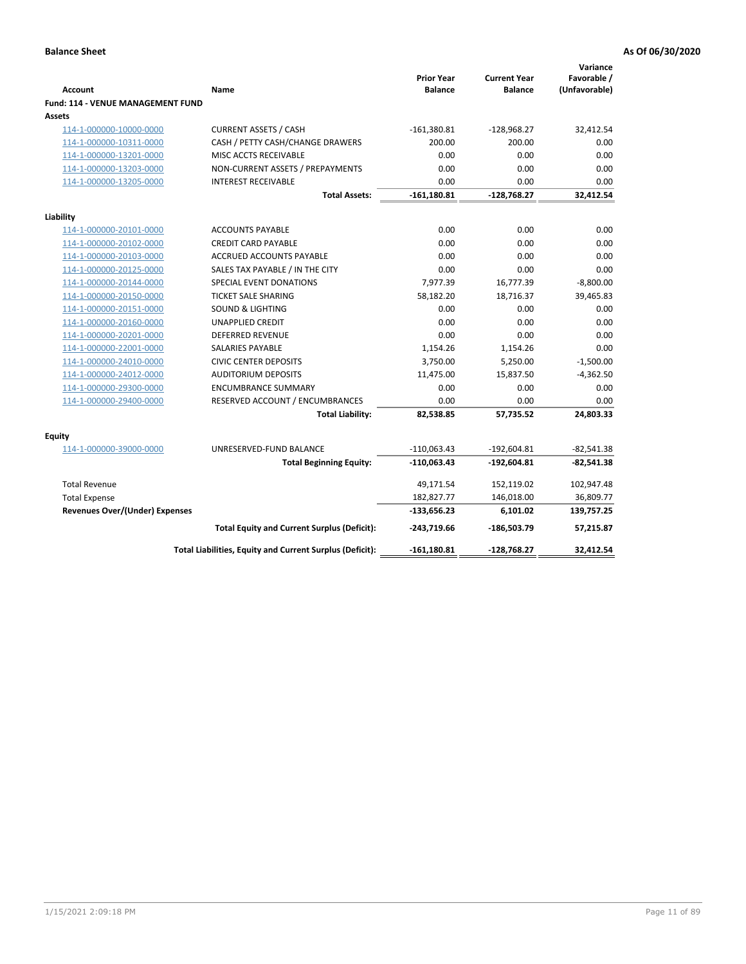| <b>Account</b>                              | Name                                                     | <b>Prior Year</b><br><b>Balance</b> | <b>Current Year</b><br><b>Balance</b> | Variance<br>Favorable /<br>(Unfavorable) |
|---------------------------------------------|----------------------------------------------------------|-------------------------------------|---------------------------------------|------------------------------------------|
| Fund: 114 - VENUE MANAGEMENT FUND<br>Assets |                                                          |                                     |                                       |                                          |
| 114-1-000000-10000-0000                     | <b>CURRENT ASSETS / CASH</b>                             | $-161,380.81$                       | $-128,968.27$                         | 32,412.54                                |
| 114-1-000000-10311-0000                     | CASH / PETTY CASH/CHANGE DRAWERS                         | 200.00                              | 200.00                                | 0.00                                     |
| 114-1-000000-13201-0000                     | MISC ACCTS RECEIVABLE                                    | 0.00                                | 0.00                                  | 0.00                                     |
| 114-1-000000-13203-0000                     | NON-CURRENT ASSETS / PREPAYMENTS                         | 0.00                                | 0.00                                  | 0.00                                     |
| 114-1-000000-13205-0000                     | <b>INTEREST RECEIVABLE</b>                               | 0.00                                | 0.00                                  | 0.00                                     |
|                                             | <b>Total Assets:</b>                                     | $-161,180.81$                       | $-128,768.27$                         | 32,412.54                                |
| Liability                                   |                                                          |                                     |                                       |                                          |
| 114-1-000000-20101-0000                     | <b>ACCOUNTS PAYABLE</b>                                  | 0.00                                | 0.00                                  | 0.00                                     |
| 114-1-000000-20102-0000                     | <b>CREDIT CARD PAYABLE</b>                               | 0.00                                | 0.00                                  | 0.00                                     |
| 114-1-000000-20103-0000                     | <b>ACCRUED ACCOUNTS PAYABLE</b>                          | 0.00                                | 0.00                                  | 0.00                                     |
| 114-1-000000-20125-0000                     | SALES TAX PAYABLE / IN THE CITY                          | 0.00                                | 0.00                                  | 0.00                                     |
| 114-1-000000-20144-0000                     | SPECIAL EVENT DONATIONS                                  | 7,977.39                            | 16,777.39                             | $-8,800.00$                              |
| 114-1-000000-20150-0000                     | <b>TICKET SALE SHARING</b>                               | 58,182.20                           | 18,716.37                             | 39,465.83                                |
| 114-1-000000-20151-0000                     | <b>SOUND &amp; LIGHTING</b>                              | 0.00                                | 0.00                                  | 0.00                                     |
| 114-1-000000-20160-0000                     | <b>UNAPPLIED CREDIT</b>                                  | 0.00                                | 0.00                                  | 0.00                                     |
| 114-1-000000-20201-0000                     | <b>DEFERRED REVENUE</b>                                  | 0.00                                | 0.00                                  | 0.00                                     |
| 114-1-000000-22001-0000                     | SALARIES PAYABLE                                         | 1,154.26                            | 1,154.26                              | 0.00                                     |
| 114-1-000000-24010-0000                     | <b>CIVIC CENTER DEPOSITS</b>                             | 3,750.00                            | 5,250.00                              | $-1,500.00$                              |
| 114-1-000000-24012-0000                     | <b>AUDITORIUM DEPOSITS</b>                               | 11,475.00                           | 15,837.50                             | $-4,362.50$                              |
| 114-1-000000-29300-0000                     | <b>ENCUMBRANCE SUMMARY</b>                               | 0.00                                | 0.00                                  | 0.00                                     |
| 114-1-000000-29400-0000                     | RESERVED ACCOUNT / ENCUMBRANCES                          | 0.00                                | 0.00                                  | 0.00                                     |
|                                             | <b>Total Liability:</b>                                  | 82,538.85                           | 57,735.52                             | 24,803.33                                |
| Equity                                      |                                                          |                                     |                                       |                                          |
| 114-1-000000-39000-0000                     | UNRESERVED-FUND BALANCE                                  | $-110,063.43$                       | $-192,604.81$                         | $-82,541.38$                             |
|                                             | <b>Total Beginning Equity:</b>                           | $-110,063.43$                       | $-192,604.81$                         | $-82,541.38$                             |
| <b>Total Revenue</b>                        |                                                          | 49,171.54                           | 152,119.02                            | 102,947.48                               |
| <b>Total Expense</b>                        |                                                          | 182,827.77                          | 146,018.00                            | 36,809.77                                |
| <b>Revenues Over/(Under) Expenses</b>       |                                                          | $-133,656.23$                       | 6,101.02                              | 139,757.25                               |
|                                             | <b>Total Equity and Current Surplus (Deficit):</b>       | $-243,719.66$                       | -186,503.79                           | 57,215.87                                |
|                                             | Total Liabilities, Equity and Current Surplus (Deficit): | $-161,180.81$                       | $-128,768.27$                         | 32.412.54                                |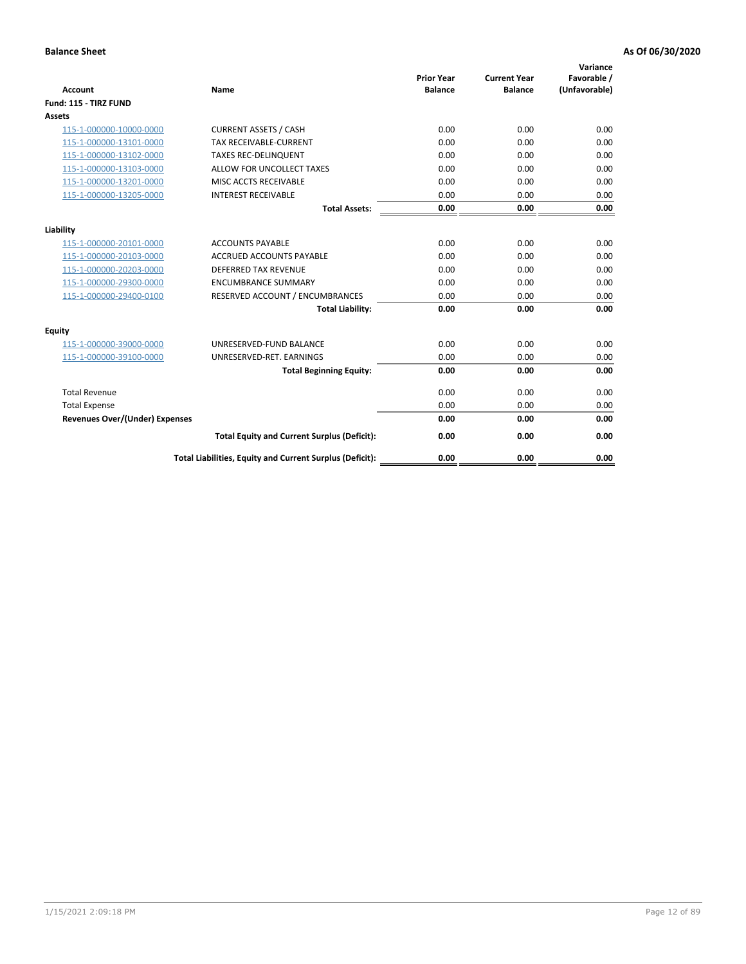| <b>Account</b>                        | <b>Name</b>                                              | <b>Prior Year</b><br><b>Balance</b> | <b>Current Year</b><br><b>Balance</b> | Variance<br>Favorable /<br>(Unfavorable) |
|---------------------------------------|----------------------------------------------------------|-------------------------------------|---------------------------------------|------------------------------------------|
| Fund: 115 - TIRZ FUND                 |                                                          |                                     |                                       |                                          |
| <b>Assets</b>                         |                                                          |                                     |                                       |                                          |
| 115-1-000000-10000-0000               | <b>CURRENT ASSETS / CASH</b>                             | 0.00                                | 0.00                                  | 0.00                                     |
| 115-1-000000-13101-0000               | <b>TAX RECEIVABLE-CURRENT</b>                            | 0.00                                | 0.00                                  | 0.00                                     |
| 115-1-000000-13102-0000               | <b>TAXES REC-DELINQUENT</b>                              | 0.00                                | 0.00                                  | 0.00                                     |
| 115-1-000000-13103-0000               | ALLOW FOR UNCOLLECT TAXES                                | 0.00                                | 0.00                                  | 0.00                                     |
| 115-1-000000-13201-0000               | MISC ACCTS RECEIVABLE                                    | 0.00                                | 0.00                                  | 0.00                                     |
| 115-1-000000-13205-0000               | <b>INTEREST RECEIVABLE</b>                               | 0.00                                | 0.00                                  | 0.00                                     |
|                                       | <b>Total Assets:</b>                                     | 0.00                                | 0.00                                  | 0.00                                     |
| Liability                             |                                                          |                                     |                                       |                                          |
| 115-1-000000-20101-0000               | <b>ACCOUNTS PAYABLE</b>                                  | 0.00                                | 0.00                                  | 0.00                                     |
| 115-1-000000-20103-0000               | <b>ACCRUED ACCOUNTS PAYABLE</b>                          | 0.00                                | 0.00                                  | 0.00                                     |
| 115-1-000000-20203-0000               | <b>DEFERRED TAX REVENUE</b>                              | 0.00                                | 0.00                                  | 0.00                                     |
| 115-1-000000-29300-0000               | <b>ENCUMBRANCE SUMMARY</b>                               | 0.00                                | 0.00                                  | 0.00                                     |
| 115-1-000000-29400-0100               | RESERVED ACCOUNT / ENCUMBRANCES                          | 0.00                                | 0.00                                  | 0.00                                     |
|                                       | <b>Total Liability:</b>                                  | 0.00                                | 0.00                                  | 0.00                                     |
| Equity                                |                                                          |                                     |                                       |                                          |
| 115-1-000000-39000-0000               | UNRESERVED-FUND BALANCE                                  | 0.00                                | 0.00                                  | 0.00                                     |
| 115-1-000000-39100-0000               | UNRESERVED-RET. EARNINGS                                 | 0.00                                | 0.00                                  | 0.00                                     |
|                                       | <b>Total Beginning Equity:</b>                           | 0.00                                | 0.00                                  | 0.00                                     |
| <b>Total Revenue</b>                  |                                                          | 0.00                                | 0.00                                  | 0.00                                     |
| <b>Total Expense</b>                  |                                                          | 0.00                                | 0.00                                  | 0.00                                     |
| <b>Revenues Over/(Under) Expenses</b> |                                                          | 0.00                                | 0.00                                  | 0.00                                     |
|                                       | <b>Total Equity and Current Surplus (Deficit):</b>       | 0.00                                | 0.00                                  | 0.00                                     |
|                                       | Total Liabilities, Equity and Current Surplus (Deficit): | 0.00                                | 0.00                                  | 0.00                                     |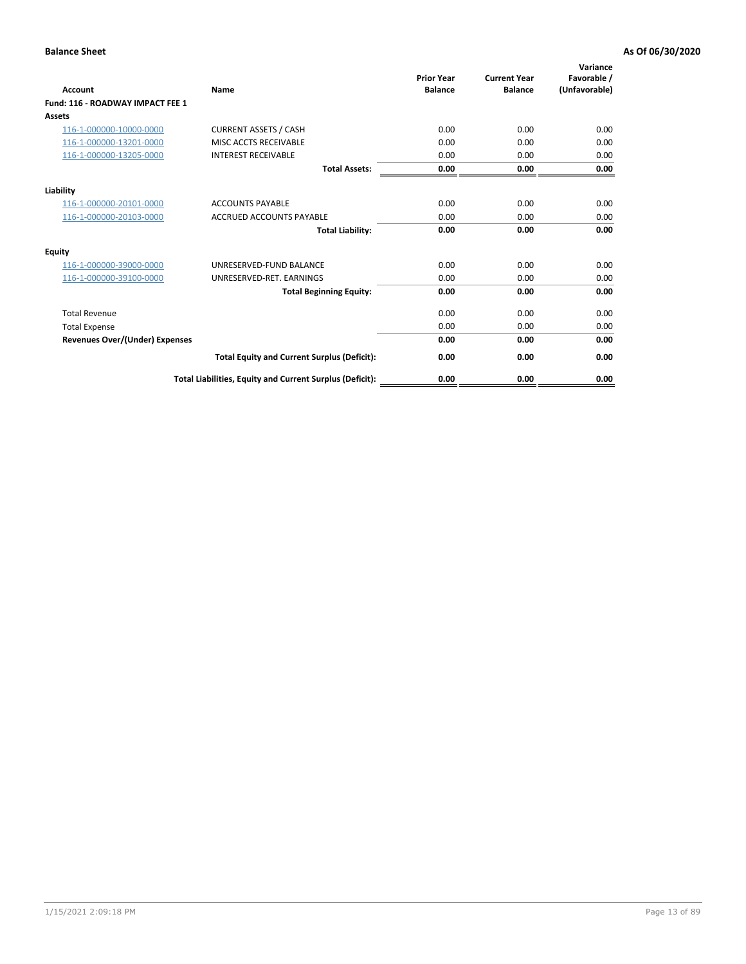| Account                               | <b>Name</b>                                              | <b>Prior Year</b><br><b>Balance</b> | <b>Current Year</b><br><b>Balance</b> | Variance<br>Favorable /<br>(Unfavorable) |
|---------------------------------------|----------------------------------------------------------|-------------------------------------|---------------------------------------|------------------------------------------|
| Fund: 116 - ROADWAY IMPACT FEE 1      |                                                          |                                     |                                       |                                          |
| Assets                                |                                                          |                                     |                                       |                                          |
| 116-1-000000-10000-0000               | <b>CURRENT ASSETS / CASH</b>                             | 0.00                                | 0.00                                  | 0.00                                     |
| 116-1-000000-13201-0000               | MISC ACCTS RECEIVABLE                                    | 0.00                                | 0.00                                  | 0.00                                     |
| 116-1-000000-13205-0000               | <b>INTEREST RECEIVABLE</b>                               | 0.00                                | 0.00                                  | 0.00                                     |
|                                       | <b>Total Assets:</b>                                     | 0.00                                | 0.00                                  | 0.00                                     |
| Liability                             |                                                          |                                     |                                       |                                          |
| 116-1-000000-20101-0000               | <b>ACCOUNTS PAYABLE</b>                                  | 0.00                                | 0.00                                  | 0.00                                     |
| 116-1-000000-20103-0000               | <b>ACCRUED ACCOUNTS PAYABLE</b>                          | 0.00                                | 0.00                                  | 0.00                                     |
|                                       | <b>Total Liability:</b>                                  | 0.00                                | 0.00                                  | 0.00                                     |
| Equity                                |                                                          |                                     |                                       |                                          |
| 116-1-000000-39000-0000               | UNRESERVED-FUND BALANCE                                  | 0.00                                | 0.00                                  | 0.00                                     |
| 116-1-000000-39100-0000               | UNRESERVED-RET. EARNINGS                                 | 0.00                                | 0.00                                  | 0.00                                     |
|                                       | <b>Total Beginning Equity:</b>                           | 0.00                                | 0.00                                  | 0.00                                     |
| <b>Total Revenue</b>                  |                                                          | 0.00                                | 0.00                                  | 0.00                                     |
| <b>Total Expense</b>                  |                                                          | 0.00                                | 0.00                                  | 0.00                                     |
| <b>Revenues Over/(Under) Expenses</b> |                                                          | 0.00                                | 0.00                                  | 0.00                                     |
|                                       | <b>Total Equity and Current Surplus (Deficit):</b>       | 0.00                                | 0.00                                  | 0.00                                     |
|                                       | Total Liabilities, Equity and Current Surplus (Deficit): | 0.00                                | 0.00                                  | 0.00                                     |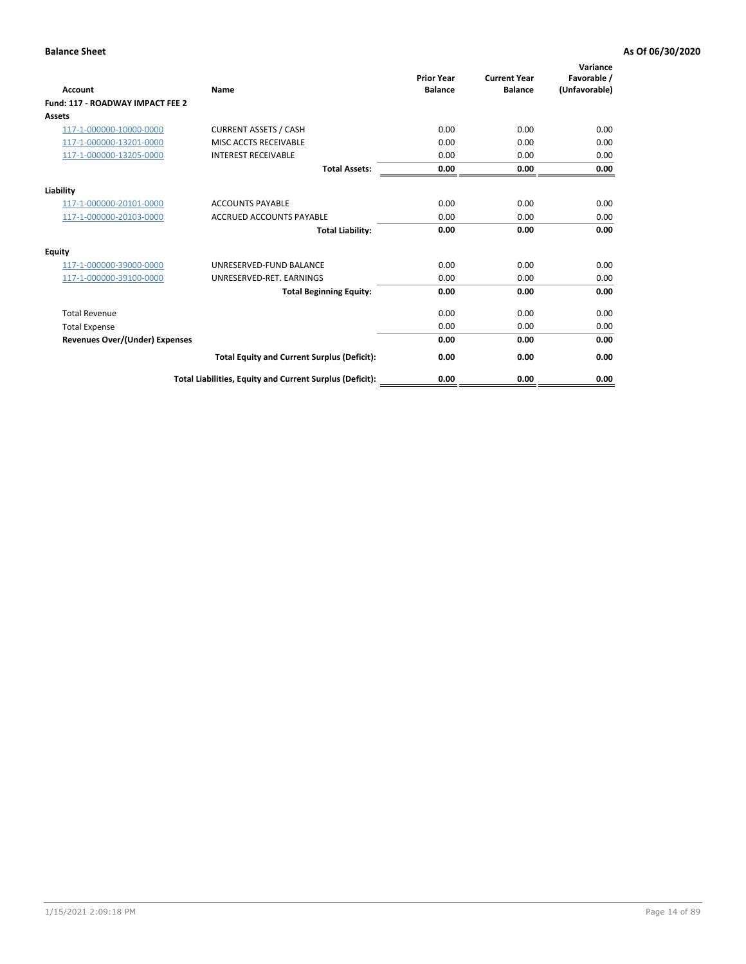| Account                               | Name                                                     | <b>Prior Year</b><br><b>Balance</b> | <b>Current Year</b><br><b>Balance</b> | Variance<br>Favorable /<br>(Unfavorable) |
|---------------------------------------|----------------------------------------------------------|-------------------------------------|---------------------------------------|------------------------------------------|
| Fund: 117 - ROADWAY IMPACT FEE 2      |                                                          |                                     |                                       |                                          |
| Assets                                |                                                          |                                     |                                       |                                          |
| 117-1-000000-10000-0000               | <b>CURRENT ASSETS / CASH</b>                             | 0.00                                | 0.00                                  | 0.00                                     |
| 117-1-000000-13201-0000               | MISC ACCTS RECEIVABLE                                    | 0.00                                | 0.00                                  | 0.00                                     |
| 117-1-000000-13205-0000               | <b>INTEREST RECEIVABLE</b>                               | 0.00                                | 0.00                                  | 0.00                                     |
|                                       | <b>Total Assets:</b>                                     | 0.00                                | 0.00                                  | 0.00                                     |
| Liability                             |                                                          |                                     |                                       |                                          |
| 117-1-000000-20101-0000               | <b>ACCOUNTS PAYABLE</b>                                  | 0.00                                | 0.00                                  | 0.00                                     |
| 117-1-000000-20103-0000               | <b>ACCRUED ACCOUNTS PAYABLE</b>                          | 0.00                                | 0.00                                  | 0.00                                     |
|                                       | <b>Total Liability:</b>                                  | 0.00                                | 0.00                                  | 0.00                                     |
| Equity                                |                                                          |                                     |                                       |                                          |
| 117-1-000000-39000-0000               | UNRESERVED-FUND BALANCE                                  | 0.00                                | 0.00                                  | 0.00                                     |
| 117-1-000000-39100-0000               | UNRESERVED-RET. EARNINGS                                 | 0.00                                | 0.00                                  | 0.00                                     |
|                                       | <b>Total Beginning Equity:</b>                           | 0.00                                | 0.00                                  | 0.00                                     |
| <b>Total Revenue</b>                  |                                                          | 0.00                                | 0.00                                  | 0.00                                     |
| <b>Total Expense</b>                  |                                                          | 0.00                                | 0.00                                  | 0.00                                     |
| <b>Revenues Over/(Under) Expenses</b> |                                                          | 0.00                                | 0.00                                  | 0.00                                     |
|                                       | <b>Total Equity and Current Surplus (Deficit):</b>       | 0.00                                | 0.00                                  | 0.00                                     |
|                                       | Total Liabilities, Equity and Current Surplus (Deficit): | 0.00                                | 0.00                                  | 0.00                                     |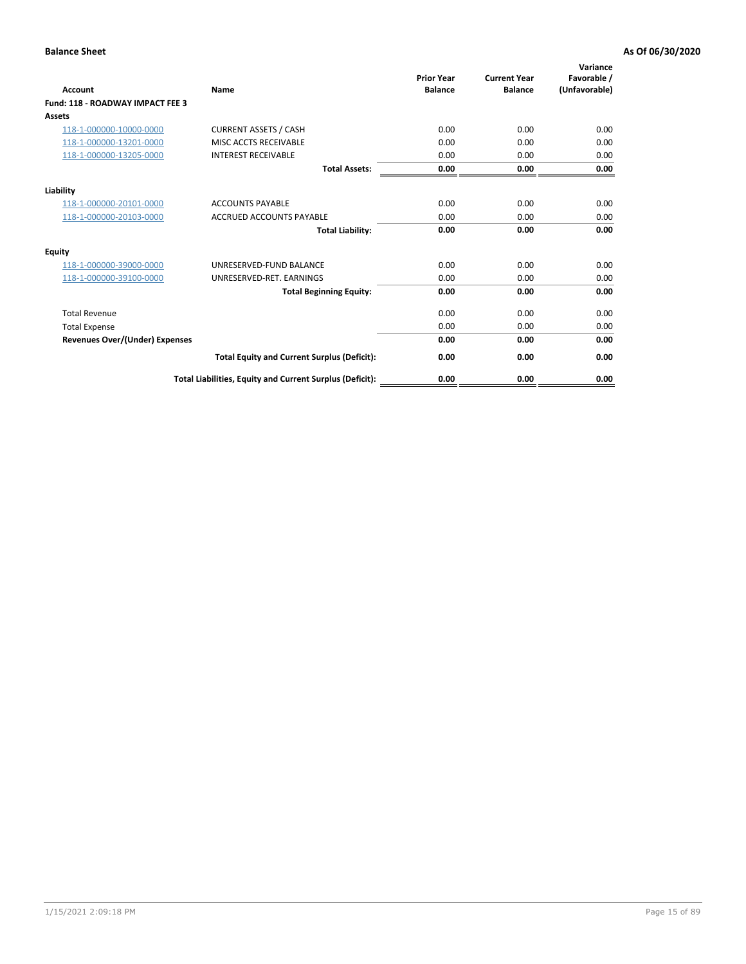| Account                                 | <b>Name</b>                                              | <b>Prior Year</b><br><b>Balance</b> | <b>Current Year</b><br><b>Balance</b> | Variance<br>Favorable /<br>(Unfavorable) |
|-----------------------------------------|----------------------------------------------------------|-------------------------------------|---------------------------------------|------------------------------------------|
| <b>Fund: 118 - ROADWAY IMPACT FEE 3</b> |                                                          |                                     |                                       |                                          |
| Assets                                  |                                                          |                                     |                                       |                                          |
| 118-1-000000-10000-0000                 | <b>CURRENT ASSETS / CASH</b>                             | 0.00                                | 0.00                                  | 0.00                                     |
| 118-1-000000-13201-0000                 | MISC ACCTS RECEIVABLE                                    | 0.00                                | 0.00                                  | 0.00                                     |
| 118-1-000000-13205-0000                 | <b>INTEREST RECEIVABLE</b>                               | 0.00                                | 0.00                                  | 0.00                                     |
|                                         | <b>Total Assets:</b>                                     | 0.00                                | 0.00                                  | 0.00                                     |
| Liability                               |                                                          |                                     |                                       |                                          |
| 118-1-000000-20101-0000                 | <b>ACCOUNTS PAYABLE</b>                                  | 0.00                                | 0.00                                  | 0.00                                     |
| 118-1-000000-20103-0000                 | <b>ACCRUED ACCOUNTS PAYABLE</b>                          | 0.00                                | 0.00                                  | 0.00                                     |
|                                         | <b>Total Liability:</b>                                  | 0.00                                | 0.00                                  | 0.00                                     |
| Equity                                  |                                                          |                                     |                                       |                                          |
| 118-1-000000-39000-0000                 | UNRESERVED-FUND BALANCE                                  | 0.00                                | 0.00                                  | 0.00                                     |
| 118-1-000000-39100-0000                 | UNRESERVED-RET. EARNINGS                                 | 0.00                                | 0.00                                  | 0.00                                     |
|                                         | <b>Total Beginning Equity:</b>                           | 0.00                                | 0.00                                  | 0.00                                     |
| <b>Total Revenue</b>                    |                                                          | 0.00                                | 0.00                                  | 0.00                                     |
| <b>Total Expense</b>                    |                                                          | 0.00                                | 0.00                                  | 0.00                                     |
| <b>Revenues Over/(Under) Expenses</b>   |                                                          | 0.00                                | 0.00                                  | 0.00                                     |
|                                         | <b>Total Equity and Current Surplus (Deficit):</b>       | 0.00                                | 0.00                                  | 0.00                                     |
|                                         | Total Liabilities, Equity and Current Surplus (Deficit): | 0.00                                | 0.00                                  | 0.00                                     |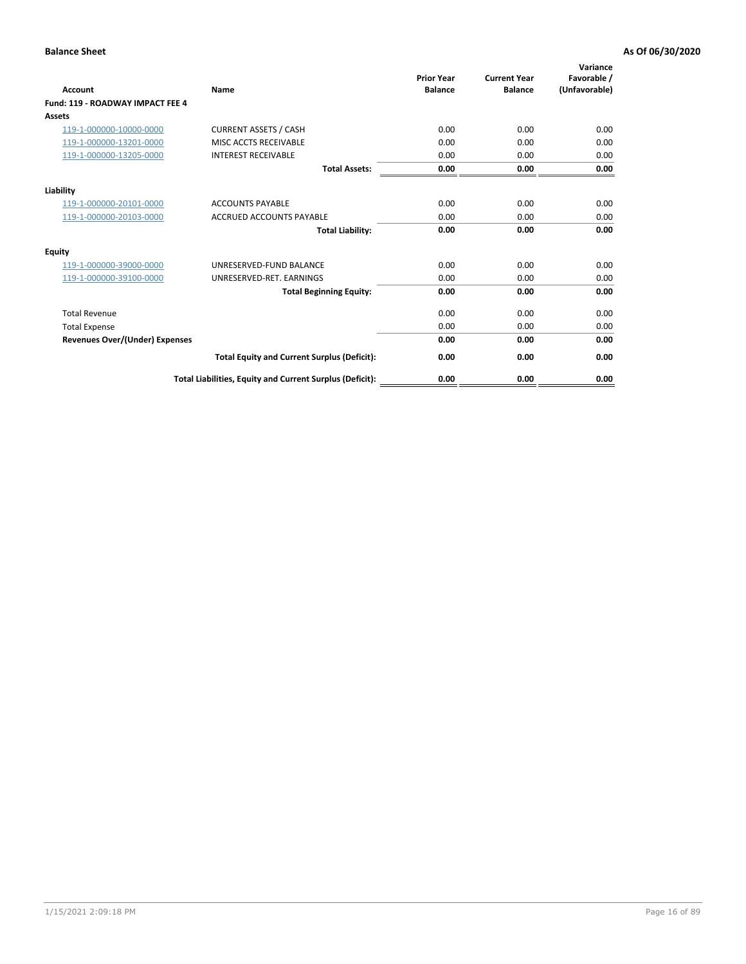| Account                                 | <b>Name</b>                                              | <b>Prior Year</b><br><b>Balance</b> | <b>Current Year</b><br><b>Balance</b> | Variance<br>Favorable /<br>(Unfavorable) |
|-----------------------------------------|----------------------------------------------------------|-------------------------------------|---------------------------------------|------------------------------------------|
| <b>Fund: 119 - ROADWAY IMPACT FEE 4</b> |                                                          |                                     |                                       |                                          |
| Assets                                  |                                                          |                                     |                                       |                                          |
| 119-1-000000-10000-0000                 | <b>CURRENT ASSETS / CASH</b>                             | 0.00                                | 0.00                                  | 0.00                                     |
| 119-1-000000-13201-0000                 | MISC ACCTS RECEIVABLE                                    | 0.00                                | 0.00                                  | 0.00                                     |
| 119-1-000000-13205-0000                 | <b>INTEREST RECEIVABLE</b>                               | 0.00                                | 0.00                                  | 0.00                                     |
|                                         | <b>Total Assets:</b>                                     | 0.00                                | 0.00                                  | 0.00                                     |
| Liability                               |                                                          |                                     |                                       |                                          |
| 119-1-000000-20101-0000                 | <b>ACCOUNTS PAYABLE</b>                                  | 0.00                                | 0.00                                  | 0.00                                     |
| 119-1-000000-20103-0000                 | <b>ACCRUED ACCOUNTS PAYABLE</b>                          | 0.00                                | 0.00                                  | 0.00                                     |
|                                         | <b>Total Liability:</b>                                  | 0.00                                | 0.00                                  | 0.00                                     |
| Equity                                  |                                                          |                                     |                                       |                                          |
| 119-1-000000-39000-0000                 | UNRESERVED-FUND BALANCE                                  | 0.00                                | 0.00                                  | 0.00                                     |
| 119-1-000000-39100-0000                 | UNRESERVED-RET. EARNINGS                                 | 0.00                                | 0.00                                  | 0.00                                     |
|                                         | <b>Total Beginning Equity:</b>                           | 0.00                                | 0.00                                  | 0.00                                     |
| <b>Total Revenue</b>                    |                                                          | 0.00                                | 0.00                                  | 0.00                                     |
| <b>Total Expense</b>                    |                                                          | 0.00                                | 0.00                                  | 0.00                                     |
| <b>Revenues Over/(Under) Expenses</b>   |                                                          | 0.00                                | 0.00                                  | 0.00                                     |
|                                         | <b>Total Equity and Current Surplus (Deficit):</b>       | 0.00                                | 0.00                                  | 0.00                                     |
|                                         | Total Liabilities, Equity and Current Surplus (Deficit): | 0.00                                | 0.00                                  | 0.00                                     |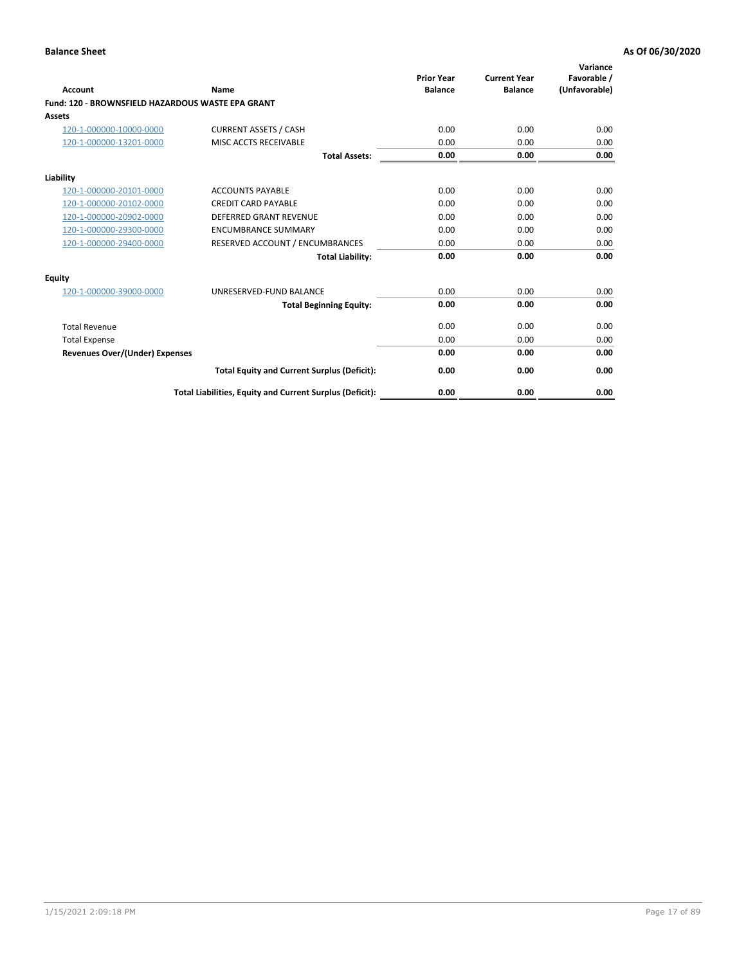| Account                                           | Name                                                     | <b>Prior Year</b><br><b>Balance</b> | <b>Current Year</b><br><b>Balance</b> | Variance<br>Favorable /<br>(Unfavorable) |
|---------------------------------------------------|----------------------------------------------------------|-------------------------------------|---------------------------------------|------------------------------------------|
| Fund: 120 - BROWNSFIELD HAZARDOUS WASTE EPA GRANT |                                                          |                                     |                                       |                                          |
| <b>Assets</b>                                     |                                                          |                                     |                                       |                                          |
| 120-1-000000-10000-0000                           | <b>CURRENT ASSETS / CASH</b>                             | 0.00                                | 0.00                                  | 0.00                                     |
| 120-1-000000-13201-0000                           | MISC ACCTS RECEIVABLE                                    | 0.00                                | 0.00                                  | 0.00                                     |
|                                                   | <b>Total Assets:</b>                                     | 0.00                                | 0.00                                  | 0.00                                     |
| Liability                                         |                                                          |                                     |                                       |                                          |
| 120-1-000000-20101-0000                           | <b>ACCOUNTS PAYABLE</b>                                  | 0.00                                | 0.00                                  | 0.00                                     |
| 120-1-000000-20102-0000                           | <b>CREDIT CARD PAYABLE</b>                               | 0.00                                | 0.00                                  | 0.00                                     |
| 120-1-000000-20902-0000                           | <b>DEFERRED GRANT REVENUE</b>                            | 0.00                                | 0.00                                  | 0.00                                     |
| 120-1-000000-29300-0000                           | <b>ENCUMBRANCE SUMMARY</b>                               | 0.00                                | 0.00                                  | 0.00                                     |
| 120-1-000000-29400-0000                           | RESERVED ACCOUNT / ENCUMBRANCES                          | 0.00                                | 0.00                                  | 0.00                                     |
|                                                   | <b>Total Liability:</b>                                  | 0.00                                | 0.00                                  | 0.00                                     |
| Equity                                            |                                                          |                                     |                                       |                                          |
| 120-1-000000-39000-0000                           | UNRESERVED-FUND BALANCE                                  | 0.00                                | 0.00                                  | 0.00                                     |
|                                                   | <b>Total Beginning Equity:</b>                           | 0.00                                | 0.00                                  | 0.00                                     |
| <b>Total Revenue</b>                              |                                                          | 0.00                                | 0.00                                  | 0.00                                     |
| <b>Total Expense</b>                              |                                                          | 0.00                                | 0.00                                  | 0.00                                     |
| <b>Revenues Over/(Under) Expenses</b>             |                                                          | 0.00                                | 0.00                                  | 0.00                                     |
|                                                   | <b>Total Equity and Current Surplus (Deficit):</b>       | 0.00                                | 0.00                                  | 0.00                                     |
|                                                   | Total Liabilities, Equity and Current Surplus (Deficit): | 0.00                                | 0.00                                  | 0.00                                     |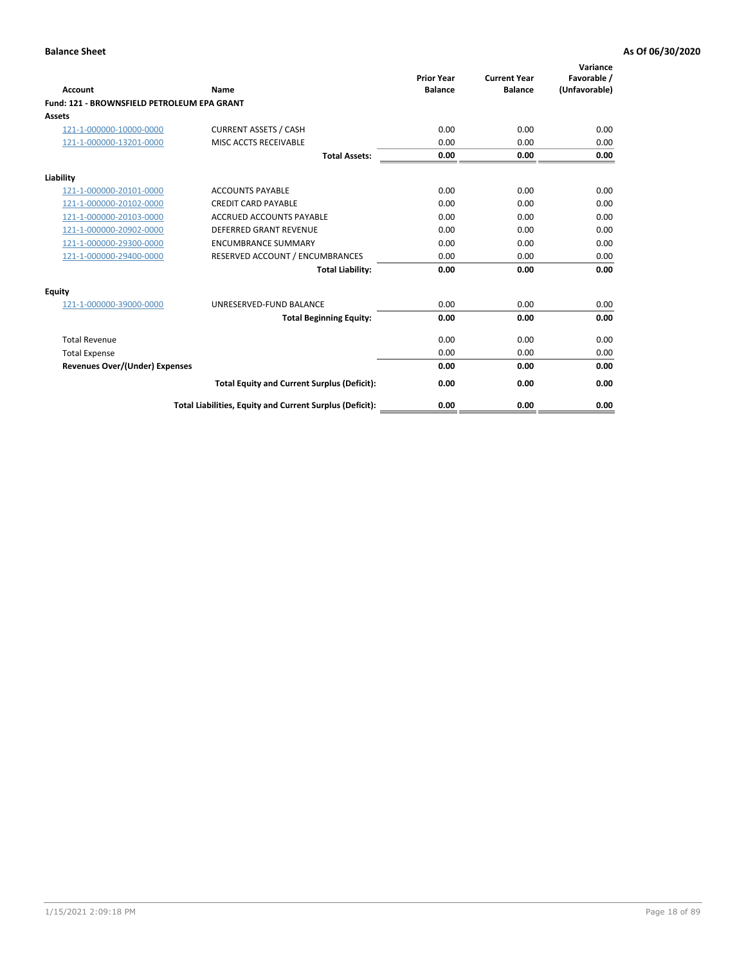| Account                                     | Name                                                     | <b>Prior Year</b><br><b>Balance</b> | <b>Current Year</b><br><b>Balance</b> | Variance<br>Favorable /<br>(Unfavorable) |
|---------------------------------------------|----------------------------------------------------------|-------------------------------------|---------------------------------------|------------------------------------------|
| Fund: 121 - BROWNSFIELD PETROLEUM EPA GRANT |                                                          |                                     |                                       |                                          |
| <b>Assets</b>                               |                                                          |                                     |                                       |                                          |
| 121-1-000000-10000-0000                     | <b>CURRENT ASSETS / CASH</b>                             | 0.00                                | 0.00                                  | 0.00                                     |
| 121-1-000000-13201-0000                     | MISC ACCTS RECEIVABLE                                    | 0.00                                | 0.00                                  | 0.00                                     |
|                                             | <b>Total Assets:</b>                                     | 0.00                                | 0.00                                  | 0.00                                     |
| Liability                                   |                                                          |                                     |                                       |                                          |
| 121-1-000000-20101-0000                     | <b>ACCOUNTS PAYABLE</b>                                  | 0.00                                | 0.00                                  | 0.00                                     |
| 121-1-000000-20102-0000                     | <b>CREDIT CARD PAYABLE</b>                               | 0.00                                | 0.00                                  | 0.00                                     |
| 121-1-000000-20103-0000                     | <b>ACCRUED ACCOUNTS PAYABLE</b>                          | 0.00                                | 0.00                                  | 0.00                                     |
| 121-1-000000-20902-0000                     | <b>DEFERRED GRANT REVENUE</b>                            | 0.00                                | 0.00                                  | 0.00                                     |
| 121-1-000000-29300-0000                     | <b>ENCUMBRANCE SUMMARY</b>                               | 0.00                                | 0.00                                  | 0.00                                     |
| 121-1-000000-29400-0000                     | RESERVED ACCOUNT / ENCUMBRANCES                          | 0.00                                | 0.00                                  | 0.00                                     |
|                                             | <b>Total Liability:</b>                                  | 0.00                                | 0.00                                  | 0.00                                     |
| <b>Equity</b>                               |                                                          |                                     |                                       |                                          |
| 121-1-000000-39000-0000                     | UNRESERVED-FUND BALANCE                                  | 0.00                                | 0.00                                  | 0.00                                     |
|                                             | <b>Total Beginning Equity:</b>                           | 0.00                                | 0.00                                  | 0.00                                     |
| <b>Total Revenue</b>                        |                                                          | 0.00                                | 0.00                                  | 0.00                                     |
| <b>Total Expense</b>                        |                                                          | 0.00                                | 0.00                                  | 0.00                                     |
| <b>Revenues Over/(Under) Expenses</b>       |                                                          | 0.00                                | 0.00                                  | 0.00                                     |
|                                             | <b>Total Equity and Current Surplus (Deficit):</b>       | 0.00                                | 0.00                                  | 0.00                                     |
|                                             | Total Liabilities, Equity and Current Surplus (Deficit): | 0.00                                | 0.00                                  | 0.00                                     |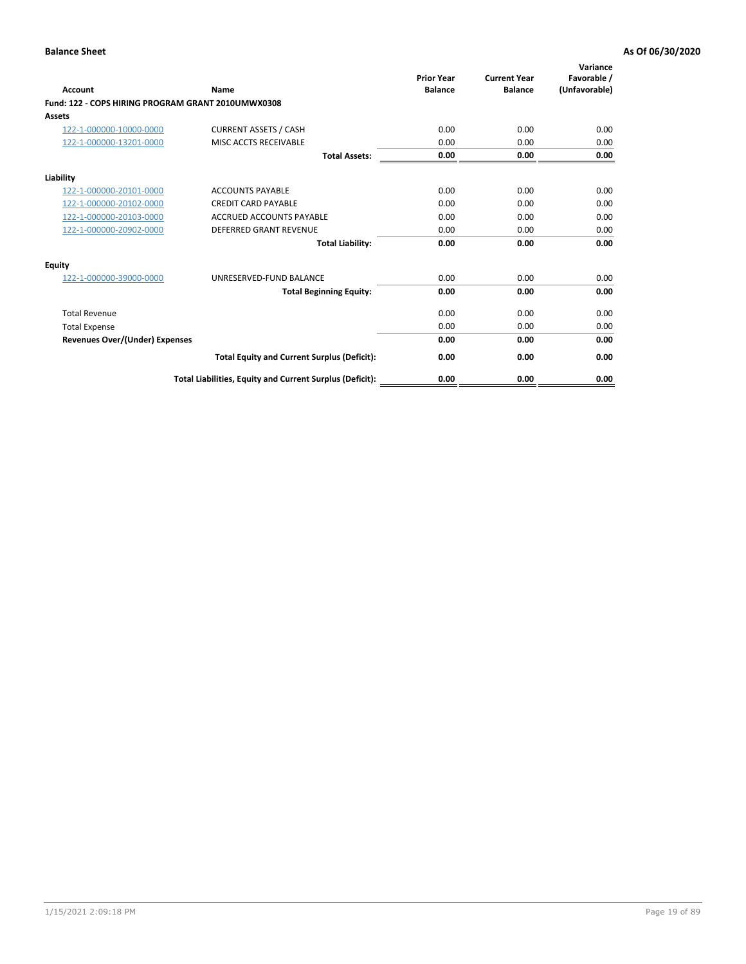| <b>Account</b>                                     | Name                                                     | <b>Prior Year</b><br><b>Balance</b> | <b>Current Year</b><br><b>Balance</b> | Variance<br>Favorable /<br>(Unfavorable) |
|----------------------------------------------------|----------------------------------------------------------|-------------------------------------|---------------------------------------|------------------------------------------|
| Fund: 122 - COPS HIRING PROGRAM GRANT 2010UMWX0308 |                                                          |                                     |                                       |                                          |
| Assets                                             |                                                          |                                     |                                       |                                          |
| 122-1-000000-10000-0000                            | <b>CURRENT ASSETS / CASH</b>                             | 0.00                                | 0.00                                  | 0.00                                     |
| 122-1-000000-13201-0000                            | MISC ACCTS RECEIVABLE                                    | 0.00                                | 0.00                                  | 0.00                                     |
|                                                    | <b>Total Assets:</b>                                     | 0.00                                | 0.00                                  | 0.00                                     |
| Liability                                          |                                                          |                                     |                                       |                                          |
| 122-1-000000-20101-0000                            | <b>ACCOUNTS PAYABLE</b>                                  | 0.00                                | 0.00                                  | 0.00                                     |
| 122-1-000000-20102-0000                            | <b>CREDIT CARD PAYABLE</b>                               | 0.00                                | 0.00                                  | 0.00                                     |
| 122-1-000000-20103-0000                            | <b>ACCRUED ACCOUNTS PAYABLE</b>                          | 0.00                                | 0.00                                  | 0.00                                     |
| 122-1-000000-20902-0000                            | <b>DEFERRED GRANT REVENUE</b>                            | 0.00                                | 0.00                                  | 0.00                                     |
|                                                    | <b>Total Liability:</b>                                  | 0.00                                | 0.00                                  | 0.00                                     |
| Equity                                             |                                                          |                                     |                                       |                                          |
| 122-1-000000-39000-0000                            | UNRESERVED-FUND BALANCE                                  | 0.00                                | 0.00                                  | 0.00                                     |
|                                                    | <b>Total Beginning Equity:</b>                           | 0.00                                | 0.00                                  | 0.00                                     |
| <b>Total Revenue</b>                               |                                                          | 0.00                                | 0.00                                  | 0.00                                     |
| <b>Total Expense</b>                               |                                                          | 0.00                                | 0.00                                  | 0.00                                     |
| <b>Revenues Over/(Under) Expenses</b>              |                                                          | 0.00                                | 0.00                                  | 0.00                                     |
|                                                    | <b>Total Equity and Current Surplus (Deficit):</b>       | 0.00                                | 0.00                                  | 0.00                                     |
|                                                    | Total Liabilities, Equity and Current Surplus (Deficit): | 0.00                                | 0.00                                  | 0.00                                     |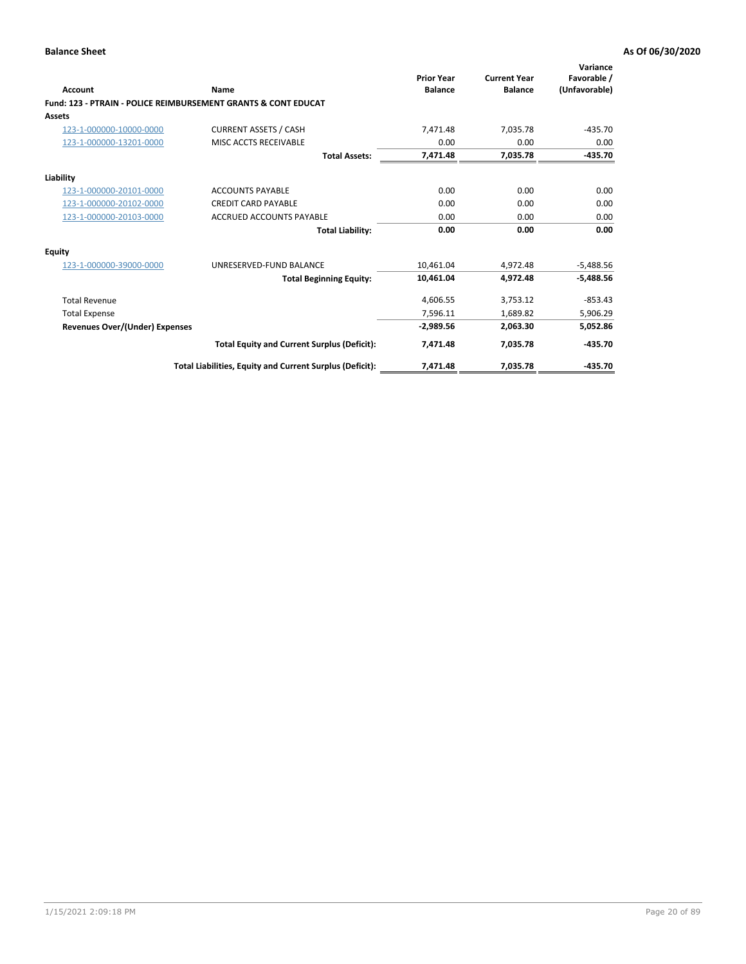| Account                        | Name                                                           | <b>Prior Year</b><br><b>Balance</b> | <b>Current Year</b><br><b>Balance</b> | Variance<br>Favorable /<br>(Unfavorable) |
|--------------------------------|----------------------------------------------------------------|-------------------------------------|---------------------------------------|------------------------------------------|
|                                | Fund: 123 - PTRAIN - POLICE REIMBURSEMENT GRANTS & CONT EDUCAT |                                     |                                       |                                          |
| Assets                         |                                                                |                                     |                                       |                                          |
| 123-1-000000-10000-0000        | <b>CURRENT ASSETS / CASH</b>                                   | 7,471.48                            | 7,035.78                              | $-435.70$                                |
| 123-1-000000-13201-0000        | MISC ACCTS RECEIVABLE                                          | 0.00                                | 0.00                                  | 0.00                                     |
|                                | <b>Total Assets:</b>                                           | 7,471.48                            | 7,035.78                              | $-435.70$                                |
| Liability                      |                                                                |                                     |                                       |                                          |
| 123-1-000000-20101-0000        | <b>ACCOUNTS PAYABLE</b>                                        | 0.00                                | 0.00                                  | 0.00                                     |
| 123-1-000000-20102-0000        | <b>CREDIT CARD PAYABLE</b>                                     | 0.00                                | 0.00                                  | 0.00                                     |
| 123-1-000000-20103-0000        | <b>ACCRUED ACCOUNTS PAYABLE</b>                                | 0.00                                | 0.00                                  | 0.00                                     |
|                                | <b>Total Liability:</b>                                        | 0.00                                | 0.00                                  | 0.00                                     |
| Equity                         |                                                                |                                     |                                       |                                          |
| 123-1-000000-39000-0000        | UNRESERVED-FUND BALANCE                                        | 10,461.04                           | 4,972.48                              | $-5,488.56$                              |
|                                | <b>Total Beginning Equity:</b>                                 | 10,461.04                           | 4,972.48                              | $-5,488.56$                              |
| <b>Total Revenue</b>           |                                                                | 4,606.55                            | 3,753.12                              | $-853.43$                                |
| <b>Total Expense</b>           |                                                                | 7,596.11                            | 1,689.82                              | 5,906.29                                 |
| Revenues Over/(Under) Expenses |                                                                | $-2,989.56$                         | 2,063.30                              | 5,052.86                                 |
|                                | <b>Total Equity and Current Surplus (Deficit):</b>             | 7,471.48                            | 7.035.78                              | $-435.70$                                |
|                                | Total Liabilities, Equity and Current Surplus (Deficit):       | 7,471.48                            | 7,035.78                              | $-435.70$                                |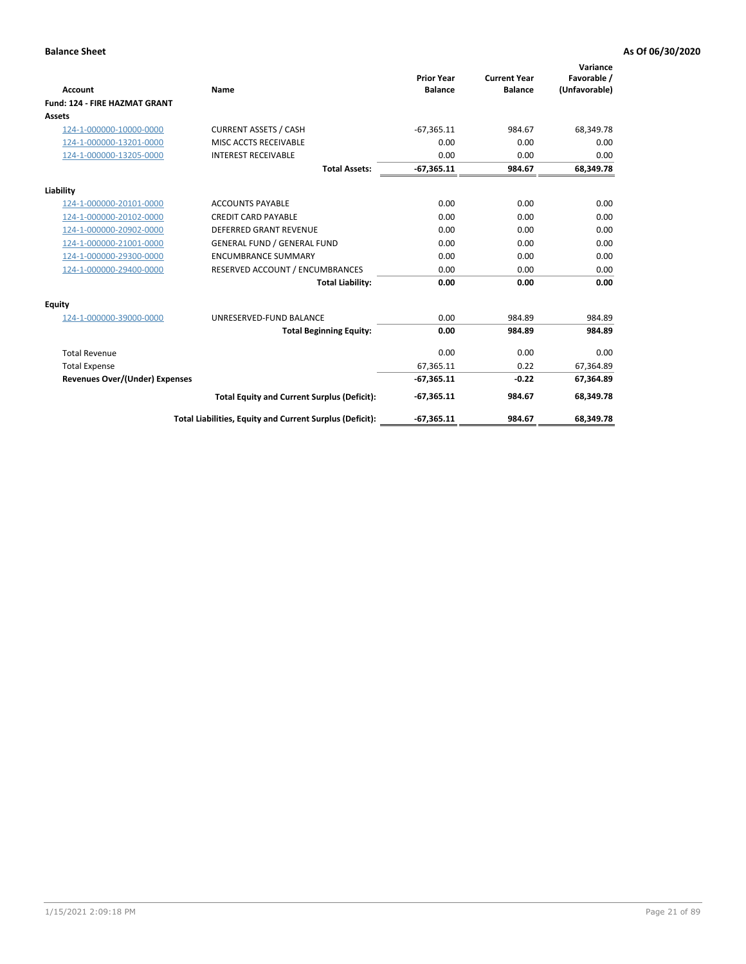|                                       |                                                          |                                     |                                       | Variance                     |
|---------------------------------------|----------------------------------------------------------|-------------------------------------|---------------------------------------|------------------------------|
| <b>Account</b>                        | Name                                                     | <b>Prior Year</b><br><b>Balance</b> | <b>Current Year</b><br><b>Balance</b> | Favorable /<br>(Unfavorable) |
| <b>Fund: 124 - FIRE HAZMAT GRANT</b>  |                                                          |                                     |                                       |                              |
| <b>Assets</b>                         |                                                          |                                     |                                       |                              |
| 124-1-000000-10000-0000               | <b>CURRENT ASSETS / CASH</b>                             | $-67,365.11$                        | 984.67                                | 68,349.78                    |
| 124-1-000000-13201-0000               | MISC ACCTS RECEIVABLE                                    | 0.00                                | 0.00                                  | 0.00                         |
| 124-1-000000-13205-0000               | <b>INTEREST RECEIVABLE</b>                               | 0.00                                | 0.00                                  | 0.00                         |
|                                       | <b>Total Assets:</b>                                     | $-67,365.11$                        | 984.67                                | 68,349.78                    |
| Liability                             |                                                          |                                     |                                       |                              |
| 124-1-000000-20101-0000               | <b>ACCOUNTS PAYABLE</b>                                  | 0.00                                | 0.00                                  | 0.00                         |
| 124-1-000000-20102-0000               | <b>CREDIT CARD PAYABLE</b>                               | 0.00                                | 0.00                                  | 0.00                         |
| 124-1-000000-20902-0000               | <b>DEFERRED GRANT REVENUE</b>                            | 0.00                                | 0.00                                  | 0.00                         |
| 124-1-000000-21001-0000               | <b>GENERAL FUND / GENERAL FUND</b>                       | 0.00                                | 0.00                                  | 0.00                         |
| 124-1-000000-29300-0000               | <b>ENCUMBRANCE SUMMARY</b>                               | 0.00                                | 0.00                                  | 0.00                         |
| 124-1-000000-29400-0000               | RESERVED ACCOUNT / ENCUMBRANCES                          | 0.00                                | 0.00                                  | 0.00                         |
|                                       | <b>Total Liability:</b>                                  | 0.00                                | 0.00                                  | 0.00                         |
| Equity                                |                                                          |                                     |                                       |                              |
| 124-1-000000-39000-0000               | UNRESERVED-FUND BALANCE                                  | 0.00                                | 984.89                                | 984.89                       |
|                                       | <b>Total Beginning Equity:</b>                           | 0.00                                | 984.89                                | 984.89                       |
| <b>Total Revenue</b>                  |                                                          | 0.00                                | 0.00                                  | 0.00                         |
| <b>Total Expense</b>                  |                                                          | 67,365.11                           | 0.22                                  | 67,364.89                    |
| <b>Revenues Over/(Under) Expenses</b> |                                                          | $-67,365.11$                        | $-0.22$                               | 67,364.89                    |
|                                       | <b>Total Equity and Current Surplus (Deficit):</b>       | $-67,365.11$                        | 984.67                                | 68,349.78                    |
|                                       | Total Liabilities, Equity and Current Surplus (Deficit): | $-67,365.11$                        | 984.67                                | 68,349.78                    |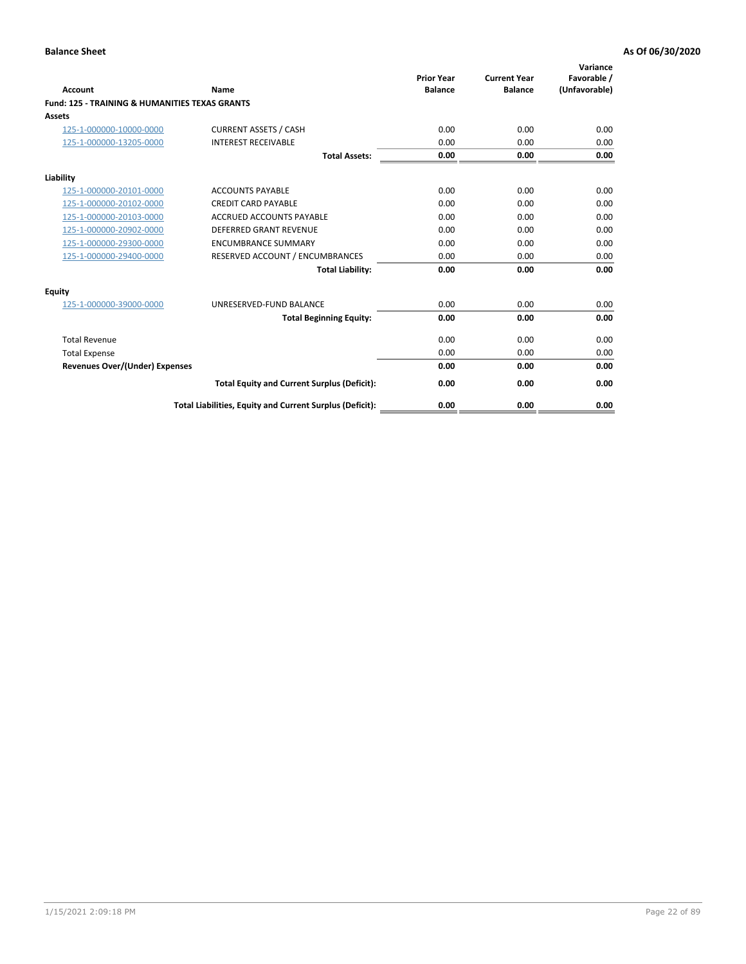| Account                                                   | Name                                                     | <b>Prior Year</b><br><b>Balance</b> | <b>Current Year</b><br><b>Balance</b> | Variance<br>Favorable /<br>(Unfavorable) |
|-----------------------------------------------------------|----------------------------------------------------------|-------------------------------------|---------------------------------------|------------------------------------------|
| <b>Fund: 125 - TRAINING &amp; HUMANITIES TEXAS GRANTS</b> |                                                          |                                     |                                       |                                          |
| <b>Assets</b>                                             |                                                          |                                     |                                       |                                          |
| 125-1-000000-10000-0000                                   | <b>CURRENT ASSETS / CASH</b>                             | 0.00                                | 0.00                                  | 0.00                                     |
| 125-1-000000-13205-0000                                   | <b>INTEREST RECEIVABLE</b>                               | 0.00                                | 0.00                                  | 0.00                                     |
|                                                           | <b>Total Assets:</b>                                     | 0.00                                | 0.00                                  | 0.00                                     |
| Liability                                                 |                                                          |                                     |                                       |                                          |
| 125-1-000000-20101-0000                                   | <b>ACCOUNTS PAYABLE</b>                                  | 0.00                                | 0.00                                  | 0.00                                     |
| 125-1-000000-20102-0000                                   | <b>CREDIT CARD PAYABLE</b>                               | 0.00                                | 0.00                                  | 0.00                                     |
| 125-1-000000-20103-0000                                   | <b>ACCRUED ACCOUNTS PAYABLE</b>                          | 0.00                                | 0.00                                  | 0.00                                     |
| 125-1-000000-20902-0000                                   | <b>DEFERRED GRANT REVENUE</b>                            | 0.00                                | 0.00                                  | 0.00                                     |
| 125-1-000000-29300-0000                                   | <b>ENCUMBRANCE SUMMARY</b>                               | 0.00                                | 0.00                                  | 0.00                                     |
| 125-1-000000-29400-0000                                   | RESERVED ACCOUNT / ENCUMBRANCES                          | 0.00                                | 0.00                                  | 0.00                                     |
|                                                           | <b>Total Liability:</b>                                  | 0.00                                | 0.00                                  | 0.00                                     |
| <b>Equity</b>                                             |                                                          |                                     |                                       |                                          |
| 125-1-000000-39000-0000                                   | UNRESERVED-FUND BALANCE                                  | 0.00                                | 0.00                                  | 0.00                                     |
|                                                           | <b>Total Beginning Equity:</b>                           | 0.00                                | 0.00                                  | 0.00                                     |
| <b>Total Revenue</b>                                      |                                                          | 0.00                                | 0.00                                  | 0.00                                     |
| <b>Total Expense</b>                                      |                                                          | 0.00                                | 0.00                                  | 0.00                                     |
| <b>Revenues Over/(Under) Expenses</b>                     |                                                          | 0.00                                | 0.00                                  | 0.00                                     |
|                                                           | <b>Total Equity and Current Surplus (Deficit):</b>       | 0.00                                | 0.00                                  | 0.00                                     |
|                                                           | Total Liabilities, Equity and Current Surplus (Deficit): | 0.00                                | 0.00                                  | 0.00                                     |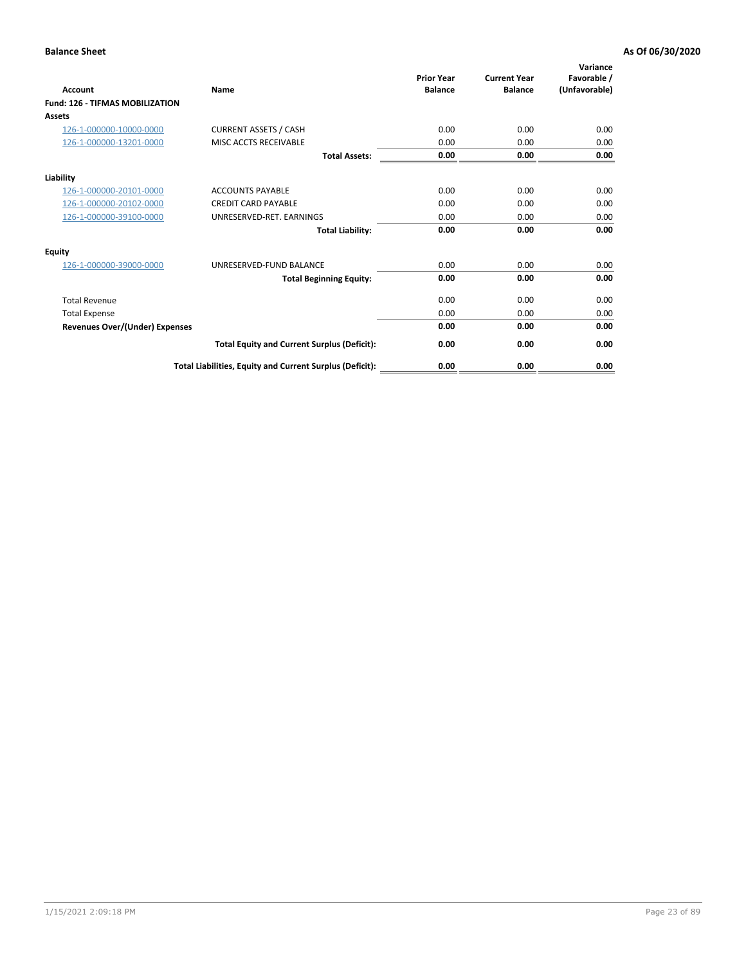| <b>Account</b>                         | <b>Name</b>                                              | <b>Prior Year</b><br><b>Balance</b> | <b>Current Year</b><br><b>Balance</b> | Variance<br>Favorable /<br>(Unfavorable) |
|----------------------------------------|----------------------------------------------------------|-------------------------------------|---------------------------------------|------------------------------------------|
| <b>Fund: 126 - TIFMAS MOBILIZATION</b> |                                                          |                                     |                                       |                                          |
| Assets                                 |                                                          |                                     |                                       |                                          |
| 126-1-000000-10000-0000                | <b>CURRENT ASSETS / CASH</b>                             | 0.00                                | 0.00                                  | 0.00                                     |
| 126-1-000000-13201-0000                | MISC ACCTS RECEIVABLE                                    | 0.00                                | 0.00                                  | 0.00                                     |
|                                        | <b>Total Assets:</b>                                     | 0.00                                | 0.00                                  | 0.00                                     |
| Liability                              |                                                          |                                     |                                       |                                          |
| 126-1-000000-20101-0000                | <b>ACCOUNTS PAYABLE</b>                                  | 0.00                                | 0.00                                  | 0.00                                     |
| 126-1-000000-20102-0000                | <b>CREDIT CARD PAYABLE</b>                               | 0.00                                | 0.00                                  | 0.00                                     |
| 126-1-000000-39100-0000                | UNRESERVED-RET. EARNINGS                                 | 0.00                                | 0.00                                  | 0.00                                     |
|                                        | <b>Total Liability:</b>                                  | 0.00                                | 0.00                                  | 0.00                                     |
| Equity                                 |                                                          |                                     |                                       |                                          |
| 126-1-000000-39000-0000                | UNRESERVED-FUND BALANCE                                  | 0.00                                | 0.00                                  | 0.00                                     |
|                                        | <b>Total Beginning Equity:</b>                           | 0.00                                | 0.00                                  | 0.00                                     |
| <b>Total Revenue</b>                   |                                                          | 0.00                                | 0.00                                  | 0.00                                     |
| <b>Total Expense</b>                   |                                                          | 0.00                                | 0.00                                  | 0.00                                     |
| Revenues Over/(Under) Expenses         |                                                          | 0.00                                | 0.00                                  | 0.00                                     |
|                                        | <b>Total Equity and Current Surplus (Deficit):</b>       | 0.00                                | 0.00                                  | 0.00                                     |
|                                        | Total Liabilities, Equity and Current Surplus (Deficit): | 0.00                                | 0.00                                  | 0.00                                     |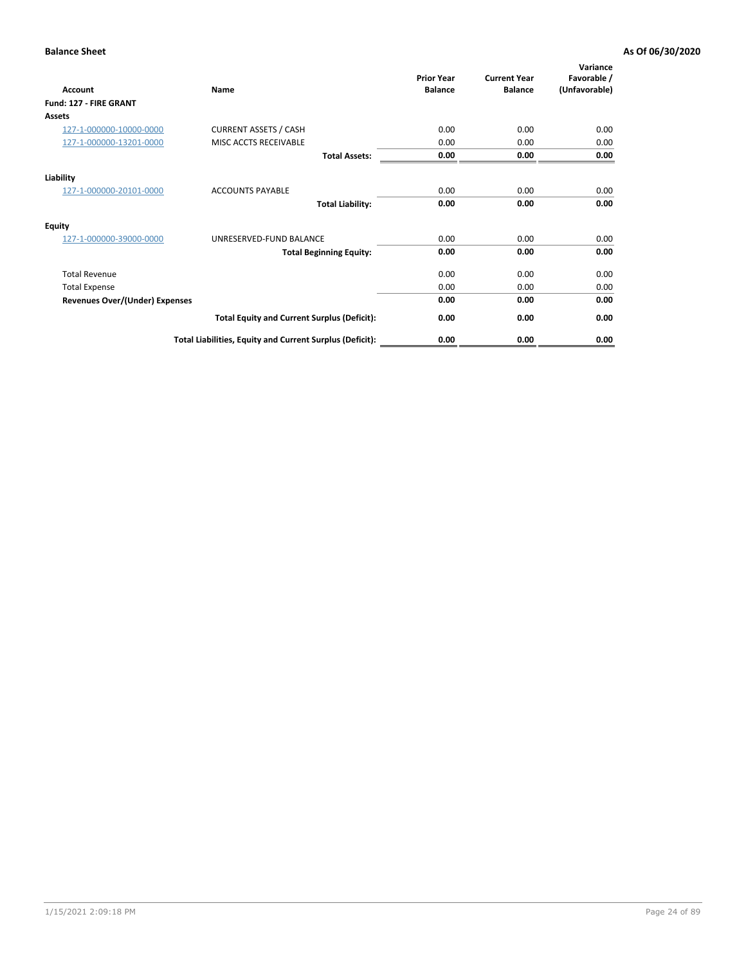| <b>Account</b>                        | Name                                                     | <b>Prior Year</b><br><b>Balance</b> | <b>Current Year</b><br><b>Balance</b> | Variance<br>Favorable /<br>(Unfavorable) |
|---------------------------------------|----------------------------------------------------------|-------------------------------------|---------------------------------------|------------------------------------------|
| Fund: 127 - FIRE GRANT                |                                                          |                                     |                                       |                                          |
| Assets                                |                                                          |                                     |                                       |                                          |
| 127-1-000000-10000-0000               | <b>CURRENT ASSETS / CASH</b>                             | 0.00                                | 0.00                                  | 0.00                                     |
| 127-1-000000-13201-0000               | MISC ACCTS RECEIVABLE                                    | 0.00                                | 0.00                                  | 0.00                                     |
|                                       | <b>Total Assets:</b>                                     | 0.00                                | 0.00                                  | 0.00                                     |
| Liability                             |                                                          |                                     |                                       |                                          |
| 127-1-000000-20101-0000               | <b>ACCOUNTS PAYABLE</b>                                  | 0.00                                | 0.00                                  | 0.00                                     |
|                                       | <b>Total Liability:</b>                                  | 0.00                                | 0.00                                  | 0.00                                     |
| <b>Equity</b>                         |                                                          |                                     |                                       |                                          |
| 127-1-000000-39000-0000               | UNRESERVED-FUND BALANCE                                  | 0.00                                | 0.00                                  | 0.00                                     |
|                                       | <b>Total Beginning Equity:</b>                           | 0.00                                | 0.00                                  | 0.00                                     |
| <b>Total Revenue</b>                  |                                                          | 0.00                                | 0.00                                  | 0.00                                     |
| <b>Total Expense</b>                  |                                                          | 0.00                                | 0.00                                  | 0.00                                     |
| <b>Revenues Over/(Under) Expenses</b> |                                                          | 0.00                                | 0.00                                  | 0.00                                     |
|                                       | <b>Total Equity and Current Surplus (Deficit):</b>       | 0.00                                | 0.00                                  | 0.00                                     |
|                                       | Total Liabilities, Equity and Current Surplus (Deficit): | 0.00                                | 0.00                                  | 0.00                                     |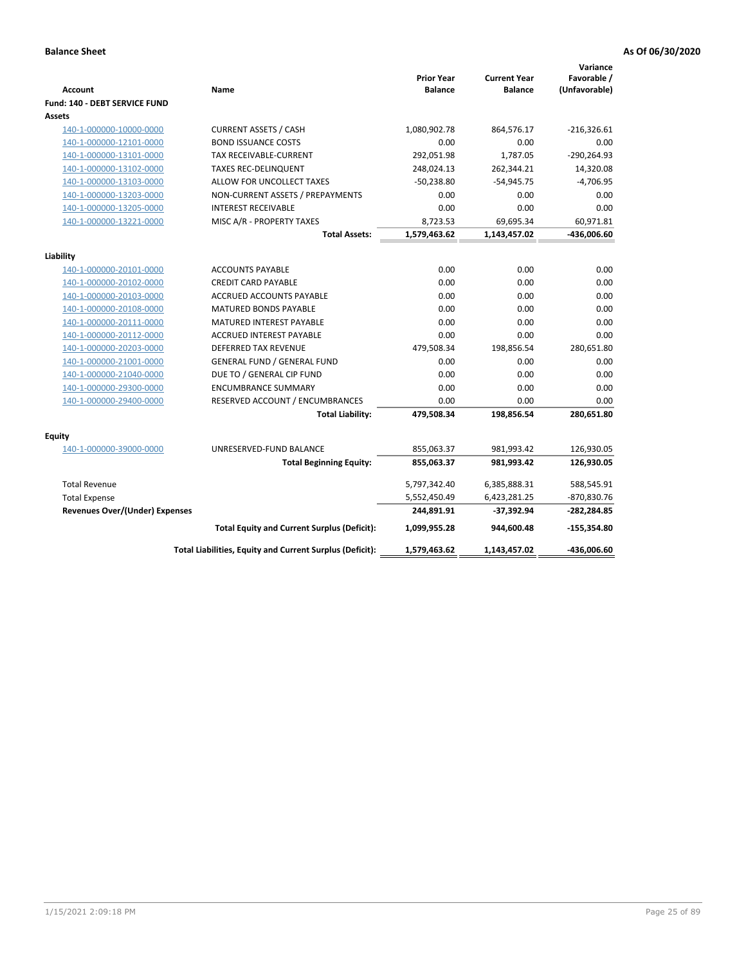| <b>Account</b>                        | Name                                                     | <b>Prior Year</b><br><b>Balance</b> | <b>Current Year</b><br><b>Balance</b> | Variance<br>Favorable /<br>(Unfavorable) |
|---------------------------------------|----------------------------------------------------------|-------------------------------------|---------------------------------------|------------------------------------------|
| Fund: 140 - DEBT SERVICE FUND         |                                                          |                                     |                                       |                                          |
| Assets                                |                                                          |                                     |                                       |                                          |
| 140-1-000000-10000-0000               | <b>CURRENT ASSETS / CASH</b>                             | 1,080,902.78                        | 864,576.17                            | $-216,326.61$                            |
| 140-1-000000-12101-0000               | <b>BOND ISSUANCE COSTS</b>                               | 0.00                                | 0.00                                  | 0.00                                     |
| 140-1-000000-13101-0000               | <b>TAX RECEIVABLE-CURRENT</b>                            | 292,051.98                          | 1,787.05                              | $-290,264.93$                            |
| 140-1-000000-13102-0000               | <b>TAXES REC-DELINQUENT</b>                              | 248,024.13                          | 262,344.21                            | 14,320.08                                |
| 140-1-000000-13103-0000               | ALLOW FOR UNCOLLECT TAXES                                | $-50,238.80$                        | $-54,945.75$                          | $-4,706.95$                              |
| 140-1-000000-13203-0000               | NON-CURRENT ASSETS / PREPAYMENTS                         | 0.00                                | 0.00                                  | 0.00                                     |
| 140-1-000000-13205-0000               | <b>INTEREST RECEIVABLE</b>                               | 0.00                                | 0.00                                  | 0.00                                     |
| 140-1-000000-13221-0000               | MISC A/R - PROPERTY TAXES                                | 8,723.53                            | 69,695.34                             | 60,971.81                                |
|                                       | <b>Total Assets:</b>                                     | 1,579,463.62                        | 1,143,457.02                          | $-436,006.60$                            |
| Liability                             |                                                          |                                     |                                       |                                          |
| 140-1-000000-20101-0000               | <b>ACCOUNTS PAYABLE</b>                                  | 0.00                                | 0.00                                  | 0.00                                     |
| 140-1-000000-20102-0000               | <b>CREDIT CARD PAYABLE</b>                               | 0.00                                | 0.00                                  | 0.00                                     |
| 140-1-000000-20103-0000               | ACCRUED ACCOUNTS PAYABLE                                 | 0.00                                | 0.00                                  | 0.00                                     |
| 140-1-000000-20108-0000               | <b>MATURED BONDS PAYABLE</b>                             | 0.00                                | 0.00                                  | 0.00                                     |
| 140-1-000000-20111-0000               | MATURED INTEREST PAYABLE                                 | 0.00                                | 0.00                                  | 0.00                                     |
| 140-1-000000-20112-0000               | <b>ACCRUED INTEREST PAYABLE</b>                          | 0.00                                | 0.00                                  | 0.00                                     |
| 140-1-000000-20203-0000               | DEFERRED TAX REVENUE                                     | 479,508.34                          | 198,856.54                            | 280,651.80                               |
| 140-1-000000-21001-0000               | <b>GENERAL FUND / GENERAL FUND</b>                       | 0.00                                | 0.00                                  | 0.00                                     |
| 140-1-000000-21040-0000               | DUE TO / GENERAL CIP FUND                                | 0.00                                | 0.00                                  | 0.00                                     |
| 140-1-000000-29300-0000               | <b>ENCUMBRANCE SUMMARY</b>                               | 0.00                                | 0.00                                  | 0.00                                     |
| 140-1-000000-29400-0000               | RESERVED ACCOUNT / ENCUMBRANCES                          | 0.00                                | 0.00                                  | 0.00                                     |
|                                       | <b>Total Liability:</b>                                  | 479,508.34                          | 198,856.54                            | 280,651.80                               |
|                                       |                                                          |                                     |                                       |                                          |
| Equity<br>140-1-000000-39000-0000     | UNRESERVED-FUND BALANCE                                  | 855,063.37                          | 981,993.42                            | 126,930.05                               |
|                                       | <b>Total Beginning Equity:</b>                           | 855,063.37                          | 981,993.42                            | 126,930.05                               |
|                                       |                                                          |                                     |                                       |                                          |
| <b>Total Revenue</b>                  |                                                          | 5,797,342.40                        | 6,385,888.31                          | 588,545.91                               |
| <b>Total Expense</b>                  |                                                          | 5,552,450.49                        | 6,423,281.25                          | -870,830.76                              |
| <b>Revenues Over/(Under) Expenses</b> |                                                          | 244,891.91                          | $-37,392.94$                          | $-282,284.85$                            |
|                                       | <b>Total Equity and Current Surplus (Deficit):</b>       | 1,099,955.28                        | 944,600.48                            | $-155,354.80$                            |
|                                       | Total Liabilities, Equity and Current Surplus (Deficit): | 1,579,463.62                        | 1,143,457.02                          | -436,006.60                              |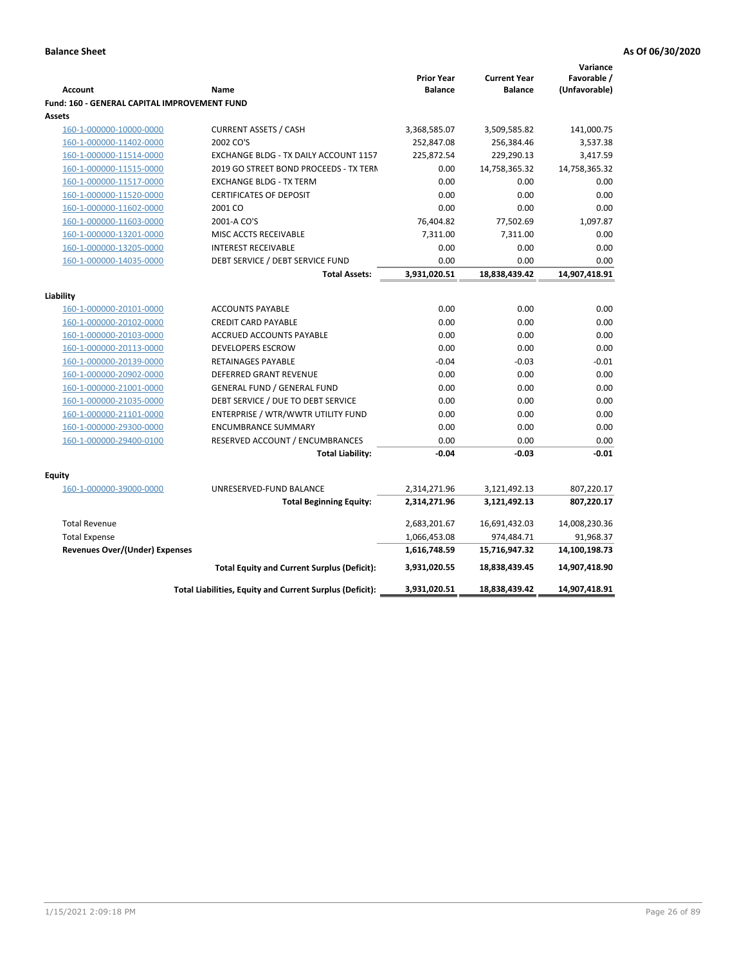| Favorable /<br><b>Prior Year</b><br><b>Current Year</b><br><b>Account</b><br><b>Balance</b><br><b>Balance</b><br>(Unfavorable)<br>Name<br>Fund: 160 - GENERAL CAPITAL IMPROVEMENT FUND<br>Assets<br><b>CURRENT ASSETS / CASH</b><br>3,368,585.07<br>3,509,585.82<br>141,000.75<br>160-1-000000-10000-0000<br>2002 CO'S<br>252,847.08<br>160-1-000000-11402-0000<br>256,384.46<br>3,537.38<br>160-1-000000-11514-0000<br>EXCHANGE BLDG - TX DAILY ACCOUNT 1157<br>225,872.54<br>229,290.13<br>3,417.59<br>160-1-000000-11515-0000<br>2019 GO STREET BOND PROCEEDS - TX TERN<br>0.00<br>14,758,365.32<br>14,758,365.32<br>0.00<br>0.00<br>0.00<br>160-1-000000-11517-0000<br><b>EXCHANGE BLDG - TX TERM</b><br><b>CERTIFICATES OF DEPOSIT</b><br>0.00<br>0.00<br>0.00<br>160-1-000000-11520-0000<br>160-1-000000-11602-0000<br>2001 CO<br>0.00<br>0.00<br>0.00<br>160-1-000000-11603-0000<br>2001-A CO'S<br>76,404.82<br>77,502.69<br>1,097.87<br>160-1-000000-13201-0000<br>7,311.00<br>MISC ACCTS RECEIVABLE<br>7,311.00<br>0.00<br><b>INTEREST RECEIVABLE</b><br>0.00<br>0.00<br>0.00<br>160-1-000000-13205-0000<br>DEBT SERVICE / DEBT SERVICE FUND<br>0.00<br>0.00<br>0.00<br>160-1-000000-14035-0000<br>3,931,020.51<br>18,838,439.42<br>14,907,418.91<br><b>Total Assets:</b><br>Liability<br>0.00<br>0.00<br><b>ACCOUNTS PAYABLE</b><br>0.00<br>160-1-000000-20101-0000<br>160-1-000000-20102-0000<br><b>CREDIT CARD PAYABLE</b><br>0.00<br>0.00<br>0.00<br>0.00<br>0.00<br>0.00<br>160-1-000000-20103-0000<br>ACCRUED ACCOUNTS PAYABLE<br>0.00<br>0.00<br>0.00<br>160-1-000000-20113-0000<br><b>DEVELOPERS ESCROW</b><br>160-1-000000-20139-0000<br>$-0.04$<br>$-0.03$<br>$-0.01$<br>RETAINAGES PAYABLE<br>160-1-000000-20902-0000<br><b>DEFERRED GRANT REVENUE</b><br>0.00<br>0.00<br>0.00<br><b>GENERAL FUND / GENERAL FUND</b><br>0.00<br>0.00<br>0.00<br>160-1-000000-21001-0000<br>0.00<br>0.00<br>160-1-000000-21035-0000<br>DEBT SERVICE / DUE TO DEBT SERVICE<br>0.00<br>ENTERPRISE / WTR/WWTR UTILITY FUND<br>0.00<br>0.00<br>160-1-000000-21101-0000<br>0.00<br><b>ENCUMBRANCE SUMMARY</b><br>0.00<br>0.00<br>160-1-000000-29300-0000<br>0.00<br>RESERVED ACCOUNT / ENCUMBRANCES<br>0.00<br>0.00<br>0.00<br>160-1-000000-29400-0100<br>$-0.01$<br><b>Total Liability:</b><br>$-0.04$<br>$-0.03$<br><b>Equity</b><br>160-1-000000-39000-0000<br>UNRESERVED-FUND BALANCE<br>2,314,271.96<br>3,121,492.13<br>807,220.17<br>807,220.17<br><b>Total Beginning Equity:</b><br>2,314,271.96<br>3,121,492.13<br><b>Total Revenue</b><br>2,683,201.67<br>16,691,432.03<br>14,008,230.36<br><b>Total Expense</b><br>1,066,453.08<br>974,484.71<br>91,968.37<br><b>Revenues Over/(Under) Expenses</b><br>1,616,748.59<br>15,716,947.32<br>14,100,198.73<br><b>Total Equity and Current Surplus (Deficit):</b><br>3,931,020.55<br>18,838,439.45<br>14,907,418.90<br>Total Liabilities, Equity and Current Surplus (Deficit):<br>3,931,020.51<br>18,838,439.42<br>14,907,418.91 |  |  | Variance |
|-------------------------------------------------------------------------------------------------------------------------------------------------------------------------------------------------------------------------------------------------------------------------------------------------------------------------------------------------------------------------------------------------------------------------------------------------------------------------------------------------------------------------------------------------------------------------------------------------------------------------------------------------------------------------------------------------------------------------------------------------------------------------------------------------------------------------------------------------------------------------------------------------------------------------------------------------------------------------------------------------------------------------------------------------------------------------------------------------------------------------------------------------------------------------------------------------------------------------------------------------------------------------------------------------------------------------------------------------------------------------------------------------------------------------------------------------------------------------------------------------------------------------------------------------------------------------------------------------------------------------------------------------------------------------------------------------------------------------------------------------------------------------------------------------------------------------------------------------------------------------------------------------------------------------------------------------------------------------------------------------------------------------------------------------------------------------------------------------------------------------------------------------------------------------------------------------------------------------------------------------------------------------------------------------------------------------------------------------------------------------------------------------------------------------------------------------------------------------------------------------------------------------------------------------------------------------------------------------------------------------------------------------------------------------------------------------------------------------------------------------------------------------------------------------------------------------------------------------------------------------------------------------------------------------------------------------------------------------------------|--|--|----------|
|                                                                                                                                                                                                                                                                                                                                                                                                                                                                                                                                                                                                                                                                                                                                                                                                                                                                                                                                                                                                                                                                                                                                                                                                                                                                                                                                                                                                                                                                                                                                                                                                                                                                                                                                                                                                                                                                                                                                                                                                                                                                                                                                                                                                                                                                                                                                                                                                                                                                                                                                                                                                                                                                                                                                                                                                                                                                                                                                                                                     |  |  |          |
|                                                                                                                                                                                                                                                                                                                                                                                                                                                                                                                                                                                                                                                                                                                                                                                                                                                                                                                                                                                                                                                                                                                                                                                                                                                                                                                                                                                                                                                                                                                                                                                                                                                                                                                                                                                                                                                                                                                                                                                                                                                                                                                                                                                                                                                                                                                                                                                                                                                                                                                                                                                                                                                                                                                                                                                                                                                                                                                                                                                     |  |  |          |
|                                                                                                                                                                                                                                                                                                                                                                                                                                                                                                                                                                                                                                                                                                                                                                                                                                                                                                                                                                                                                                                                                                                                                                                                                                                                                                                                                                                                                                                                                                                                                                                                                                                                                                                                                                                                                                                                                                                                                                                                                                                                                                                                                                                                                                                                                                                                                                                                                                                                                                                                                                                                                                                                                                                                                                                                                                                                                                                                                                                     |  |  |          |
|                                                                                                                                                                                                                                                                                                                                                                                                                                                                                                                                                                                                                                                                                                                                                                                                                                                                                                                                                                                                                                                                                                                                                                                                                                                                                                                                                                                                                                                                                                                                                                                                                                                                                                                                                                                                                                                                                                                                                                                                                                                                                                                                                                                                                                                                                                                                                                                                                                                                                                                                                                                                                                                                                                                                                                                                                                                                                                                                                                                     |  |  |          |
|                                                                                                                                                                                                                                                                                                                                                                                                                                                                                                                                                                                                                                                                                                                                                                                                                                                                                                                                                                                                                                                                                                                                                                                                                                                                                                                                                                                                                                                                                                                                                                                                                                                                                                                                                                                                                                                                                                                                                                                                                                                                                                                                                                                                                                                                                                                                                                                                                                                                                                                                                                                                                                                                                                                                                                                                                                                                                                                                                                                     |  |  |          |
|                                                                                                                                                                                                                                                                                                                                                                                                                                                                                                                                                                                                                                                                                                                                                                                                                                                                                                                                                                                                                                                                                                                                                                                                                                                                                                                                                                                                                                                                                                                                                                                                                                                                                                                                                                                                                                                                                                                                                                                                                                                                                                                                                                                                                                                                                                                                                                                                                                                                                                                                                                                                                                                                                                                                                                                                                                                                                                                                                                                     |  |  |          |
|                                                                                                                                                                                                                                                                                                                                                                                                                                                                                                                                                                                                                                                                                                                                                                                                                                                                                                                                                                                                                                                                                                                                                                                                                                                                                                                                                                                                                                                                                                                                                                                                                                                                                                                                                                                                                                                                                                                                                                                                                                                                                                                                                                                                                                                                                                                                                                                                                                                                                                                                                                                                                                                                                                                                                                                                                                                                                                                                                                                     |  |  |          |
|                                                                                                                                                                                                                                                                                                                                                                                                                                                                                                                                                                                                                                                                                                                                                                                                                                                                                                                                                                                                                                                                                                                                                                                                                                                                                                                                                                                                                                                                                                                                                                                                                                                                                                                                                                                                                                                                                                                                                                                                                                                                                                                                                                                                                                                                                                                                                                                                                                                                                                                                                                                                                                                                                                                                                                                                                                                                                                                                                                                     |  |  |          |
|                                                                                                                                                                                                                                                                                                                                                                                                                                                                                                                                                                                                                                                                                                                                                                                                                                                                                                                                                                                                                                                                                                                                                                                                                                                                                                                                                                                                                                                                                                                                                                                                                                                                                                                                                                                                                                                                                                                                                                                                                                                                                                                                                                                                                                                                                                                                                                                                                                                                                                                                                                                                                                                                                                                                                                                                                                                                                                                                                                                     |  |  |          |
|                                                                                                                                                                                                                                                                                                                                                                                                                                                                                                                                                                                                                                                                                                                                                                                                                                                                                                                                                                                                                                                                                                                                                                                                                                                                                                                                                                                                                                                                                                                                                                                                                                                                                                                                                                                                                                                                                                                                                                                                                                                                                                                                                                                                                                                                                                                                                                                                                                                                                                                                                                                                                                                                                                                                                                                                                                                                                                                                                                                     |  |  |          |
|                                                                                                                                                                                                                                                                                                                                                                                                                                                                                                                                                                                                                                                                                                                                                                                                                                                                                                                                                                                                                                                                                                                                                                                                                                                                                                                                                                                                                                                                                                                                                                                                                                                                                                                                                                                                                                                                                                                                                                                                                                                                                                                                                                                                                                                                                                                                                                                                                                                                                                                                                                                                                                                                                                                                                                                                                                                                                                                                                                                     |  |  |          |
|                                                                                                                                                                                                                                                                                                                                                                                                                                                                                                                                                                                                                                                                                                                                                                                                                                                                                                                                                                                                                                                                                                                                                                                                                                                                                                                                                                                                                                                                                                                                                                                                                                                                                                                                                                                                                                                                                                                                                                                                                                                                                                                                                                                                                                                                                                                                                                                                                                                                                                                                                                                                                                                                                                                                                                                                                                                                                                                                                                                     |  |  |          |
|                                                                                                                                                                                                                                                                                                                                                                                                                                                                                                                                                                                                                                                                                                                                                                                                                                                                                                                                                                                                                                                                                                                                                                                                                                                                                                                                                                                                                                                                                                                                                                                                                                                                                                                                                                                                                                                                                                                                                                                                                                                                                                                                                                                                                                                                                                                                                                                                                                                                                                                                                                                                                                                                                                                                                                                                                                                                                                                                                                                     |  |  |          |
|                                                                                                                                                                                                                                                                                                                                                                                                                                                                                                                                                                                                                                                                                                                                                                                                                                                                                                                                                                                                                                                                                                                                                                                                                                                                                                                                                                                                                                                                                                                                                                                                                                                                                                                                                                                                                                                                                                                                                                                                                                                                                                                                                                                                                                                                                                                                                                                                                                                                                                                                                                                                                                                                                                                                                                                                                                                                                                                                                                                     |  |  |          |
|                                                                                                                                                                                                                                                                                                                                                                                                                                                                                                                                                                                                                                                                                                                                                                                                                                                                                                                                                                                                                                                                                                                                                                                                                                                                                                                                                                                                                                                                                                                                                                                                                                                                                                                                                                                                                                                                                                                                                                                                                                                                                                                                                                                                                                                                                                                                                                                                                                                                                                                                                                                                                                                                                                                                                                                                                                                                                                                                                                                     |  |  |          |
|                                                                                                                                                                                                                                                                                                                                                                                                                                                                                                                                                                                                                                                                                                                                                                                                                                                                                                                                                                                                                                                                                                                                                                                                                                                                                                                                                                                                                                                                                                                                                                                                                                                                                                                                                                                                                                                                                                                                                                                                                                                                                                                                                                                                                                                                                                                                                                                                                                                                                                                                                                                                                                                                                                                                                                                                                                                                                                                                                                                     |  |  |          |
|                                                                                                                                                                                                                                                                                                                                                                                                                                                                                                                                                                                                                                                                                                                                                                                                                                                                                                                                                                                                                                                                                                                                                                                                                                                                                                                                                                                                                                                                                                                                                                                                                                                                                                                                                                                                                                                                                                                                                                                                                                                                                                                                                                                                                                                                                                                                                                                                                                                                                                                                                                                                                                                                                                                                                                                                                                                                                                                                                                                     |  |  |          |
|                                                                                                                                                                                                                                                                                                                                                                                                                                                                                                                                                                                                                                                                                                                                                                                                                                                                                                                                                                                                                                                                                                                                                                                                                                                                                                                                                                                                                                                                                                                                                                                                                                                                                                                                                                                                                                                                                                                                                                                                                                                                                                                                                                                                                                                                                                                                                                                                                                                                                                                                                                                                                                                                                                                                                                                                                                                                                                                                                                                     |  |  |          |
|                                                                                                                                                                                                                                                                                                                                                                                                                                                                                                                                                                                                                                                                                                                                                                                                                                                                                                                                                                                                                                                                                                                                                                                                                                                                                                                                                                                                                                                                                                                                                                                                                                                                                                                                                                                                                                                                                                                                                                                                                                                                                                                                                                                                                                                                                                                                                                                                                                                                                                                                                                                                                                                                                                                                                                                                                                                                                                                                                                                     |  |  |          |
|                                                                                                                                                                                                                                                                                                                                                                                                                                                                                                                                                                                                                                                                                                                                                                                                                                                                                                                                                                                                                                                                                                                                                                                                                                                                                                                                                                                                                                                                                                                                                                                                                                                                                                                                                                                                                                                                                                                                                                                                                                                                                                                                                                                                                                                                                                                                                                                                                                                                                                                                                                                                                                                                                                                                                                                                                                                                                                                                                                                     |  |  |          |
|                                                                                                                                                                                                                                                                                                                                                                                                                                                                                                                                                                                                                                                                                                                                                                                                                                                                                                                                                                                                                                                                                                                                                                                                                                                                                                                                                                                                                                                                                                                                                                                                                                                                                                                                                                                                                                                                                                                                                                                                                                                                                                                                                                                                                                                                                                                                                                                                                                                                                                                                                                                                                                                                                                                                                                                                                                                                                                                                                                                     |  |  |          |
|                                                                                                                                                                                                                                                                                                                                                                                                                                                                                                                                                                                                                                                                                                                                                                                                                                                                                                                                                                                                                                                                                                                                                                                                                                                                                                                                                                                                                                                                                                                                                                                                                                                                                                                                                                                                                                                                                                                                                                                                                                                                                                                                                                                                                                                                                                                                                                                                                                                                                                                                                                                                                                                                                                                                                                                                                                                                                                                                                                                     |  |  |          |
|                                                                                                                                                                                                                                                                                                                                                                                                                                                                                                                                                                                                                                                                                                                                                                                                                                                                                                                                                                                                                                                                                                                                                                                                                                                                                                                                                                                                                                                                                                                                                                                                                                                                                                                                                                                                                                                                                                                                                                                                                                                                                                                                                                                                                                                                                                                                                                                                                                                                                                                                                                                                                                                                                                                                                                                                                                                                                                                                                                                     |  |  |          |
|                                                                                                                                                                                                                                                                                                                                                                                                                                                                                                                                                                                                                                                                                                                                                                                                                                                                                                                                                                                                                                                                                                                                                                                                                                                                                                                                                                                                                                                                                                                                                                                                                                                                                                                                                                                                                                                                                                                                                                                                                                                                                                                                                                                                                                                                                                                                                                                                                                                                                                                                                                                                                                                                                                                                                                                                                                                                                                                                                                                     |  |  |          |
|                                                                                                                                                                                                                                                                                                                                                                                                                                                                                                                                                                                                                                                                                                                                                                                                                                                                                                                                                                                                                                                                                                                                                                                                                                                                                                                                                                                                                                                                                                                                                                                                                                                                                                                                                                                                                                                                                                                                                                                                                                                                                                                                                                                                                                                                                                                                                                                                                                                                                                                                                                                                                                                                                                                                                                                                                                                                                                                                                                                     |  |  |          |
|                                                                                                                                                                                                                                                                                                                                                                                                                                                                                                                                                                                                                                                                                                                                                                                                                                                                                                                                                                                                                                                                                                                                                                                                                                                                                                                                                                                                                                                                                                                                                                                                                                                                                                                                                                                                                                                                                                                                                                                                                                                                                                                                                                                                                                                                                                                                                                                                                                                                                                                                                                                                                                                                                                                                                                                                                                                                                                                                                                                     |  |  |          |
|                                                                                                                                                                                                                                                                                                                                                                                                                                                                                                                                                                                                                                                                                                                                                                                                                                                                                                                                                                                                                                                                                                                                                                                                                                                                                                                                                                                                                                                                                                                                                                                                                                                                                                                                                                                                                                                                                                                                                                                                                                                                                                                                                                                                                                                                                                                                                                                                                                                                                                                                                                                                                                                                                                                                                                                                                                                                                                                                                                                     |  |  |          |
|                                                                                                                                                                                                                                                                                                                                                                                                                                                                                                                                                                                                                                                                                                                                                                                                                                                                                                                                                                                                                                                                                                                                                                                                                                                                                                                                                                                                                                                                                                                                                                                                                                                                                                                                                                                                                                                                                                                                                                                                                                                                                                                                                                                                                                                                                                                                                                                                                                                                                                                                                                                                                                                                                                                                                                                                                                                                                                                                                                                     |  |  |          |
|                                                                                                                                                                                                                                                                                                                                                                                                                                                                                                                                                                                                                                                                                                                                                                                                                                                                                                                                                                                                                                                                                                                                                                                                                                                                                                                                                                                                                                                                                                                                                                                                                                                                                                                                                                                                                                                                                                                                                                                                                                                                                                                                                                                                                                                                                                                                                                                                                                                                                                                                                                                                                                                                                                                                                                                                                                                                                                                                                                                     |  |  |          |
|                                                                                                                                                                                                                                                                                                                                                                                                                                                                                                                                                                                                                                                                                                                                                                                                                                                                                                                                                                                                                                                                                                                                                                                                                                                                                                                                                                                                                                                                                                                                                                                                                                                                                                                                                                                                                                                                                                                                                                                                                                                                                                                                                                                                                                                                                                                                                                                                                                                                                                                                                                                                                                                                                                                                                                                                                                                                                                                                                                                     |  |  |          |
|                                                                                                                                                                                                                                                                                                                                                                                                                                                                                                                                                                                                                                                                                                                                                                                                                                                                                                                                                                                                                                                                                                                                                                                                                                                                                                                                                                                                                                                                                                                                                                                                                                                                                                                                                                                                                                                                                                                                                                                                                                                                                                                                                                                                                                                                                                                                                                                                                                                                                                                                                                                                                                                                                                                                                                                                                                                                                                                                                                                     |  |  |          |
|                                                                                                                                                                                                                                                                                                                                                                                                                                                                                                                                                                                                                                                                                                                                                                                                                                                                                                                                                                                                                                                                                                                                                                                                                                                                                                                                                                                                                                                                                                                                                                                                                                                                                                                                                                                                                                                                                                                                                                                                                                                                                                                                                                                                                                                                                                                                                                                                                                                                                                                                                                                                                                                                                                                                                                                                                                                                                                                                                                                     |  |  |          |
|                                                                                                                                                                                                                                                                                                                                                                                                                                                                                                                                                                                                                                                                                                                                                                                                                                                                                                                                                                                                                                                                                                                                                                                                                                                                                                                                                                                                                                                                                                                                                                                                                                                                                                                                                                                                                                                                                                                                                                                                                                                                                                                                                                                                                                                                                                                                                                                                                                                                                                                                                                                                                                                                                                                                                                                                                                                                                                                                                                                     |  |  |          |
|                                                                                                                                                                                                                                                                                                                                                                                                                                                                                                                                                                                                                                                                                                                                                                                                                                                                                                                                                                                                                                                                                                                                                                                                                                                                                                                                                                                                                                                                                                                                                                                                                                                                                                                                                                                                                                                                                                                                                                                                                                                                                                                                                                                                                                                                                                                                                                                                                                                                                                                                                                                                                                                                                                                                                                                                                                                                                                                                                                                     |  |  |          |
|                                                                                                                                                                                                                                                                                                                                                                                                                                                                                                                                                                                                                                                                                                                                                                                                                                                                                                                                                                                                                                                                                                                                                                                                                                                                                                                                                                                                                                                                                                                                                                                                                                                                                                                                                                                                                                                                                                                                                                                                                                                                                                                                                                                                                                                                                                                                                                                                                                                                                                                                                                                                                                                                                                                                                                                                                                                                                                                                                                                     |  |  |          |
|                                                                                                                                                                                                                                                                                                                                                                                                                                                                                                                                                                                                                                                                                                                                                                                                                                                                                                                                                                                                                                                                                                                                                                                                                                                                                                                                                                                                                                                                                                                                                                                                                                                                                                                                                                                                                                                                                                                                                                                                                                                                                                                                                                                                                                                                                                                                                                                                                                                                                                                                                                                                                                                                                                                                                                                                                                                                                                                                                                                     |  |  |          |
|                                                                                                                                                                                                                                                                                                                                                                                                                                                                                                                                                                                                                                                                                                                                                                                                                                                                                                                                                                                                                                                                                                                                                                                                                                                                                                                                                                                                                                                                                                                                                                                                                                                                                                                                                                                                                                                                                                                                                                                                                                                                                                                                                                                                                                                                                                                                                                                                                                                                                                                                                                                                                                                                                                                                                                                                                                                                                                                                                                                     |  |  |          |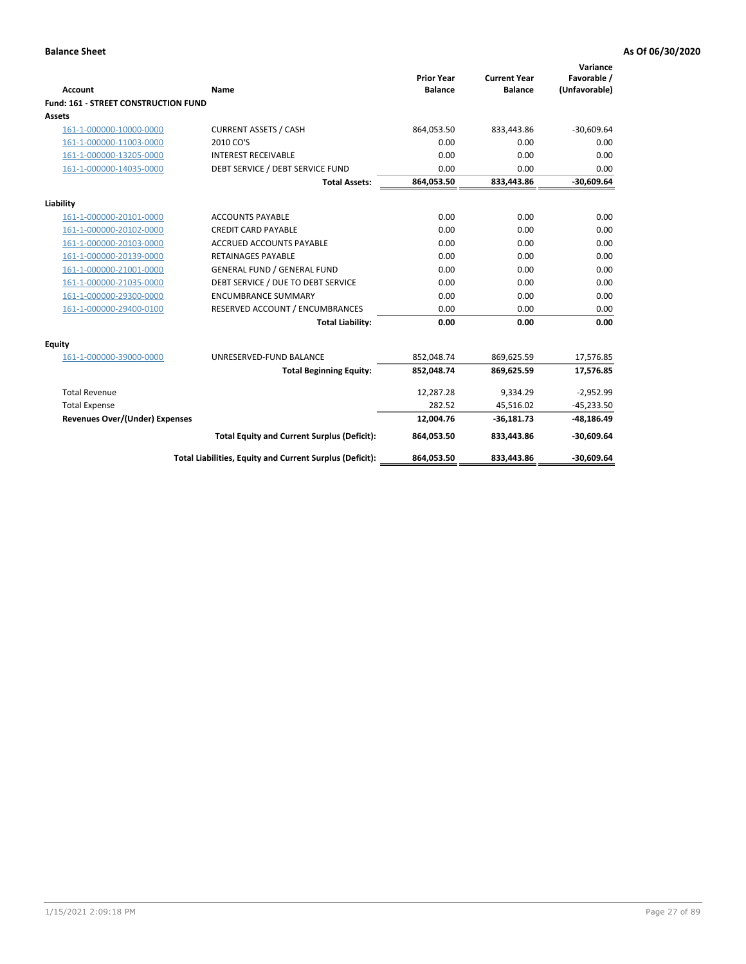| <b>Account</b>                        | <b>Name</b>                                              | <b>Prior Year</b><br><b>Balance</b> | <b>Current Year</b><br><b>Balance</b> | Variance<br>Favorable /<br>(Unfavorable) |
|---------------------------------------|----------------------------------------------------------|-------------------------------------|---------------------------------------|------------------------------------------|
| Fund: 161 - STREET CONSTRUCTION FUND  |                                                          |                                     |                                       |                                          |
| <b>Assets</b>                         |                                                          |                                     |                                       |                                          |
| 161-1-000000-10000-0000               | <b>CURRENT ASSETS / CASH</b>                             | 864,053.50                          | 833,443.86                            | $-30,609.64$                             |
| 161-1-000000-11003-0000               | 2010 CO'S                                                | 0.00                                | 0.00                                  | 0.00                                     |
| 161-1-000000-13205-0000               | <b>INTEREST RECEIVABLE</b>                               | 0.00                                | 0.00                                  | 0.00                                     |
| 161-1-000000-14035-0000               | DEBT SERVICE / DEBT SERVICE FUND                         | 0.00                                | 0.00                                  | 0.00                                     |
|                                       | <b>Total Assets:</b>                                     | 864,053.50                          | 833,443.86                            | $-30,609.64$                             |
| Liability                             |                                                          |                                     |                                       |                                          |
| 161-1-000000-20101-0000               | <b>ACCOUNTS PAYABLE</b>                                  | 0.00                                | 0.00                                  | 0.00                                     |
| 161-1-000000-20102-0000               | <b>CREDIT CARD PAYABLE</b>                               | 0.00                                | 0.00                                  | 0.00                                     |
| 161-1-000000-20103-0000               | <b>ACCRUED ACCOUNTS PAYABLE</b>                          | 0.00                                | 0.00                                  | 0.00                                     |
| 161-1-000000-20139-0000               | <b>RETAINAGES PAYABLE</b>                                | 0.00                                | 0.00                                  | 0.00                                     |
| 161-1-000000-21001-0000               | <b>GENERAL FUND / GENERAL FUND</b>                       | 0.00                                | 0.00                                  | 0.00                                     |
| 161-1-000000-21035-0000               | DEBT SERVICE / DUE TO DEBT SERVICE                       | 0.00                                | 0.00                                  | 0.00                                     |
| 161-1-000000-29300-0000               | <b>ENCUMBRANCE SUMMARY</b>                               | 0.00                                | 0.00                                  | 0.00                                     |
| 161-1-000000-29400-0100               | RESERVED ACCOUNT / ENCUMBRANCES                          | 0.00                                | 0.00                                  | 0.00                                     |
|                                       | <b>Total Liability:</b>                                  | 0.00                                | 0.00                                  | 0.00                                     |
| <b>Equity</b>                         |                                                          |                                     |                                       |                                          |
| 161-1-000000-39000-0000               | UNRESERVED-FUND BALANCE                                  | 852,048.74                          | 869,625.59                            | 17,576.85                                |
|                                       | <b>Total Beginning Equity:</b>                           | 852,048.74                          | 869,625.59                            | 17,576.85                                |
| <b>Total Revenue</b>                  |                                                          | 12,287.28                           | 9,334.29                              | $-2,952.99$                              |
| <b>Total Expense</b>                  |                                                          | 282.52                              | 45,516.02                             | $-45,233.50$                             |
| <b>Revenues Over/(Under) Expenses</b> |                                                          | 12,004.76                           | $-36,181.73$                          | $-48,186.49$                             |
|                                       | <b>Total Equity and Current Surplus (Deficit):</b>       | 864,053.50                          | 833,443.86                            | $-30,609.64$                             |
|                                       | Total Liabilities, Equity and Current Surplus (Deficit): | 864,053.50                          | 833,443.86                            | $-30,609.64$                             |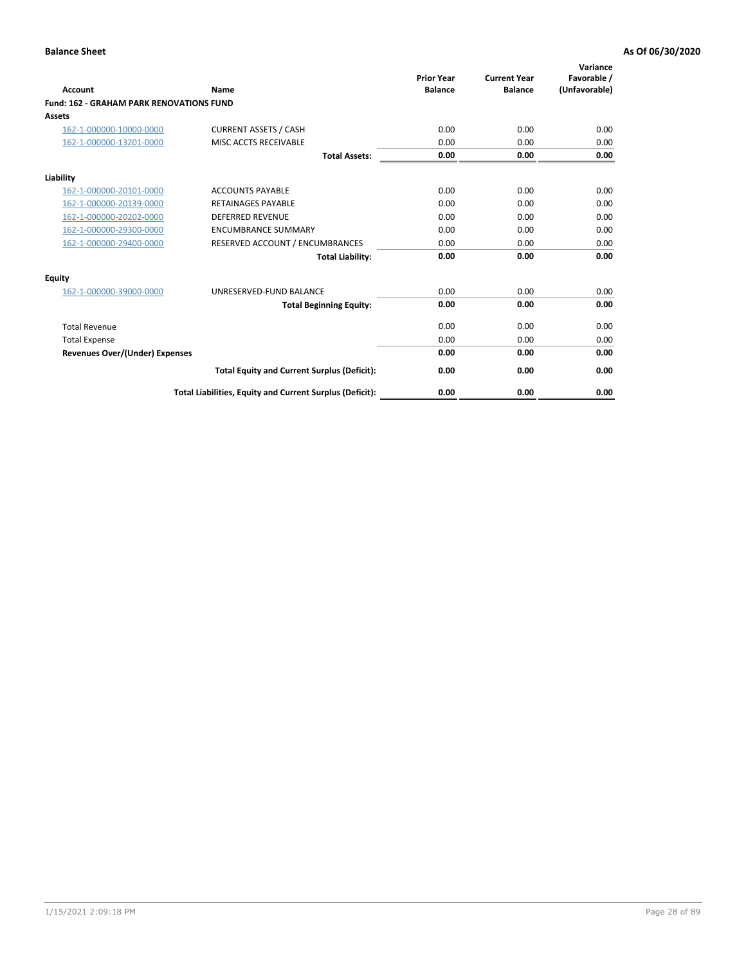| Account                                         | Name                                                     | <b>Prior Year</b><br><b>Balance</b> | <b>Current Year</b><br><b>Balance</b> | Variance<br>Favorable /<br>(Unfavorable) |
|-------------------------------------------------|----------------------------------------------------------|-------------------------------------|---------------------------------------|------------------------------------------|
| <b>Fund: 162 - GRAHAM PARK RENOVATIONS FUND</b> |                                                          |                                     |                                       |                                          |
| <b>Assets</b>                                   |                                                          |                                     |                                       |                                          |
| 162-1-000000-10000-0000                         | <b>CURRENT ASSETS / CASH</b>                             | 0.00                                | 0.00                                  | 0.00                                     |
| 162-1-000000-13201-0000                         | MISC ACCTS RECEIVABLE                                    | 0.00                                | 0.00                                  | 0.00                                     |
|                                                 | <b>Total Assets:</b>                                     | 0.00                                | 0.00                                  | 0.00                                     |
| Liability                                       |                                                          |                                     |                                       |                                          |
| 162-1-000000-20101-0000                         | <b>ACCOUNTS PAYABLE</b>                                  | 0.00                                | 0.00                                  | 0.00                                     |
| 162-1-000000-20139-0000                         | <b>RETAINAGES PAYABLE</b>                                | 0.00                                | 0.00                                  | 0.00                                     |
| 162-1-000000-20202-0000                         | <b>DEFERRED REVENUE</b>                                  | 0.00                                | 0.00                                  | 0.00                                     |
| 162-1-000000-29300-0000                         | <b>ENCUMBRANCE SUMMARY</b>                               | 0.00                                | 0.00                                  | 0.00                                     |
| 162-1-000000-29400-0000                         | RESERVED ACCOUNT / ENCUMBRANCES                          | 0.00                                | 0.00                                  | 0.00                                     |
|                                                 | <b>Total Liability:</b>                                  | 0.00                                | 0.00                                  | 0.00                                     |
| Equity                                          |                                                          |                                     |                                       |                                          |
| 162-1-000000-39000-0000                         | UNRESERVED-FUND BALANCE                                  | 0.00                                | 0.00                                  | 0.00                                     |
|                                                 | <b>Total Beginning Equity:</b>                           | 0.00                                | 0.00                                  | 0.00                                     |
| <b>Total Revenue</b>                            |                                                          | 0.00                                | 0.00                                  | 0.00                                     |
| <b>Total Expense</b>                            |                                                          | 0.00                                | 0.00                                  | 0.00                                     |
| <b>Revenues Over/(Under) Expenses</b>           |                                                          | 0.00                                | 0.00                                  | 0.00                                     |
|                                                 | <b>Total Equity and Current Surplus (Deficit):</b>       | 0.00                                | 0.00                                  | 0.00                                     |
|                                                 | Total Liabilities, Equity and Current Surplus (Deficit): | 0.00                                | 0.00                                  | 0.00                                     |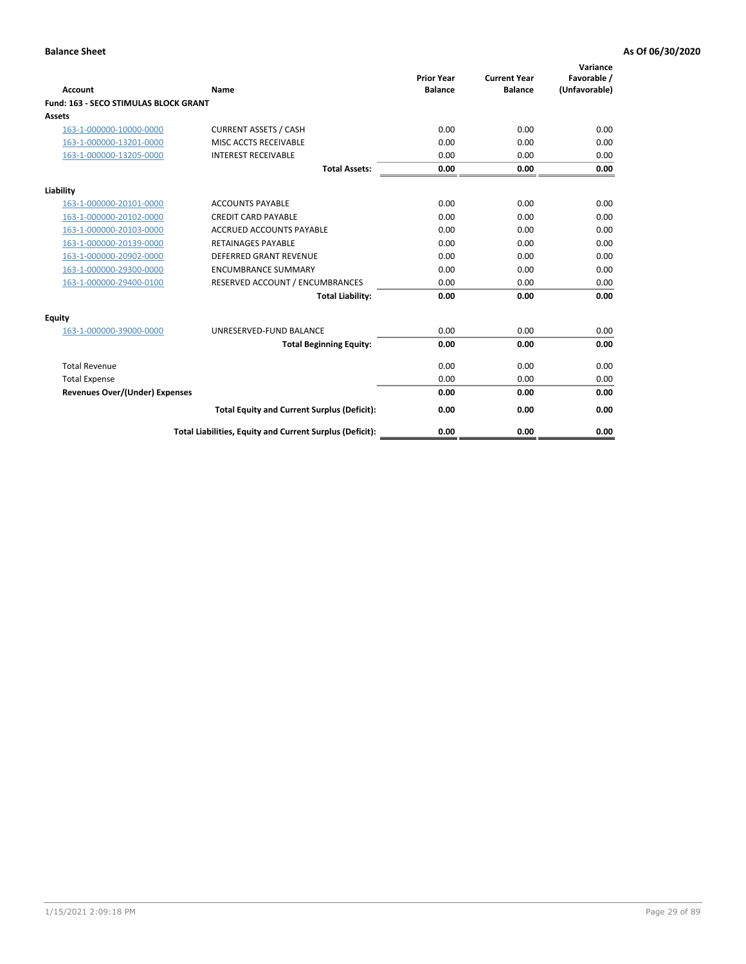| Account                               | Name                                                     | <b>Prior Year</b><br><b>Balance</b> | <b>Current Year</b><br><b>Balance</b> | Variance<br>Favorable /<br>(Unfavorable) |
|---------------------------------------|----------------------------------------------------------|-------------------------------------|---------------------------------------|------------------------------------------|
| Fund: 163 - SECO STIMULAS BLOCK GRANT |                                                          |                                     |                                       |                                          |
| <b>Assets</b>                         |                                                          |                                     |                                       |                                          |
| 163-1-000000-10000-0000               | <b>CURRENT ASSETS / CASH</b>                             | 0.00                                | 0.00                                  | 0.00                                     |
| 163-1-000000-13201-0000               | MISC ACCTS RECEIVABLE                                    | 0.00                                | 0.00                                  | 0.00                                     |
| 163-1-000000-13205-0000               | <b>INTEREST RECEIVABLE</b>                               | 0.00                                | 0.00                                  | 0.00                                     |
|                                       | <b>Total Assets:</b>                                     | 0.00                                | 0.00                                  | 0.00                                     |
| Liability                             |                                                          |                                     |                                       |                                          |
| 163-1-000000-20101-0000               | <b>ACCOUNTS PAYABLE</b>                                  | 0.00                                | 0.00                                  | 0.00                                     |
| 163-1-000000-20102-0000               | <b>CREDIT CARD PAYABLE</b>                               | 0.00                                | 0.00                                  | 0.00                                     |
| 163-1-000000-20103-0000               | <b>ACCRUED ACCOUNTS PAYABLE</b>                          | 0.00                                | 0.00                                  | 0.00                                     |
| 163-1-000000-20139-0000               | <b>RETAINAGES PAYABLE</b>                                | 0.00                                | 0.00                                  | 0.00                                     |
| 163-1-000000-20902-0000               | DEFERRED GRANT REVENUE                                   | 0.00                                | 0.00                                  | 0.00                                     |
| 163-1-000000-29300-0000               | <b>ENCUMBRANCE SUMMARY</b>                               | 0.00                                | 0.00                                  | 0.00                                     |
| 163-1-000000-29400-0100               | RESERVED ACCOUNT / ENCUMBRANCES                          | 0.00                                | 0.00                                  | 0.00                                     |
|                                       | <b>Total Liability:</b>                                  | 0.00                                | 0.00                                  | 0.00                                     |
| <b>Equity</b>                         |                                                          |                                     |                                       |                                          |
| 163-1-000000-39000-0000               | UNRESERVED-FUND BALANCE                                  | 0.00                                | 0.00                                  | 0.00                                     |
|                                       | <b>Total Beginning Equity:</b>                           | 0.00                                | 0.00                                  | 0.00                                     |
| <b>Total Revenue</b>                  |                                                          | 0.00                                | 0.00                                  | 0.00                                     |
| <b>Total Expense</b>                  |                                                          | 0.00                                | 0.00                                  | 0.00                                     |
| <b>Revenues Over/(Under) Expenses</b> |                                                          | 0.00                                | 0.00                                  | 0.00                                     |
|                                       | <b>Total Equity and Current Surplus (Deficit):</b>       | 0.00                                | 0.00                                  | 0.00                                     |
|                                       | Total Liabilities, Equity and Current Surplus (Deficit): | 0.00                                | 0.00                                  | 0.00                                     |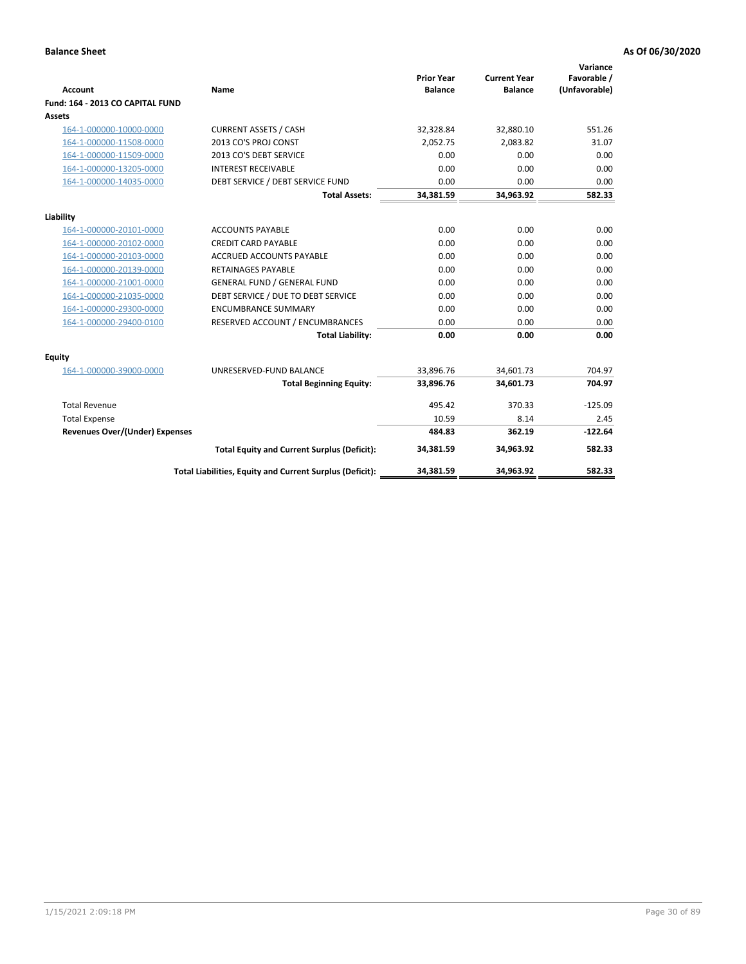|                                       |                                                          | <b>Prior Year</b> | <b>Current Year</b> | Variance<br>Favorable / |
|---------------------------------------|----------------------------------------------------------|-------------------|---------------------|-------------------------|
| <b>Account</b>                        | <b>Name</b>                                              | <b>Balance</b>    | <b>Balance</b>      | (Unfavorable)           |
| Fund: 164 - 2013 CO CAPITAL FUND      |                                                          |                   |                     |                         |
| Assets                                |                                                          |                   |                     |                         |
| 164-1-000000-10000-0000               | <b>CURRENT ASSETS / CASH</b>                             | 32,328.84         | 32,880.10           | 551.26                  |
| 164-1-000000-11508-0000               | 2013 CO'S PROJ CONST                                     | 2.052.75          | 2.083.82            | 31.07                   |
| 164-1-000000-11509-0000               | 2013 CO'S DEBT SERVICE                                   | 0.00              | 0.00                | 0.00                    |
| 164-1-000000-13205-0000               | <b>INTEREST RECEIVABLE</b>                               | 0.00              | 0.00                | 0.00                    |
| 164-1-000000-14035-0000               | DEBT SERVICE / DEBT SERVICE FUND                         | 0.00              | 0.00                | 0.00                    |
|                                       | <b>Total Assets:</b>                                     | 34,381.59         | 34,963.92           | 582.33                  |
| Liability                             |                                                          |                   |                     |                         |
| 164-1-000000-20101-0000               | <b>ACCOUNTS PAYABLE</b>                                  | 0.00              | 0.00                | 0.00                    |
| 164-1-000000-20102-0000               | <b>CREDIT CARD PAYABLE</b>                               | 0.00              | 0.00                | 0.00                    |
| 164-1-000000-20103-0000               | <b>ACCRUED ACCOUNTS PAYABLE</b>                          | 0.00              | 0.00                | 0.00                    |
| 164-1-000000-20139-0000               | <b>RETAINAGES PAYABLE</b>                                | 0.00              | 0.00                | 0.00                    |
| 164-1-000000-21001-0000               | <b>GENERAL FUND / GENERAL FUND</b>                       | 0.00              | 0.00                | 0.00                    |
| 164-1-000000-21035-0000               | DEBT SERVICE / DUE TO DEBT SERVICE                       | 0.00              | 0.00                | 0.00                    |
| 164-1-000000-29300-0000               | <b>ENCUMBRANCE SUMMARY</b>                               | 0.00              | 0.00                | 0.00                    |
| 164-1-000000-29400-0100               | RESERVED ACCOUNT / ENCUMBRANCES                          | 0.00              | 0.00                | 0.00                    |
|                                       | <b>Total Liability:</b>                                  | 0.00              | 0.00                | 0.00                    |
| Equity                                |                                                          |                   |                     |                         |
| 164-1-000000-39000-0000               | UNRESERVED-FUND BALANCE                                  | 33,896.76         | 34,601.73           | 704.97                  |
|                                       | <b>Total Beginning Equity:</b>                           | 33,896.76         | 34,601.73           | 704.97                  |
| <b>Total Revenue</b>                  |                                                          | 495.42            | 370.33              | $-125.09$               |
| <b>Total Expense</b>                  |                                                          | 10.59             | 8.14                | 2.45                    |
| <b>Revenues Over/(Under) Expenses</b> |                                                          | 484.83            | 362.19              | $-122.64$               |
|                                       | <b>Total Equity and Current Surplus (Deficit):</b>       | 34,381.59         | 34,963.92           | 582.33                  |
|                                       | Total Liabilities, Equity and Current Surplus (Deficit): | 34,381.59         | 34,963.92           | 582.33                  |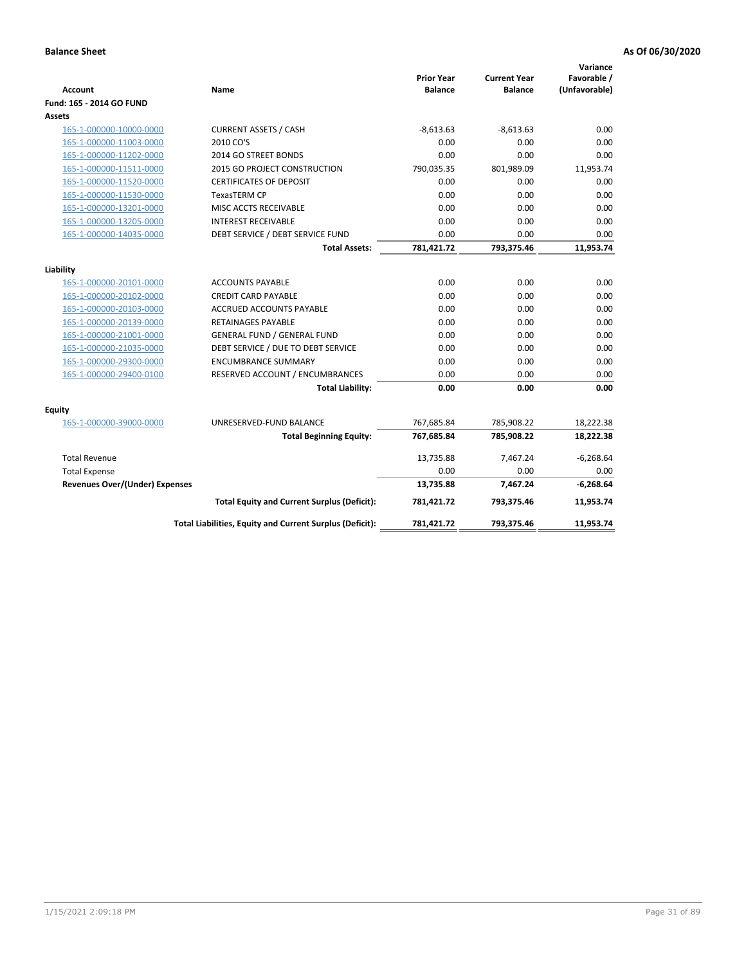| <b>Account</b>                        | Name                                                     | <b>Prior Year</b><br><b>Balance</b> | <b>Current Year</b><br><b>Balance</b> | Variance<br>Favorable /<br>(Unfavorable) |
|---------------------------------------|----------------------------------------------------------|-------------------------------------|---------------------------------------|------------------------------------------|
| Fund: 165 - 2014 GO FUND              |                                                          |                                     |                                       |                                          |
| Assets                                |                                                          |                                     |                                       |                                          |
| 165-1-000000-10000-0000               | <b>CURRENT ASSETS / CASH</b>                             | $-8,613.63$                         | $-8,613.63$                           | 0.00                                     |
| 165-1-000000-11003-0000               | 2010 CO'S                                                | 0.00                                | 0.00                                  | 0.00                                     |
| 165-1-000000-11202-0000               | 2014 GO STREET BONDS                                     | 0.00                                | 0.00                                  | 0.00                                     |
| 165-1-000000-11511-0000               | 2015 GO PROJECT CONSTRUCTION                             | 790,035.35                          | 801,989.09                            | 11,953.74                                |
| 165-1-000000-11520-0000               | <b>CERTIFICATES OF DEPOSIT</b>                           | 0.00                                | 0.00                                  | 0.00                                     |
| 165-1-000000-11530-0000               | <b>TexasTERM CP</b>                                      | 0.00                                | 0.00                                  | 0.00                                     |
| 165-1-000000-13201-0000               | MISC ACCTS RECEIVABLE                                    | 0.00                                | 0.00                                  | 0.00                                     |
| 165-1-000000-13205-0000               | <b>INTEREST RECEIVABLE</b>                               | 0.00                                | 0.00                                  | 0.00                                     |
| 165-1-000000-14035-0000               | DEBT SERVICE / DEBT SERVICE FUND                         | 0.00                                | 0.00                                  | 0.00                                     |
|                                       | <b>Total Assets:</b>                                     | 781,421.72                          | 793,375.46                            | 11,953.74                                |
| Liability                             |                                                          |                                     |                                       |                                          |
| 165-1-000000-20101-0000               | <b>ACCOUNTS PAYABLE</b>                                  | 0.00                                | 0.00                                  | 0.00                                     |
| 165-1-000000-20102-0000               | <b>CREDIT CARD PAYABLE</b>                               | 0.00                                | 0.00                                  | 0.00                                     |
| 165-1-000000-20103-0000               | <b>ACCRUED ACCOUNTS PAYABLE</b>                          | 0.00                                | 0.00                                  | 0.00                                     |
| 165-1-000000-20139-0000               | <b>RETAINAGES PAYABLE</b>                                | 0.00                                | 0.00                                  | 0.00                                     |
| 165-1-000000-21001-0000               | <b>GENERAL FUND / GENERAL FUND</b>                       | 0.00                                | 0.00                                  | 0.00                                     |
| 165-1-000000-21035-0000               | DEBT SERVICE / DUE TO DEBT SERVICE                       | 0.00                                | 0.00                                  | 0.00                                     |
| 165-1-000000-29300-0000               | <b>ENCUMBRANCE SUMMARY</b>                               | 0.00                                | 0.00                                  | 0.00                                     |
| 165-1-000000-29400-0100               | RESERVED ACCOUNT / ENCUMBRANCES                          | 0.00                                | 0.00                                  | 0.00                                     |
|                                       | <b>Total Liability:</b>                                  | 0.00                                | 0.00                                  | 0.00                                     |
| Fquity                                |                                                          |                                     |                                       |                                          |
| 165-1-000000-39000-0000               | UNRESERVED-FUND BALANCE                                  | 767,685.84                          | 785,908.22                            | 18,222.38                                |
|                                       | <b>Total Beginning Equity:</b>                           | 767,685.84                          | 785,908.22                            | 18,222.38                                |
| <b>Total Revenue</b>                  |                                                          | 13,735.88                           | 7,467.24                              | $-6,268.64$                              |
| <b>Total Expense</b>                  |                                                          | 0.00                                | 0.00                                  | 0.00                                     |
| <b>Revenues Over/(Under) Expenses</b> |                                                          | 13,735.88                           | 7,467.24                              | $-6,268.64$                              |
|                                       | <b>Total Equity and Current Surplus (Deficit):</b>       | 781,421.72                          | 793,375.46                            | 11,953.74                                |
|                                       | Total Liabilities, Equity and Current Surplus (Deficit): | 781,421.72                          | 793,375.46                            | 11.953.74                                |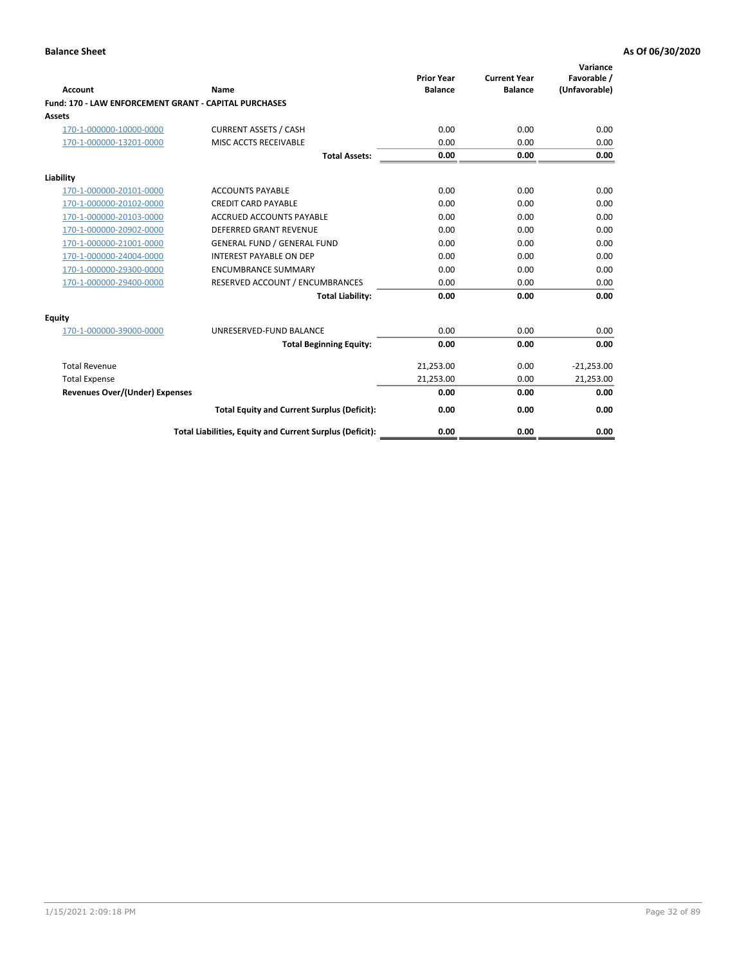| <b>Account</b>                                               | Name                                                     | <b>Prior Year</b><br><b>Balance</b> | <b>Current Year</b><br><b>Balance</b> | Variance<br>Favorable /<br>(Unfavorable) |
|--------------------------------------------------------------|----------------------------------------------------------|-------------------------------------|---------------------------------------|------------------------------------------|
| <b>Fund: 170 - LAW ENFORCEMENT GRANT - CAPITAL PURCHASES</b> |                                                          |                                     |                                       |                                          |
| Assets                                                       |                                                          |                                     |                                       |                                          |
| 170-1-000000-10000-0000                                      | <b>CURRENT ASSETS / CASH</b>                             | 0.00                                | 0.00                                  | 0.00                                     |
| 170-1-000000-13201-0000                                      | MISC ACCTS RECEIVABLE                                    | 0.00                                | 0.00                                  | 0.00                                     |
|                                                              | <b>Total Assets:</b>                                     | 0.00                                | 0.00                                  | 0.00                                     |
| Liability                                                    |                                                          |                                     |                                       |                                          |
| 170-1-000000-20101-0000                                      | <b>ACCOUNTS PAYABLE</b>                                  | 0.00                                | 0.00                                  | 0.00                                     |
| 170-1-000000-20102-0000                                      | <b>CREDIT CARD PAYABLE</b>                               | 0.00                                | 0.00                                  | 0.00                                     |
| 170-1-000000-20103-0000                                      | <b>ACCRUED ACCOUNTS PAYABLE</b>                          | 0.00                                | 0.00                                  | 0.00                                     |
| 170-1-000000-20902-0000                                      | DEFERRED GRANT REVENUE                                   | 0.00                                | 0.00                                  | 0.00                                     |
| 170-1-000000-21001-0000                                      | <b>GENERAL FUND / GENERAL FUND</b>                       | 0.00                                | 0.00                                  | 0.00                                     |
| 170-1-000000-24004-0000                                      | <b>INTEREST PAYABLE ON DEP</b>                           | 0.00                                | 0.00                                  | 0.00                                     |
| 170-1-000000-29300-0000                                      | <b>ENCUMBRANCE SUMMARY</b>                               | 0.00                                | 0.00                                  | 0.00                                     |
| 170-1-000000-29400-0000                                      | RESERVED ACCOUNT / ENCUMBRANCES                          | 0.00                                | 0.00                                  | 0.00                                     |
|                                                              | <b>Total Liability:</b>                                  | 0.00                                | 0.00                                  | 0.00                                     |
| <b>Equity</b>                                                |                                                          |                                     |                                       |                                          |
| 170-1-000000-39000-0000                                      | UNRESERVED-FUND BALANCE                                  | 0.00                                | 0.00                                  | 0.00                                     |
|                                                              | <b>Total Beginning Equity:</b>                           | 0.00                                | 0.00                                  | 0.00                                     |
| <b>Total Revenue</b>                                         |                                                          | 21,253.00                           | 0.00                                  | $-21,253.00$                             |
| <b>Total Expense</b>                                         |                                                          | 21,253.00                           | 0.00                                  | 21,253.00                                |
| <b>Revenues Over/(Under) Expenses</b>                        |                                                          | 0.00                                | 0.00                                  | 0.00                                     |
|                                                              | <b>Total Equity and Current Surplus (Deficit):</b>       | 0.00                                | 0.00                                  | 0.00                                     |
|                                                              | Total Liabilities, Equity and Current Surplus (Deficit): | 0.00                                | 0.00                                  | 0.00                                     |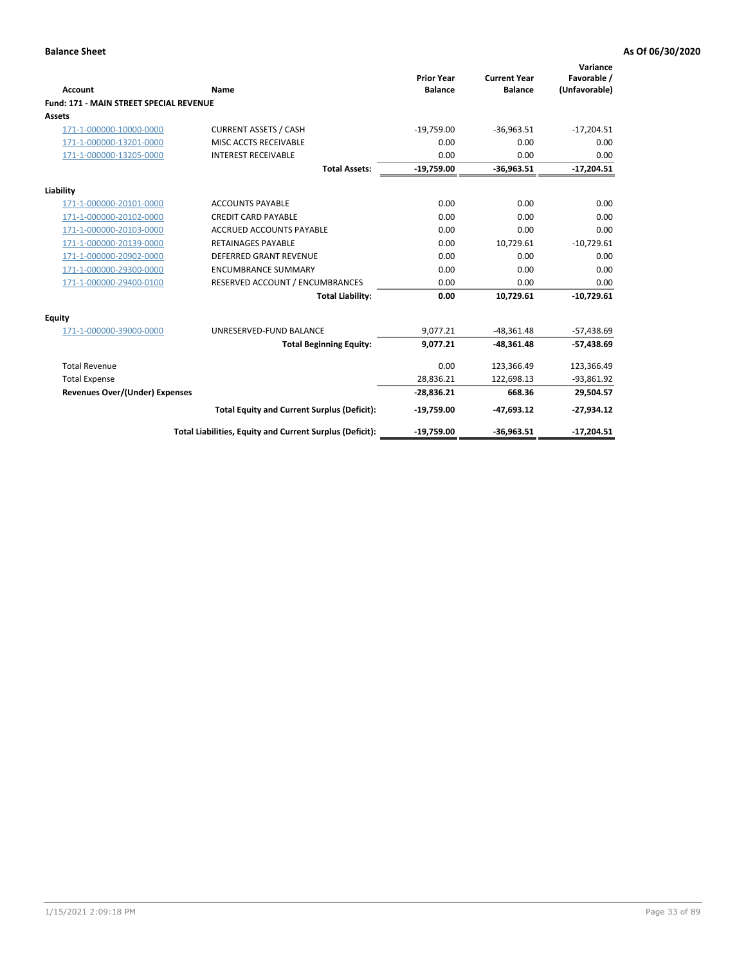| Account                                        | Name                                                     | <b>Prior Year</b><br><b>Balance</b> | <b>Current Year</b><br><b>Balance</b> | Variance<br>Favorable /<br>(Unfavorable) |
|------------------------------------------------|----------------------------------------------------------|-------------------------------------|---------------------------------------|------------------------------------------|
| <b>Fund: 171 - MAIN STREET SPECIAL REVENUE</b> |                                                          |                                     |                                       |                                          |
| Assets                                         |                                                          |                                     |                                       |                                          |
| 171-1-000000-10000-0000                        | <b>CURRENT ASSETS / CASH</b>                             | $-19,759.00$                        | $-36,963.51$                          | $-17,204.51$                             |
| 171-1-000000-13201-0000                        | MISC ACCTS RECEIVABLE                                    | 0.00                                | 0.00                                  | 0.00                                     |
| 171-1-000000-13205-0000                        | <b>INTEREST RECEIVABLE</b>                               | 0.00                                | 0.00                                  | 0.00                                     |
|                                                | <b>Total Assets:</b>                                     | $-19,759.00$                        | $-36,963.51$                          | $-17,204.51$                             |
| Liability                                      |                                                          |                                     |                                       |                                          |
| 171-1-000000-20101-0000                        | <b>ACCOUNTS PAYABLE</b>                                  | 0.00                                | 0.00                                  | 0.00                                     |
| 171-1-000000-20102-0000                        | <b>CREDIT CARD PAYABLE</b>                               | 0.00                                | 0.00                                  | 0.00                                     |
| 171-1-000000-20103-0000                        | <b>ACCRUED ACCOUNTS PAYABLE</b>                          | 0.00                                | 0.00                                  | 0.00                                     |
| 171-1-000000-20139-0000                        | <b>RETAINAGES PAYABLE</b>                                | 0.00                                | 10,729.61                             | $-10,729.61$                             |
| 171-1-000000-20902-0000                        | <b>DEFERRED GRANT REVENUE</b>                            | 0.00                                | 0.00                                  | 0.00                                     |
| 171-1-000000-29300-0000                        | <b>ENCUMBRANCE SUMMARY</b>                               | 0.00                                | 0.00                                  | 0.00                                     |
| 171-1-000000-29400-0100                        | RESERVED ACCOUNT / ENCUMBRANCES                          | 0.00                                | 0.00                                  | 0.00                                     |
|                                                | <b>Total Liability:</b>                                  | 0.00                                | 10,729.61                             | $-10,729.61$                             |
| <b>Equity</b>                                  |                                                          |                                     |                                       |                                          |
| 171-1-000000-39000-0000                        | UNRESERVED-FUND BALANCE                                  | 9,077.21                            | $-48,361.48$                          | $-57,438.69$                             |
|                                                | <b>Total Beginning Equity:</b>                           | 9,077.21                            | $-48,361.48$                          | $-57,438.69$                             |
| <b>Total Revenue</b>                           |                                                          | 0.00                                | 123,366.49                            | 123,366.49                               |
| <b>Total Expense</b>                           |                                                          | 28,836.21                           | 122,698.13                            | $-93,861.92$                             |
| <b>Revenues Over/(Under) Expenses</b>          |                                                          | $-28,836.21$                        | 668.36                                | 29,504.57                                |
|                                                | <b>Total Equity and Current Surplus (Deficit):</b>       | $-19,759.00$                        | $-47,693.12$                          | $-27,934.12$                             |
|                                                | Total Liabilities, Equity and Current Surplus (Deficit): | $-19,759.00$                        | $-36,963.51$                          | $-17,204.51$                             |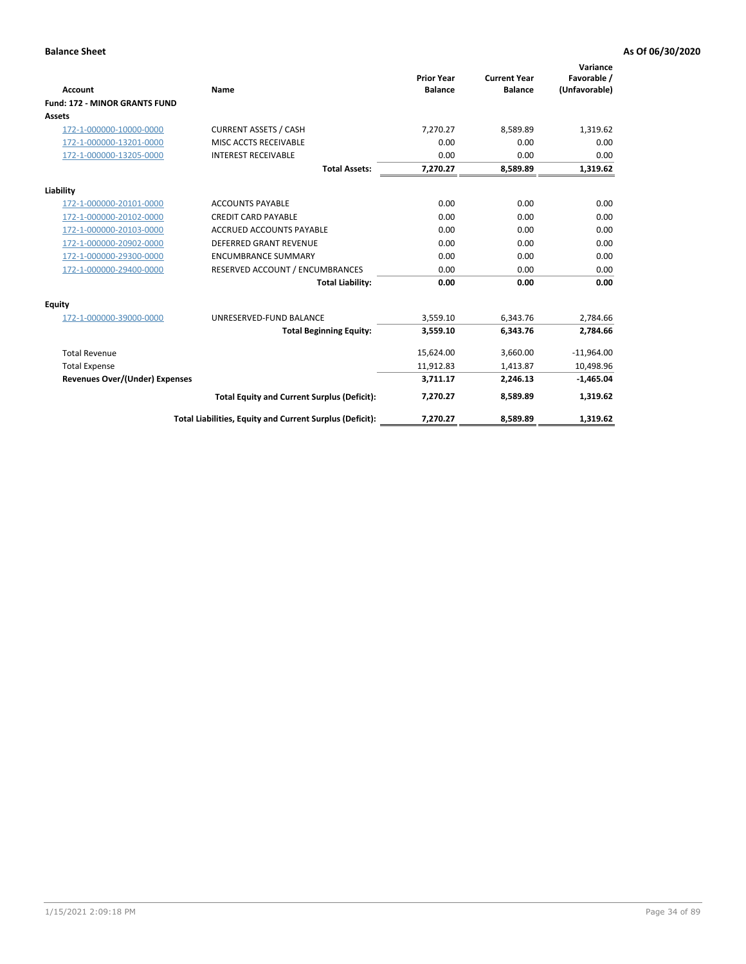|                                       |                                                          | <b>Prior Year</b> | <b>Current Year</b> | Variance<br>Favorable / |
|---------------------------------------|----------------------------------------------------------|-------------------|---------------------|-------------------------|
| <b>Account</b>                        | Name                                                     | <b>Balance</b>    | <b>Balance</b>      | (Unfavorable)           |
| <b>Fund: 172 - MINOR GRANTS FUND</b>  |                                                          |                   |                     |                         |
| <b>Assets</b>                         |                                                          |                   |                     |                         |
| 172-1-000000-10000-0000               | <b>CURRENT ASSETS / CASH</b>                             | 7,270.27          | 8,589.89            | 1,319.62                |
| 172-1-000000-13201-0000               | MISC ACCTS RECEIVABLE                                    | 0.00              | 0.00                | 0.00                    |
| 172-1-000000-13205-0000               | <b>INTEREST RECEIVABLE</b>                               | 0.00              | 0.00                | 0.00                    |
|                                       | <b>Total Assets:</b>                                     | 7,270.27          | 8,589.89            | 1,319.62                |
| Liability                             |                                                          |                   |                     |                         |
| 172-1-000000-20101-0000               | <b>ACCOUNTS PAYABLE</b>                                  | 0.00              | 0.00                | 0.00                    |
| 172-1-000000-20102-0000               | <b>CREDIT CARD PAYABLE</b>                               | 0.00              | 0.00                | 0.00                    |
| 172-1-000000-20103-0000               | <b>ACCRUED ACCOUNTS PAYABLE</b>                          | 0.00              | 0.00                | 0.00                    |
| 172-1-000000-20902-0000               | DEFERRED GRANT REVENUE                                   | 0.00              | 0.00                | 0.00                    |
| 172-1-000000-29300-0000               | <b>ENCUMBRANCE SUMMARY</b>                               | 0.00              | 0.00                | 0.00                    |
| 172-1-000000-29400-0000               | RESERVED ACCOUNT / ENCUMBRANCES                          | 0.00              | 0.00                | 0.00                    |
|                                       | <b>Total Liability:</b>                                  | 0.00              | 0.00                | 0.00                    |
| Equity                                |                                                          |                   |                     |                         |
| 172-1-000000-39000-0000               | UNRESERVED-FUND BALANCE                                  | 3,559.10          | 6,343.76            | 2,784.66                |
|                                       | <b>Total Beginning Equity:</b>                           | 3,559.10          | 6,343.76            | 2,784.66                |
| <b>Total Revenue</b>                  |                                                          | 15,624.00         | 3,660.00            | $-11,964.00$            |
| <b>Total Expense</b>                  |                                                          | 11,912.83         | 1,413.87            | 10,498.96               |
| <b>Revenues Over/(Under) Expenses</b> |                                                          | 3,711.17          | 2,246.13            | $-1,465.04$             |
|                                       | <b>Total Equity and Current Surplus (Deficit):</b>       | 7,270.27          | 8,589.89            | 1,319.62                |
|                                       | Total Liabilities, Equity and Current Surplus (Deficit): | 7,270.27          | 8,589.89            | 1,319.62                |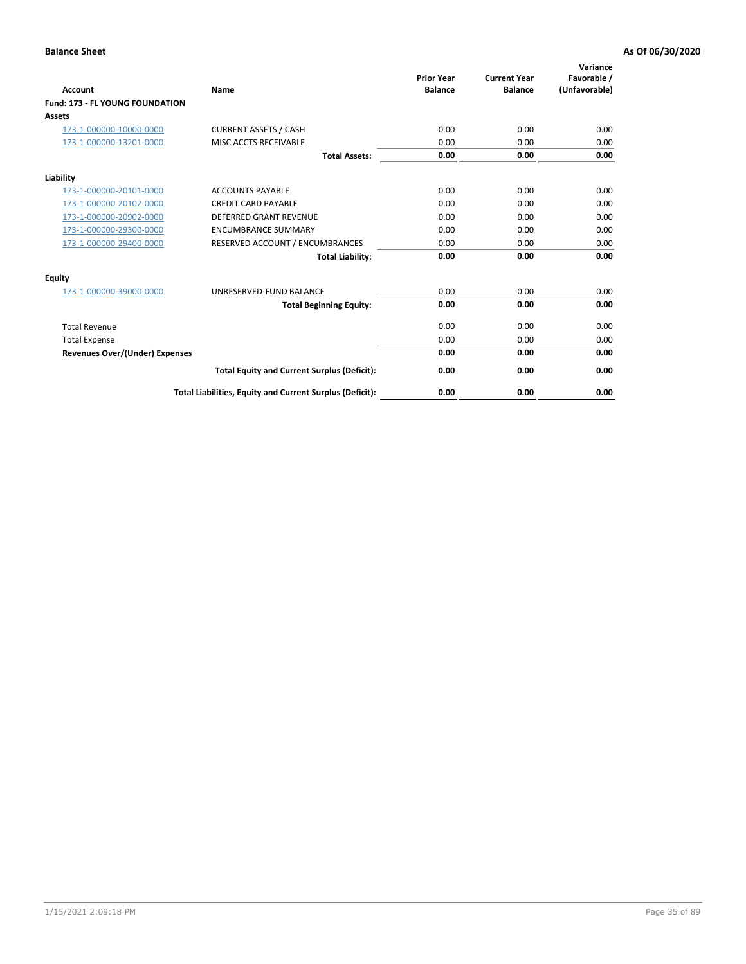| <b>Account</b>                         | <b>Name</b>                                              | <b>Prior Year</b><br><b>Balance</b> | <b>Current Year</b><br><b>Balance</b> | Variance<br>Favorable /<br>(Unfavorable) |
|----------------------------------------|----------------------------------------------------------|-------------------------------------|---------------------------------------|------------------------------------------|
| <b>Fund: 173 - FL YOUNG FOUNDATION</b> |                                                          |                                     |                                       |                                          |
| Assets                                 |                                                          |                                     |                                       |                                          |
| 173-1-000000-10000-0000                | <b>CURRENT ASSETS / CASH</b>                             | 0.00                                | 0.00                                  | 0.00                                     |
| 173-1-000000-13201-0000                | MISC ACCTS RECEIVABLE                                    | 0.00                                | 0.00                                  | 0.00                                     |
|                                        | <b>Total Assets:</b>                                     | 0.00                                | 0.00                                  | 0.00                                     |
| Liability                              |                                                          |                                     |                                       |                                          |
| 173-1-000000-20101-0000                | <b>ACCOUNTS PAYABLE</b>                                  | 0.00                                | 0.00                                  | 0.00                                     |
| 173-1-000000-20102-0000                | <b>CREDIT CARD PAYABLE</b>                               | 0.00                                | 0.00                                  | 0.00                                     |
| 173-1-000000-20902-0000                | <b>DEFERRED GRANT REVENUE</b>                            | 0.00                                | 0.00                                  | 0.00                                     |
| 173-1-000000-29300-0000                | <b>ENCUMBRANCE SUMMARY</b>                               | 0.00                                | 0.00                                  | 0.00                                     |
| 173-1-000000-29400-0000                | RESERVED ACCOUNT / ENCUMBRANCES                          | 0.00                                | 0.00                                  | 0.00                                     |
|                                        | <b>Total Liability:</b>                                  | 0.00                                | 0.00                                  | 0.00                                     |
| Equity                                 |                                                          |                                     |                                       |                                          |
| 173-1-000000-39000-0000                | UNRESERVED-FUND BALANCE                                  | 0.00                                | 0.00                                  | 0.00                                     |
|                                        | <b>Total Beginning Equity:</b>                           | 0.00                                | 0.00                                  | 0.00                                     |
| <b>Total Revenue</b>                   |                                                          | 0.00                                | 0.00                                  | 0.00                                     |
| <b>Total Expense</b>                   |                                                          | 0.00                                | 0.00                                  | 0.00                                     |
| <b>Revenues Over/(Under) Expenses</b>  |                                                          | 0.00                                | 0.00                                  | 0.00                                     |
|                                        | <b>Total Equity and Current Surplus (Deficit):</b>       | 0.00                                | 0.00                                  | 0.00                                     |
|                                        | Total Liabilities, Equity and Current Surplus (Deficit): | 0.00                                | 0.00                                  | 0.00                                     |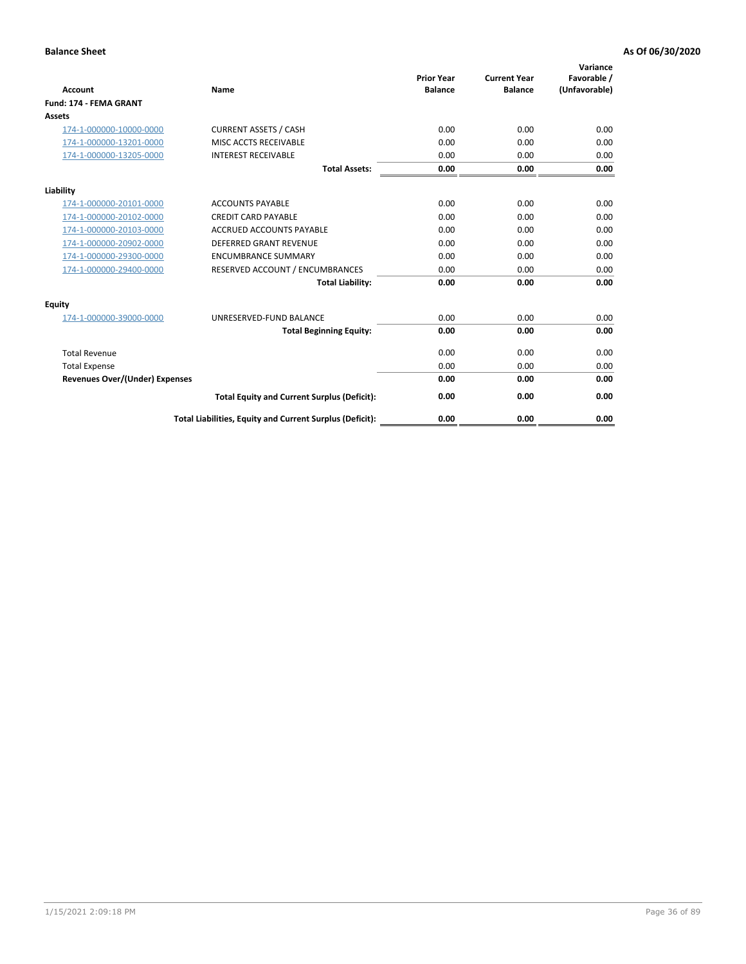| <b>Account</b>                        | Name                                                     | <b>Prior Year</b><br><b>Balance</b> | <b>Current Year</b><br><b>Balance</b> | Variance<br>Favorable /<br>(Unfavorable) |
|---------------------------------------|----------------------------------------------------------|-------------------------------------|---------------------------------------|------------------------------------------|
| <b>Fund: 174 - FEMA GRANT</b>         |                                                          |                                     |                                       |                                          |
| Assets                                |                                                          |                                     |                                       |                                          |
| 174-1-000000-10000-0000               | <b>CURRENT ASSETS / CASH</b>                             | 0.00                                | 0.00                                  | 0.00                                     |
| 174-1-000000-13201-0000               | MISC ACCTS RECEIVABLE                                    | 0.00                                | 0.00                                  | 0.00                                     |
| 174-1-000000-13205-0000               | <b>INTEREST RECEIVABLE</b>                               | 0.00                                | 0.00                                  | 0.00                                     |
|                                       | <b>Total Assets:</b>                                     | 0.00                                | 0.00                                  | 0.00                                     |
| Liability                             |                                                          |                                     |                                       |                                          |
| 174-1-000000-20101-0000               | <b>ACCOUNTS PAYABLE</b>                                  | 0.00                                | 0.00                                  | 0.00                                     |
| 174-1-000000-20102-0000               | <b>CREDIT CARD PAYABLE</b>                               | 0.00                                | 0.00                                  | 0.00                                     |
| 174-1-000000-20103-0000               | <b>ACCRUED ACCOUNTS PAYABLE</b>                          | 0.00                                | 0.00                                  | 0.00                                     |
| 174-1-000000-20902-0000               | <b>DEFERRED GRANT REVENUE</b>                            | 0.00                                | 0.00                                  | 0.00                                     |
| 174-1-000000-29300-0000               | <b>ENCUMBRANCE SUMMARY</b>                               | 0.00                                | 0.00                                  | 0.00                                     |
| 174-1-000000-29400-0000               | RESERVED ACCOUNT / ENCUMBRANCES                          | 0.00                                | 0.00                                  | 0.00                                     |
|                                       | <b>Total Liability:</b>                                  | 0.00                                | 0.00                                  | 0.00                                     |
| Equity                                |                                                          |                                     |                                       |                                          |
| 174-1-000000-39000-0000               | UNRESERVED-FUND BALANCE                                  | 0.00                                | 0.00                                  | 0.00                                     |
|                                       | <b>Total Beginning Equity:</b>                           | 0.00                                | 0.00                                  | 0.00                                     |
| <b>Total Revenue</b>                  |                                                          | 0.00                                | 0.00                                  | 0.00                                     |
| <b>Total Expense</b>                  |                                                          | 0.00                                | 0.00                                  | 0.00                                     |
| <b>Revenues Over/(Under) Expenses</b> |                                                          | 0.00                                | 0.00                                  | 0.00                                     |
|                                       | <b>Total Equity and Current Surplus (Deficit):</b>       | 0.00                                | 0.00                                  | 0.00                                     |
|                                       | Total Liabilities, Equity and Current Surplus (Deficit): | 0.00                                | 0.00                                  | 0.00                                     |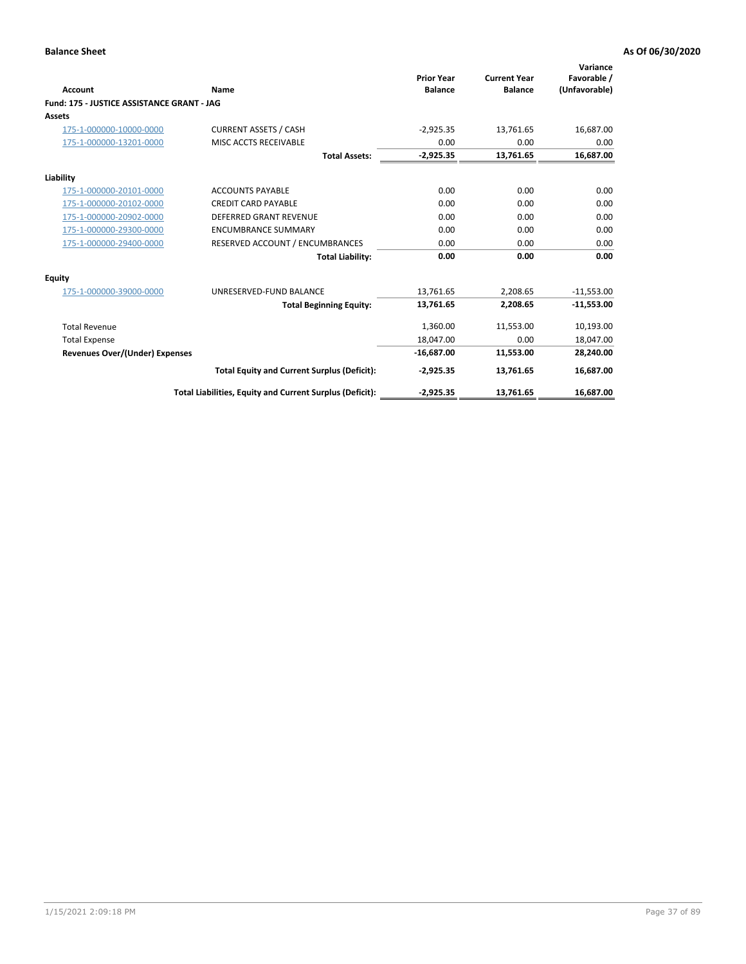| <b>Account</b>                             | Name                                                     | <b>Prior Year</b><br><b>Balance</b> | <b>Current Year</b><br><b>Balance</b> | Variance<br>Favorable /<br>(Unfavorable) |
|--------------------------------------------|----------------------------------------------------------|-------------------------------------|---------------------------------------|------------------------------------------|
| Fund: 175 - JUSTICE ASSISTANCE GRANT - JAG |                                                          |                                     |                                       |                                          |
| <b>Assets</b>                              |                                                          |                                     |                                       |                                          |
| 175-1-000000-10000-0000                    | <b>CURRENT ASSETS / CASH</b>                             | $-2,925.35$                         | 13,761.65                             | 16,687.00                                |
| 175-1-000000-13201-0000                    | MISC ACCTS RECEIVABLE                                    | 0.00                                | 0.00                                  | 0.00                                     |
|                                            | <b>Total Assets:</b>                                     | $-2,925.35$                         | 13,761.65                             | 16,687.00                                |
| Liability                                  |                                                          |                                     |                                       |                                          |
| 175-1-000000-20101-0000                    | <b>ACCOUNTS PAYABLE</b>                                  | 0.00                                | 0.00                                  | 0.00                                     |
| 175-1-000000-20102-0000                    | <b>CREDIT CARD PAYABLE</b>                               | 0.00                                | 0.00                                  | 0.00                                     |
| 175-1-000000-20902-0000                    | <b>DEFERRED GRANT REVENUE</b>                            | 0.00                                | 0.00                                  | 0.00                                     |
| 175-1-000000-29300-0000                    | <b>ENCUMBRANCE SUMMARY</b>                               | 0.00                                | 0.00                                  | 0.00                                     |
| 175-1-000000-29400-0000                    | RESERVED ACCOUNT / ENCUMBRANCES                          | 0.00                                | 0.00                                  | 0.00                                     |
|                                            | <b>Total Liability:</b>                                  | 0.00                                | 0.00                                  | 0.00                                     |
| Equity                                     |                                                          |                                     |                                       |                                          |
| 175-1-000000-39000-0000                    | UNRESERVED-FUND BALANCE                                  | 13,761.65                           | 2,208.65                              | $-11,553.00$                             |
|                                            | <b>Total Beginning Equity:</b>                           | 13,761.65                           | 2,208.65                              | $-11,553.00$                             |
| <b>Total Revenue</b>                       |                                                          | 1.360.00                            | 11,553.00                             | 10,193.00                                |
| <b>Total Expense</b>                       |                                                          | 18,047.00                           | 0.00                                  | 18,047.00                                |
| <b>Revenues Over/(Under) Expenses</b>      |                                                          | $-16,687.00$                        | 11,553.00                             | 28,240.00                                |
|                                            | <b>Total Equity and Current Surplus (Deficit):</b>       | $-2,925.35$                         | 13,761.65                             | 16,687.00                                |
|                                            | Total Liabilities, Equity and Current Surplus (Deficit): | $-2,925.35$                         | 13,761.65                             | 16,687.00                                |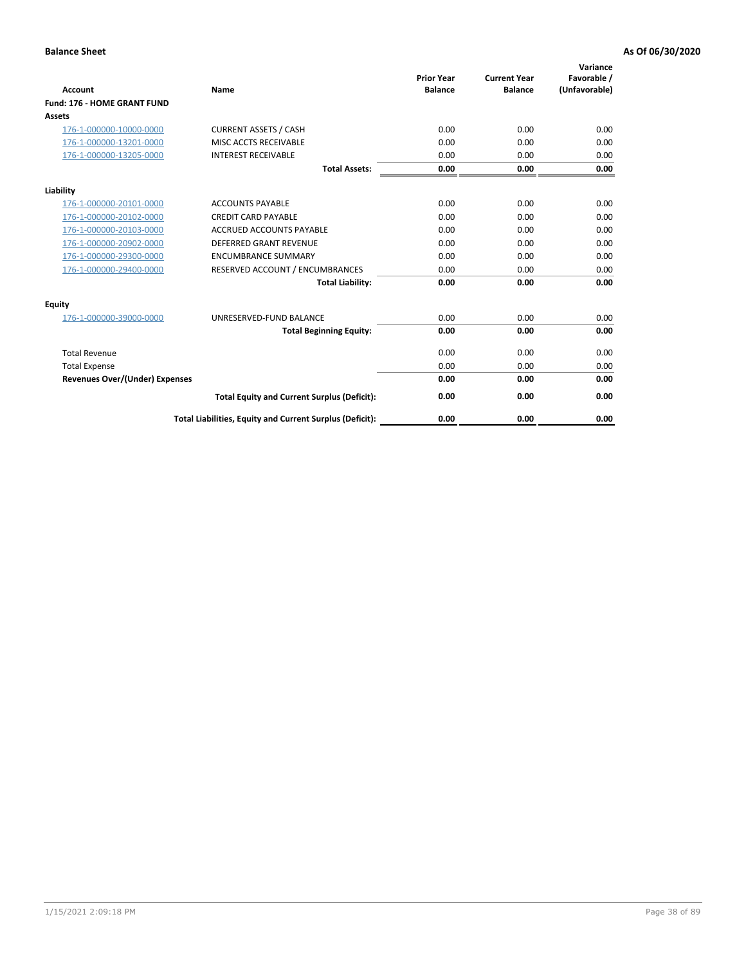| <b>Account</b>                        | Name                                                     | <b>Prior Year</b><br><b>Balance</b> | <b>Current Year</b><br><b>Balance</b> | Variance<br>Favorable /<br>(Unfavorable) |
|---------------------------------------|----------------------------------------------------------|-------------------------------------|---------------------------------------|------------------------------------------|
| Fund: 176 - HOME GRANT FUND           |                                                          |                                     |                                       |                                          |
| Assets                                |                                                          |                                     |                                       |                                          |
| 176-1-000000-10000-0000               | <b>CURRENT ASSETS / CASH</b>                             | 0.00                                | 0.00                                  | 0.00                                     |
| 176-1-000000-13201-0000               | MISC ACCTS RECEIVABLE                                    | 0.00                                | 0.00                                  | 0.00                                     |
| 176-1-000000-13205-0000               | <b>INTEREST RECEIVABLE</b>                               | 0.00                                | 0.00                                  | 0.00                                     |
|                                       | <b>Total Assets:</b>                                     | 0.00                                | 0.00                                  | 0.00                                     |
| Liability                             |                                                          |                                     |                                       |                                          |
| 176-1-000000-20101-0000               | <b>ACCOUNTS PAYABLE</b>                                  | 0.00                                | 0.00                                  | 0.00                                     |
| 176-1-000000-20102-0000               | <b>CREDIT CARD PAYABLE</b>                               | 0.00                                | 0.00                                  | 0.00                                     |
| 176-1-000000-20103-0000               | <b>ACCRUED ACCOUNTS PAYABLE</b>                          | 0.00                                | 0.00                                  | 0.00                                     |
| 176-1-000000-20902-0000               | <b>DEFERRED GRANT REVENUE</b>                            | 0.00                                | 0.00                                  | 0.00                                     |
| 176-1-000000-29300-0000               | <b>ENCUMBRANCE SUMMARY</b>                               | 0.00                                | 0.00                                  | 0.00                                     |
| 176-1-000000-29400-0000               | RESERVED ACCOUNT / ENCUMBRANCES                          | 0.00                                | 0.00                                  | 0.00                                     |
|                                       | <b>Total Liability:</b>                                  | 0.00                                | 0.00                                  | 0.00                                     |
| <b>Equity</b>                         |                                                          |                                     |                                       |                                          |
| 176-1-000000-39000-0000               | UNRESERVED-FUND BALANCE                                  | 0.00                                | 0.00                                  | 0.00                                     |
|                                       | <b>Total Beginning Equity:</b>                           | 0.00                                | 0.00                                  | 0.00                                     |
| <b>Total Revenue</b>                  |                                                          | 0.00                                | 0.00                                  | 0.00                                     |
| <b>Total Expense</b>                  |                                                          | 0.00                                | 0.00                                  | 0.00                                     |
| <b>Revenues Over/(Under) Expenses</b> |                                                          | 0.00                                | 0.00                                  | 0.00                                     |
|                                       | <b>Total Equity and Current Surplus (Deficit):</b>       | 0.00                                | 0.00                                  | 0.00                                     |
|                                       | Total Liabilities, Equity and Current Surplus (Deficit): | 0.00                                | 0.00                                  | 0.00                                     |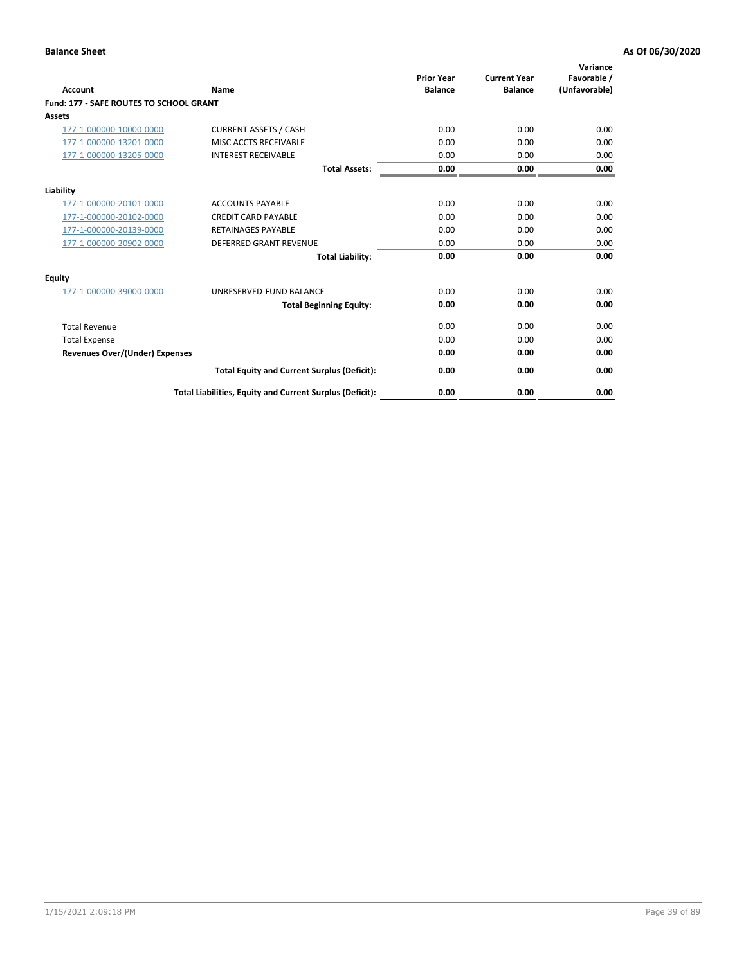| Account                                        | Name                                                     | <b>Prior Year</b><br><b>Balance</b> | <b>Current Year</b><br><b>Balance</b> | Variance<br>Favorable /<br>(Unfavorable) |
|------------------------------------------------|----------------------------------------------------------|-------------------------------------|---------------------------------------|------------------------------------------|
| <b>Fund: 177 - SAFE ROUTES TO SCHOOL GRANT</b> |                                                          |                                     |                                       |                                          |
| <b>Assets</b>                                  |                                                          |                                     |                                       |                                          |
| 177-1-000000-10000-0000                        | <b>CURRENT ASSETS / CASH</b>                             | 0.00                                | 0.00                                  | 0.00                                     |
| 177-1-000000-13201-0000                        | MISC ACCTS RECEIVABLE                                    | 0.00                                | 0.00                                  | 0.00                                     |
| 177-1-000000-13205-0000                        | <b>INTEREST RECEIVABLE</b>                               | 0.00                                | 0.00                                  | 0.00                                     |
|                                                | <b>Total Assets:</b>                                     | 0.00                                | 0.00                                  | 0.00                                     |
| Liability                                      |                                                          |                                     |                                       |                                          |
| 177-1-000000-20101-0000                        | <b>ACCOUNTS PAYABLE</b>                                  | 0.00                                | 0.00                                  | 0.00                                     |
| 177-1-000000-20102-0000                        | <b>CREDIT CARD PAYABLE</b>                               | 0.00                                | 0.00                                  | 0.00                                     |
| 177-1-000000-20139-0000                        | <b>RETAINAGES PAYABLE</b>                                | 0.00                                | 0.00                                  | 0.00                                     |
| 177-1-000000-20902-0000                        | <b>DEFERRED GRANT REVENUE</b>                            | 0.00                                | 0.00                                  | 0.00                                     |
|                                                | <b>Total Liability:</b>                                  | 0.00                                | 0.00                                  | 0.00                                     |
| Equity                                         |                                                          |                                     |                                       |                                          |
| 177-1-000000-39000-0000                        | UNRESERVED-FUND BALANCE                                  | 0.00                                | 0.00                                  | 0.00                                     |
|                                                | <b>Total Beginning Equity:</b>                           | 0.00                                | 0.00                                  | 0.00                                     |
| <b>Total Revenue</b>                           |                                                          | 0.00                                | 0.00                                  | 0.00                                     |
| <b>Total Expense</b>                           |                                                          | 0.00                                | 0.00                                  | 0.00                                     |
| Revenues Over/(Under) Expenses                 |                                                          | 0.00                                | 0.00                                  | 0.00                                     |
|                                                | <b>Total Equity and Current Surplus (Deficit):</b>       | 0.00                                | 0.00                                  | 0.00                                     |
|                                                | Total Liabilities, Equity and Current Surplus (Deficit): | 0.00                                | 0.00                                  | 0.00                                     |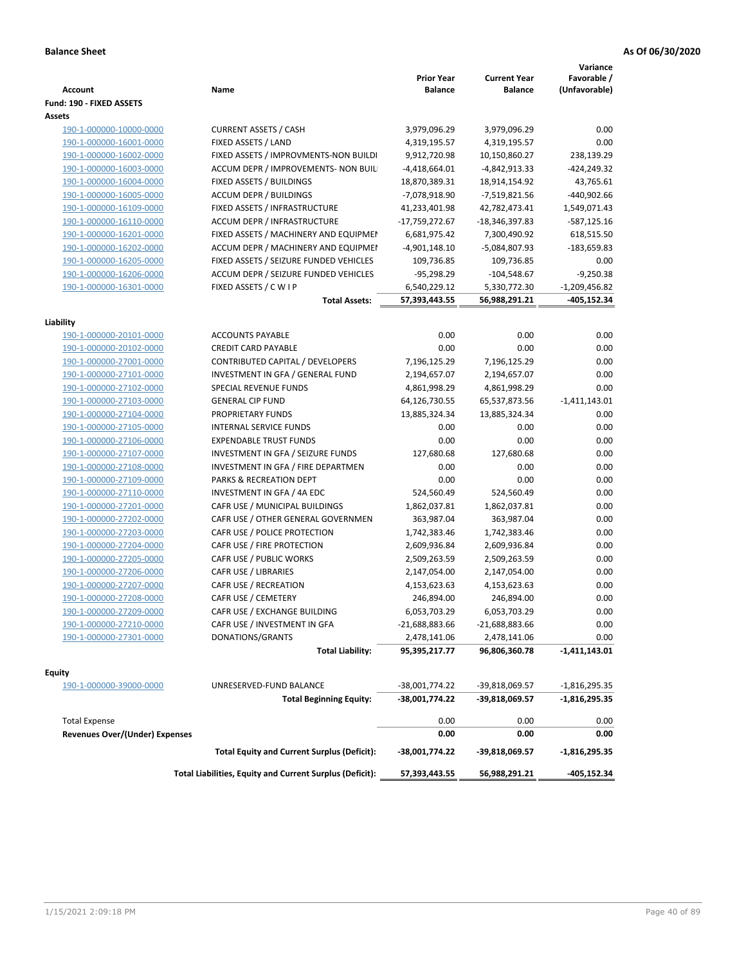| <b>Account</b>                                     | Name                                                     | <b>Prior Year</b><br><b>Balance</b> | <b>Current Year</b><br><b>Balance</b> | Variance<br>Favorable /<br>(Unfavorable) |
|----------------------------------------------------|----------------------------------------------------------|-------------------------------------|---------------------------------------|------------------------------------------|
| Fund: 190 - FIXED ASSETS<br>Assets                 |                                                          |                                     |                                       |                                          |
| 190-1-000000-10000-0000                            | <b>CURRENT ASSETS / CASH</b>                             | 3,979,096.29                        | 3,979,096.29                          | 0.00                                     |
| 190-1-000000-16001-0000                            | FIXED ASSETS / LAND                                      | 4,319,195.57                        | 4,319,195.57                          | 0.00                                     |
| 190-1-000000-16002-0000                            | FIXED ASSETS / IMPROVMENTS-NON BUILDI                    | 9,912,720.98                        | 10,150,860.27                         | 238,139.29                               |
| 190-1-000000-16003-0000                            | ACCUM DEPR / IMPROVEMENTS- NON BUIL                      | $-4,418,664.01$                     | -4,842,913.33                         | $-424,249.32$                            |
| 190-1-000000-16004-0000                            | FIXED ASSETS / BUILDINGS                                 | 18,870,389.31                       | 18,914,154.92                         | 43,765.61                                |
| 190-1-000000-16005-0000                            | <b>ACCUM DEPR / BUILDINGS</b>                            | -7,078,918.90                       | -7,519,821.56                         | -440,902.66                              |
| 190-1-000000-16109-0000                            | FIXED ASSETS / INFRASTRUCTURE                            | 41,233,401.98                       | 42,782,473.41                         | 1,549,071.43                             |
| 190-1-000000-16110-0000                            | ACCUM DEPR / INFRASTRUCTURE                              | -17,759,272.67                      | -18,346,397.83                        | -587,125.16                              |
| 190-1-000000-16201-0000                            | FIXED ASSETS / MACHINERY AND EQUIPMEN                    | 6,681,975.42                        | 7,300,490.92                          | 618,515.50                               |
| 190-1-000000-16202-0000                            | ACCUM DEPR / MACHINERY AND EQUIPMEI                      | $-4,901,148.10$                     | -5,084,807.93                         | -183,659.83                              |
| 190-1-000000-16205-0000                            | FIXED ASSETS / SEIZURE FUNDED VEHICLES                   | 109,736.85                          | 109,736.85                            | 0.00                                     |
| 190-1-000000-16206-0000                            | ACCUM DEPR / SEIZURE FUNDED VEHICLES                     | $-95,298.29$                        | $-104,548.67$                         | $-9,250.38$                              |
| 190-1-000000-16301-0000                            | FIXED ASSETS / C W I P                                   | 6,540,229.12                        | 5,330,772.30                          | $-1,209,456.82$                          |
|                                                    | <b>Total Assets:</b>                                     | 57,393,443.55                       | 56,988,291.21                         | -405,152.34                              |
|                                                    |                                                          |                                     |                                       |                                          |
| Liability                                          |                                                          |                                     |                                       |                                          |
| 190-1-000000-20101-0000<br>190-1-000000-20102-0000 | <b>ACCOUNTS PAYABLE</b>                                  | 0.00                                | 0.00                                  | 0.00                                     |
|                                                    | <b>CREDIT CARD PAYABLE</b>                               | 0.00                                | 0.00                                  | 0.00                                     |
| 190-1-000000-27001-0000                            | CONTRIBUTED CAPITAL / DEVELOPERS                         | 7,196,125.29                        | 7,196,125.29                          | 0.00                                     |
| 190-1-000000-27101-0000                            | INVESTMENT IN GFA / GENERAL FUND                         | 2,194,657.07                        | 2,194,657.07                          | 0.00                                     |
| 190-1-000000-27102-0000                            | SPECIAL REVENUE FUNDS                                    | 4,861,998.29                        | 4,861,998.29                          | 0.00                                     |
| 190-1-000000-27103-0000                            | <b>GENERAL CIP FUND</b>                                  | 64,126,730.55                       | 65,537,873.56                         | $-1,411,143.01$                          |
| 190-1-000000-27104-0000                            | PROPRIETARY FUNDS                                        | 13,885,324.34                       | 13,885,324.34                         | 0.00                                     |
| 190-1-000000-27105-0000                            | INTERNAL SERVICE FUNDS                                   | 0.00                                | 0.00                                  | 0.00                                     |
| 190-1-000000-27106-0000                            | <b>EXPENDABLE TRUST FUNDS</b>                            | 0.00                                | 0.00                                  | 0.00                                     |
| 190-1-000000-27107-0000                            | INVESTMENT IN GFA / SEIZURE FUNDS                        | 127,680.68                          | 127,680.68                            | 0.00                                     |
| 190-1-000000-27108-0000                            | INVESTMENT IN GFA / FIRE DEPARTMEN                       | 0.00                                | 0.00                                  | 0.00                                     |
| 190-1-000000-27109-0000                            | PARKS & RECREATION DEPT                                  | 0.00                                | 0.00                                  | 0.00                                     |
| 190-1-000000-27110-0000                            | INVESTMENT IN GFA / 4A EDC                               | 524,560.49                          | 524,560.49                            | 0.00                                     |
| 190-1-000000-27201-0000                            | CAFR USE / MUNICIPAL BUILDINGS                           | 1,862,037.81                        | 1,862,037.81                          | 0.00                                     |
| 190-1-000000-27202-0000                            | CAFR USE / OTHER GENERAL GOVERNMEN                       | 363,987.04                          | 363,987.04                            | 0.00                                     |
| 190-1-000000-27203-0000                            | CAFR USE / POLICE PROTECTION                             | 1,742,383.46                        | 1,742,383.46                          | 0.00                                     |
| 190-1-000000-27204-0000                            | CAFR USE / FIRE PROTECTION                               | 2,609,936.84                        | 2,609,936.84                          | 0.00                                     |
| 190-1-000000-27205-0000                            | CAFR USE / PUBLIC WORKS                                  | 2,509,263.59                        | 2,509,263.59                          | 0.00                                     |
| 190-1-000000-27206-0000                            | CAFR USE / LIBRARIES                                     | 2,147,054.00                        | 2,147,054.00                          | 0.00                                     |
| 190-1-000000-27207-0000                            | CAFR USE / RECREATION<br>CAFR USE / CEMETERY             | 4,153,623.63                        | 4,153,623.63                          | 0.00                                     |
| 190-1-000000-27208-0000<br>190-1-000000-27209-0000 |                                                          | 246,894.00                          | 246,894.00                            | 0.00                                     |
|                                                    | CAFR USE / EXCHANGE BUILDING                             | 6,053,703.29                        | 6,053,703.29                          | 0.00                                     |
| 190-1-000000-27210-0000                            | CAFR USE / INVESTMENT IN GFA                             | -21,688,883.66                      | $-21,688,883.66$                      | 0.00                                     |
| 190-1-000000-27301-0000                            | DONATIONS/GRANTS<br><b>Total Liability:</b>              | 2,478,141.06<br>95,395,217.77       | 2,478,141.06<br>96,806,360.78         | 0.00<br>-1,411,143.01                    |
|                                                    |                                                          |                                     |                                       |                                          |
| <b>Equity</b>                                      |                                                          |                                     |                                       |                                          |
| 190-1-000000-39000-0000                            | UNRESERVED-FUND BALANCE                                  | -38,001,774.22                      | -39,818,069.57                        | $-1,816,295.35$                          |
|                                                    | <b>Total Beginning Equity:</b>                           | -38,001,774.22                      | -39,818,069.57                        | $-1,816,295.35$                          |
| <b>Total Expense</b>                               |                                                          | 0.00                                | 0.00                                  | 0.00                                     |
| <b>Revenues Over/(Under) Expenses</b>              |                                                          | 0.00                                | 0.00                                  | 0.00                                     |
|                                                    | <b>Total Equity and Current Surplus (Deficit):</b>       | -38,001,774.22                      | -39,818,069.57                        | $-1,816,295.35$                          |
|                                                    | Total Liabilities, Equity and Current Surplus (Deficit): | 57,393,443.55                       | 56,988,291.21                         | -405,152.34                              |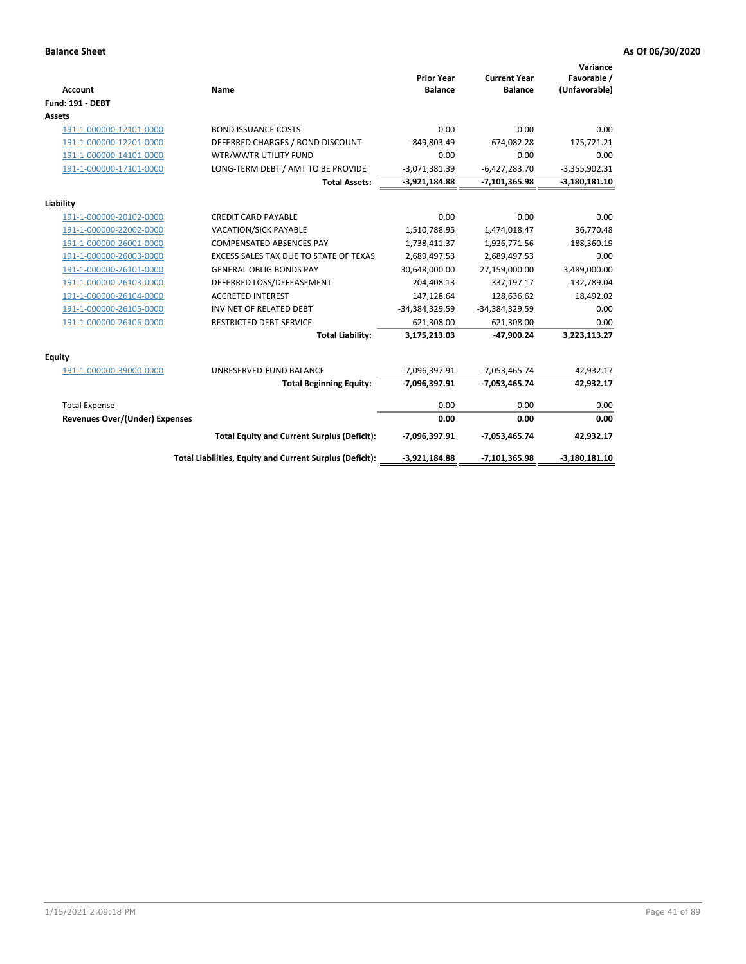| <b>Account</b>                 | Name                                                     | <b>Prior Year</b><br><b>Balance</b> | <b>Current Year</b><br><b>Balance</b> | Variance<br>Favorable /<br>(Unfavorable) |
|--------------------------------|----------------------------------------------------------|-------------------------------------|---------------------------------------|------------------------------------------|
| <b>Fund: 191 - DEBT</b>        |                                                          |                                     |                                       |                                          |
| <b>Assets</b>                  |                                                          |                                     |                                       |                                          |
| 191-1-000000-12101-0000        | <b>BOND ISSUANCE COSTS</b>                               | 0.00                                | 0.00                                  | 0.00                                     |
| 191-1-000000-12201-0000        | DEFERRED CHARGES / BOND DISCOUNT                         | $-849,803.49$                       | $-674,082.28$                         | 175,721.21                               |
| 191-1-000000-14101-0000        | WTR/WWTR UTILITY FUND                                    | 0.00                                | 0.00                                  | 0.00                                     |
| 191-1-000000-17101-0000        | LONG-TERM DEBT / AMT TO BE PROVIDE                       | $-3,071,381.39$                     | $-6,427,283.70$                       | $-3,355,902.31$                          |
|                                | <b>Total Assets:</b>                                     | $-3,921,184.88$                     | -7,101,365.98                         | $-3,180,181.10$                          |
| Liability                      |                                                          |                                     |                                       |                                          |
| 191-1-000000-20102-0000        | <b>CREDIT CARD PAYABLE</b>                               | 0.00                                | 0.00                                  | 0.00                                     |
| 191-1-000000-22002-0000        | <b>VACATION/SICK PAYABLE</b>                             | 1,510,788.95                        | 1,474,018.47                          | 36,770.48                                |
| 191-1-000000-26001-0000        | <b>COMPENSATED ABSENCES PAY</b>                          | 1,738,411.37                        | 1,926,771.56                          | $-188,360.19$                            |
| 191-1-000000-26003-0000        | EXCESS SALES TAX DUE TO STATE OF TEXAS                   | 2,689,497.53                        | 2,689,497.53                          | 0.00                                     |
| 191-1-000000-26101-0000        | <b>GENERAL OBLIG BONDS PAY</b>                           | 30,648,000.00                       | 27,159,000.00                         | 3,489,000.00                             |
| 191-1-000000-26103-0000        | DEFERRED LOSS/DEFEASEMENT                                | 204,408.13                          | 337,197.17                            | $-132,789.04$                            |
| 191-1-000000-26104-0000        | <b>ACCRETED INTEREST</b>                                 | 147,128.64                          | 128,636.62                            | 18,492.02                                |
| 191-1-000000-26105-0000        | INV NET OF RELATED DEBT                                  | -34,384,329.59                      | -34,384,329.59                        | 0.00                                     |
| 191-1-000000-26106-0000        | <b>RESTRICTED DEBT SERVICE</b>                           | 621,308.00                          | 621,308.00                            | 0.00                                     |
|                                | <b>Total Liability:</b>                                  | 3,175,213.03                        | -47,900.24                            | 3,223,113.27                             |
| Equity                         |                                                          |                                     |                                       |                                          |
| 191-1-000000-39000-0000        | UNRESERVED-FUND BALANCE                                  | -7,096,397.91                       | $-7,053,465.74$                       | 42,932.17                                |
|                                | <b>Total Beginning Equity:</b>                           | $-7,096,397.91$                     | -7,053,465.74                         | 42,932.17                                |
| <b>Total Expense</b>           |                                                          | 0.00                                | 0.00                                  | 0.00                                     |
| Revenues Over/(Under) Expenses |                                                          | 0.00                                | 0.00                                  | 0.00                                     |
|                                | <b>Total Equity and Current Surplus (Deficit):</b>       | -7,096,397.91                       | $-7,053,465.74$                       | 42,932.17                                |
|                                | Total Liabilities, Equity and Current Surplus (Deficit): | $-3,921,184.88$                     | -7,101,365.98                         | $-3,180,181.10$                          |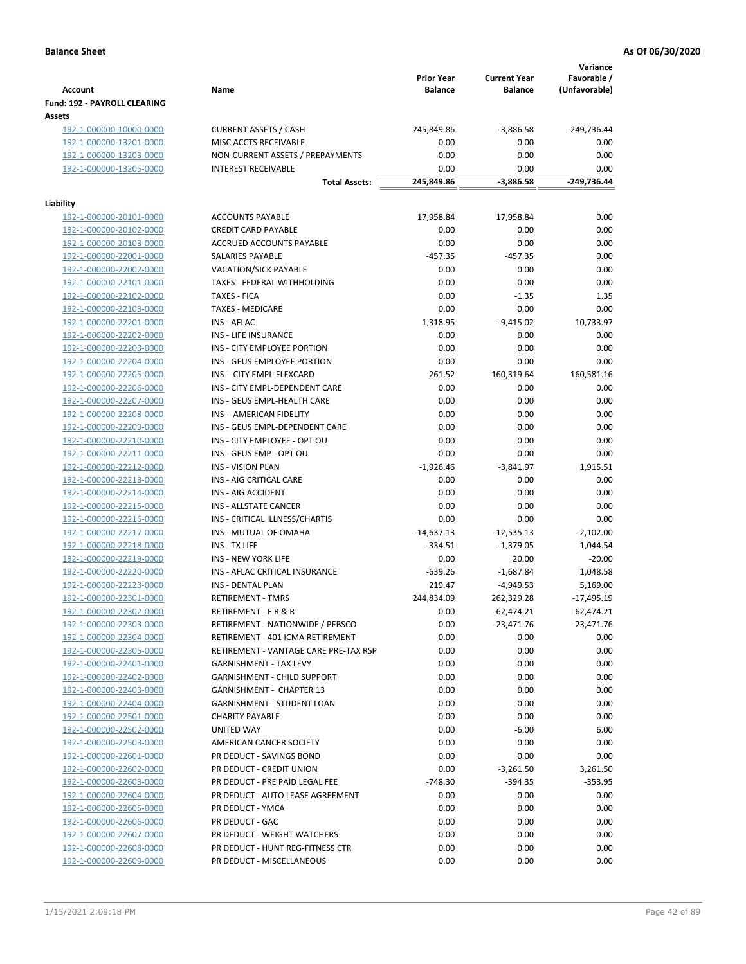| <b>Account</b>                                     | Name                                  | <b>Prior Year</b><br><b>Balance</b> | <b>Current Year</b><br><b>Balance</b> | Variance<br>Favorable /<br>(Unfavorable) |
|----------------------------------------------------|---------------------------------------|-------------------------------------|---------------------------------------|------------------------------------------|
| Fund: 192 - PAYROLL CLEARING<br>Assets             |                                       |                                     |                                       |                                          |
| 192-1-000000-10000-0000                            | <b>CURRENT ASSETS / CASH</b>          | 245,849.86                          | $-3,886.58$                           | -249,736.44                              |
| 192-1-000000-13201-0000                            | MISC ACCTS RECEIVABLE                 | 0.00                                | 0.00                                  | 0.00                                     |
| 192-1-000000-13203-0000                            | NON-CURRENT ASSETS / PREPAYMENTS      | 0.00                                | 0.00                                  | 0.00                                     |
| 192-1-000000-13205-0000                            | <b>INTEREST RECEIVABLE</b>            | 0.00                                | 0.00                                  | 0.00                                     |
|                                                    | <b>Total Assets:</b>                  | 245,849.86                          | $-3,886.58$                           | -249,736.44                              |
| Liability                                          |                                       |                                     |                                       |                                          |
| 192-1-000000-20101-0000                            | <b>ACCOUNTS PAYABLE</b>               | 17,958.84                           | 17,958.84                             | 0.00                                     |
| 192-1-000000-20102-0000                            | <b>CREDIT CARD PAYABLE</b>            | 0.00                                | 0.00                                  | 0.00                                     |
| 192-1-000000-20103-0000                            | ACCRUED ACCOUNTS PAYABLE              | 0.00                                | 0.00                                  | 0.00                                     |
| 192-1-000000-22001-0000                            | SALARIES PAYABLE                      | $-457.35$                           | $-457.35$                             | 0.00                                     |
| 192-1-000000-22002-0000                            | VACATION/SICK PAYABLE                 | 0.00                                | 0.00                                  | 0.00                                     |
| 192-1-000000-22101-0000                            | TAXES - FEDERAL WITHHOLDING           | 0.00                                | 0.00                                  | 0.00                                     |
| 192-1-000000-22102-0000                            | <b>TAXES - FICA</b>                   | 0.00                                | $-1.35$                               | 1.35                                     |
| 192-1-000000-22103-0000                            | <b>TAXES - MEDICARE</b>               | 0.00                                | 0.00                                  | 0.00                                     |
| 192-1-000000-22201-0000                            | <b>INS - AFLAC</b>                    | 1,318.95                            | $-9,415.02$                           | 10,733.97                                |
| 192-1-000000-22202-0000                            | INS - LIFE INSURANCE                  | 0.00                                | 0.00                                  | 0.00                                     |
| 192-1-000000-22203-0000                            | INS - CITY EMPLOYEE PORTION           | 0.00                                | 0.00                                  | 0.00                                     |
| 192-1-000000-22204-0000                            | INS - GEUS EMPLOYEE PORTION           | 0.00                                | 0.00                                  | 0.00                                     |
| 192-1-000000-22205-0000                            | INS - CITY EMPL-FLEXCARD              | 261.52                              | $-160,319.64$                         | 160,581.16                               |
| 192-1-000000-22206-0000                            | INS - CITY EMPL-DEPENDENT CARE        | 0.00                                | 0.00                                  | 0.00                                     |
| 192-1-000000-22207-0000                            | INS - GEUS EMPL-HEALTH CARE           | 0.00                                | 0.00                                  | 0.00                                     |
| 192-1-000000-22208-0000                            | INS - AMERICAN FIDELITY               | 0.00                                | 0.00                                  | 0.00                                     |
| 192-1-000000-22209-0000                            | INS - GEUS EMPL-DEPENDENT CARE        | 0.00                                | 0.00                                  | 0.00                                     |
| 192-1-000000-22210-0000                            | INS - CITY EMPLOYEE - OPT OU          | 0.00                                | 0.00                                  | 0.00                                     |
| 192-1-000000-22211-0000                            | INS - GEUS EMP - OPT OU               | 0.00                                | 0.00                                  | 0.00                                     |
| 192-1-000000-22212-0000                            | <b>INS - VISION PLAN</b>              | $-1,926.46$                         | $-3,841.97$                           | 1,915.51                                 |
| 192-1-000000-22213-0000                            | INS - AIG CRITICAL CARE               | 0.00                                | 0.00                                  | 0.00                                     |
| 192-1-000000-22214-0000                            | INS - AIG ACCIDENT                    | 0.00                                | 0.00                                  | 0.00                                     |
| 192-1-000000-22215-0000                            | INS - ALLSTATE CANCER                 | 0.00                                | 0.00                                  | 0.00                                     |
|                                                    | INS - CRITICAL ILLNESS/CHARTIS        | 0.00                                | 0.00                                  | 0.00                                     |
| 192-1-000000-22216-0000<br>192-1-000000-22217-0000 | INS - MUTUAL OF OMAHA                 |                                     |                                       | $-2,102.00$                              |
|                                                    | INS - TX LIFE                         | $-14,637.13$<br>$-334.51$           | $-12,535.13$                          |                                          |
| 192-1-000000-22218-0000                            |                                       |                                     | $-1,379.05$                           | 1,044.54                                 |
| 192-1-000000-22219-0000                            | <b>INS - NEW YORK LIFE</b>            | 0.00                                | 20.00                                 | $-20.00$                                 |
| 192-1-000000-22220-0000                            | INS - AFLAC CRITICAL INSURANCE        | $-639.26$                           | $-1,687.84$                           | 1,048.58                                 |
| 192-1-000000-22223-0000                            | <b>INS - DENTAL PLAN</b>              | 219.47                              | $-4,949.53$                           | 5,169.00                                 |
| 192-1-000000-22301-0000                            | <b>RETIREMENT - TMRS</b>              | 244,834.09                          | 262,329.28                            | $-17,495.19$                             |
| 192-1-000000-22302-0000                            | RETIREMENT - F R & R                  | 0.00                                | $-62,474.21$                          | 62,474.21                                |
| 192-1-000000-22303-0000                            | RETIREMENT - NATIONWIDE / PEBSCO      | 0.00                                | $-23,471.76$                          | 23,471.76                                |
| 192-1-000000-22304-0000                            | RETIREMENT - 401 ICMA RETIREMENT      | 0.00                                | 0.00                                  | 0.00                                     |
| 192-1-000000-22305-0000                            | RETIREMENT - VANTAGE CARE PRE-TAX RSP | 0.00                                | 0.00                                  | 0.00                                     |
| 192-1-000000-22401-0000                            | <b>GARNISHMENT - TAX LEVY</b>         | 0.00                                | 0.00                                  | 0.00                                     |
| 192-1-000000-22402-0000                            | <b>GARNISHMENT - CHILD SUPPORT</b>    | 0.00                                | 0.00                                  | 0.00                                     |
| 192-1-000000-22403-0000                            | GARNISHMENT - CHAPTER 13              | 0.00                                | 0.00                                  | 0.00                                     |
| 192-1-000000-22404-0000                            | GARNISHMENT - STUDENT LOAN            | 0.00                                | 0.00                                  | 0.00                                     |
| 192-1-000000-22501-0000                            | <b>CHARITY PAYABLE</b>                | 0.00                                | 0.00                                  | 0.00                                     |
| 192-1-000000-22502-0000                            | UNITED WAY                            | 0.00                                | $-6.00$                               | 6.00                                     |
| 192-1-000000-22503-0000                            | AMERICAN CANCER SOCIETY               | 0.00                                | 0.00                                  | 0.00                                     |
| 192-1-000000-22601-0000                            | PR DEDUCT - SAVINGS BOND              | 0.00                                | 0.00                                  | 0.00                                     |
| 192-1-000000-22602-0000                            | PR DEDUCT - CREDIT UNION              | 0.00                                | $-3,261.50$                           | 3,261.50                                 |
| 192-1-000000-22603-0000                            | PR DEDUCT - PRE PAID LEGAL FEE        | $-748.30$                           | $-394.35$                             | $-353.95$                                |
| 192-1-000000-22604-0000                            | PR DEDUCT - AUTO LEASE AGREEMENT      | 0.00                                | 0.00                                  | 0.00                                     |
| 192-1-000000-22605-0000                            | PR DEDUCT - YMCA                      | 0.00                                | 0.00                                  | 0.00                                     |
| 192-1-000000-22606-0000                            | PR DEDUCT - GAC                       | 0.00                                | 0.00                                  | 0.00                                     |
| 192-1-000000-22607-0000                            | PR DEDUCT - WEIGHT WATCHERS           | 0.00                                | 0.00                                  | 0.00                                     |
| 192-1-000000-22608-0000                            | PR DEDUCT - HUNT REG-FITNESS CTR      | 0.00                                | 0.00                                  | 0.00                                     |
| 192-1-000000-22609-0000                            | PR DEDUCT - MISCELLANEOUS             | 0.00                                | 0.00                                  | 0.00                                     |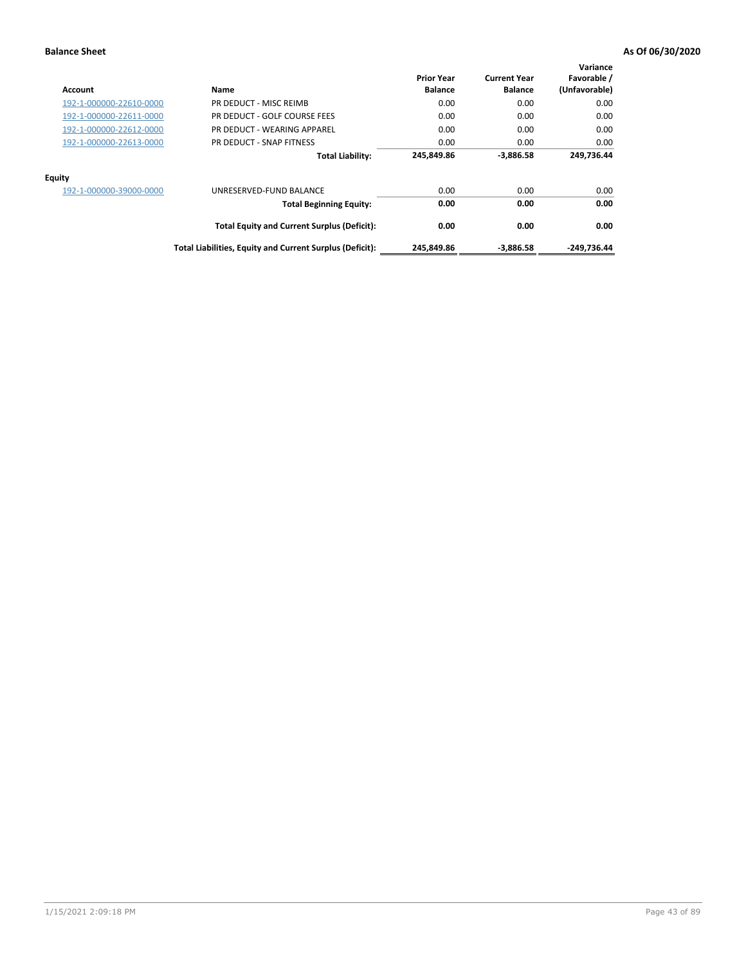| Account                 | Name                                                     | <b>Prior Year</b><br><b>Balance</b> | <b>Current Year</b><br><b>Balance</b> | Variance<br>Favorable /<br>(Unfavorable) |
|-------------------------|----------------------------------------------------------|-------------------------------------|---------------------------------------|------------------------------------------|
| 192-1-000000-22610-0000 | PR DEDUCT - MISC REIMB                                   | 0.00                                | 0.00                                  | 0.00                                     |
| 192-1-000000-22611-0000 | PR DEDUCT - GOLF COURSE FEES                             | 0.00                                | 0.00                                  | 0.00                                     |
| 192-1-000000-22612-0000 | PR DEDUCT - WEARING APPAREL                              | 0.00                                | 0.00                                  | 0.00                                     |
| 192-1-000000-22613-0000 | PR DEDUCT - SNAP FITNESS                                 | 0.00                                | 0.00                                  | 0.00                                     |
|                         | <b>Total Liability:</b>                                  | 245,849.86                          | $-3.886.58$                           | 249,736.44                               |
| Equity                  |                                                          |                                     |                                       |                                          |
| 192-1-000000-39000-0000 | UNRESERVED-FUND BALANCE                                  | 0.00                                | 0.00                                  | 0.00                                     |
|                         | <b>Total Beginning Equity:</b>                           | 0.00                                | 0.00                                  | 0.00                                     |
|                         | <b>Total Equity and Current Surplus (Deficit):</b>       | 0.00                                | 0.00                                  | 0.00                                     |
|                         | Total Liabilities, Equity and Current Surplus (Deficit): | 245,849.86                          | $-3,886.58$                           | -249,736.44                              |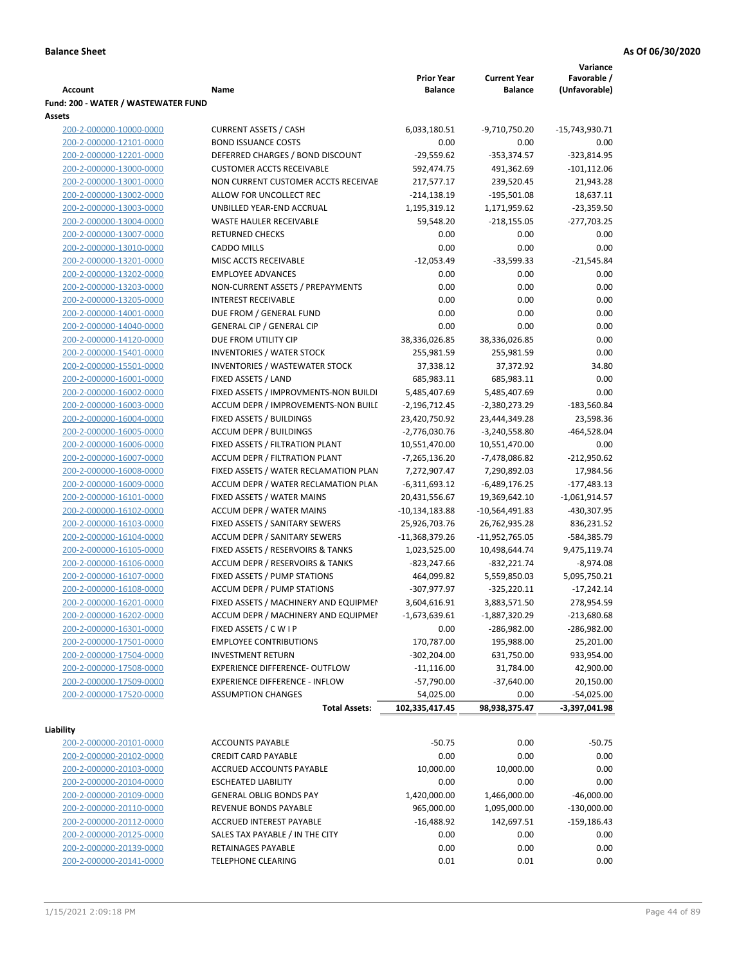|                                     |                                                                              |                   |                     | Variance        |
|-------------------------------------|------------------------------------------------------------------------------|-------------------|---------------------|-----------------|
|                                     |                                                                              | <b>Prior Year</b> | <b>Current Year</b> | Favorable /     |
| <b>Account</b>                      | Name                                                                         | <b>Balance</b>    | <b>Balance</b>      | (Unfavorable)   |
| Fund: 200 - WATER / WASTEWATER FUND |                                                                              |                   |                     |                 |
| Assets                              |                                                                              |                   |                     |                 |
| 200-2-000000-10000-0000             | <b>CURRENT ASSETS / CASH</b>                                                 | 6,033,180.51      | -9,710,750.20       | -15,743,930.71  |
| 200-2-000000-12101-0000             | <b>BOND ISSUANCE COSTS</b>                                                   | 0.00              | 0.00                | 0.00            |
| 200-2-000000-12201-0000             | DEFERRED CHARGES / BOND DISCOUNT                                             | $-29,559.62$      | $-353,374.57$       | $-323,814.95$   |
| 200-2-000000-13000-0000             | <b>CUSTOMER ACCTS RECEIVABLE</b>                                             | 592,474.75        | 491,362.69          | $-101, 112.06$  |
| 200-2-000000-13001-0000             | NON CURRENT CUSTOMER ACCTS RECEIVAE                                          | 217,577.17        | 239,520.45          | 21,943.28       |
| 200-2-000000-13002-0000             | ALLOW FOR UNCOLLECT REC                                                      | $-214,138.19$     | $-195,501.08$       | 18,637.11       |
| 200-2-000000-13003-0000             | UNBILLED YEAR-END ACCRUAL                                                    | 1,195,319.12      | 1,171,959.62        | $-23,359.50$    |
| 200-2-000000-13004-0000             | <b>WASTE HAULER RECEIVABLE</b>                                               | 59,548.20         | $-218,155.05$       | $-277,703.25$   |
| 200-2-000000-13007-0000             | <b>RETURNED CHECKS</b>                                                       | 0.00              | 0.00                | 0.00            |
| 200-2-000000-13010-0000             | <b>CADDO MILLS</b>                                                           | 0.00              | 0.00                | 0.00            |
| 200-2-000000-13201-0000             | MISC ACCTS RECEIVABLE                                                        | $-12,053.49$      | $-33,599.33$        | $-21,545.84$    |
| 200-2-000000-13202-0000             | <b>EMPLOYEE ADVANCES</b>                                                     | 0.00              | 0.00                | 0.00            |
| 200-2-000000-13203-0000             | NON-CURRENT ASSETS / PREPAYMENTS                                             | 0.00              | 0.00                | 0.00            |
| 200-2-000000-13205-0000             | <b>INTEREST RECEIVABLE</b>                                                   | 0.00              | 0.00                | 0.00            |
| 200-2-000000-14001-0000             | DUE FROM / GENERAL FUND                                                      | 0.00              | 0.00                | 0.00            |
| 200-2-000000-14040-0000             | <b>GENERAL CIP / GENERAL CIP</b>                                             | 0.00              | 0.00                | 0.00            |
| 200-2-000000-14120-0000             | DUE FROM UTILITY CIP                                                         | 38,336,026.85     | 38,336,026.85       | 0.00            |
| 200-2-000000-15401-0000             | <b>INVENTORIES / WATER STOCK</b>                                             | 255,981.59        | 255,981.59          | 0.00            |
| 200-2-000000-15501-0000             | <b>INVENTORIES / WASTEWATER STOCK</b>                                        | 37,338.12         | 37,372.92           | 34.80           |
|                                     | FIXED ASSETS / LAND                                                          | 685,983.11        | 685,983.11          | 0.00            |
| 200-2-000000-16001-0000             |                                                                              |                   |                     |                 |
| 200-2-000000-16002-0000             | FIXED ASSETS / IMPROVMENTS-NON BUILDI<br>ACCUM DEPR / IMPROVEMENTS-NON BUILL | 5,485,407.69      | 5,485,407.69        | 0.00            |
| 200-2-000000-16003-0000             |                                                                              | $-2,196,712.45$   | -2,380,273.29       | $-183,560.84$   |
| 200-2-000000-16004-0000             | FIXED ASSETS / BUILDINGS                                                     | 23,420,750.92     | 23,444,349.28       | 23,598.36       |
| 200-2-000000-16005-0000             | <b>ACCUM DEPR / BUILDINGS</b>                                                | $-2,776,030.76$   | $-3,240,558.80$     | $-464,528.04$   |
| 200-2-000000-16006-0000             | FIXED ASSETS / FILTRATION PLANT                                              | 10,551,470.00     | 10,551,470.00       | 0.00            |
| 200-2-000000-16007-0000             | ACCUM DEPR / FILTRATION PLANT                                                | -7,265,136.20     | -7,478,086.82       | $-212,950.62$   |
| 200-2-000000-16008-0000             | FIXED ASSETS / WATER RECLAMATION PLAN                                        | 7,272,907.47      | 7,290,892.03        | 17,984.56       |
| 200-2-000000-16009-0000             | ACCUM DEPR / WATER RECLAMATION PLAN                                          | $-6,311,693.12$   | $-6,489,176.25$     | $-177,483.13$   |
| 200-2-000000-16101-0000             | FIXED ASSETS / WATER MAINS                                                   | 20,431,556.67     | 19,369,642.10       | $-1,061,914.57$ |
| 200-2-000000-16102-0000             | <b>ACCUM DEPR / WATER MAINS</b>                                              | -10,134,183.88    | -10,564,491.83      | -430,307.95     |
| 200-2-000000-16103-0000             | FIXED ASSETS / SANITARY SEWERS                                               | 25,926,703.76     | 26,762,935.28       | 836,231.52      |
| 200-2-000000-16104-0000             | <b>ACCUM DEPR / SANITARY SEWERS</b>                                          | $-11,368,379.26$  | -11,952,765.05      | -584,385.79     |
| 200-2-000000-16105-0000             | FIXED ASSETS / RESERVOIRS & TANKS                                            | 1,023,525.00      | 10,498,644.74       | 9,475,119.74    |
| 200-2-000000-16106-0000             | ACCUM DEPR / RESERVOIRS & TANKS                                              | -823,247.66       | $-832,221.74$       | $-8,974.08$     |
| 200-2-000000-16107-0000             | FIXED ASSETS / PUMP STATIONS                                                 | 464,099.82        | 5,559,850.03        | 5,095,750.21    |
| 200-2-000000-16108-0000             | <b>ACCUM DEPR / PUMP STATIONS</b>                                            | -307,977.97       | $-325,220.11$       | $-17,242.14$    |
| 200-2-000000-16201-0000             | FIXED ASSETS / MACHINERY AND EQUIPMEN                                        | 3,604,616.91      | 3,883,571.50        | 278,954.59      |
| 200-2-000000-16202-0000             | ACCUM DEPR / MACHINERY AND EQUIPMEI                                          | -1,673,639.61     | $-1,887,320.29$     | $-213,680.68$   |
| 200-2-000000-16301-0000             | FIXED ASSETS / C W I P                                                       | 0.00              | -286,982.00         | $-286,982.00$   |
| 200-2-000000-17501-0000             | <b>EMPLOYEE CONTRIBUTIONS</b>                                                | 170,787.00        | 195,988.00          | 25,201.00       |
| 200-2-000000-17504-0000             | <b>INVESTMENT RETURN</b>                                                     | $-302,204.00$     | 631,750.00          | 933,954.00      |
| 200-2-000000-17508-0000             | EXPERIENCE DIFFERENCE- OUTFLOW                                               | $-11,116.00$      | 31,784.00           | 42,900.00       |
| 200-2-000000-17509-0000             | <b>EXPERIENCE DIFFERENCE - INFLOW</b>                                        | $-57,790.00$      | $-37,640.00$        | 20,150.00       |
| 200-2-000000-17520-0000             | <b>ASSUMPTION CHANGES</b>                                                    | 54,025.00         | 0.00                | $-54,025.00$    |
|                                     | <b>Total Assets:</b>                                                         | 102,335,417.45    | 98,938,375.47       | -3,397,041.98   |
|                                     |                                                                              |                   |                     |                 |
| Liability                           |                                                                              |                   |                     |                 |
| 200-2-000000-20101-0000             | <b>ACCOUNTS PAYABLE</b>                                                      | $-50.75$          | 0.00                | $-50.75$        |
| 200-2-000000-20102-0000             | <b>CREDIT CARD PAYABLE</b>                                                   | 0.00              | 0.00                | 0.00            |
| 200-2-000000-20103-0000             | ACCRUED ACCOUNTS PAYABLE                                                     | 10,000.00         | 10,000.00           | 0.00            |
| 200-2-000000-20104-0000             | <b>ESCHEATED LIABILITY</b>                                                   | 0.00              | 0.00                | 0.00            |
| 200-2-000000-20109-0000             | <b>GENERAL OBLIG BONDS PAY</b>                                               | 1,420,000.00      | 1,466,000.00        | $-46,000.00$    |
| 200-2-000000-20110-0000             | REVENUE BONDS PAYABLE                                                        | 965,000.00        | 1,095,000.00        | $-130,000.00$   |
| 200-2-000000-20112-0000             | ACCRUED INTEREST PAYABLE                                                     | $-16,488.92$      | 142,697.51          | $-159,186.43$   |
| 200-2-000000-20125-0000             | SALES TAX PAYABLE / IN THE CITY                                              | 0.00              | 0.00                | 0.00            |
| 200-2-000000-20139-0000             | RETAINAGES PAYABLE                                                           | 0.00              | 0.00                | 0.00            |
| 200-2-000000-20141-0000             | <b>TELEPHONE CLEARING</b>                                                    | 0.01              | 0.01                | 0.00            |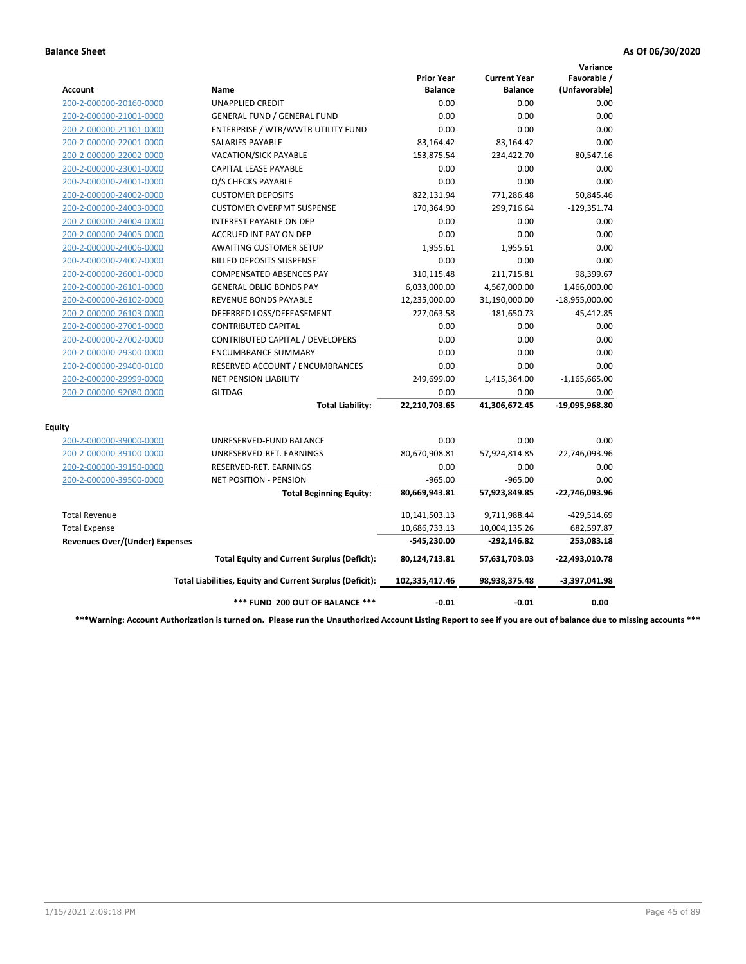|                                       |                                                          |                                     |                                       | Variance                     |
|---------------------------------------|----------------------------------------------------------|-------------------------------------|---------------------------------------|------------------------------|
| Account                               | <b>Name</b>                                              | <b>Prior Year</b><br><b>Balance</b> | <b>Current Year</b><br><b>Balance</b> | Favorable /<br>(Unfavorable) |
| 200-2-000000-20160-0000               | <b>UNAPPLIED CREDIT</b>                                  | 0.00                                | 0.00                                  | 0.00                         |
| 200-2-000000-21001-0000               | <b>GENERAL FUND / GENERAL FUND</b>                       | 0.00                                | 0.00                                  | 0.00                         |
| 200-2-000000-21101-0000               | ENTERPRISE / WTR/WWTR UTILITY FUND                       | 0.00                                | 0.00                                  | 0.00                         |
| 200-2-000000-22001-0000               | <b>SALARIES PAYABLE</b>                                  | 83,164.42                           | 83,164.42                             | 0.00                         |
| 200-2-000000-22002-0000               | <b>VACATION/SICK PAYABLE</b>                             | 153,875.54                          | 234,422.70                            | $-80,547.16$                 |
| 200-2-000000-23001-0000               | CAPITAL LEASE PAYABLE                                    | 0.00                                | 0.00                                  | 0.00                         |
| 200-2-000000-24001-0000               | O/S CHECKS PAYABLE                                       | 0.00                                | 0.00                                  | 0.00                         |
| 200-2-000000-24002-0000               | <b>CUSTOMER DEPOSITS</b>                                 | 822,131.94                          | 771,286.48                            | 50,845.46                    |
| 200-2-000000-24003-0000               | <b>CUSTOMER OVERPMT SUSPENSE</b>                         | 170,364.90                          | 299,716.64                            | $-129,351.74$                |
| 200-2-000000-24004-0000               | <b>INTEREST PAYABLE ON DEP</b>                           | 0.00                                | 0.00                                  | 0.00                         |
| 200-2-000000-24005-0000               | <b>ACCRUED INT PAY ON DEP</b>                            | 0.00                                | 0.00                                  | 0.00                         |
| 200-2-000000-24006-0000               | <b>AWAITING CUSTOMER SETUP</b>                           | 1.955.61                            | 1,955.61                              | 0.00                         |
| 200-2-000000-24007-0000               | <b>BILLED DEPOSITS SUSPENSE</b>                          | 0.00                                | 0.00                                  | 0.00                         |
| 200-2-000000-26001-0000               | <b>COMPENSATED ABSENCES PAY</b>                          | 310,115.48                          | 211,715.81                            | 98,399.67                    |
| 200-2-000000-26101-0000               | <b>GENERAL OBLIG BONDS PAY</b>                           | 6,033,000.00                        | 4,567,000.00                          | 1,466,000.00                 |
| 200-2-000000-26102-0000               | <b>REVENUE BONDS PAYABLE</b>                             | 12,235,000.00                       | 31,190,000.00                         | $-18,955,000.00$             |
| 200-2-000000-26103-0000               | DEFERRED LOSS/DEFEASEMENT                                | $-227,063.58$                       | $-181,650.73$                         | $-45,412.85$                 |
| 200-2-000000-27001-0000               | <b>CONTRIBUTED CAPITAL</b>                               | 0.00                                | 0.00                                  | 0.00                         |
| 200-2-000000-27002-0000               | CONTRIBUTED CAPITAL / DEVELOPERS                         | 0.00                                | 0.00                                  | 0.00                         |
| 200-2-000000-29300-0000               | <b>ENCUMBRANCE SUMMARY</b>                               | 0.00                                | 0.00                                  | 0.00                         |
| 200-2-000000-29400-0100               | RESERVED ACCOUNT / ENCUMBRANCES                          | 0.00                                | 0.00                                  | 0.00                         |
| 200-2-000000-29999-0000               | <b>NET PENSION LIABILITY</b>                             | 249,699.00                          | 1,415,364.00                          | $-1,165,665.00$              |
| 200-2-000000-92080-0000               | <b>GLTDAG</b>                                            | 0.00                                | 0.00                                  | 0.00                         |
|                                       | <b>Total Liability:</b>                                  | 22,210,703.65                       | 41,306,672.45                         | -19,095,968.80               |
| <b>Equity</b>                         |                                                          |                                     |                                       |                              |
| 200-2-000000-39000-0000               | UNRESERVED-FUND BALANCE                                  | 0.00                                | 0.00                                  | 0.00                         |
| 200-2-000000-39100-0000               | UNRESERVED-RET. EARNINGS                                 | 80,670,908.81                       | 57,924,814.85                         | -22,746,093.96               |
| 200-2-000000-39150-0000               | RESERVED-RET. EARNINGS                                   | 0.00                                | 0.00                                  | 0.00                         |
| 200-2-000000-39500-0000               | NET POSITION - PENSION                                   | $-965.00$                           | $-965.00$                             | 0.00                         |
|                                       | <b>Total Beginning Equity:</b>                           | 80,669,943.81                       | 57,923,849.85                         | -22,746,093.96               |
| <b>Total Revenue</b>                  |                                                          | 10,141,503.13                       | 9,711,988.44                          | -429,514.69                  |
| <b>Total Expense</b>                  |                                                          | 10,686,733.13                       | 10,004,135.26                         | 682,597.87                   |
| <b>Revenues Over/(Under) Expenses</b> |                                                          | $-545,230.00$                       | -292,146.82                           | 253,083.18                   |
|                                       | <b>Total Equity and Current Surplus (Deficit):</b>       | 80,124,713.81                       | 57,631,703.03                         | $-22,493,010.78$             |
|                                       | Total Liabilities, Equity and Current Surplus (Deficit): | 102,335,417.46                      | 98,938,375.48                         | $-3,397,041.98$              |
|                                       | *** FUND 200 OUT OF BALANCE ***                          | $-0.01$                             | $-0.01$                               | 0.00                         |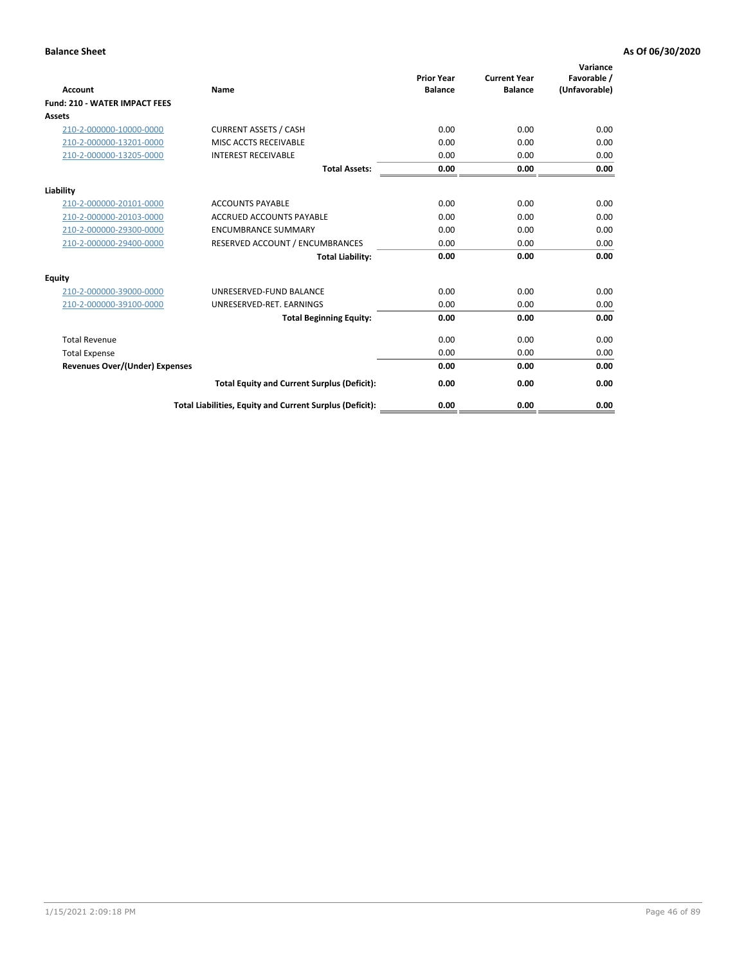| <b>Account</b>                        | Name                                                     | <b>Prior Year</b><br><b>Balance</b> | <b>Current Year</b><br><b>Balance</b> | Variance<br>Favorable /<br>(Unfavorable) |
|---------------------------------------|----------------------------------------------------------|-------------------------------------|---------------------------------------|------------------------------------------|
| <b>Fund: 210 - WATER IMPACT FEES</b>  |                                                          |                                     |                                       |                                          |
| <b>Assets</b>                         |                                                          |                                     |                                       |                                          |
| 210-2-000000-10000-0000               | <b>CURRENT ASSETS / CASH</b>                             | 0.00                                | 0.00                                  | 0.00                                     |
| 210-2-000000-13201-0000               | MISC ACCTS RECEIVABLE                                    | 0.00                                | 0.00                                  | 0.00                                     |
| 210-2-000000-13205-0000               | <b>INTEREST RECEIVABLE</b>                               | 0.00                                | 0.00                                  | 0.00                                     |
|                                       | <b>Total Assets:</b>                                     | 0.00                                | 0.00                                  | 0.00                                     |
| Liability                             |                                                          |                                     |                                       |                                          |
| 210-2-000000-20101-0000               | <b>ACCOUNTS PAYABLE</b>                                  | 0.00                                | 0.00                                  | 0.00                                     |
| 210-2-000000-20103-0000               | <b>ACCRUED ACCOUNTS PAYABLE</b>                          | 0.00                                | 0.00                                  | 0.00                                     |
| 210-2-000000-29300-0000               | <b>ENCUMBRANCE SUMMARY</b>                               | 0.00                                | 0.00                                  | 0.00                                     |
| 210-2-000000-29400-0000               | RESERVED ACCOUNT / ENCUMBRANCES                          | 0.00                                | 0.00                                  | 0.00                                     |
|                                       | <b>Total Liability:</b>                                  | 0.00                                | 0.00                                  | 0.00                                     |
| Equity                                |                                                          |                                     |                                       |                                          |
| 210-2-000000-39000-0000               | UNRESERVED-FUND BALANCE                                  | 0.00                                | 0.00                                  | 0.00                                     |
| 210-2-000000-39100-0000               | UNRESERVED-RET. EARNINGS                                 | 0.00                                | 0.00                                  | 0.00                                     |
|                                       | <b>Total Beginning Equity:</b>                           | 0.00                                | 0.00                                  | 0.00                                     |
| <b>Total Revenue</b>                  |                                                          | 0.00                                | 0.00                                  | 0.00                                     |
| <b>Total Expense</b>                  |                                                          | 0.00                                | 0.00                                  | 0.00                                     |
| <b>Revenues Over/(Under) Expenses</b> |                                                          | 0.00                                | 0.00                                  | 0.00                                     |
|                                       | <b>Total Equity and Current Surplus (Deficit):</b>       | 0.00                                | 0.00                                  | 0.00                                     |
|                                       | Total Liabilities, Equity and Current Surplus (Deficit): | 0.00                                | 0.00                                  | 0.00                                     |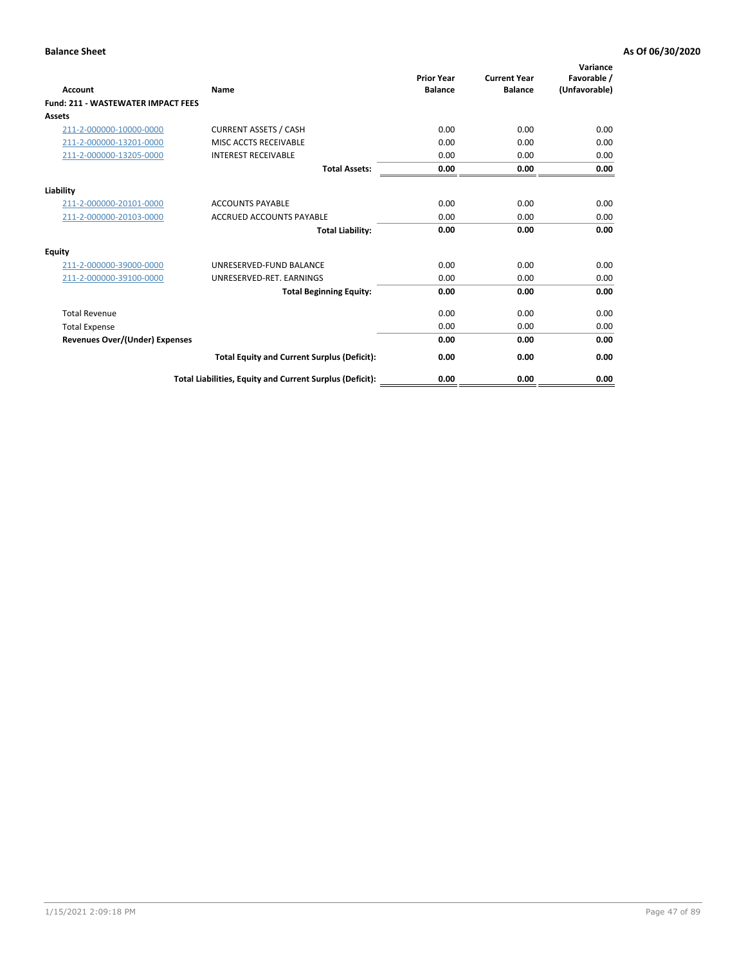| <b>Account</b>                        | <b>Name</b>                                              | <b>Prior Year</b><br><b>Balance</b> | <b>Current Year</b><br><b>Balance</b> | Variance<br>Favorable /<br>(Unfavorable) |
|---------------------------------------|----------------------------------------------------------|-------------------------------------|---------------------------------------|------------------------------------------|
| Fund: 211 - WASTEWATER IMPACT FEES    |                                                          |                                     |                                       |                                          |
| <b>Assets</b>                         |                                                          |                                     |                                       |                                          |
| 211-2-000000-10000-0000               | <b>CURRENT ASSETS / CASH</b>                             | 0.00                                | 0.00                                  | 0.00                                     |
| 211-2-000000-13201-0000               | MISC ACCTS RECEIVABLE                                    | 0.00                                | 0.00                                  | 0.00                                     |
| 211-2-000000-13205-0000               | <b>INTEREST RECEIVABLE</b>                               | 0.00                                | 0.00                                  | 0.00                                     |
|                                       | <b>Total Assets:</b>                                     | 0.00                                | 0.00                                  | 0.00                                     |
| Liability                             |                                                          |                                     |                                       |                                          |
| 211-2-000000-20101-0000               | <b>ACCOUNTS PAYABLE</b>                                  | 0.00                                | 0.00                                  | 0.00                                     |
| 211-2-000000-20103-0000               | <b>ACCRUED ACCOUNTS PAYABLE</b>                          | 0.00                                | 0.00                                  | 0.00                                     |
|                                       | <b>Total Liability:</b>                                  | 0.00                                | 0.00                                  | 0.00                                     |
| <b>Equity</b>                         |                                                          |                                     |                                       |                                          |
| 211-2-000000-39000-0000               | UNRESERVED-FUND BALANCE                                  | 0.00                                | 0.00                                  | 0.00                                     |
| 211-2-000000-39100-0000               | UNRESERVED-RET. EARNINGS                                 | 0.00                                | 0.00                                  | 0.00                                     |
|                                       | <b>Total Beginning Equity:</b>                           | 0.00                                | 0.00                                  | 0.00                                     |
| <b>Total Revenue</b>                  |                                                          | 0.00                                | 0.00                                  | 0.00                                     |
| <b>Total Expense</b>                  |                                                          | 0.00                                | 0.00                                  | 0.00                                     |
| <b>Revenues Over/(Under) Expenses</b> |                                                          | 0.00                                | 0.00                                  | 0.00                                     |
|                                       | <b>Total Equity and Current Surplus (Deficit):</b>       | 0.00                                | 0.00                                  | 0.00                                     |
|                                       | Total Liabilities, Equity and Current Surplus (Deficit): | 0.00                                | 0.00                                  | 0.00                                     |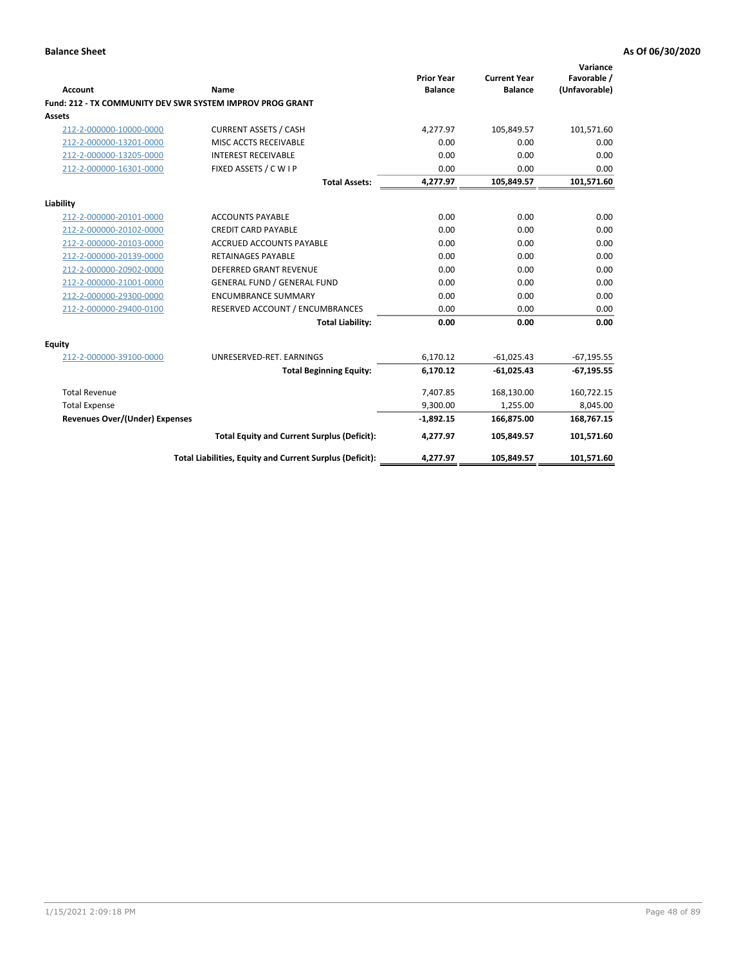| <b>Account</b>                        | <b>Name</b>                                               | <b>Prior Year</b><br><b>Balance</b> | <b>Current Year</b><br><b>Balance</b> | Variance<br>Favorable /<br>(Unfavorable) |
|---------------------------------------|-----------------------------------------------------------|-------------------------------------|---------------------------------------|------------------------------------------|
|                                       | Fund: 212 - TX COMMUNITY DEV SWR SYSTEM IMPROV PROG GRANT |                                     |                                       |                                          |
| <b>Assets</b>                         |                                                           |                                     |                                       |                                          |
| 212-2-000000-10000-0000               | <b>CURRENT ASSETS / CASH</b>                              | 4,277.97                            | 105,849.57                            | 101,571.60                               |
| 212-2-000000-13201-0000               | MISC ACCTS RECEIVABLE                                     | 0.00                                | 0.00                                  | 0.00                                     |
| 212-2-000000-13205-0000               | <b>INTEREST RECEIVABLE</b>                                | 0.00                                | 0.00                                  | 0.00                                     |
| 212-2-000000-16301-0000               | FIXED ASSETS / C W I P                                    | 0.00                                | 0.00                                  | 0.00                                     |
|                                       | <b>Total Assets:</b>                                      | 4,277.97                            | 105,849.57                            | 101,571.60                               |
| Liability                             |                                                           |                                     |                                       |                                          |
| 212-2-000000-20101-0000               | <b>ACCOUNTS PAYABLE</b>                                   | 0.00                                | 0.00                                  | 0.00                                     |
| 212-2-000000-20102-0000               | <b>CREDIT CARD PAYABLE</b>                                | 0.00                                | 0.00                                  | 0.00                                     |
| 212-2-000000-20103-0000               | ACCRUED ACCOUNTS PAYABLE                                  | 0.00                                | 0.00                                  | 0.00                                     |
| 212-2-000000-20139-0000               | <b>RETAINAGES PAYABLE</b>                                 | 0.00                                | 0.00                                  | 0.00                                     |
| 212-2-000000-20902-0000               | <b>DEFERRED GRANT REVENUE</b>                             | 0.00                                | 0.00                                  | 0.00                                     |
| 212-2-000000-21001-0000               | <b>GENERAL FUND / GENERAL FUND</b>                        | 0.00                                | 0.00                                  | 0.00                                     |
| 212-2-000000-29300-0000               | <b>ENCUMBRANCE SUMMARY</b>                                | 0.00                                | 0.00                                  | 0.00                                     |
| 212-2-000000-29400-0100               | RESERVED ACCOUNT / ENCUMBRANCES                           | 0.00                                | 0.00                                  | 0.00                                     |
|                                       | <b>Total Liability:</b>                                   | 0.00                                | 0.00                                  | 0.00                                     |
| <b>Equity</b>                         |                                                           |                                     |                                       |                                          |
| 212-2-000000-39100-0000               | UNRESERVED-RET. EARNINGS                                  | 6,170.12                            | $-61,025.43$                          | $-67,195.55$                             |
|                                       | <b>Total Beginning Equity:</b>                            | 6,170.12                            | $-61,025.43$                          | $-67,195.55$                             |
| <b>Total Revenue</b>                  |                                                           | 7,407.85                            | 168,130.00                            | 160,722.15                               |
| <b>Total Expense</b>                  |                                                           | 9,300.00                            | 1,255.00                              | 8,045.00                                 |
| <b>Revenues Over/(Under) Expenses</b> |                                                           | $-1,892.15$                         | 166,875.00                            | 168,767.15                               |
|                                       | <b>Total Equity and Current Surplus (Deficit):</b>        | 4,277.97                            | 105,849.57                            | 101,571.60                               |
|                                       | Total Liabilities, Equity and Current Surplus (Deficit):  | 4,277.97                            | 105,849.57                            | 101,571.60                               |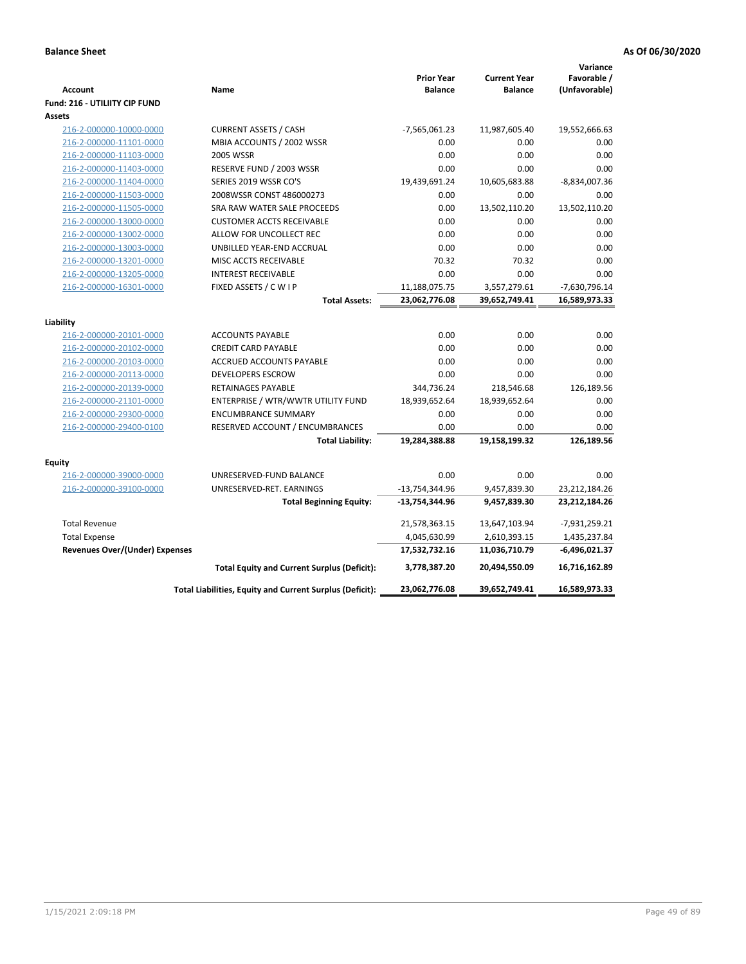| <b>Account</b><br><b>Fund: 216 - UTILIITY CIP FUND</b> | Name                                                     | <b>Prior Year</b><br><b>Balance</b> | <b>Current Year</b><br><b>Balance</b> | Variance<br>Favorable /<br>(Unfavorable) |
|--------------------------------------------------------|----------------------------------------------------------|-------------------------------------|---------------------------------------|------------------------------------------|
| <b>Assets</b>                                          |                                                          |                                     |                                       |                                          |
| 216-2-000000-10000-0000                                | <b>CURRENT ASSETS / CASH</b>                             | -7,565,061.23                       | 11,987,605.40                         | 19,552,666.63                            |
| 216-2-000000-11101-0000                                | MBIA ACCOUNTS / 2002 WSSR                                | 0.00                                | 0.00                                  | 0.00                                     |
| 216-2-000000-11103-0000                                | <b>2005 WSSR</b>                                         | 0.00                                | 0.00                                  | 0.00                                     |
| 216-2-000000-11403-0000                                | RESERVE FUND / 2003 WSSR                                 | 0.00                                | 0.00                                  | 0.00                                     |
| 216-2-000000-11404-0000                                | SERIES 2019 WSSR CO'S                                    | 19,439,691.24                       | 10,605,683.88                         | -8,834,007.36                            |
| 216-2-000000-11503-0000                                | 2008WSSR CONST 486000273                                 | 0.00                                | 0.00                                  | 0.00                                     |
| 216-2-000000-11505-0000                                | SRA RAW WATER SALE PROCEEDS                              | 0.00                                | 13,502,110.20                         | 13,502,110.20                            |
| 216-2-000000-13000-0000                                | <b>CUSTOMER ACCTS RECEIVABLE</b>                         | 0.00                                | 0.00                                  | 0.00                                     |
| 216-2-000000-13002-0000                                | ALLOW FOR UNCOLLECT REC                                  | 0.00                                | 0.00                                  | 0.00                                     |
| 216-2-000000-13003-0000                                | UNBILLED YEAR-END ACCRUAL                                | 0.00                                | 0.00                                  | 0.00                                     |
| 216-2-000000-13201-0000                                | MISC ACCTS RECEIVABLE                                    | 70.32                               | 70.32                                 | 0.00                                     |
| 216-2-000000-13205-0000                                | <b>INTEREST RECEIVABLE</b>                               | 0.00                                | 0.00                                  | 0.00                                     |
| 216-2-000000-16301-0000                                | FIXED ASSETS / C W I P                                   | 11,188,075.75                       | 3,557,279.61                          | -7,630,796.14                            |
|                                                        | <b>Total Assets:</b>                                     | 23,062,776.08                       | 39,652,749.41                         | 16,589,973.33                            |
|                                                        |                                                          |                                     |                                       |                                          |
| Liability<br>216-2-000000-20101-0000                   | <b>ACCOUNTS PAYABLE</b>                                  | 0.00                                | 0.00                                  | 0.00                                     |
| 216-2-000000-20102-0000                                | <b>CREDIT CARD PAYABLE</b>                               | 0.00                                | 0.00                                  | 0.00                                     |
| 216-2-000000-20103-0000                                | ACCRUED ACCOUNTS PAYABLE                                 | 0.00                                | 0.00                                  | 0.00                                     |
| 216-2-000000-20113-0000                                | <b>DEVELOPERS ESCROW</b>                                 | 0.00                                | 0.00                                  | 0.00                                     |
| 216-2-000000-20139-0000                                | <b>RETAINAGES PAYABLE</b>                                | 344,736.24                          | 218,546.68                            | 126,189.56                               |
| 216-2-000000-21101-0000                                | ENTERPRISE / WTR/WWTR UTILITY FUND                       | 18,939,652.64                       | 18,939,652.64                         | 0.00                                     |
| 216-2-000000-29300-0000                                | <b>ENCUMBRANCE SUMMARY</b>                               | 0.00                                | 0.00                                  | 0.00                                     |
| 216-2-000000-29400-0100                                | RESERVED ACCOUNT / ENCUMBRANCES                          | 0.00                                | 0.00                                  | 0.00                                     |
|                                                        | <b>Total Liability:</b>                                  | 19,284,388.88                       | 19,158,199.32                         | 126,189.56                               |
|                                                        |                                                          |                                     |                                       |                                          |
| <b>Equity</b>                                          |                                                          |                                     |                                       |                                          |
| 216-2-000000-39000-0000                                | UNRESERVED-FUND BALANCE                                  | 0.00                                | 0.00                                  | 0.00                                     |
| 216-2-000000-39100-0000                                | UNRESERVED-RET. EARNINGS                                 | $-13,754,344.96$                    | 9,457,839.30                          | 23,212,184.26                            |
|                                                        | <b>Total Beginning Equity:</b>                           | -13,754,344.96                      | 9,457,839.30                          | 23,212,184.26                            |
| <b>Total Revenue</b>                                   |                                                          | 21,578,363.15                       | 13,647,103.94                         | $-7,931,259.21$                          |
| <b>Total Expense</b>                                   |                                                          | 4,045,630.99                        | 2,610,393.15                          | 1,435,237.84                             |
| <b>Revenues Over/(Under) Expenses</b>                  |                                                          | 17,532,732.16                       | 11,036,710.79                         | -6,496,021.37                            |
|                                                        | <b>Total Equity and Current Surplus (Deficit):</b>       | 3,778,387.20                        | 20,494,550.09                         | 16,716,162.89                            |
|                                                        | Total Liabilities, Equity and Current Surplus (Deficit): | 23,062,776.08                       | 39,652,749.41                         | 16,589,973.33                            |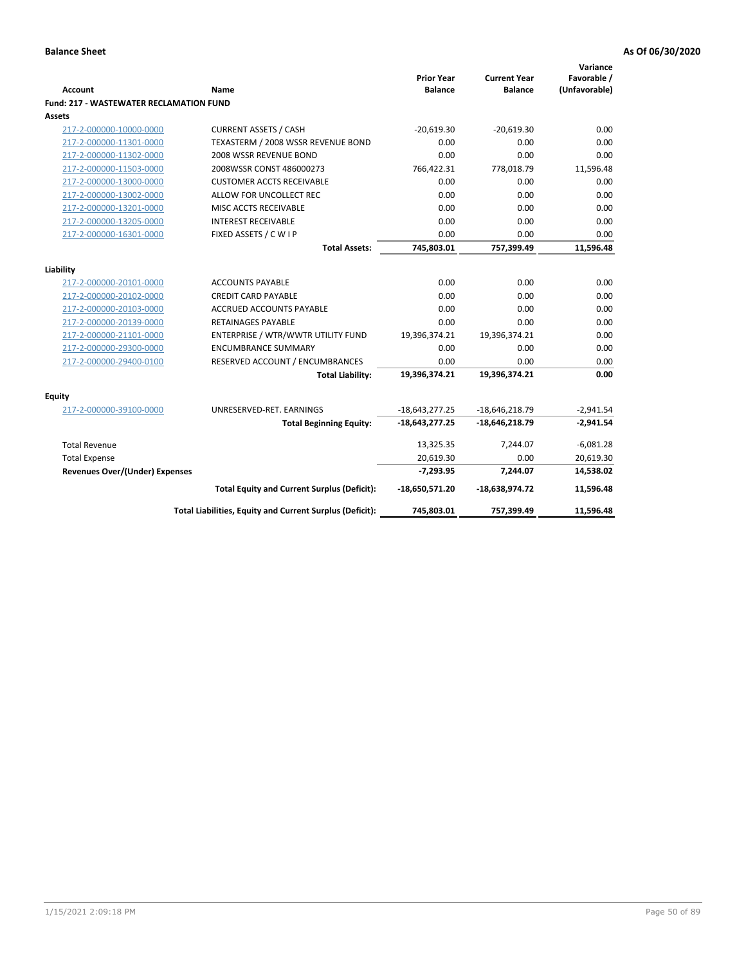| <b>Account</b>                                 | <b>Name</b>                                              | <b>Prior Year</b><br><b>Balance</b> | <b>Current Year</b><br><b>Balance</b> | Variance<br>Favorable /<br>(Unfavorable) |
|------------------------------------------------|----------------------------------------------------------|-------------------------------------|---------------------------------------|------------------------------------------|
| <b>Fund: 217 - WASTEWATER RECLAMATION FUND</b> |                                                          |                                     |                                       |                                          |
| <b>Assets</b>                                  |                                                          |                                     |                                       |                                          |
| 217-2-000000-10000-0000                        | <b>CURRENT ASSETS / CASH</b>                             | $-20.619.30$                        | $-20,619.30$                          | 0.00                                     |
| 217-2-000000-11301-0000                        | TEXASTERM / 2008 WSSR REVENUE BOND                       | 0.00                                | 0.00                                  | 0.00                                     |
| 217-2-000000-11302-0000                        | 2008 WSSR REVENUE BOND                                   | 0.00                                | 0.00                                  | 0.00                                     |
| 217-2-000000-11503-0000                        | 2008WSSR CONST 486000273                                 | 766,422.31                          | 778,018.79                            | 11,596.48                                |
| 217-2-000000-13000-0000                        | <b>CUSTOMER ACCTS RECEIVABLE</b>                         | 0.00                                | 0.00                                  | 0.00                                     |
| 217-2-000000-13002-0000                        | ALLOW FOR UNCOLLECT REC                                  | 0.00                                | 0.00                                  | 0.00                                     |
| 217-2-000000-13201-0000                        | MISC ACCTS RECEIVABLE                                    | 0.00                                | 0.00                                  | 0.00                                     |
| 217-2-000000-13205-0000                        | <b>INTEREST RECEIVABLE</b>                               | 0.00                                | 0.00                                  | 0.00                                     |
| 217-2-000000-16301-0000                        | FIXED ASSETS / C W I P                                   | 0.00                                | 0.00                                  | 0.00                                     |
|                                                | <b>Total Assets:</b>                                     | 745,803.01                          | 757,399.49                            | 11,596.48                                |
|                                                |                                                          |                                     |                                       |                                          |
| Liability                                      |                                                          |                                     |                                       |                                          |
| 217-2-000000-20101-0000                        | <b>ACCOUNTS PAYABLE</b>                                  | 0.00                                | 0.00                                  | 0.00                                     |
| 217-2-000000-20102-0000                        | <b>CREDIT CARD PAYABLE</b>                               | 0.00                                | 0.00                                  | 0.00                                     |
| 217-2-000000-20103-0000                        | <b>ACCRUED ACCOUNTS PAYABLE</b>                          | 0.00                                | 0.00                                  | 0.00                                     |
| 217-2-000000-20139-0000                        | <b>RETAINAGES PAYABLE</b>                                | 0.00                                | 0.00                                  | 0.00                                     |
| 217-2-000000-21101-0000                        | ENTERPRISE / WTR/WWTR UTILITY FUND                       | 19,396,374.21                       | 19,396,374.21                         | 0.00                                     |
| 217-2-000000-29300-0000                        | <b>ENCUMBRANCE SUMMARY</b>                               | 0.00                                | 0.00                                  | 0.00                                     |
| 217-2-000000-29400-0100                        | RESERVED ACCOUNT / ENCUMBRANCES                          | 0.00                                | 0.00                                  | 0.00                                     |
|                                                | <b>Total Liability:</b>                                  | 19,396,374.21                       | 19,396,374.21                         | 0.00                                     |
| <b>Equity</b>                                  |                                                          |                                     |                                       |                                          |
| 217-2-000000-39100-0000                        | UNRESERVED-RET. EARNINGS                                 | $-18,643,277.25$                    | $-18,646,218.79$                      | $-2,941.54$                              |
|                                                | <b>Total Beginning Equity:</b>                           | $-18,643,277.25$                    | $-18,646,218.79$                      | $-2,941.54$                              |
| <b>Total Revenue</b>                           |                                                          | 13,325.35                           | 7,244.07                              | $-6,081.28$                              |
| <b>Total Expense</b>                           |                                                          | 20,619.30                           | 0.00                                  | 20,619.30                                |
| <b>Revenues Over/(Under) Expenses</b>          |                                                          | $-7,293.95$                         | 7,244.07                              | 14,538.02                                |
|                                                | <b>Total Equity and Current Surplus (Deficit):</b>       | $-18,650,571.20$                    | $-18,638,974.72$                      | 11,596.48                                |
|                                                | Total Liabilities, Equity and Current Surplus (Deficit): | 745,803.01                          | 757,399.49                            | 11,596.48                                |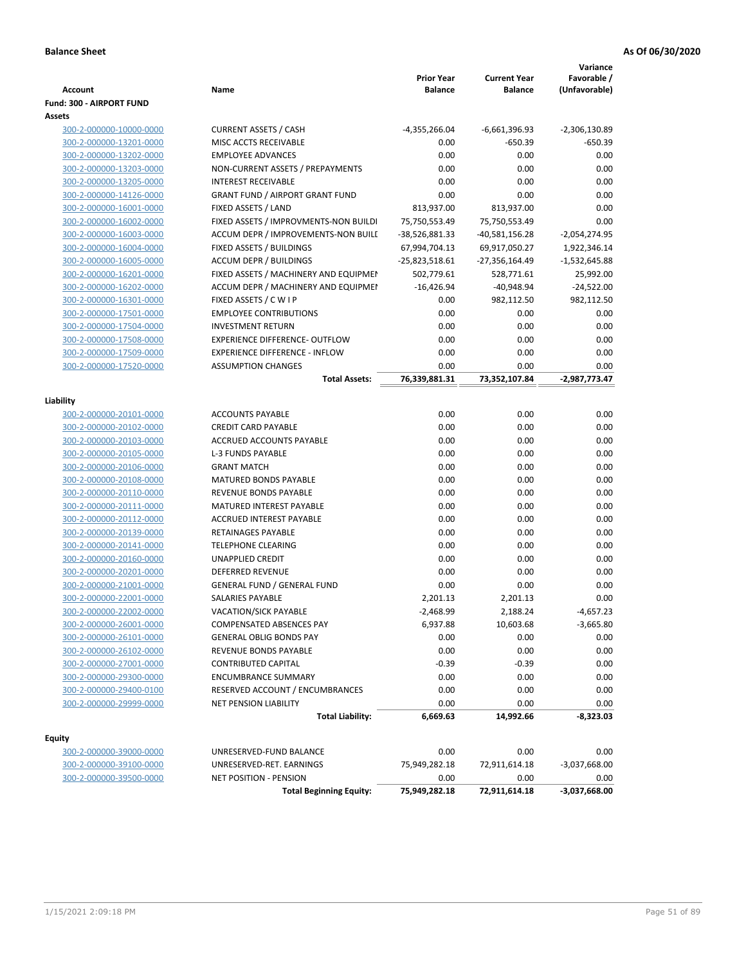|                                                    |                                                                 | <b>Prior Year</b>               | <b>Current Year</b>               | Variance<br>Favorable /         |
|----------------------------------------------------|-----------------------------------------------------------------|---------------------------------|-----------------------------------|---------------------------------|
| Account                                            | Name                                                            | <b>Balance</b>                  | <b>Balance</b>                    | (Unfavorable)                   |
| Fund: 300 - AIRPORT FUND                           |                                                                 |                                 |                                   |                                 |
| Assets                                             | <b>CURRENT ASSETS / CASH</b>                                    |                                 |                                   |                                 |
| 300-2-000000-10000-0000<br>300-2-000000-13201-0000 | MISC ACCTS RECEIVABLE                                           | $-4,355,266.04$                 | -6,661,396.93                     | $-2,306,130.89$<br>$-650.39$    |
|                                                    | <b>EMPLOYEE ADVANCES</b>                                        | 0.00<br>0.00                    | $-650.39$<br>0.00                 | 0.00                            |
| 300-2-000000-13202-0000                            |                                                                 | 0.00                            | 0.00                              | 0.00                            |
| 300-2-000000-13203-0000<br>300-2-000000-13205-0000 | NON-CURRENT ASSETS / PREPAYMENTS<br><b>INTEREST RECEIVABLE</b>  | 0.00                            | 0.00                              | 0.00                            |
| 300-2-000000-14126-0000                            | <b>GRANT FUND / AIRPORT GRANT FUND</b>                          | 0.00                            | 0.00                              | 0.00                            |
| 300-2-000000-16001-0000                            | FIXED ASSETS / LAND                                             | 813,937.00                      | 813,937.00                        | 0.00                            |
|                                                    |                                                                 |                                 |                                   | 0.00                            |
| 300-2-000000-16002-0000                            | FIXED ASSETS / IMPROVMENTS-NON BUILDI                           | 75,750,553.49                   | 75,750,553.49                     |                                 |
| 300-2-000000-16003-0000<br>300-2-000000-16004-0000 | ACCUM DEPR / IMPROVEMENTS-NON BUILI<br>FIXED ASSETS / BUILDINGS | -38,526,881.33<br>67,994,704.13 | $-40,581,156.28$<br>69,917,050.27 | $-2,054,274.95$<br>1,922,346.14 |
|                                                    | <b>ACCUM DEPR / BUILDINGS</b>                                   |                                 |                                   |                                 |
| 300-2-000000-16005-0000<br>300-2-000000-16201-0000 | FIXED ASSETS / MACHINERY AND EQUIPMEN                           | -25,823,518.61<br>502,779.61    | -27,356,164.49                    | $-1,532,645.88$<br>25,992.00    |
| 300-2-000000-16202-0000                            | ACCUM DEPR / MACHINERY AND EQUIPMEI                             | $-16,426.94$                    | 528,771.61<br>$-40,948.94$        | $-24,522.00$                    |
| 300-2-000000-16301-0000                            | FIXED ASSETS / C W I P                                          | 0.00                            | 982,112.50                        | 982,112.50                      |
| 300-2-000000-17501-0000                            | <b>EMPLOYEE CONTRIBUTIONS</b>                                   | 0.00                            | 0.00                              | 0.00                            |
|                                                    | <b>INVESTMENT RETURN</b>                                        | 0.00                            | 0.00                              | 0.00                            |
| 300-2-000000-17504-0000                            | EXPERIENCE DIFFERENCE- OUTFLOW                                  | 0.00                            |                                   |                                 |
| 300-2-000000-17508-0000<br>300-2-000000-17509-0000 |                                                                 |                                 | 0.00                              | 0.00                            |
|                                                    | <b>EXPERIENCE DIFFERENCE - INFLOW</b>                           | 0.00                            | 0.00                              | 0.00                            |
| 300-2-000000-17520-0000                            | <b>ASSUMPTION CHANGES</b>                                       | 0.00                            | 0.00                              | 0.00                            |
|                                                    | <b>Total Assets:</b>                                            | 76,339,881.31                   | 73,352,107.84                     | -2,987,773.47                   |
| Liability                                          |                                                                 |                                 |                                   |                                 |
| 300-2-000000-20101-0000                            | <b>ACCOUNTS PAYABLE</b>                                         | 0.00                            | 0.00                              | 0.00                            |
| 300-2-000000-20102-0000                            | <b>CREDIT CARD PAYABLE</b>                                      | 0.00                            | 0.00                              | 0.00                            |
| 300-2-000000-20103-0000                            | ACCRUED ACCOUNTS PAYABLE                                        | 0.00                            | 0.00                              | 0.00                            |
| 300-2-000000-20105-0000                            | <b>L-3 FUNDS PAYABLE</b>                                        | 0.00                            | 0.00                              | 0.00                            |
| 300-2-000000-20106-0000                            | <b>GRANT MATCH</b>                                              | 0.00                            | 0.00                              | 0.00                            |
| 300-2-000000-20108-0000                            | MATURED BONDS PAYABLE                                           | 0.00                            | 0.00                              | 0.00                            |
| 300-2-000000-20110-0000                            | REVENUE BONDS PAYABLE                                           | 0.00                            | 0.00                              | 0.00                            |
| 300-2-000000-20111-0000                            | MATURED INTEREST PAYABLE                                        | 0.00                            | 0.00                              | 0.00                            |
| 300-2-000000-20112-0000                            | <b>ACCRUED INTEREST PAYABLE</b>                                 | 0.00                            | 0.00                              | 0.00                            |
| 300-2-000000-20139-0000                            | <b>RETAINAGES PAYABLE</b>                                       | 0.00                            | 0.00                              | 0.00                            |
| 300-2-000000-20141-0000                            | <b>TELEPHONE CLEARING</b>                                       | 0.00                            | 0.00                              | 0.00                            |
| 300-2-000000-20160-0000                            | <b>UNAPPLIED CREDIT</b>                                         | 0.00                            | 0.00                              | 0.00                            |
| 300-2-000000-20201-0000                            | <b>DEFERRED REVENUE</b>                                         | 0.00                            | 0.00                              | 0.00                            |
| 300-2-000000-21001-0000                            | <b>GENERAL FUND / GENERAL FUND</b>                              | 0.00                            | 0.00                              | 0.00                            |
| 300-2-000000-22001-0000                            | SALARIES PAYABLE                                                | 2,201.13                        | 2,201.13                          | 0.00                            |
| 300-2-000000-22002-0000                            | VACATION/SICK PAYABLE                                           | $-2,468.99$                     | 2,188.24                          | $-4,657.23$                     |
| 300-2-000000-26001-0000                            | <b>COMPENSATED ABSENCES PAY</b>                                 | 6,937.88                        | 10,603.68                         | $-3,665.80$                     |
| 300-2-000000-26101-0000                            | <b>GENERAL OBLIG BONDS PAY</b>                                  | 0.00                            | 0.00                              | 0.00                            |
| 300-2-000000-26102-0000                            | REVENUE BONDS PAYABLE                                           | 0.00                            | 0.00                              | 0.00                            |
| 300-2-000000-27001-0000                            | <b>CONTRIBUTED CAPITAL</b>                                      | $-0.39$                         | $-0.39$                           | 0.00                            |
| 300-2-000000-29300-0000                            | <b>ENCUMBRANCE SUMMARY</b>                                      | 0.00                            | 0.00                              | 0.00                            |
| 300-2-000000-29400-0100                            | RESERVED ACCOUNT / ENCUMBRANCES                                 | 0.00                            | 0.00                              | 0.00                            |
| 300-2-000000-29999-0000                            | NET PENSION LIABILITY                                           | 0.00                            | 0.00                              | 0.00                            |
|                                                    | <b>Total Liability:</b>                                         | 6,669.63                        | 14,992.66                         | -8,323.03                       |
|                                                    |                                                                 |                                 |                                   |                                 |
| Equity                                             |                                                                 |                                 |                                   |                                 |
| 300-2-000000-39000-0000                            | UNRESERVED-FUND BALANCE                                         | 0.00                            | 0.00                              | 0.00                            |
| 300-2-000000-39100-0000                            | UNRESERVED-RET. EARNINGS                                        | 75,949,282.18                   | 72,911,614.18                     | $-3,037,668.00$                 |
| 300-2-000000-39500-0000                            | NET POSITION - PENSION                                          | 0.00                            | 0.00                              | 0.00                            |
|                                                    | <b>Total Beginning Equity:</b>                                  | 75,949,282.18                   | 72,911,614.18                     | $-3,037,668.00$                 |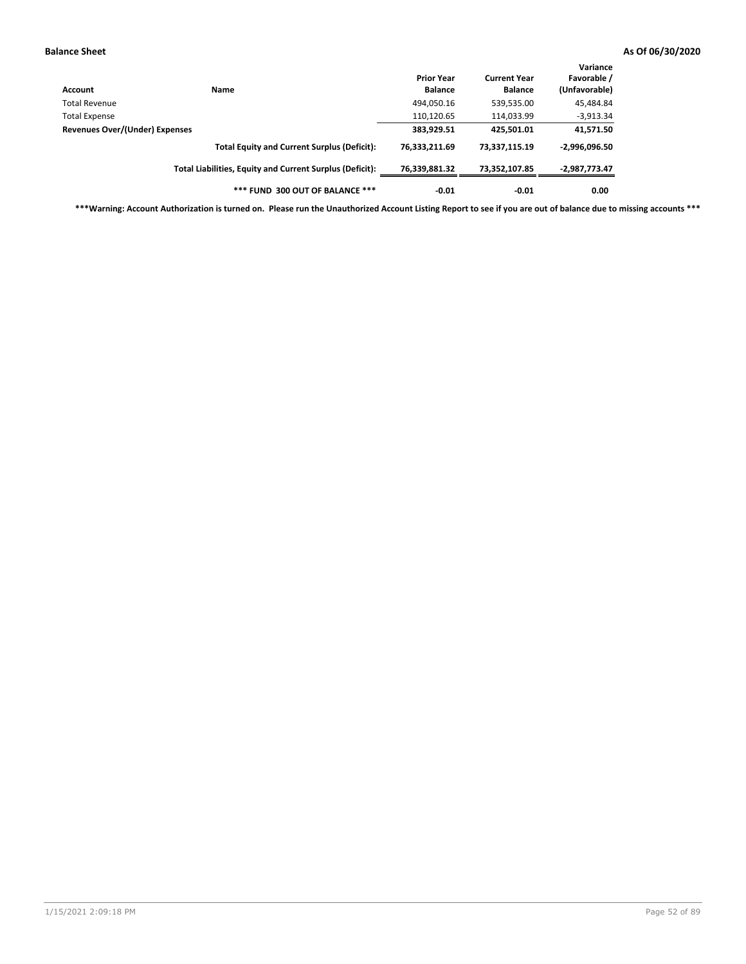| Account                               | Name                                                     | <b>Prior Year</b><br><b>Balance</b> | <b>Current Year</b><br><b>Balance</b> | Variance<br>Favorable /<br>(Unfavorable) |
|---------------------------------------|----------------------------------------------------------|-------------------------------------|---------------------------------------|------------------------------------------|
| <b>Total Revenue</b>                  |                                                          | 494,050.16                          | 539,535.00                            | 45,484.84                                |
| <b>Total Expense</b>                  |                                                          | 110,120.65                          | 114,033.99                            | $-3,913.34$                              |
| <b>Revenues Over/(Under) Expenses</b> |                                                          | 383,929.51                          | 425,501.01                            | 41,571.50                                |
|                                       | <b>Total Equity and Current Surplus (Deficit):</b>       | 76,333,211.69                       | 73,337,115.19                         | $-2,996,096.50$                          |
|                                       | Total Liabilities, Equity and Current Surplus (Deficit): | 76,339,881.32                       | 73,352,107.85                         | -2,987,773.47                            |
|                                       | *** FUND 300 OUT OF BALANCE ***                          | $-0.01$                             | $-0.01$                               | 0.00                                     |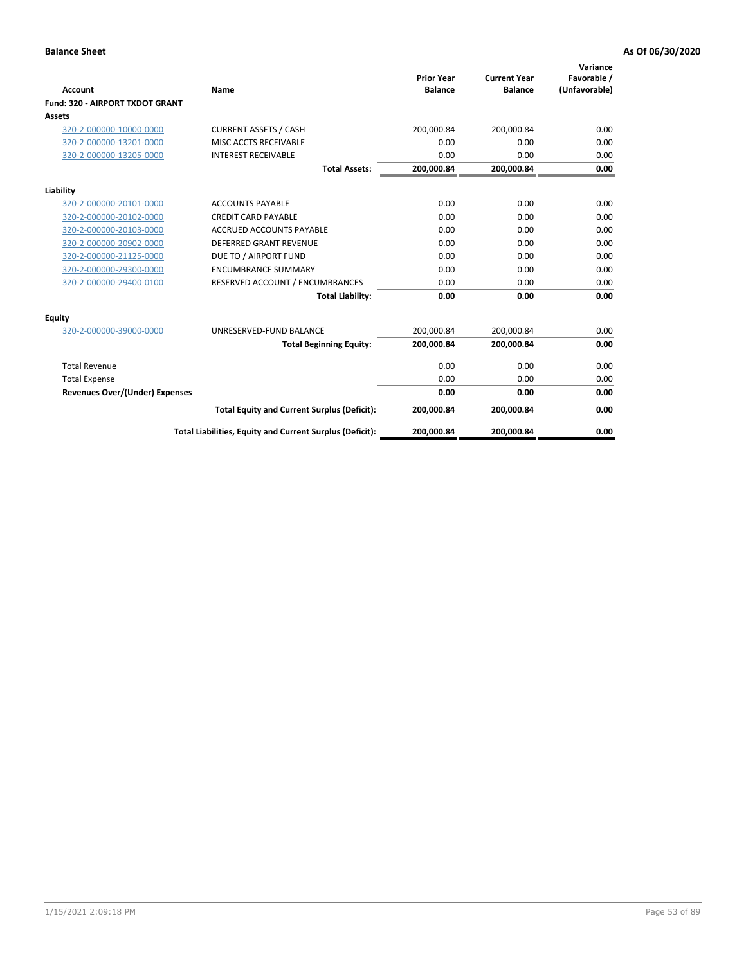|                                       |                                                          |                                     |                                       | Variance                     |
|---------------------------------------|----------------------------------------------------------|-------------------------------------|---------------------------------------|------------------------------|
| Account                               | Name                                                     | <b>Prior Year</b><br><b>Balance</b> | <b>Current Year</b><br><b>Balance</b> | Favorable /<br>(Unfavorable) |
| Fund: 320 - AIRPORT TXDOT GRANT       |                                                          |                                     |                                       |                              |
| Assets                                |                                                          |                                     |                                       |                              |
| 320-2-000000-10000-0000               | <b>CURRENT ASSETS / CASH</b>                             | 200,000.84                          | 200,000.84                            | 0.00                         |
| 320-2-000000-13201-0000               | MISC ACCTS RECEIVABLE                                    | 0.00                                | 0.00                                  | 0.00                         |
| 320-2-000000-13205-0000               | <b>INTEREST RECEIVABLE</b>                               | 0.00                                | 0.00                                  | 0.00                         |
|                                       | <b>Total Assets:</b>                                     | 200,000.84                          | 200,000.84                            | 0.00                         |
| Liability                             |                                                          |                                     |                                       |                              |
| 320-2-000000-20101-0000               | <b>ACCOUNTS PAYABLE</b>                                  | 0.00                                | 0.00                                  | 0.00                         |
| 320-2-000000-20102-0000               | <b>CREDIT CARD PAYABLE</b>                               | 0.00                                | 0.00                                  | 0.00                         |
| 320-2-000000-20103-0000               | <b>ACCRUED ACCOUNTS PAYABLE</b>                          | 0.00                                | 0.00                                  | 0.00                         |
| 320-2-000000-20902-0000               | <b>DEFERRED GRANT REVENUE</b>                            | 0.00                                | 0.00                                  | 0.00                         |
| 320-2-000000-21125-0000               | DUE TO / AIRPORT FUND                                    | 0.00                                | 0.00                                  | 0.00                         |
| 320-2-000000-29300-0000               | <b>ENCUMBRANCE SUMMARY</b>                               | 0.00                                | 0.00                                  | 0.00                         |
| 320-2-000000-29400-0100               | RESERVED ACCOUNT / ENCUMBRANCES                          | 0.00                                | 0.00                                  | 0.00                         |
|                                       | <b>Total Liability:</b>                                  | 0.00                                | 0.00                                  | 0.00                         |
| <b>Equity</b>                         |                                                          |                                     |                                       |                              |
| 320-2-000000-39000-0000               | UNRESERVED-FUND BALANCE                                  | 200,000.84                          | 200,000.84                            | 0.00                         |
|                                       | <b>Total Beginning Equity:</b>                           | 200,000.84                          | 200,000.84                            | 0.00                         |
| <b>Total Revenue</b>                  |                                                          | 0.00                                | 0.00                                  | 0.00                         |
| <b>Total Expense</b>                  |                                                          | 0.00                                | 0.00                                  | 0.00                         |
| <b>Revenues Over/(Under) Expenses</b> |                                                          | 0.00                                | 0.00                                  | 0.00                         |
|                                       | <b>Total Equity and Current Surplus (Deficit):</b>       | 200,000.84                          | 200,000.84                            | 0.00                         |
|                                       | Total Liabilities, Equity and Current Surplus (Deficit): | 200,000.84                          | 200,000.84                            | 0.00                         |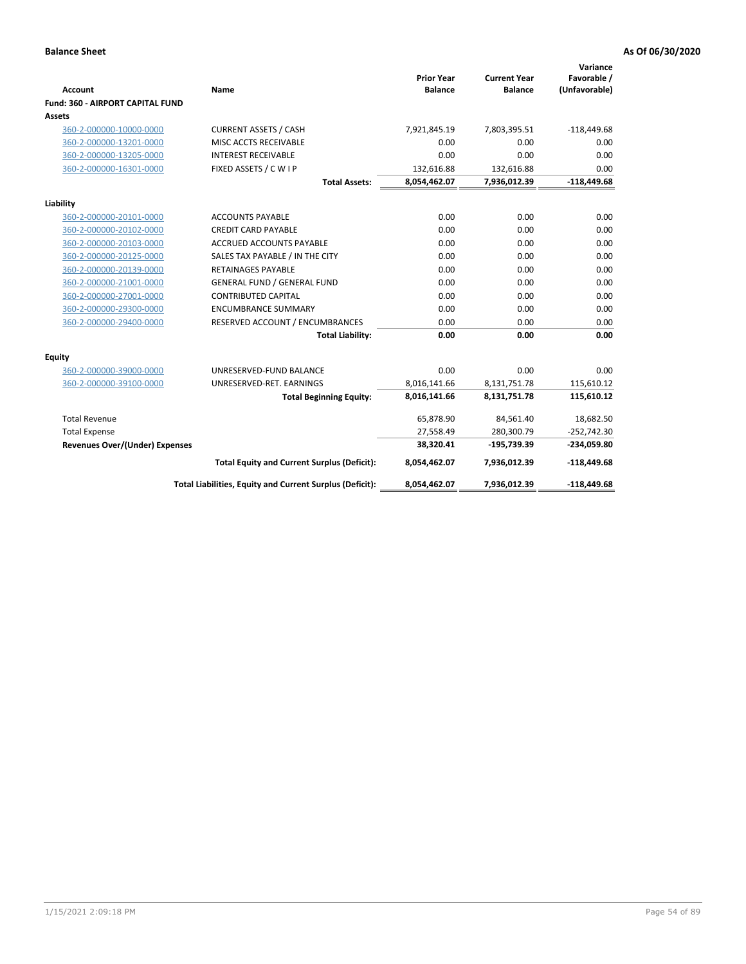|                                         |                                                          |                                     |                                       | Variance                     |
|-----------------------------------------|----------------------------------------------------------|-------------------------------------|---------------------------------------|------------------------------|
| <b>Account</b>                          | Name                                                     | <b>Prior Year</b><br><b>Balance</b> | <b>Current Year</b><br><b>Balance</b> | Favorable /<br>(Unfavorable) |
| <b>Fund: 360 - AIRPORT CAPITAL FUND</b> |                                                          |                                     |                                       |                              |
| Assets                                  |                                                          |                                     |                                       |                              |
| 360-2-000000-10000-0000                 | <b>CURRENT ASSETS / CASH</b>                             | 7,921,845.19                        | 7,803,395.51                          | $-118,449.68$                |
| 360-2-000000-13201-0000                 | MISC ACCTS RECEIVABLE                                    | 0.00                                | 0.00                                  | 0.00                         |
| 360-2-000000-13205-0000                 | <b>INTEREST RECEIVABLE</b>                               | 0.00                                | 0.00                                  | 0.00                         |
| 360-2-000000-16301-0000                 | FIXED ASSETS / C W I P                                   | 132,616.88                          | 132,616.88                            | 0.00                         |
|                                         | <b>Total Assets:</b>                                     | 8,054,462.07                        | 7,936,012.39                          | $-118,449.68$                |
| Liability                               |                                                          |                                     |                                       |                              |
| 360-2-000000-20101-0000                 | <b>ACCOUNTS PAYABLE</b>                                  | 0.00                                | 0.00                                  | 0.00                         |
| 360-2-000000-20102-0000                 | <b>CREDIT CARD PAYABLE</b>                               | 0.00                                | 0.00                                  | 0.00                         |
| 360-2-000000-20103-0000                 | <b>ACCRUED ACCOUNTS PAYABLE</b>                          | 0.00                                | 0.00                                  | 0.00                         |
| 360-2-000000-20125-0000                 | SALES TAX PAYABLE / IN THE CITY                          | 0.00                                | 0.00                                  | 0.00                         |
| 360-2-000000-20139-0000                 | <b>RETAINAGES PAYABLE</b>                                | 0.00                                | 0.00                                  | 0.00                         |
| 360-2-000000-21001-0000                 | <b>GENERAL FUND / GENERAL FUND</b>                       | 0.00                                | 0.00                                  | 0.00                         |
| 360-2-000000-27001-0000                 | <b>CONTRIBUTED CAPITAL</b>                               | 0.00                                | 0.00                                  | 0.00                         |
| 360-2-000000-29300-0000                 | <b>ENCUMBRANCE SUMMARY</b>                               | 0.00                                | 0.00                                  | 0.00                         |
| 360-2-000000-29400-0000                 | RESERVED ACCOUNT / ENCUMBRANCES                          | 0.00                                | 0.00                                  | 0.00                         |
|                                         | <b>Total Liability:</b>                                  | 0.00                                | 0.00                                  | 0.00                         |
| Equity                                  |                                                          |                                     |                                       |                              |
| 360-2-000000-39000-0000                 | UNRESERVED-FUND BALANCE                                  | 0.00                                | 0.00                                  | 0.00                         |
| 360-2-000000-39100-0000                 | UNRESERVED-RET. EARNINGS                                 | 8,016,141.66                        | 8,131,751.78                          | 115,610.12                   |
|                                         | <b>Total Beginning Equity:</b>                           | 8,016,141.66                        | 8,131,751.78                          | 115,610.12                   |
| <b>Total Revenue</b>                    |                                                          | 65,878.90                           | 84,561.40                             | 18,682.50                    |
| <b>Total Expense</b>                    |                                                          | 27,558.49                           | 280,300.79                            | $-252,742.30$                |
| Revenues Over/(Under) Expenses          |                                                          | 38,320.41                           | $-195,739.39$                         | -234,059.80                  |
|                                         | <b>Total Equity and Current Surplus (Deficit):</b>       | 8,054,462.07                        | 7,936,012.39                          | $-118,449.68$                |
|                                         | Total Liabilities, Equity and Current Surplus (Deficit): | 8,054,462.07                        | 7,936,012.39                          | $-118,449.68$                |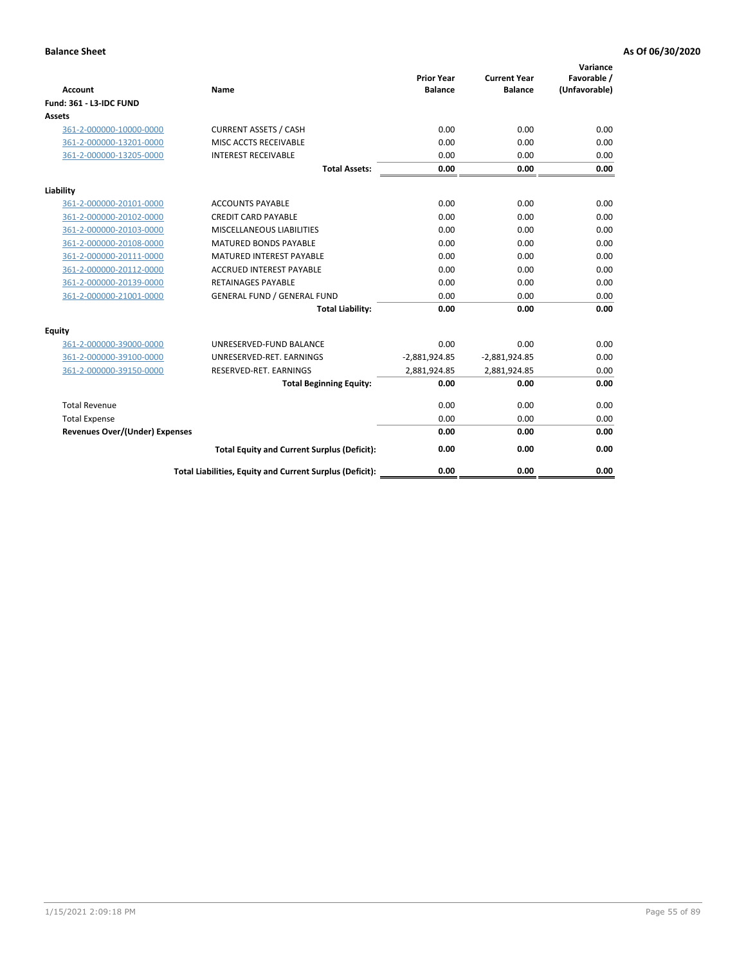| <b>Account</b>                        | <b>Name</b>                                              | <b>Prior Year</b><br><b>Balance</b> | <b>Current Year</b><br><b>Balance</b> | Variance<br>Favorable /<br>(Unfavorable) |
|---------------------------------------|----------------------------------------------------------|-------------------------------------|---------------------------------------|------------------------------------------|
| <b>Fund: 361 - L3-IDC FUND</b>        |                                                          |                                     |                                       |                                          |
| Assets                                |                                                          |                                     |                                       |                                          |
| 361-2-000000-10000-0000               | <b>CURRENT ASSETS / CASH</b>                             | 0.00                                | 0.00                                  | 0.00                                     |
| 361-2-000000-13201-0000               | MISC ACCTS RECEIVABLE                                    | 0.00                                | 0.00                                  | 0.00                                     |
| 361-2-000000-13205-0000               | <b>INTEREST RECEIVABLE</b>                               | 0.00                                | 0.00                                  | 0.00                                     |
|                                       | <b>Total Assets:</b>                                     | 0.00                                | 0.00                                  | 0.00                                     |
| Liability                             |                                                          |                                     |                                       |                                          |
| 361-2-000000-20101-0000               | <b>ACCOUNTS PAYABLE</b>                                  | 0.00                                | 0.00                                  | 0.00                                     |
| 361-2-000000-20102-0000               | <b>CREDIT CARD PAYABLE</b>                               | 0.00                                | 0.00                                  | 0.00                                     |
| 361-2-000000-20103-0000               | MISCELLANEOUS LIABILITIES                                | 0.00                                | 0.00                                  | 0.00                                     |
| 361-2-000000-20108-0000               | <b>MATURED BONDS PAYABLE</b>                             | 0.00                                | 0.00                                  | 0.00                                     |
| 361-2-000000-20111-0000               | <b>MATURED INTEREST PAYABLE</b>                          | 0.00                                | 0.00                                  | 0.00                                     |
| 361-2-000000-20112-0000               | <b>ACCRUED INTEREST PAYABLE</b>                          | 0.00                                | 0.00                                  | 0.00                                     |
| 361-2-000000-20139-0000               | <b>RETAINAGES PAYABLE</b>                                | 0.00                                | 0.00                                  | 0.00                                     |
| 361-2-000000-21001-0000               | <b>GENERAL FUND / GENERAL FUND</b>                       | 0.00                                | 0.00                                  | 0.00                                     |
|                                       | <b>Total Liability:</b>                                  | 0.00                                | 0.00                                  | 0.00                                     |
| Equity                                |                                                          |                                     |                                       |                                          |
| 361-2-000000-39000-0000               | UNRESERVED-FUND BALANCE                                  | 0.00                                | 0.00                                  | 0.00                                     |
| 361-2-000000-39100-0000               | UNRESERVED-RET. EARNINGS                                 | $-2,881,924.85$                     | $-2,881,924.85$                       | 0.00                                     |
| 361-2-000000-39150-0000               | RESERVED-RET. EARNINGS                                   | 2,881,924.85                        | 2,881,924.85                          | 0.00                                     |
|                                       | <b>Total Beginning Equity:</b>                           | 0.00                                | 0.00                                  | 0.00                                     |
| <b>Total Revenue</b>                  |                                                          | 0.00                                | 0.00                                  | 0.00                                     |
| <b>Total Expense</b>                  |                                                          | 0.00                                | 0.00                                  | 0.00                                     |
| <b>Revenues Over/(Under) Expenses</b> |                                                          | 0.00                                | 0.00                                  | 0.00                                     |
|                                       | <b>Total Equity and Current Surplus (Deficit):</b>       | 0.00                                | 0.00                                  | 0.00                                     |
|                                       | Total Liabilities, Equity and Current Surplus (Deficit): | 0.00                                | 0.00                                  | 0.00                                     |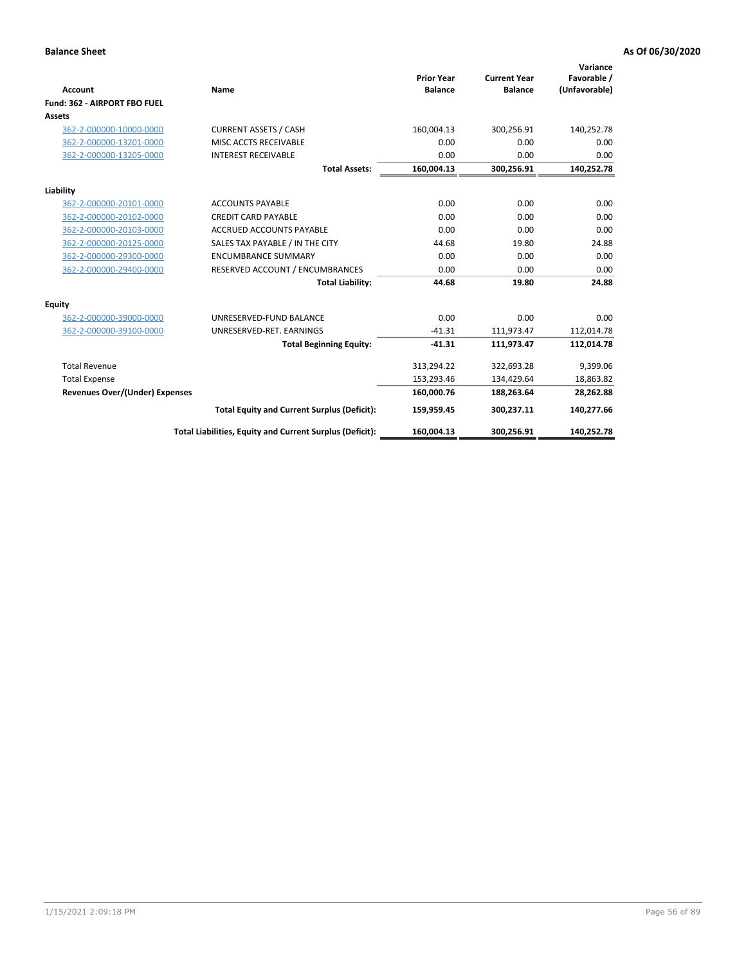|                                       |                                                          |                                     |                                       | Variance                     |
|---------------------------------------|----------------------------------------------------------|-------------------------------------|---------------------------------------|------------------------------|
| <b>Account</b>                        | Name                                                     | <b>Prior Year</b><br><b>Balance</b> | <b>Current Year</b><br><b>Balance</b> | Favorable /<br>(Unfavorable) |
| Fund: 362 - AIRPORT FBO FUEL          |                                                          |                                     |                                       |                              |
| Assets                                |                                                          |                                     |                                       |                              |
| 362-2-000000-10000-0000               | <b>CURRENT ASSETS / CASH</b>                             | 160,004.13                          | 300,256.91                            | 140,252.78                   |
| 362-2-000000-13201-0000               | MISC ACCTS RECEIVABLE                                    | 0.00                                | 0.00                                  | 0.00                         |
| 362-2-000000-13205-0000               | <b>INTEREST RECEIVABLE</b>                               | 0.00                                | 0.00                                  | 0.00                         |
|                                       | <b>Total Assets:</b>                                     | 160,004.13                          | 300,256.91                            | 140,252.78                   |
| Liability                             |                                                          |                                     |                                       |                              |
| 362-2-000000-20101-0000               | <b>ACCOUNTS PAYABLE</b>                                  | 0.00                                | 0.00                                  | 0.00                         |
| 362-2-000000-20102-0000               | <b>CREDIT CARD PAYABLE</b>                               | 0.00                                | 0.00                                  | 0.00                         |
| 362-2-000000-20103-0000               | <b>ACCRUED ACCOUNTS PAYABLE</b>                          | 0.00                                | 0.00                                  | 0.00                         |
| 362-2-000000-20125-0000               | SALES TAX PAYABLE / IN THE CITY                          | 44.68                               | 19.80                                 | 24.88                        |
| 362-2-000000-29300-0000               | <b>ENCUMBRANCE SUMMARY</b>                               | 0.00                                | 0.00                                  | 0.00                         |
| 362-2-000000-29400-0000               | RESERVED ACCOUNT / ENCUMBRANCES                          | 0.00                                | 0.00                                  | 0.00                         |
|                                       | <b>Total Liability:</b>                                  | 44.68                               | 19.80                                 | 24.88                        |
| <b>Equity</b>                         |                                                          |                                     |                                       |                              |
| 362-2-000000-39000-0000               | UNRESERVED-FUND BALANCE                                  | 0.00                                | 0.00                                  | 0.00                         |
| 362-2-000000-39100-0000               | UNRESERVED-RET. EARNINGS                                 | $-41.31$                            | 111,973.47                            | 112,014.78                   |
|                                       | <b>Total Beginning Equity:</b>                           | $-41.31$                            | 111,973.47                            | 112,014.78                   |
| <b>Total Revenue</b>                  |                                                          | 313,294.22                          | 322,693.28                            | 9,399.06                     |
| <b>Total Expense</b>                  |                                                          | 153,293.46                          | 134,429.64                            | 18,863.82                    |
| <b>Revenues Over/(Under) Expenses</b> |                                                          | 160,000.76                          | 188,263.64                            | 28,262.88                    |
|                                       | <b>Total Equity and Current Surplus (Deficit):</b>       | 159,959.45                          | 300,237.11                            | 140,277.66                   |
|                                       | Total Liabilities, Equity and Current Surplus (Deficit): | 160,004.13                          | 300,256.91                            | 140,252.78                   |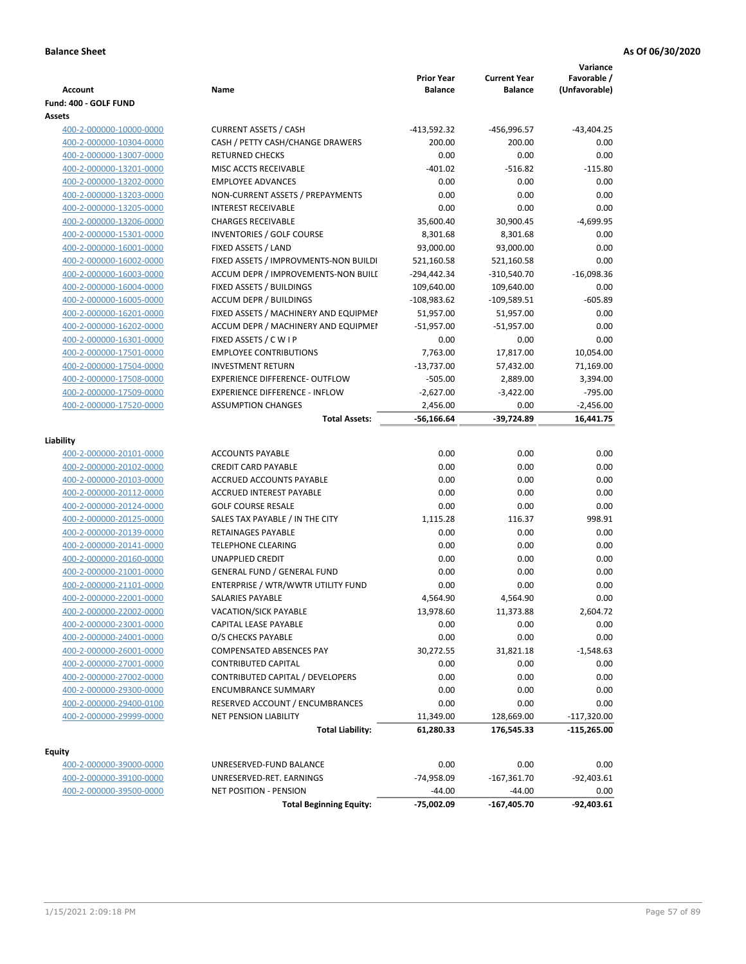| <b>Account</b><br>Fund: 400 - GOLF FUND | Name                                  | <b>Prior Year</b><br><b>Balance</b> | <b>Current Year</b><br><b>Balance</b> | Variance<br>Favorable /<br>(Unfavorable) |
|-----------------------------------------|---------------------------------------|-------------------------------------|---------------------------------------|------------------------------------------|
| Assets                                  |                                       |                                     |                                       |                                          |
| 400-2-000000-10000-0000                 | <b>CURRENT ASSETS / CASH</b>          | $-413,592.32$                       | -456,996.57                           | $-43,404.25$                             |
| 400-2-000000-10304-0000                 | CASH / PETTY CASH/CHANGE DRAWERS      | 200.00                              | 200.00                                | 0.00                                     |
| 400-2-000000-13007-0000                 | <b>RETURNED CHECKS</b>                | 0.00                                | 0.00                                  | 0.00                                     |
| 400-2-000000-13201-0000                 | MISC ACCTS RECEIVABLE                 | $-401.02$                           | $-516.82$                             | $-115.80$                                |
| 400-2-000000-13202-0000                 | <b>EMPLOYEE ADVANCES</b>              | 0.00                                | 0.00                                  | 0.00                                     |
| 400-2-000000-13203-0000                 | NON-CURRENT ASSETS / PREPAYMENTS      | 0.00                                | 0.00                                  | 0.00                                     |
| 400-2-000000-13205-0000                 | <b>INTEREST RECEIVABLE</b>            | 0.00                                | 0.00                                  | 0.00                                     |
| 400-2-000000-13206-0000                 | <b>CHARGES RECEIVABLE</b>             | 35,600.40                           | 30,900.45                             | $-4,699.95$                              |
| 400-2-000000-15301-0000                 | <b>INVENTORIES / GOLF COURSE</b>      | 8,301.68                            | 8,301.68                              | 0.00                                     |
| 400-2-000000-16001-0000                 | FIXED ASSETS / LAND                   | 93,000.00                           | 93,000.00                             | 0.00                                     |
| 400-2-000000-16002-0000                 | FIXED ASSETS / IMPROVMENTS-NON BUILDI | 521,160.58                          | 521,160.58                            | 0.00                                     |
| 400-2-000000-16003-0000                 | ACCUM DEPR / IMPROVEMENTS-NON BUILI   | $-294,442.34$                       | $-310,540.70$                         | $-16,098.36$                             |
| 400-2-000000-16004-0000                 | FIXED ASSETS / BUILDINGS              | 109,640.00                          | 109,640.00                            | 0.00                                     |
| 400-2-000000-16005-0000                 | <b>ACCUM DEPR / BUILDINGS</b>         | $-108,983.62$                       | $-109,589.51$                         | $-605.89$                                |
| 400-2-000000-16201-0000                 | FIXED ASSETS / MACHINERY AND EQUIPMEN | 51,957.00                           | 51,957.00                             | 0.00                                     |
| 400-2-000000-16202-0000                 | ACCUM DEPR / MACHINERY AND EQUIPMEI   | $-51,957.00$                        | $-51,957.00$                          | 0.00                                     |
| 400-2-000000-16301-0000                 | FIXED ASSETS / C W I P                | 0.00                                | 0.00                                  | 0.00                                     |
| 400-2-000000-17501-0000                 | <b>EMPLOYEE CONTRIBUTIONS</b>         | 7,763.00                            | 17,817.00                             | 10,054.00                                |
| 400-2-000000-17504-0000                 | <b>INVESTMENT RETURN</b>              | $-13,737.00$                        | 57,432.00                             | 71,169.00                                |
| 400-2-000000-17508-0000                 | <b>EXPERIENCE DIFFERENCE- OUTFLOW</b> | $-505.00$                           | 2,889.00                              | 3,394.00                                 |
| 400-2-000000-17509-0000                 | <b>EXPERIENCE DIFFERENCE - INFLOW</b> | $-2,627.00$                         | $-3,422.00$                           | $-795.00$                                |
| 400-2-000000-17520-0000                 | <b>ASSUMPTION CHANGES</b>             | 2,456.00                            | 0.00                                  | $-2,456.00$                              |
|                                         | <b>Total Assets:</b>                  | $-56,166.64$                        | $-39,724.89$                          | 16,441.75                                |
|                                         |                                       |                                     |                                       |                                          |
| Liability                               |                                       |                                     |                                       |                                          |
| 400-2-000000-20101-0000                 | <b>ACCOUNTS PAYABLE</b>               | 0.00                                | 0.00                                  | 0.00                                     |
| 400-2-000000-20102-0000                 | <b>CREDIT CARD PAYABLE</b>            | 0.00                                | 0.00                                  | 0.00                                     |
| 400-2-000000-20103-0000                 | ACCRUED ACCOUNTS PAYABLE              | 0.00                                | 0.00                                  | 0.00                                     |
| 400-2-000000-20112-0000                 | <b>ACCRUED INTEREST PAYABLE</b>       | 0.00                                | 0.00                                  | 0.00                                     |
| 400-2-000000-20124-0000                 | <b>GOLF COURSE RESALE</b>             | 0.00                                | 0.00                                  | 0.00                                     |
| 400-2-000000-20125-0000                 | SALES TAX PAYABLE / IN THE CITY       | 1,115.28                            | 116.37                                | 998.91                                   |
| 400-2-000000-20139-0000                 | <b>RETAINAGES PAYABLE</b>             | 0.00                                | 0.00                                  | 0.00                                     |
| 400-2-000000-20141-0000                 | <b>TELEPHONE CLEARING</b>             | 0.00                                | 0.00                                  | 0.00                                     |
| 400-2-000000-20160-0000                 | <b>UNAPPLIED CREDIT</b>               | 0.00                                | 0.00                                  | 0.00                                     |
| 400-2-000000-21001-0000                 | <b>GENERAL FUND / GENERAL FUND</b>    | 0.00                                | 0.00                                  | 0.00                                     |
| 400-2-000000-21101-0000                 | ENTERPRISE / WTR/WWTR UTILITY FUND    | 0.00                                | 0.00                                  | 0.00                                     |
| 400-2-000000-22001-0000                 | SALARIES PAYABLE                      | 4,564.90                            | 4.564.90                              | 0.00                                     |
| 400-2-000000-22002-0000                 | VACATION/SICK PAYABLE                 | 13,978.60                           | 11,373.88                             | 2,604.72                                 |
| 400-2-000000-23001-0000                 | CAPITAL LEASE PAYABLE                 | 0.00                                | 0.00                                  | 0.00                                     |
| 400-2-000000-24001-0000                 | O/S CHECKS PAYABLE                    | 0.00                                | 0.00                                  | 0.00                                     |
| 400-2-000000-26001-0000                 | <b>COMPENSATED ABSENCES PAY</b>       | 30,272.55                           | 31,821.18                             | $-1,548.63$                              |
| 400-2-000000-27001-0000                 | <b>CONTRIBUTED CAPITAL</b>            | 0.00                                | 0.00                                  | 0.00                                     |
| 400-2-000000-27002-0000                 | CONTRIBUTED CAPITAL / DEVELOPERS      | 0.00                                | 0.00                                  | 0.00                                     |
| 400-2-000000-29300-0000                 | <b>ENCUMBRANCE SUMMARY</b>            | 0.00                                | 0.00                                  | 0.00                                     |
| 400-2-000000-29400-0100                 | RESERVED ACCOUNT / ENCUMBRANCES       | 0.00                                | 0.00                                  | 0.00                                     |
| 400-2-000000-29999-0000                 | NET PENSION LIABILITY                 | 11,349.00                           | 128,669.00                            | $-117,320.00$                            |
|                                         | <b>Total Liability:</b>               | 61,280.33                           | 176,545.33                            | $-115,265.00$                            |
| <b>Equity</b>                           |                                       |                                     |                                       |                                          |
| 400-2-000000-39000-0000                 | UNRESERVED-FUND BALANCE               | 0.00                                | 0.00                                  | 0.00                                     |
| 400-2-000000-39100-0000                 | UNRESERVED-RET. EARNINGS              | -74,958.09                          | $-167,361.70$                         | $-92,403.61$                             |
| 400-2-000000-39500-0000                 | NET POSITION - PENSION                | $-44.00$                            | $-44.00$                              | 0.00                                     |
|                                         | <b>Total Beginning Equity:</b>        | $-75,002.09$                        | $-167,405.70$                         | $-92,403.61$                             |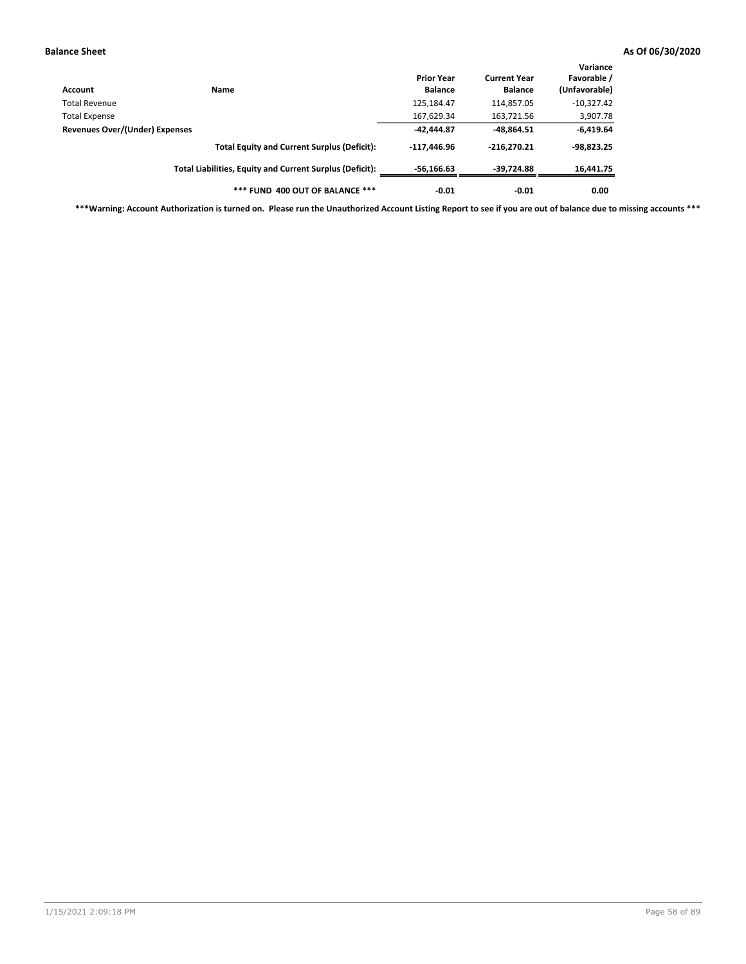| Account                        | <b>Name</b>                                              | <b>Prior Year</b><br><b>Balance</b> | <b>Current Year</b><br><b>Balance</b> | Variance<br>Favorable /<br>(Unfavorable) |
|--------------------------------|----------------------------------------------------------|-------------------------------------|---------------------------------------|------------------------------------------|
| Total Revenue                  |                                                          | 125,184.47                          | 114,857.05                            | $-10,327.42$                             |
| <b>Total Expense</b>           |                                                          | 167,629.34                          | 163,721.56                            | 3,907.78                                 |
| Revenues Over/(Under) Expenses |                                                          | $-42.444.87$                        | $-48,864.51$                          | $-6,419.64$                              |
|                                | <b>Total Equity and Current Surplus (Deficit):</b>       | $-117.446.96$                       | $-216.270.21$                         | $-98,823.25$                             |
|                                | Total Liabilities, Equity and Current Surplus (Deficit): | $-56,166.63$                        | -39,724.88                            | 16,441.75                                |
|                                | *** FUND 400 OUT OF BALANCE ***                          | $-0.01$                             | $-0.01$                               | 0.00                                     |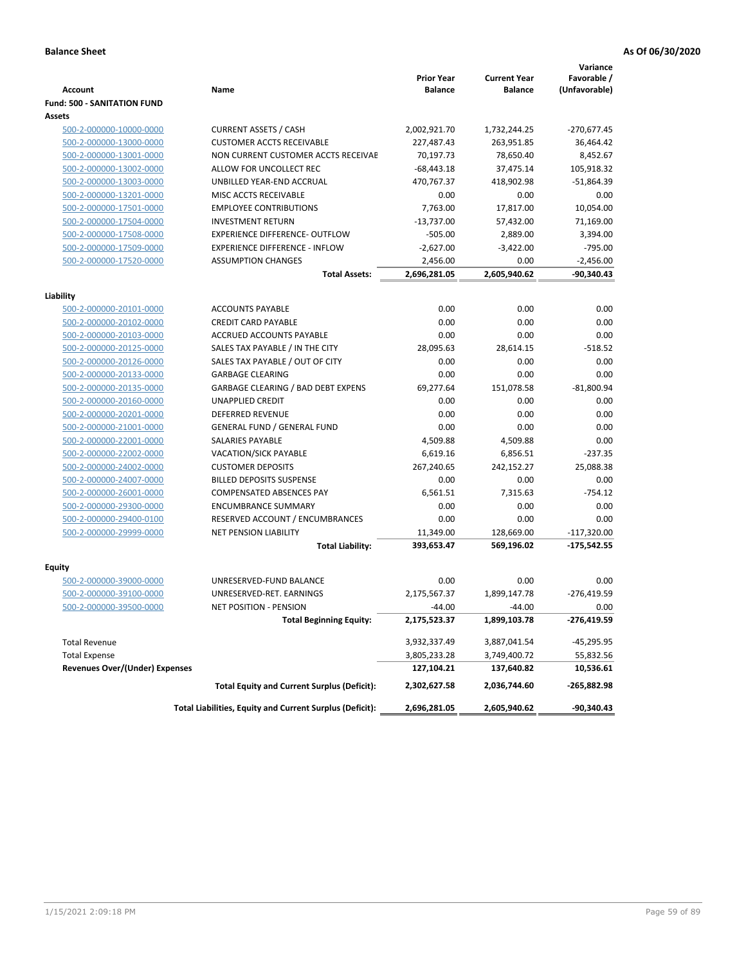|                                                    |                                                                 | <b>Prior Year</b> | <b>Current Year</b> | Variance<br>Favorable / |
|----------------------------------------------------|-----------------------------------------------------------------|-------------------|---------------------|-------------------------|
| <b>Account</b>                                     | Name                                                            | <b>Balance</b>    | <b>Balance</b>      | (Unfavorable)           |
| <b>Fund: 500 - SANITATION FUND</b>                 |                                                                 |                   |                     |                         |
| Assets                                             |                                                                 |                   |                     |                         |
| 500-2-000000-10000-0000                            | <b>CURRENT ASSETS / CASH</b>                                    | 2,002,921.70      | 1,732,244.25        | $-270,677.45$           |
| 500-2-000000-13000-0000                            | <b>CUSTOMER ACCTS RECEIVABLE</b>                                | 227,487.43        | 263,951.85          | 36,464.42               |
| 500-2-000000-13001-0000                            | NON CURRENT CUSTOMER ACCTS RECEIVAE                             | 70,197.73         | 78,650.40           | 8,452.67                |
| 500-2-000000-13002-0000                            | ALLOW FOR UNCOLLECT REC                                         | $-68,443.18$      | 37,475.14           | 105,918.32              |
| 500-2-000000-13003-0000                            | UNBILLED YEAR-END ACCRUAL                                       | 470,767.37        | 418,902.98          | $-51,864.39$            |
| 500-2-000000-13201-0000                            | MISC ACCTS RECEIVABLE                                           | 0.00              | 0.00                | 0.00                    |
| 500-2-000000-17501-0000                            | <b>EMPLOYEE CONTRIBUTIONS</b>                                   | 7,763.00          | 17,817.00           | 10,054.00               |
| 500-2-000000-17504-0000                            | <b>INVESTMENT RETURN</b>                                        | $-13,737.00$      | 57,432.00           | 71,169.00               |
| 500-2-000000-17508-0000                            | <b>EXPERIENCE DIFFERENCE- OUTFLOW</b>                           | $-505.00$         | 2,889.00            | 3,394.00                |
| 500-2-000000-17509-0000                            | <b>EXPERIENCE DIFFERENCE - INFLOW</b>                           | $-2,627.00$       | $-3,422.00$         | $-795.00$               |
| 500-2-000000-17520-0000                            | <b>ASSUMPTION CHANGES</b>                                       | 2,456.00          | 0.00                | $-2,456.00$             |
|                                                    | <b>Total Assets:</b>                                            | 2,696,281.05      | 2,605,940.62        | $-90,340.43$            |
|                                                    |                                                                 |                   |                     |                         |
| Liability                                          |                                                                 |                   |                     |                         |
| 500-2-000000-20101-0000                            | <b>ACCOUNTS PAYABLE</b>                                         | 0.00              | 0.00                | 0.00                    |
| 500-2-000000-20102-0000                            | <b>CREDIT CARD PAYABLE</b>                                      | 0.00              | 0.00                | 0.00                    |
| 500-2-000000-20103-0000                            | <b>ACCRUED ACCOUNTS PAYABLE</b>                                 | 0.00              | 0.00                | 0.00                    |
| 500-2-000000-20125-0000                            | SALES TAX PAYABLE / IN THE CITY                                 | 28,095.63         | 28,614.15           | $-518.52$               |
| 500-2-000000-20126-0000                            | SALES TAX PAYABLE / OUT OF CITY                                 | 0.00              | 0.00                | 0.00                    |
| 500-2-000000-20133-0000                            | <b>GARBAGE CLEARING</b>                                         | 0.00              | 0.00                | 0.00                    |
| 500-2-000000-20135-0000                            | <b>GARBAGE CLEARING / BAD DEBT EXPENS</b>                       | 69,277.64         | 151,078.58          | $-81,800.94$            |
| 500-2-000000-20160-0000                            | <b>UNAPPLIED CREDIT</b>                                         | 0.00              | 0.00                | 0.00                    |
| 500-2-000000-20201-0000                            | <b>DEFERRED REVENUE</b>                                         | 0.00              | 0.00                | 0.00                    |
| 500-2-000000-21001-0000                            | <b>GENERAL FUND / GENERAL FUND</b>                              | 0.00              | 0.00                | 0.00                    |
| 500-2-000000-22001-0000                            | <b>SALARIES PAYABLE</b>                                         | 4,509.88          | 4,509.88            | 0.00                    |
| 500-2-000000-22002-0000                            | <b>VACATION/SICK PAYABLE</b>                                    | 6,619.16          | 6,856.51            | $-237.35$               |
| 500-2-000000-24002-0000                            | <b>CUSTOMER DEPOSITS</b>                                        | 267,240.65        | 242,152.27          | 25,088.38               |
| 500-2-000000-24007-0000                            | <b>BILLED DEPOSITS SUSPENSE</b>                                 | 0.00              | 0.00                | 0.00<br>$-754.12$       |
| 500-2-000000-26001-0000                            | <b>COMPENSATED ABSENCES PAY</b>                                 | 6,561.51          | 7,315.63            |                         |
| 500-2-000000-29300-0000                            | <b>ENCUMBRANCE SUMMARY</b>                                      | 0.00              | 0.00                | 0.00                    |
| 500-2-000000-29400-0100<br>500-2-000000-29999-0000 | RESERVED ACCOUNT / ENCUMBRANCES<br><b>NET PENSION LIABILITY</b> | 0.00<br>11,349.00 | 0.00<br>128,669.00  | 0.00<br>$-117,320.00$   |
|                                                    |                                                                 |                   | 569,196.02          |                         |
|                                                    | <b>Total Liability:</b>                                         | 393,653.47        |                     | $-175,542.55$           |
| Equity                                             |                                                                 |                   |                     |                         |
| 500-2-000000-39000-0000                            | UNRESERVED-FUND BALANCE                                         | 0.00              | 0.00                | 0.00                    |
| 500-2-000000-39100-0000                            | UNRESERVED-RET. EARNINGS                                        | 2,175,567.37      | 1,899,147.78        | $-276,419.59$           |
| 500-2-000000-39500-0000                            | NET POSITION - PENSION                                          | $-44.00$          | $-44.00$            | 0.00                    |
|                                                    | <b>Total Beginning Equity:</b>                                  | 2,175,523.37      | 1,899,103.78        | -276,419.59             |
| <b>Total Revenue</b>                               |                                                                 | 3,932,337.49      | 3,887,041.54        | -45,295.95              |
| <b>Total Expense</b>                               |                                                                 | 3,805,233.28      | 3,749,400.72        | 55,832.56               |
| <b>Revenues Over/(Under) Expenses</b>              |                                                                 | 127,104.21        | 137,640.82          | 10,536.61               |
|                                                    | <b>Total Equity and Current Surplus (Deficit):</b>              | 2,302,627.58      | 2,036,744.60        | -265,882.98             |
|                                                    | Total Liabilities, Equity and Current Surplus (Deficit):        | 2,696,281.05      | 2,605,940.62        | -90,340.43              |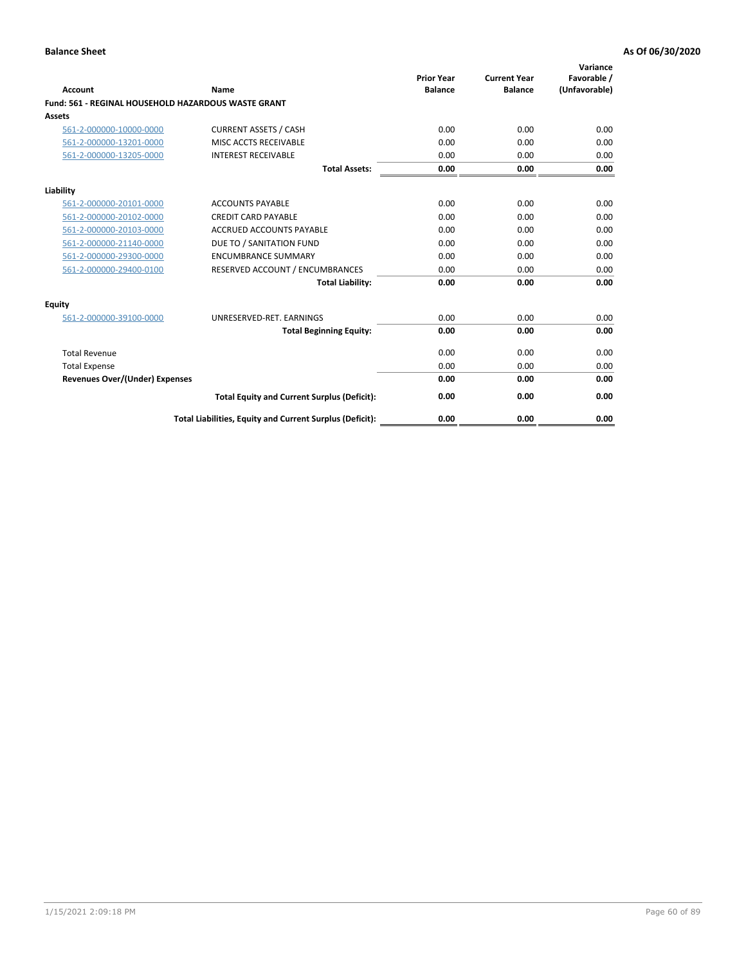| Account                                             | Name                                                     | <b>Prior Year</b><br><b>Balance</b> | <b>Current Year</b><br><b>Balance</b> | Variance<br>Favorable /<br>(Unfavorable) |
|-----------------------------------------------------|----------------------------------------------------------|-------------------------------------|---------------------------------------|------------------------------------------|
| Fund: 561 - REGINAL HOUSEHOLD HAZARDOUS WASTE GRANT |                                                          |                                     |                                       |                                          |
| <b>Assets</b>                                       |                                                          |                                     |                                       |                                          |
| 561-2-000000-10000-0000                             | <b>CURRENT ASSETS / CASH</b>                             | 0.00                                | 0.00                                  | 0.00                                     |
| 561-2-000000-13201-0000                             | MISC ACCTS RECEIVABLE                                    | 0.00                                | 0.00                                  | 0.00                                     |
| 561-2-000000-13205-0000                             | <b>INTEREST RECEIVABLE</b>                               | 0.00                                | 0.00                                  | 0.00                                     |
|                                                     | <b>Total Assets:</b>                                     | 0.00                                | 0.00                                  | 0.00                                     |
| Liability                                           |                                                          |                                     |                                       |                                          |
| 561-2-000000-20101-0000                             | <b>ACCOUNTS PAYABLE</b>                                  | 0.00                                | 0.00                                  | 0.00                                     |
| 561-2-000000-20102-0000                             | <b>CREDIT CARD PAYABLE</b>                               | 0.00                                | 0.00                                  | 0.00                                     |
| 561-2-000000-20103-0000                             | <b>ACCRUED ACCOUNTS PAYABLE</b>                          | 0.00                                | 0.00                                  | 0.00                                     |
| 561-2-000000-21140-0000                             | DUE TO / SANITATION FUND                                 | 0.00                                | 0.00                                  | 0.00                                     |
| 561-2-000000-29300-0000                             | <b>ENCUMBRANCE SUMMARY</b>                               | 0.00                                | 0.00                                  | 0.00                                     |
| 561-2-000000-29400-0100                             | RESERVED ACCOUNT / ENCUMBRANCES                          | 0.00                                | 0.00                                  | 0.00                                     |
|                                                     | <b>Total Liability:</b>                                  | 0.00                                | 0.00                                  | 0.00                                     |
| <b>Equity</b>                                       |                                                          |                                     |                                       |                                          |
| 561-2-000000-39100-0000                             | UNRESERVED-RET. EARNINGS                                 | 0.00                                | 0.00                                  | 0.00                                     |
|                                                     | <b>Total Beginning Equity:</b>                           | 0.00                                | 0.00                                  | 0.00                                     |
| <b>Total Revenue</b>                                |                                                          | 0.00                                | 0.00                                  | 0.00                                     |
| <b>Total Expense</b>                                |                                                          | 0.00                                | 0.00                                  | 0.00                                     |
| <b>Revenues Over/(Under) Expenses</b>               |                                                          | 0.00                                | 0.00                                  | 0.00                                     |
|                                                     | <b>Total Equity and Current Surplus (Deficit):</b>       | 0.00                                | 0.00                                  | 0.00                                     |
|                                                     | Total Liabilities, Equity and Current Surplus (Deficit): | 0.00                                | 0.00                                  | 0.00                                     |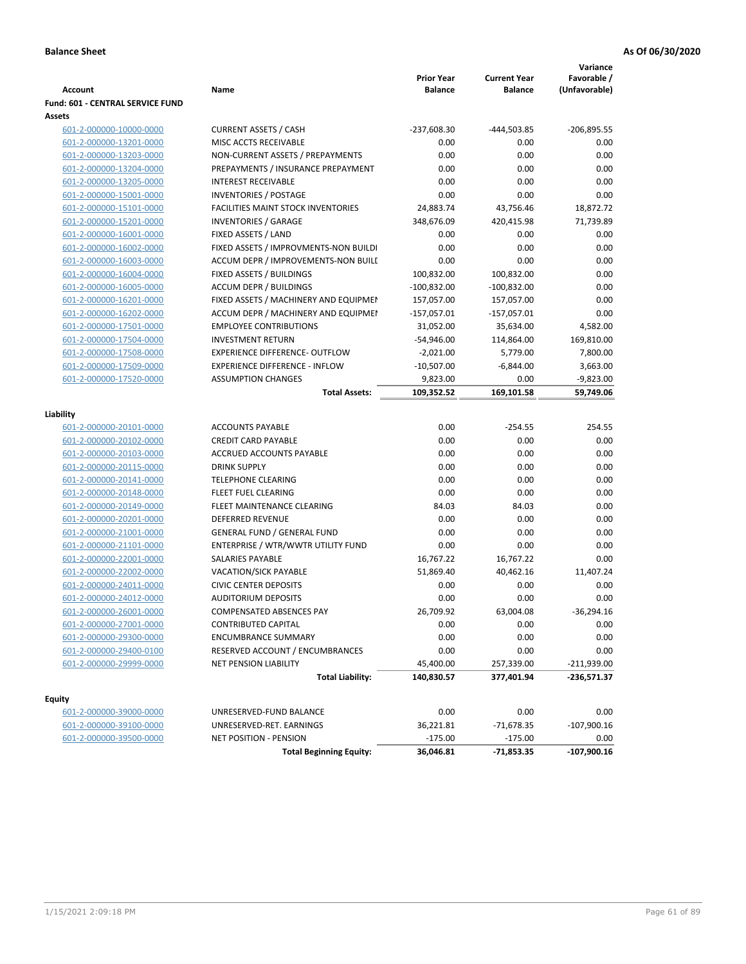| <b>Account</b>                           | Name                                                     | <b>Prior Year</b><br><b>Balance</b> | <b>Current Year</b><br><b>Balance</b> | Variance<br>Favorable /<br>(Unfavorable) |
|------------------------------------------|----------------------------------------------------------|-------------------------------------|---------------------------------------|------------------------------------------|
| Fund: 601 - CENTRAL SERVICE FUND         |                                                          |                                     |                                       |                                          |
| Assets                                   |                                                          |                                     |                                       |                                          |
| 601-2-000000-10000-0000                  | <b>CURRENT ASSETS / CASH</b>                             | $-237,608.30$                       | -444,503.85                           | $-206,895.55$                            |
| 601-2-000000-13201-0000                  | MISC ACCTS RECEIVABLE                                    | 0.00                                | 0.00                                  | 0.00                                     |
| 601-2-000000-13203-0000                  | NON-CURRENT ASSETS / PREPAYMENTS                         | 0.00                                | 0.00                                  | 0.00                                     |
| 601-2-000000-13204-0000                  | PREPAYMENTS / INSURANCE PREPAYMENT                       | 0.00                                | 0.00                                  | 0.00                                     |
| 601-2-000000-13205-0000                  | <b>INTEREST RECEIVABLE</b>                               | 0.00                                | 0.00                                  | 0.00                                     |
| 601-2-000000-15001-0000                  | <b>INVENTORIES / POSTAGE</b>                             | 0.00                                | 0.00                                  | 0.00                                     |
| 601-2-000000-15101-0000                  | <b>FACILITIES MAINT STOCK INVENTORIES</b>                | 24,883.74                           | 43,756.46                             | 18,872.72                                |
| 601-2-000000-15201-0000                  | <b>INVENTORIES / GARAGE</b>                              | 348,676.09                          | 420,415.98                            | 71,739.89                                |
| 601-2-000000-16001-0000                  | FIXED ASSETS / LAND                                      | 0.00                                | 0.00                                  | 0.00                                     |
| 601-2-000000-16002-0000                  | FIXED ASSETS / IMPROVMENTS-NON BUILDI                    | 0.00                                | 0.00                                  | 0.00                                     |
| 601-2-000000-16003-0000                  | ACCUM DEPR / IMPROVEMENTS-NON BUILI                      | 0.00                                | 0.00                                  | 0.00                                     |
| 601-2-000000-16004-0000                  | FIXED ASSETS / BUILDINGS                                 | 100,832.00                          | 100,832.00                            | 0.00                                     |
| 601-2-000000-16005-0000                  | <b>ACCUM DEPR / BUILDINGS</b>                            | $-100,832.00$                       | $-100,832.00$                         | 0.00                                     |
| 601-2-000000-16201-0000                  | FIXED ASSETS / MACHINERY AND EQUIPMEN                    | 157,057.00                          | 157,057.00                            | 0.00                                     |
| 601-2-000000-16202-0000                  | ACCUM DEPR / MACHINERY AND EQUIPMEI                      | $-157,057.01$                       | $-157,057.01$                         | 0.00                                     |
| 601-2-000000-17501-0000                  | <b>EMPLOYEE CONTRIBUTIONS</b>                            | 31,052.00                           | 35,634.00                             | 4,582.00                                 |
| 601-2-000000-17504-0000                  | <b>INVESTMENT RETURN</b>                                 | $-54,946.00$                        | 114,864.00                            | 169,810.00                               |
| 601-2-000000-17508-0000                  | <b>EXPERIENCE DIFFERENCE- OUTFLOW</b>                    | $-2,021.00$                         | 5,779.00                              | 7,800.00                                 |
| 601-2-000000-17509-0000                  | <b>EXPERIENCE DIFFERENCE - INFLOW</b>                    | $-10,507.00$                        | $-6,844.00$                           | 3,663.00                                 |
| 601-2-000000-17520-0000                  | <b>ASSUMPTION CHANGES</b>                                | 9,823.00                            | 0.00                                  | $-9,823.00$                              |
|                                          | <b>Total Assets:</b>                                     | 109,352.52                          | 169,101.58                            | 59,749.06                                |
|                                          |                                                          |                                     |                                       |                                          |
| Liability                                |                                                          |                                     |                                       |                                          |
| 601-2-000000-20101-0000                  | <b>ACCOUNTS PAYABLE</b>                                  | 0.00                                | $-254.55$                             | 254.55                                   |
| 601-2-000000-20102-0000                  | <b>CREDIT CARD PAYABLE</b>                               | 0.00                                | 0.00                                  | 0.00                                     |
| 601-2-000000-20103-0000                  | ACCRUED ACCOUNTS PAYABLE                                 | 0.00                                | 0.00                                  | 0.00                                     |
| 601-2-000000-20115-0000                  | <b>DRINK SUPPLY</b>                                      | 0.00                                | 0.00                                  | 0.00                                     |
| 601-2-000000-20141-0000                  | <b>TELEPHONE CLEARING</b>                                | 0.00                                | 0.00                                  | 0.00                                     |
| 601-2-000000-20148-0000                  | <b>FLEET FUEL CLEARING</b>                               | 0.00                                | 0.00                                  | 0.00                                     |
| 601-2-000000-20149-0000                  | FLEET MAINTENANCE CLEARING                               | 84.03                               | 84.03                                 | 0.00                                     |
| 601-2-000000-20201-0000                  | <b>DEFERRED REVENUE</b>                                  | 0.00                                | 0.00                                  | 0.00                                     |
| 601-2-000000-21001-0000                  | <b>GENERAL FUND / GENERAL FUND</b>                       | 0.00                                | 0.00                                  | 0.00                                     |
| 601-2-000000-21101-0000                  | ENTERPRISE / WTR/WWTR UTILITY FUND                       | 0.00                                | 0.00                                  | 0.00                                     |
| 601-2-000000-22001-0000                  | SALARIES PAYABLE                                         | 16,767.22                           | 16,767.22                             | 0.00                                     |
| 601-2-000000-22002-0000                  | <b>VACATION/SICK PAYABLE</b>                             | 51,869.40                           | 40,462.16                             | 11,407.24                                |
| 601-2-000000-24011-0000                  | <b>CIVIC CENTER DEPOSITS</b>                             | 0.00                                | 0.00                                  | 0.00                                     |
| 601-2-000000-24012-0000                  | <b>AUDITORIUM DEPOSITS</b>                               | 0.00                                | 0.00                                  | 0.00                                     |
| 601-2-000000-26001-0000                  | <b>COMPENSATED ABSENCES PAY</b>                          | 26,709.92                           | 63,004.08                             | $-36,294.16$                             |
| 601-2-000000-27001-0000                  | CONTRIBUTED CAPITAL                                      | 0.00                                | 0.00                                  | 0.00                                     |
| 601-2-000000-29300-0000                  | <b>ENCUMBRANCE SUMMARY</b>                               | 0.00                                | 0.00                                  | 0.00                                     |
| 601-2-000000-29400-0100                  | RESERVED ACCOUNT / ENCUMBRANCES                          | 0.00                                | 0.00                                  | 0.00                                     |
| 601-2-000000-29999-0000                  | <b>NET PENSION LIABILITY</b>                             | 45,400.00                           | 257,339.00                            | $-211,939.00$                            |
|                                          | <b>Total Liability:</b>                                  | 140,830.57                          | 377,401.94                            | -236,571.37                              |
|                                          |                                                          |                                     |                                       |                                          |
| <b>Equity</b><br>601-2-000000-39000-0000 |                                                          | 0.00                                | 0.00                                  | 0.00                                     |
|                                          | UNRESERVED-FUND BALANCE                                  |                                     |                                       |                                          |
| 601-2-000000-39100-0000                  | UNRESERVED-RET. EARNINGS                                 | 36,221.81                           | -71,678.35                            | $-107,900.16$                            |
| 601-2-000000-39500-0000                  | NET POSITION - PENSION<br><b>Total Beginning Equity:</b> | $-175.00$<br>36,046.81              | $-175.00$<br>$-71,853.35$             | 0.00<br>$-107,900.16$                    |
|                                          |                                                          |                                     |                                       |                                          |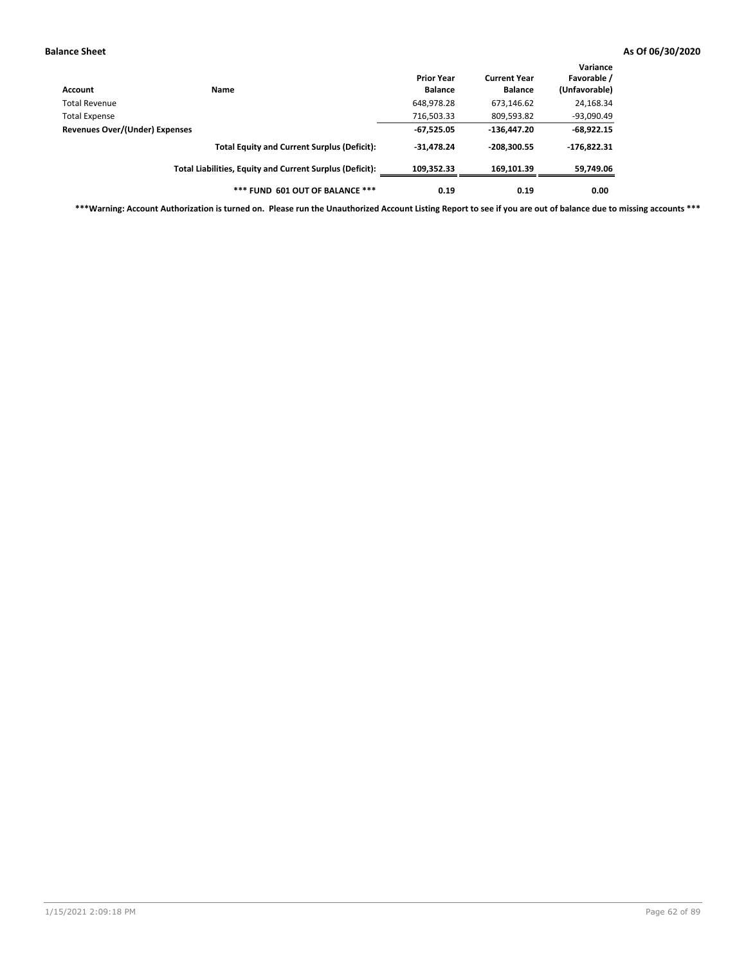| Account                        | Name                                                     | <b>Prior Year</b><br><b>Balance</b> | <b>Current Year</b><br><b>Balance</b> | Variance<br>Favorable /<br>(Unfavorable) |
|--------------------------------|----------------------------------------------------------|-------------------------------------|---------------------------------------|------------------------------------------|
| Total Revenue                  |                                                          | 648,978.28                          | 673,146.62                            | 24,168.34                                |
| <b>Total Expense</b>           |                                                          | 716,503.33                          | 809,593.82                            | -93,090.49                               |
| Revenues Over/(Under) Expenses |                                                          | $-67,525.05$                        | $-136,447.20$                         | $-68,922.15$                             |
|                                | <b>Total Equity and Current Surplus (Deficit):</b>       | $-31,478.24$                        | $-208,300.55$                         | $-176,822.31$                            |
|                                | Total Liabilities, Equity and Current Surplus (Deficit): | 109.352.33                          | 169.101.39                            | 59,749.06                                |
|                                | *** FUND 601 OUT OF BALANCE ***                          | 0.19                                | 0.19                                  | 0.00                                     |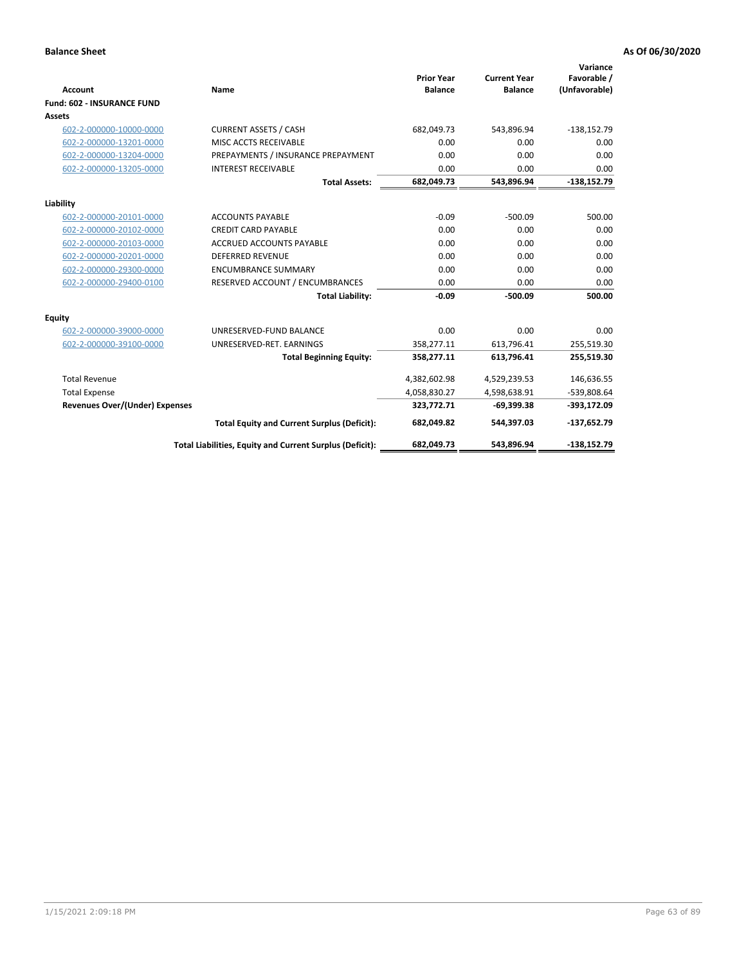|                                       |                                                          |                                     |                                       | Variance                     |
|---------------------------------------|----------------------------------------------------------|-------------------------------------|---------------------------------------|------------------------------|
| <b>Account</b>                        | <b>Name</b>                                              | <b>Prior Year</b><br><b>Balance</b> | <b>Current Year</b><br><b>Balance</b> | Favorable /<br>(Unfavorable) |
| <b>Fund: 602 - INSURANCE FUND</b>     |                                                          |                                     |                                       |                              |
| <b>Assets</b>                         |                                                          |                                     |                                       |                              |
| 602-2-000000-10000-0000               | <b>CURRENT ASSETS / CASH</b>                             | 682,049.73                          | 543,896.94                            | $-138,152.79$                |
| 602-2-000000-13201-0000               | MISC ACCTS RECEIVABLE                                    | 0.00                                | 0.00                                  | 0.00                         |
| 602-2-000000-13204-0000               | PREPAYMENTS / INSURANCE PREPAYMENT                       | 0.00                                | 0.00                                  | 0.00                         |
| 602-2-000000-13205-0000               | <b>INTEREST RECEIVABLE</b>                               | 0.00                                | 0.00                                  | 0.00                         |
|                                       | <b>Total Assets:</b>                                     | 682,049.73                          | 543,896.94                            | $-138,152.79$                |
| Liability                             |                                                          |                                     |                                       |                              |
| 602-2-000000-20101-0000               | <b>ACCOUNTS PAYABLE</b>                                  | $-0.09$                             | $-500.09$                             | 500.00                       |
| 602-2-000000-20102-0000               | <b>CREDIT CARD PAYABLE</b>                               | 0.00                                | 0.00                                  | 0.00                         |
| 602-2-000000-20103-0000               | <b>ACCRUED ACCOUNTS PAYABLE</b>                          | 0.00                                | 0.00                                  | 0.00                         |
| 602-2-000000-20201-0000               | <b>DEFERRED REVENUE</b>                                  | 0.00                                | 0.00                                  | 0.00                         |
| 602-2-000000-29300-0000               | <b>ENCUMBRANCE SUMMARY</b>                               | 0.00                                | 0.00                                  | 0.00                         |
| 602-2-000000-29400-0100               | RESERVED ACCOUNT / ENCUMBRANCES                          | 0.00                                | 0.00                                  | 0.00                         |
|                                       | <b>Total Liability:</b>                                  | $-0.09$                             | $-500.09$                             | 500.00                       |
| <b>Equity</b>                         |                                                          |                                     |                                       |                              |
| 602-2-000000-39000-0000               | UNRESERVED-FUND BALANCE                                  | 0.00                                | 0.00                                  | 0.00                         |
| 602-2-000000-39100-0000               | UNRESERVED-RET. EARNINGS                                 | 358,277.11                          | 613,796.41                            | 255,519.30                   |
|                                       | <b>Total Beginning Equity:</b>                           | 358,277.11                          | 613,796.41                            | 255,519.30                   |
| <b>Total Revenue</b>                  |                                                          | 4,382,602.98                        | 4,529,239.53                          | 146,636.55                   |
| <b>Total Expense</b>                  |                                                          | 4,058,830.27                        | 4,598,638.91                          | -539,808.64                  |
| <b>Revenues Over/(Under) Expenses</b> |                                                          | 323,772.71                          | $-69,399.38$                          | $-393,172.09$                |
|                                       | <b>Total Equity and Current Surplus (Deficit):</b>       | 682,049.82                          | 544,397.03                            | $-137,652.79$                |
|                                       | Total Liabilities, Equity and Current Surplus (Deficit): | 682,049.73                          | 543.896.94                            | $-138.152.79$                |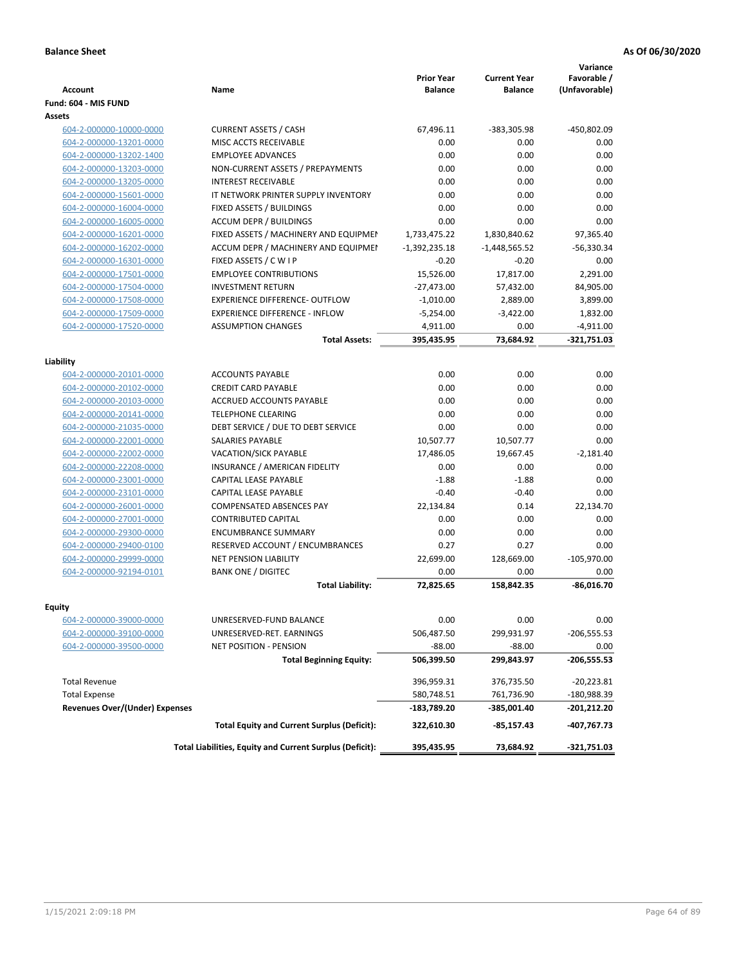| <b>Account</b>                        | Name                                                     | <b>Prior Year</b><br>Balance | <b>Current Year</b><br><b>Balance</b> | Variance<br>Favorable /<br>(Unfavorable) |
|---------------------------------------|----------------------------------------------------------|------------------------------|---------------------------------------|------------------------------------------|
| Fund: 604 - MIS FUND                  |                                                          |                              |                                       |                                          |
| <b>Assets</b>                         |                                                          |                              |                                       |                                          |
| 604-2-000000-10000-0000               | <b>CURRENT ASSETS / CASH</b>                             | 67,496.11                    | -383,305.98                           | -450,802.09                              |
| 604-2-000000-13201-0000               | MISC ACCTS RECEIVABLE                                    | 0.00                         | 0.00                                  | 0.00                                     |
| 604-2-000000-13202-1400               | <b>EMPLOYEE ADVANCES</b>                                 | 0.00                         | 0.00                                  | 0.00                                     |
| 604-2-000000-13203-0000               | NON-CURRENT ASSETS / PREPAYMENTS                         | 0.00                         | 0.00                                  | 0.00                                     |
| 604-2-000000-13205-0000               | <b>INTEREST RECEIVABLE</b>                               | 0.00                         | 0.00                                  | 0.00                                     |
| 604-2-000000-15601-0000               | IT NETWORK PRINTER SUPPLY INVENTORY                      | 0.00                         | 0.00                                  | 0.00                                     |
| 604-2-000000-16004-0000               | FIXED ASSETS / BUILDINGS                                 | 0.00                         | 0.00                                  | 0.00                                     |
| 604-2-000000-16005-0000               | <b>ACCUM DEPR / BUILDINGS</b>                            | 0.00                         | 0.00                                  | 0.00                                     |
| 604-2-000000-16201-0000               | FIXED ASSETS / MACHINERY AND EQUIPMEN                    | 1,733,475.22                 | 1,830,840.62                          | 97,365.40                                |
| 604-2-000000-16202-0000               | ACCUM DEPR / MACHINERY AND EQUIPMEI                      | $-1,392,235.18$              | $-1,448,565.52$                       | $-56,330.34$                             |
| 604-2-000000-16301-0000               | FIXED ASSETS / C W I P                                   | $-0.20$                      | $-0.20$                               | 0.00                                     |
| 604-2-000000-17501-0000               | <b>EMPLOYEE CONTRIBUTIONS</b>                            | 15,526.00                    | 17,817.00                             | 2,291.00                                 |
| 604-2-000000-17504-0000               | <b>INVESTMENT RETURN</b>                                 | $-27,473.00$                 | 57,432.00                             | 84,905.00                                |
| 604-2-000000-17508-0000               | <b>EXPERIENCE DIFFERENCE- OUTFLOW</b>                    | $-1,010.00$                  | 2,889.00                              | 3,899.00                                 |
| 604-2-000000-17509-0000               | <b>EXPERIENCE DIFFERENCE - INFLOW</b>                    | $-5,254.00$                  | $-3,422.00$                           | 1,832.00                                 |
| 604-2-000000-17520-0000               | <b>ASSUMPTION CHANGES</b>                                | 4,911.00                     | 0.00                                  | $-4,911.00$                              |
|                                       | <b>Total Assets:</b>                                     | 395,435.95                   | 73,684.92                             | $-321,751.03$                            |
|                                       |                                                          |                              |                                       |                                          |
| Liability<br>604-2-000000-20101-0000  | <b>ACCOUNTS PAYABLE</b>                                  | 0.00                         | 0.00                                  | 0.00                                     |
| 604-2-000000-20102-0000               | <b>CREDIT CARD PAYABLE</b>                               | 0.00                         | 0.00                                  | 0.00                                     |
| 604-2-000000-20103-0000               | ACCRUED ACCOUNTS PAYABLE                                 | 0.00                         | 0.00                                  | 0.00                                     |
| 604-2-000000-20141-0000               | <b>TELEPHONE CLEARING</b>                                | 0.00                         | 0.00                                  | 0.00                                     |
| 604-2-000000-21035-0000               | DEBT SERVICE / DUE TO DEBT SERVICE                       | 0.00                         | 0.00                                  | 0.00                                     |
| 604-2-000000-22001-0000               | SALARIES PAYABLE                                         | 10,507.77                    | 10,507.77                             | 0.00                                     |
| 604-2-000000-22002-0000               | <b>VACATION/SICK PAYABLE</b>                             | 17,486.05                    | 19,667.45                             | $-2,181.40$                              |
| 604-2-000000-22208-0000               | INSURANCE / AMERICAN FIDELITY                            | 0.00                         | 0.00                                  | 0.00                                     |
| 604-2-000000-23001-0000               | CAPITAL LEASE PAYABLE                                    | $-1.88$                      | $-1.88$                               | 0.00                                     |
| 604-2-000000-23101-0000               | CAPITAL LEASE PAYABLE                                    | $-0.40$                      | $-0.40$                               | 0.00                                     |
| 604-2-000000-26001-0000               | <b>COMPENSATED ABSENCES PAY</b>                          | 22,134.84                    | 0.14                                  | 22,134.70                                |
| 604-2-000000-27001-0000               | <b>CONTRIBUTED CAPITAL</b>                               | 0.00                         | 0.00                                  | 0.00                                     |
| 604-2-000000-29300-0000               | <b>ENCUMBRANCE SUMMARY</b>                               | 0.00                         | 0.00                                  | 0.00                                     |
| 604-2-000000-29400-0100               | RESERVED ACCOUNT / ENCUMBRANCES                          | 0.27                         | 0.27                                  | 0.00                                     |
| 604-2-000000-29999-0000               | <b>NET PENSION LIABILITY</b>                             | 22,699.00                    | 128,669.00                            | $-105,970.00$                            |
| 604-2-000000-92194-0101               | <b>BANK ONE / DIGITEC</b>                                | 0.00                         | 0.00                                  | 0.00                                     |
|                                       | <b>Total Liability:</b>                                  | 72,825.65                    | 158,842.35                            | $-86,016.70$                             |
|                                       |                                                          |                              |                                       |                                          |
| <b>Equity</b>                         |                                                          |                              |                                       |                                          |
| 604-2-000000-39000-0000               | UNRESERVED-FUND BALANCE                                  | 0.00                         | 0.00                                  | 0.00                                     |
| 604-2-000000-39100-0000               | UNRESERVED-RET. EARNINGS                                 | 506,487.50                   | 299,931.97                            | $-206,555.53$                            |
| 604-2-000000-39500-0000               | NET POSITION - PENSION                                   | $-88.00$                     | $-88.00$                              | 0.00                                     |
|                                       | <b>Total Beginning Equity:</b>                           | 506,399.50                   | 299,843.97                            | -206,555.53                              |
| <b>Total Revenue</b>                  |                                                          | 396,959.31                   | 376,735.50                            | $-20,223.81$                             |
| <b>Total Expense</b>                  |                                                          | 580,748.51                   | 761,736.90                            | -180,988.39                              |
| <b>Revenues Over/(Under) Expenses</b> |                                                          | -183,789.20                  | -385,001.40                           | -201,212.20                              |
|                                       | <b>Total Equity and Current Surplus (Deficit):</b>       | 322,610.30                   | $-85,157.43$                          | -407,767.73                              |
|                                       | Total Liabilities, Equity and Current Surplus (Deficit): | 395,435.95                   | 73,684.92                             | -321,751.03                              |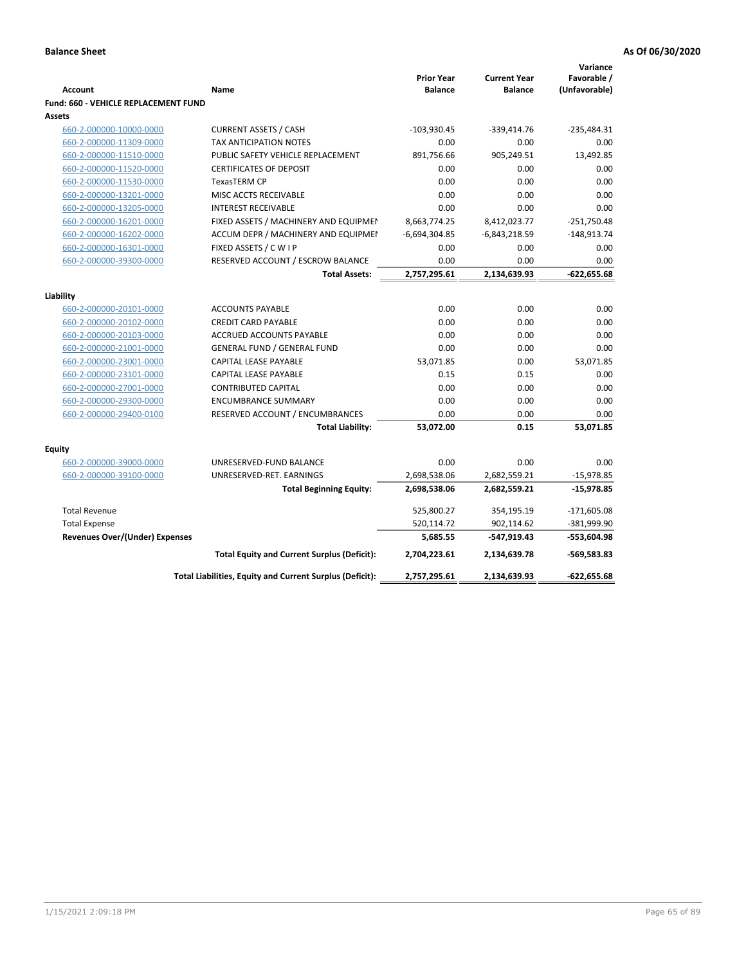|                                             |                                                          |                                     |                                       | Variance                     |
|---------------------------------------------|----------------------------------------------------------|-------------------------------------|---------------------------------------|------------------------------|
| <b>Account</b>                              | Name                                                     | <b>Prior Year</b><br><b>Balance</b> | <b>Current Year</b><br><b>Balance</b> | Favorable /<br>(Unfavorable) |
| <b>Fund: 660 - VEHICLE REPLACEMENT FUND</b> |                                                          |                                     |                                       |                              |
| Assets                                      |                                                          |                                     |                                       |                              |
| 660-2-000000-10000-0000                     | <b>CURRENT ASSETS / CASH</b>                             | $-103,930.45$                       | -339,414.76                           | $-235,484.31$                |
| 660-2-000000-11309-0000                     | TAX ANTICIPATION NOTES                                   | 0.00                                | 0.00                                  | 0.00                         |
| 660-2-000000-11510-0000                     | PUBLIC SAFETY VEHICLE REPLACEMENT                        | 891,756.66                          | 905,249.51                            | 13,492.85                    |
| 660-2-000000-11520-0000                     | <b>CERTIFICATES OF DEPOSIT</b>                           | 0.00                                | 0.00                                  | 0.00                         |
| 660-2-000000-11530-0000                     | <b>TexasTERM CP</b>                                      | 0.00                                | 0.00                                  | 0.00                         |
| 660-2-000000-13201-0000                     | MISC ACCTS RECEIVABLE                                    | 0.00                                | 0.00                                  | 0.00                         |
| 660-2-000000-13205-0000                     | <b>INTEREST RECEIVABLE</b>                               | 0.00                                | 0.00                                  | 0.00                         |
| 660-2-000000-16201-0000                     | FIXED ASSETS / MACHINERY AND EQUIPMEN                    | 8,663,774.25                        | 8,412,023.77                          | $-251,750.48$                |
| 660-2-000000-16202-0000                     | ACCUM DEPR / MACHINERY AND EQUIPMEI                      | $-6,694,304.85$                     | $-6,843,218.59$                       | $-148,913.74$                |
| 660-2-000000-16301-0000                     | FIXED ASSETS / C W I P                                   | 0.00                                | 0.00                                  | 0.00                         |
| 660-2-000000-39300-0000                     | RESERVED ACCOUNT / ESCROW BALANCE                        | 0.00                                | 0.00                                  | 0.00                         |
|                                             | <b>Total Assets:</b>                                     | 2,757,295.61                        | 2,134,639.93                          | $-622,655.68$                |
|                                             |                                                          |                                     |                                       |                              |
| Liability                                   |                                                          |                                     |                                       |                              |
| 660-2-000000-20101-0000                     | <b>ACCOUNTS PAYABLE</b>                                  | 0.00                                | 0.00                                  | 0.00                         |
| 660-2-000000-20102-0000                     | <b>CREDIT CARD PAYABLE</b>                               | 0.00                                | 0.00                                  | 0.00                         |
| 660-2-000000-20103-0000                     | ACCRUED ACCOUNTS PAYABLE                                 | 0.00                                | 0.00                                  | 0.00                         |
| 660-2-000000-21001-0000                     | <b>GENERAL FUND / GENERAL FUND</b>                       | 0.00                                | 0.00                                  | 0.00                         |
| 660-2-000000-23001-0000                     | <b>CAPITAL LEASE PAYABLE</b>                             | 53,071.85                           | 0.00                                  | 53,071.85                    |
| 660-2-000000-23101-0000                     | <b>CAPITAL LEASE PAYABLE</b>                             | 0.15                                | 0.15                                  | 0.00                         |
| 660-2-000000-27001-0000                     | <b>CONTRIBUTED CAPITAL</b>                               | 0.00                                | 0.00                                  | 0.00                         |
| 660-2-000000-29300-0000                     | <b>ENCUMBRANCE SUMMARY</b>                               | 0.00                                | 0.00                                  | 0.00                         |
| 660-2-000000-29400-0100                     | RESERVED ACCOUNT / ENCUMBRANCES                          | 0.00                                | 0.00                                  | 0.00                         |
|                                             | <b>Total Liability:</b>                                  | 53,072.00                           | 0.15                                  | 53,071.85                    |
| Equity                                      |                                                          |                                     |                                       |                              |
| 660-2-000000-39000-0000                     | UNRESERVED-FUND BALANCE                                  | 0.00                                | 0.00                                  | 0.00                         |
| 660-2-000000-39100-0000                     | UNRESERVED-RET. EARNINGS                                 | 2,698,538.06                        | 2,682,559.21                          | $-15,978.85$                 |
|                                             | <b>Total Beginning Equity:</b>                           | 2,698,538.06                        | 2,682,559.21                          | -15,978.85                   |
|                                             |                                                          |                                     |                                       |                              |
| <b>Total Revenue</b>                        |                                                          | 525,800.27                          | 354,195.19                            | $-171,605.08$                |
| <b>Total Expense</b>                        |                                                          | 520,114.72                          | 902,114.62                            | -381,999.90                  |
| Revenues Over/(Under) Expenses              |                                                          | 5,685.55                            | -547,919.43                           | $-553,604.98$                |
|                                             | <b>Total Equity and Current Surplus (Deficit):</b>       | 2,704,223.61                        | 2,134,639.78                          | $-569,583.83$                |
|                                             | Total Liabilities, Equity and Current Surplus (Deficit): | 2,757,295.61                        | 2,134,639.93                          | $-622,655.68$                |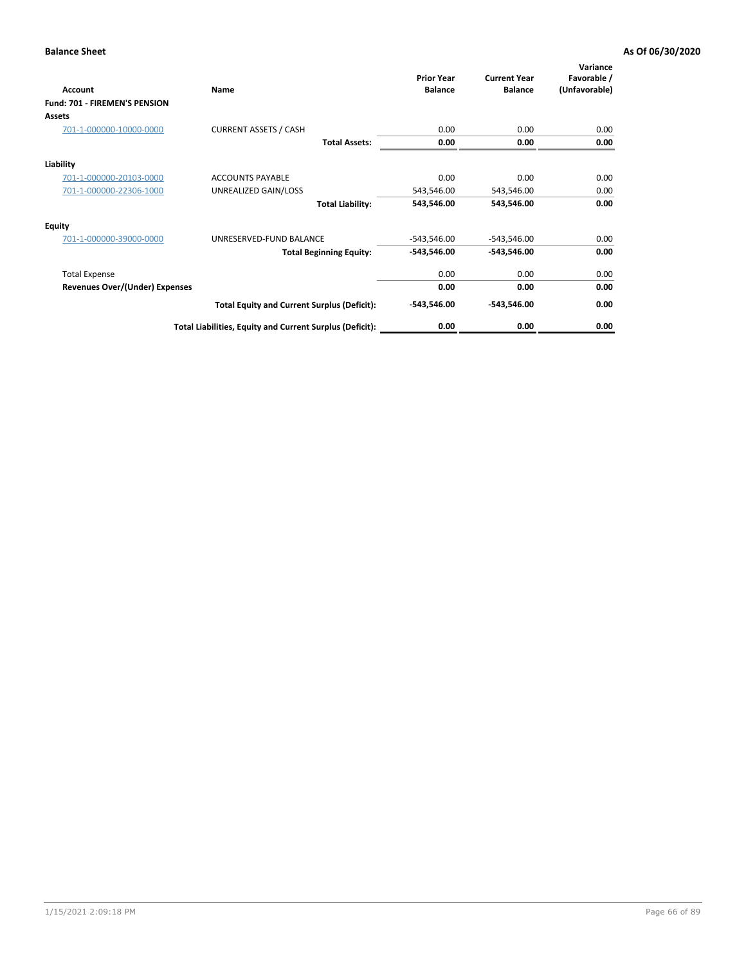| Account                               | Name                                                     | <b>Prior Year</b><br><b>Balance</b> | <b>Current Year</b><br><b>Balance</b> | Variance<br>Favorable /<br>(Unfavorable) |
|---------------------------------------|----------------------------------------------------------|-------------------------------------|---------------------------------------|------------------------------------------|
| Fund: 701 - FIREMEN'S PENSION         |                                                          |                                     |                                       |                                          |
| <b>Assets</b>                         |                                                          |                                     |                                       |                                          |
| 701-1-000000-10000-0000               | <b>CURRENT ASSETS / CASH</b>                             | 0.00                                | 0.00                                  | 0.00                                     |
|                                       | <b>Total Assets:</b>                                     | 0.00                                | 0.00                                  | 0.00                                     |
| Liability                             |                                                          |                                     |                                       |                                          |
| 701-1-000000-20103-0000               | <b>ACCOUNTS PAYABLE</b>                                  | 0.00                                | 0.00                                  | 0.00                                     |
| 701-1-000000-22306-1000               | UNREALIZED GAIN/LOSS                                     | 543,546.00                          | 543,546.00                            | 0.00                                     |
|                                       | <b>Total Liability:</b>                                  | 543,546.00                          | 543,546.00                            | 0.00                                     |
| <b>Equity</b>                         |                                                          |                                     |                                       |                                          |
| 701-1-000000-39000-0000               | UNRESERVED-FUND BALANCE                                  | $-543,546.00$                       | $-543,546.00$                         | 0.00                                     |
|                                       | <b>Total Beginning Equity:</b>                           | $-543,546.00$                       | -543,546.00                           | 0.00                                     |
| <b>Total Expense</b>                  |                                                          | 0.00                                | 0.00                                  | 0.00                                     |
| <b>Revenues Over/(Under) Expenses</b> |                                                          | 0.00                                | 0.00                                  | 0.00                                     |
|                                       | <b>Total Equity and Current Surplus (Deficit):</b>       | $-543,546.00$                       | -543,546.00                           | 0.00                                     |
|                                       | Total Liabilities, Equity and Current Surplus (Deficit): | 0.00                                | 0.00                                  | 0.00                                     |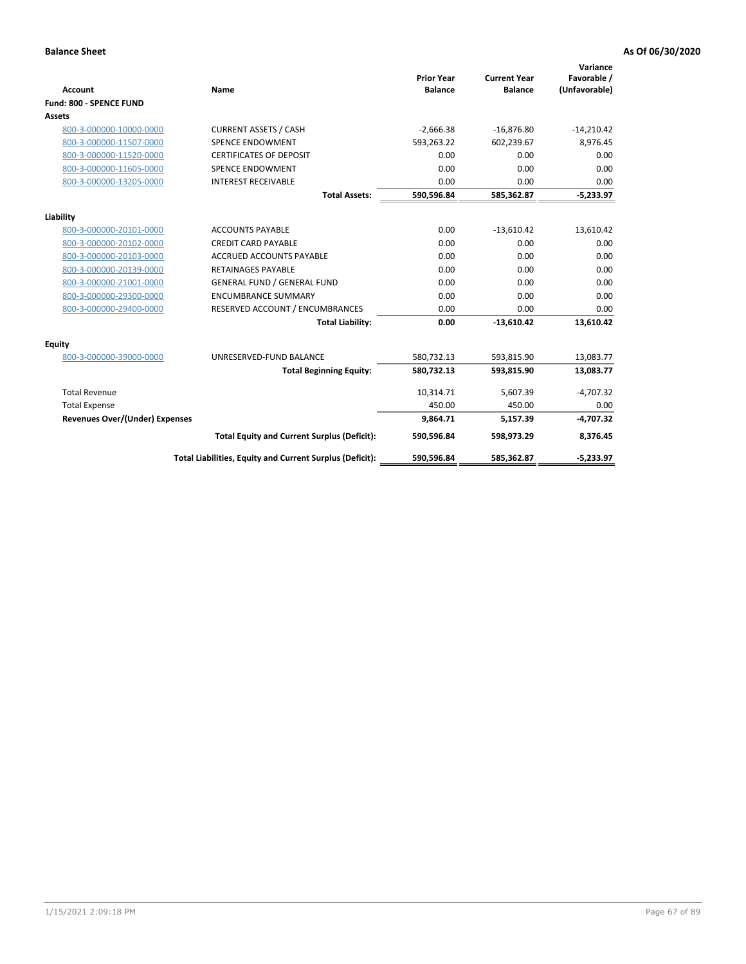| <b>Account</b>                        | <b>Name</b>                                              | <b>Prior Year</b><br><b>Balance</b> | <b>Current Year</b><br><b>Balance</b> | Variance<br>Favorable /<br>(Unfavorable) |
|---------------------------------------|----------------------------------------------------------|-------------------------------------|---------------------------------------|------------------------------------------|
| Fund: 800 - SPENCE FUND               |                                                          |                                     |                                       |                                          |
| <b>Assets</b>                         |                                                          |                                     |                                       |                                          |
| 800-3-000000-10000-0000               | <b>CURRENT ASSETS / CASH</b>                             | $-2,666.38$                         | $-16,876.80$                          | $-14,210.42$                             |
| 800-3-000000-11507-0000               | <b>SPENCE ENDOWMENT</b>                                  | 593,263.22                          | 602,239.67                            | 8,976.45                                 |
| 800-3-000000-11520-0000               | <b>CERTIFICATES OF DEPOSIT</b>                           | 0.00                                | 0.00                                  | 0.00                                     |
| 800-3-000000-11605-0000               | <b>SPENCE ENDOWMENT</b>                                  | 0.00                                | 0.00                                  | 0.00                                     |
| 800-3-000000-13205-0000               | <b>INTEREST RECEIVABLE</b>                               | 0.00                                | 0.00                                  | 0.00                                     |
|                                       | <b>Total Assets:</b>                                     | 590,596.84                          | 585,362.87                            | $-5,233.97$                              |
| Liability                             |                                                          |                                     |                                       |                                          |
| 800-3-000000-20101-0000               | <b>ACCOUNTS PAYABLE</b>                                  | 0.00                                | $-13,610.42$                          | 13,610.42                                |
| 800-3-000000-20102-0000               | <b>CREDIT CARD PAYABLE</b>                               | 0.00                                | 0.00                                  | 0.00                                     |
| 800-3-000000-20103-0000               | <b>ACCRUED ACCOUNTS PAYABLE</b>                          | 0.00                                | 0.00                                  | 0.00                                     |
| 800-3-000000-20139-0000               | <b>RETAINAGES PAYABLE</b>                                | 0.00                                | 0.00                                  | 0.00                                     |
| 800-3-000000-21001-0000               | <b>GENERAL FUND / GENERAL FUND</b>                       | 0.00                                | 0.00                                  | 0.00                                     |
| 800-3-000000-29300-0000               | <b>ENCUMBRANCE SUMMARY</b>                               | 0.00                                | 0.00                                  | 0.00                                     |
| 800-3-000000-29400-0000               | RESERVED ACCOUNT / ENCUMBRANCES                          | 0.00                                | 0.00                                  | 0.00                                     |
|                                       | <b>Total Liability:</b>                                  | 0.00                                | $-13,610.42$                          | 13,610.42                                |
| <b>Equity</b>                         |                                                          |                                     |                                       |                                          |
| 800-3-000000-39000-0000               | UNRESERVED-FUND BALANCE                                  | 580,732.13                          | 593,815.90                            | 13,083.77                                |
|                                       | <b>Total Beginning Equity:</b>                           | 580,732.13                          | 593,815.90                            | 13,083.77                                |
| <b>Total Revenue</b>                  |                                                          | 10,314.71                           | 5,607.39                              | $-4,707.32$                              |
| <b>Total Expense</b>                  |                                                          | 450.00                              | 450.00                                | 0.00                                     |
| <b>Revenues Over/(Under) Expenses</b> |                                                          | 9,864.71                            | 5,157.39                              | $-4,707.32$                              |
|                                       | <b>Total Equity and Current Surplus (Deficit):</b>       | 590,596.84                          | 598,973.29                            | 8,376.45                                 |
|                                       | Total Liabilities, Equity and Current Surplus (Deficit): | 590,596.84                          | 585,362.87                            | $-5,233.97$                              |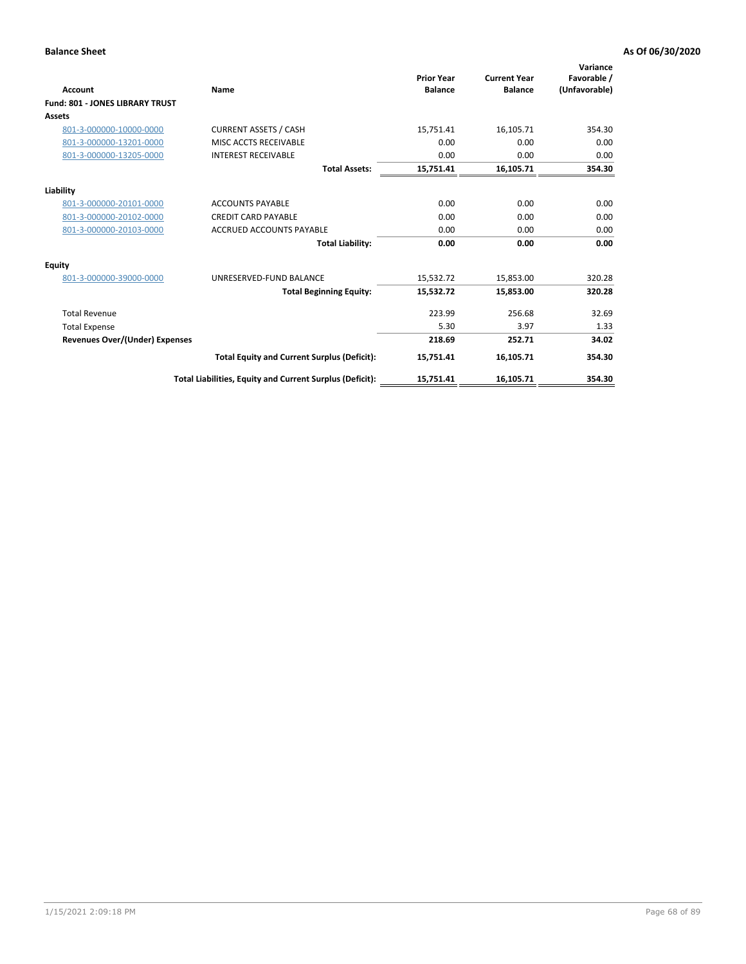| <b>Account</b>                         | Name                                                     | <b>Prior Year</b><br><b>Balance</b> | <b>Current Year</b><br><b>Balance</b> | Variance<br>Favorable /<br>(Unfavorable) |
|----------------------------------------|----------------------------------------------------------|-------------------------------------|---------------------------------------|------------------------------------------|
| <b>Fund: 801 - JONES LIBRARY TRUST</b> |                                                          |                                     |                                       |                                          |
| Assets                                 |                                                          |                                     |                                       |                                          |
| 801-3-000000-10000-0000                | <b>CURRENT ASSETS / CASH</b>                             | 15,751.41                           | 16,105.71                             | 354.30                                   |
| 801-3-000000-13201-0000                | MISC ACCTS RECEIVABLE                                    | 0.00                                | 0.00                                  | 0.00                                     |
| 801-3-000000-13205-0000                | <b>INTEREST RECEIVABLE</b>                               | 0.00                                | 0.00                                  | 0.00                                     |
|                                        | <b>Total Assets:</b>                                     | 15,751.41                           | 16,105.71                             | 354.30                                   |
| Liability                              |                                                          |                                     |                                       |                                          |
| 801-3-000000-20101-0000                | <b>ACCOUNTS PAYABLE</b>                                  | 0.00                                | 0.00                                  | 0.00                                     |
| 801-3-000000-20102-0000                | <b>CREDIT CARD PAYABLE</b>                               | 0.00                                | 0.00                                  | 0.00                                     |
| 801-3-000000-20103-0000                | <b>ACCRUED ACCOUNTS PAYABLE</b>                          | 0.00                                | 0.00                                  | 0.00                                     |
|                                        | <b>Total Liability:</b>                                  | 0.00                                | 0.00                                  | 0.00                                     |
| Equity                                 |                                                          |                                     |                                       |                                          |
| 801-3-000000-39000-0000                | UNRESERVED-FUND BALANCE                                  | 15,532.72                           | 15,853.00                             | 320.28                                   |
|                                        | <b>Total Beginning Equity:</b>                           | 15,532.72                           | 15,853.00                             | 320.28                                   |
| <b>Total Revenue</b>                   |                                                          | 223.99                              | 256.68                                | 32.69                                    |
| <b>Total Expense</b>                   |                                                          | 5.30                                | 3.97                                  | 1.33                                     |
| <b>Revenues Over/(Under) Expenses</b>  |                                                          | 218.69                              | 252.71                                | 34.02                                    |
|                                        | <b>Total Equity and Current Surplus (Deficit):</b>       | 15,751.41                           | 16,105.71                             | 354.30                                   |
|                                        | Total Liabilities, Equity and Current Surplus (Deficit): | 15,751.41                           | 16,105.71                             | 354.30                                   |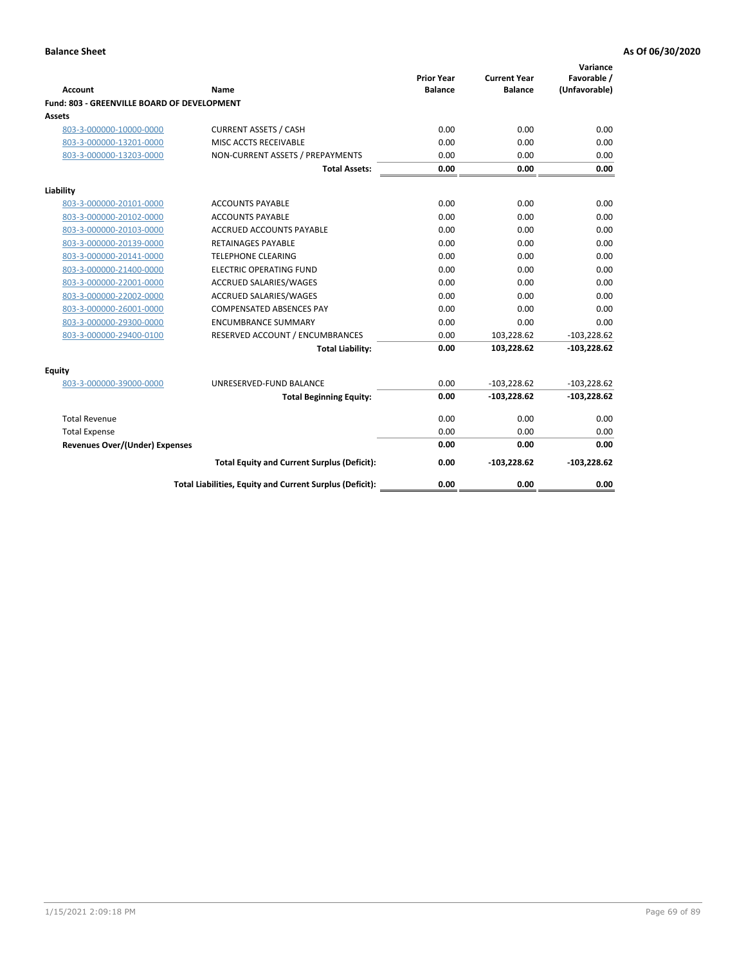| <b>Account</b>                              | Name                                                     | <b>Prior Year</b><br><b>Balance</b> | <b>Current Year</b><br><b>Balance</b> | Variance<br>Favorable /<br>(Unfavorable) |
|---------------------------------------------|----------------------------------------------------------|-------------------------------------|---------------------------------------|------------------------------------------|
| Fund: 803 - GREENVILLE BOARD OF DEVELOPMENT |                                                          |                                     |                                       |                                          |
| Assets                                      |                                                          |                                     |                                       |                                          |
| 803-3-000000-10000-0000                     | <b>CURRENT ASSETS / CASH</b>                             | 0.00                                | 0.00                                  | 0.00                                     |
| 803-3-000000-13201-0000                     | MISC ACCTS RECEIVABLE                                    | 0.00                                | 0.00                                  | 0.00                                     |
| 803-3-000000-13203-0000                     | NON-CURRENT ASSETS / PREPAYMENTS                         | 0.00                                | 0.00                                  | 0.00                                     |
|                                             | <b>Total Assets:</b>                                     | 0.00                                | 0.00                                  | 0.00                                     |
| Liability                                   |                                                          |                                     |                                       |                                          |
| 803-3-000000-20101-0000                     | <b>ACCOUNTS PAYABLE</b>                                  | 0.00                                | 0.00                                  | 0.00                                     |
| 803-3-000000-20102-0000                     | <b>ACCOUNTS PAYABLE</b>                                  | 0.00                                | 0.00                                  | 0.00                                     |
| 803-3-000000-20103-0000                     | <b>ACCRUED ACCOUNTS PAYABLE</b>                          | 0.00                                | 0.00                                  | 0.00                                     |
| 803-3-000000-20139-0000                     | <b>RETAINAGES PAYABLE</b>                                | 0.00                                | 0.00                                  | 0.00                                     |
| 803-3-000000-20141-0000                     | <b>TELEPHONE CLEARING</b>                                | 0.00                                | 0.00                                  | 0.00                                     |
| 803-3-000000-21400-0000                     | <b>ELECTRIC OPERATING FUND</b>                           | 0.00                                | 0.00                                  | 0.00                                     |
| 803-3-000000-22001-0000                     | ACCRUED SALARIES/WAGES                                   | 0.00                                | 0.00                                  | 0.00                                     |
| 803-3-000000-22002-0000                     | <b>ACCRUED SALARIES/WAGES</b>                            | 0.00                                | 0.00                                  | 0.00                                     |
| 803-3-000000-26001-0000                     | <b>COMPENSATED ABSENCES PAY</b>                          | 0.00                                | 0.00                                  | 0.00                                     |
| 803-3-000000-29300-0000                     | <b>ENCUMBRANCE SUMMARY</b>                               | 0.00                                | 0.00                                  | 0.00                                     |
| 803-3-000000-29400-0100                     | RESERVED ACCOUNT / ENCUMBRANCES                          | 0.00                                | 103,228.62                            | $-103,228.62$                            |
|                                             | <b>Total Liability:</b>                                  | 0.00                                | 103,228.62                            | $-103,228.62$                            |
| Equity                                      |                                                          |                                     |                                       |                                          |
| 803-3-000000-39000-0000                     | UNRESERVED-FUND BALANCE                                  | 0.00                                | $-103,228.62$                         | $-103,228.62$                            |
|                                             | <b>Total Beginning Equity:</b>                           | 0.00                                | $-103,228.62$                         | $-103,228.62$                            |
| <b>Total Revenue</b>                        |                                                          | 0.00                                | 0.00                                  | 0.00                                     |
| <b>Total Expense</b>                        |                                                          | 0.00                                | 0.00                                  | 0.00                                     |
| <b>Revenues Over/(Under) Expenses</b>       |                                                          | 0.00                                | 0.00                                  | 0.00                                     |
|                                             | <b>Total Equity and Current Surplus (Deficit):</b>       | 0.00                                | $-103,228.62$                         | $-103,228.62$                            |
|                                             | Total Liabilities, Equity and Current Surplus (Deficit): | 0.00                                | 0.00                                  | 0.00                                     |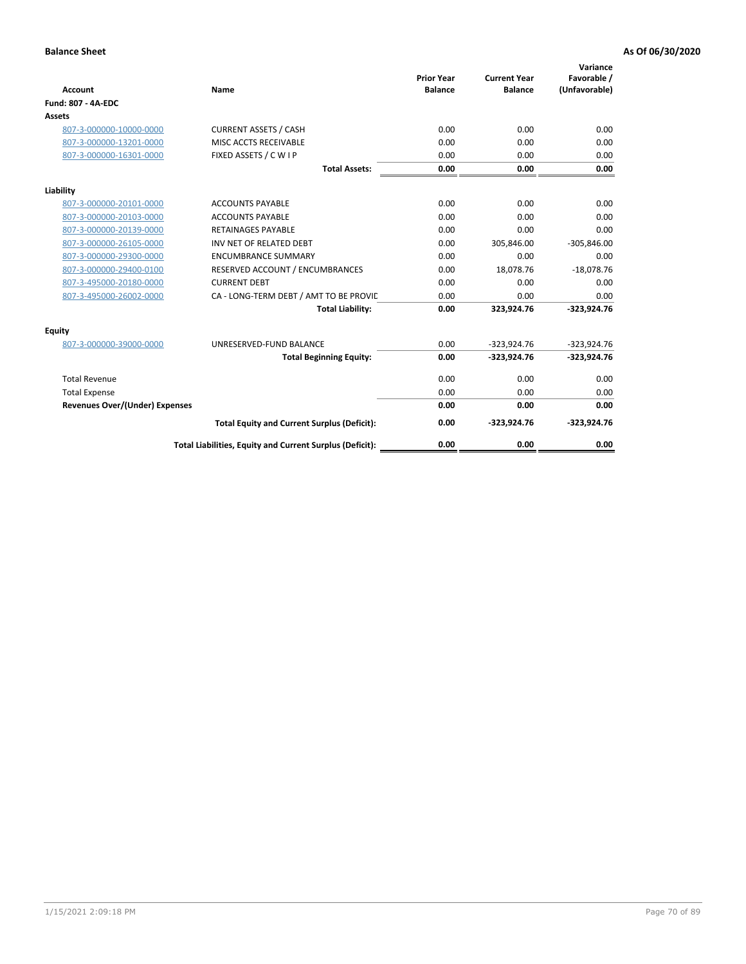| <b>Account</b>                        | Name                                                     | <b>Prior Year</b><br><b>Balance</b> | <b>Current Year</b><br><b>Balance</b> | Variance<br>Favorable /<br>(Unfavorable) |
|---------------------------------------|----------------------------------------------------------|-------------------------------------|---------------------------------------|------------------------------------------|
| <b>Fund: 807 - 4A-EDC</b>             |                                                          |                                     |                                       |                                          |
| <b>Assets</b>                         |                                                          |                                     |                                       |                                          |
| 807-3-000000-10000-0000               | <b>CURRENT ASSETS / CASH</b>                             | 0.00                                | 0.00                                  | 0.00                                     |
| 807-3-000000-13201-0000               | MISC ACCTS RECEIVABLE                                    | 0.00                                | 0.00                                  | 0.00                                     |
| 807-3-000000-16301-0000               | FIXED ASSETS / C W I P                                   | 0.00                                | 0.00                                  | 0.00                                     |
|                                       | <b>Total Assets:</b>                                     | 0.00                                | 0.00                                  | 0.00                                     |
| Liability                             |                                                          |                                     |                                       |                                          |
| 807-3-000000-20101-0000               | <b>ACCOUNTS PAYABLE</b>                                  | 0.00                                | 0.00                                  | 0.00                                     |
| 807-3-000000-20103-0000               | <b>ACCOUNTS PAYABLE</b>                                  | 0.00                                | 0.00                                  | 0.00                                     |
| 807-3-000000-20139-0000               | <b>RETAINAGES PAYABLE</b>                                | 0.00                                | 0.00                                  | 0.00                                     |
| 807-3-000000-26105-0000               | INV NET OF RELATED DEBT                                  | 0.00                                | 305,846.00                            | $-305,846.00$                            |
| 807-3-000000-29300-0000               | <b>ENCUMBRANCE SUMMARY</b>                               | 0.00                                | 0.00                                  | 0.00                                     |
| 807-3-000000-29400-0100               | RESERVED ACCOUNT / ENCUMBRANCES                          | 0.00                                | 18,078.76                             | $-18,078.76$                             |
| 807-3-495000-20180-0000               | <b>CURRENT DEBT</b>                                      | 0.00                                | 0.00                                  | 0.00                                     |
| 807-3-495000-26002-0000               | CA - LONG-TERM DEBT / AMT TO BE PROVIL                   | 0.00                                | 0.00                                  | 0.00                                     |
|                                       | <b>Total Liability:</b>                                  | 0.00                                | 323,924.76                            | $-323,924.76$                            |
| Equity                                |                                                          |                                     |                                       |                                          |
| 807-3-000000-39000-0000               | UNRESERVED-FUND BALANCE                                  | 0.00                                | $-323,924.76$                         | $-323,924.76$                            |
|                                       | <b>Total Beginning Equity:</b>                           | 0.00                                | $-323,924.76$                         | $-323,924.76$                            |
| <b>Total Revenue</b>                  |                                                          | 0.00                                | 0.00                                  | 0.00                                     |
| <b>Total Expense</b>                  |                                                          | 0.00                                | 0.00                                  | 0.00                                     |
| <b>Revenues Over/(Under) Expenses</b> |                                                          | 0.00                                | 0.00                                  | 0.00                                     |
|                                       | <b>Total Equity and Current Surplus (Deficit):</b>       | 0.00                                | $-323,924.76$                         | $-323,924.76$                            |
|                                       | Total Liabilities, Equity and Current Surplus (Deficit): | 0.00                                | 0.00                                  | 0.00                                     |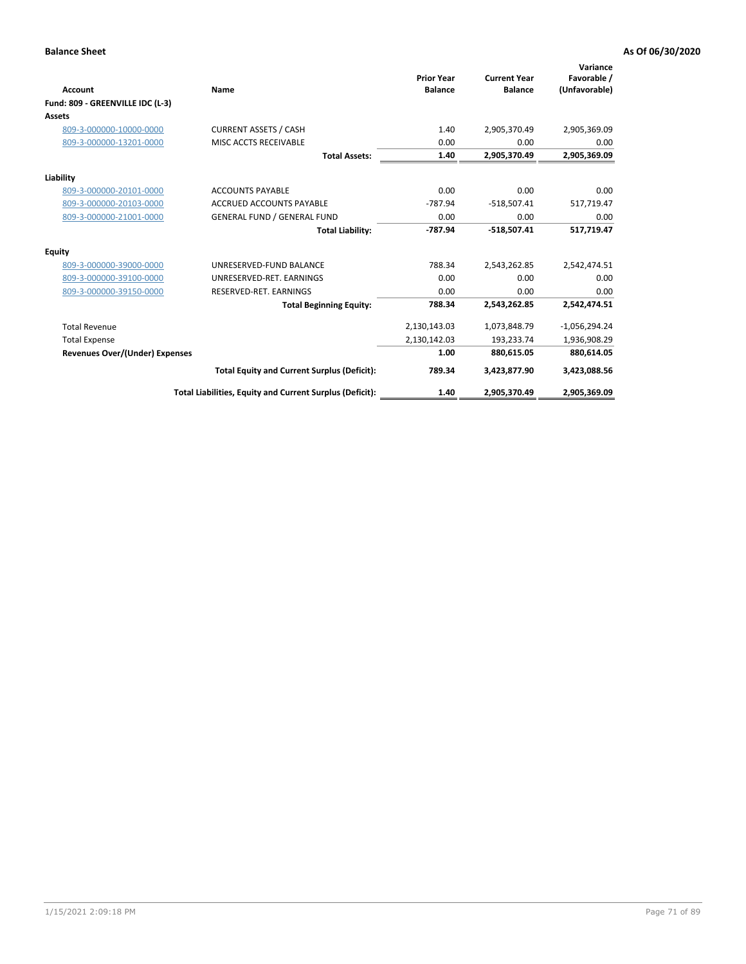| <b>Account</b>                        | Name                                                     | <b>Prior Year</b><br><b>Balance</b> | <b>Current Year</b><br><b>Balance</b> | Variance<br>Favorable /<br>(Unfavorable) |
|---------------------------------------|----------------------------------------------------------|-------------------------------------|---------------------------------------|------------------------------------------|
| Fund: 809 - GREENVILLE IDC (L-3)      |                                                          |                                     |                                       |                                          |
| <b>Assets</b>                         |                                                          |                                     |                                       |                                          |
| 809-3-000000-10000-0000               | <b>CURRENT ASSETS / CASH</b>                             | 1.40                                | 2,905,370.49                          | 2,905,369.09                             |
| 809-3-000000-13201-0000               | MISC ACCTS RECEIVABLE                                    | 0.00                                | 0.00                                  | 0.00                                     |
|                                       | <b>Total Assets:</b>                                     | 1.40                                | 2,905,370.49                          | 2,905,369.09                             |
| Liability                             |                                                          |                                     |                                       |                                          |
| 809-3-000000-20101-0000               | <b>ACCOUNTS PAYABLE</b>                                  | 0.00                                | 0.00                                  | 0.00                                     |
| 809-3-000000-20103-0000               | <b>ACCRUED ACCOUNTS PAYABLE</b>                          | $-787.94$                           | $-518,507.41$                         | 517,719.47                               |
| 809-3-000000-21001-0000               | <b>GENERAL FUND / GENERAL FUND</b>                       | 0.00                                | 0.00                                  | 0.00                                     |
|                                       | <b>Total Liability:</b>                                  | -787.94                             | $-518,507.41$                         | 517,719.47                               |
| Equity                                |                                                          |                                     |                                       |                                          |
| 809-3-000000-39000-0000               | UNRESERVED-FUND BALANCE                                  | 788.34                              | 2,543,262.85                          | 2,542,474.51                             |
| 809-3-000000-39100-0000               | UNRESERVED-RET, EARNINGS                                 | 0.00                                | 0.00                                  | 0.00                                     |
| 809-3-000000-39150-0000               | RESERVED-RET. EARNINGS                                   | 0.00                                | 0.00                                  | 0.00                                     |
|                                       | <b>Total Beginning Equity:</b>                           | 788.34                              | 2,543,262.85                          | 2,542,474.51                             |
| <b>Total Revenue</b>                  |                                                          | 2,130,143.03                        | 1,073,848.79                          | $-1,056,294.24$                          |
| <b>Total Expense</b>                  |                                                          | 2,130,142.03                        | 193,233.74                            | 1,936,908.29                             |
| <b>Revenues Over/(Under) Expenses</b> |                                                          | 1.00                                | 880,615.05                            | 880,614.05                               |
|                                       | <b>Total Equity and Current Surplus (Deficit):</b>       | 789.34                              | 3,423,877.90                          | 3,423,088.56                             |
|                                       | Total Liabilities, Equity and Current Surplus (Deficit): | 1.40                                | 2,905,370.49                          | 2,905,369.09                             |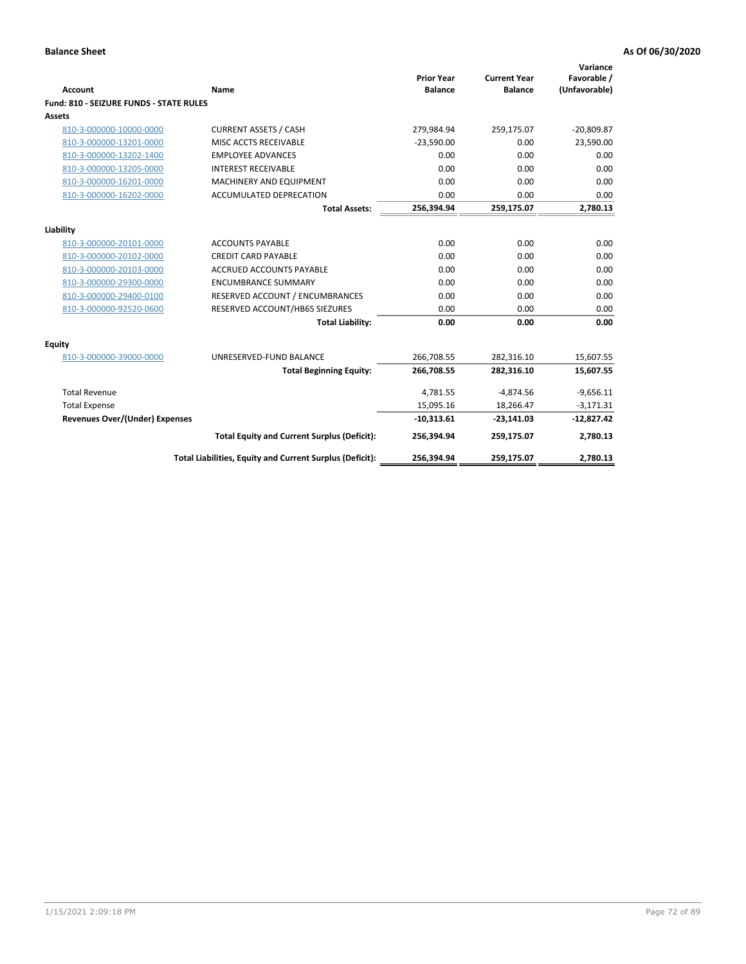| <b>Account</b>                                 | <b>Name</b>                                              | <b>Prior Year</b><br><b>Balance</b> | <b>Current Year</b><br><b>Balance</b> | Variance<br>Favorable /<br>(Unfavorable) |
|------------------------------------------------|----------------------------------------------------------|-------------------------------------|---------------------------------------|------------------------------------------|
| <b>Fund: 810 - SEIZURE FUNDS - STATE RULES</b> |                                                          |                                     |                                       |                                          |
| <b>Assets</b>                                  |                                                          |                                     |                                       |                                          |
| 810-3-000000-10000-0000                        | <b>CURRENT ASSETS / CASH</b>                             | 279,984.94                          | 259,175.07                            | $-20,809.87$                             |
| 810-3-000000-13201-0000                        | MISC ACCTS RECEIVABLE                                    | $-23.590.00$                        | 0.00                                  | 23,590.00                                |
| 810-3-000000-13202-1400                        | <b>EMPLOYEE ADVANCES</b>                                 | 0.00                                | 0.00                                  | 0.00                                     |
| 810-3-000000-13205-0000                        | <b>INTEREST RECEIVABLE</b>                               | 0.00                                | 0.00                                  | 0.00                                     |
| 810-3-000000-16201-0000                        | <b>MACHINERY AND EQUIPMENT</b>                           | 0.00                                | 0.00                                  | 0.00                                     |
| 810-3-000000-16202-0000                        | <b>ACCUMULATED DEPRECATION</b>                           | 0.00                                | 0.00                                  | 0.00                                     |
|                                                | <b>Total Assets:</b>                                     | 256,394.94                          | 259,175.07                            | 2,780.13                                 |
|                                                |                                                          |                                     |                                       |                                          |
| Liability                                      |                                                          |                                     |                                       |                                          |
| 810-3-000000-20101-0000                        | <b>ACCOUNTS PAYABLE</b>                                  | 0.00                                | 0.00                                  | 0.00                                     |
| 810-3-000000-20102-0000                        | <b>CREDIT CARD PAYABLE</b>                               | 0.00                                | 0.00                                  | 0.00                                     |
| 810-3-000000-20103-0000                        | <b>ACCRUED ACCOUNTS PAYABLE</b>                          | 0.00                                | 0.00                                  | 0.00                                     |
| 810-3-000000-29300-0000                        | <b>ENCUMBRANCE SUMMARY</b>                               | 0.00                                | 0.00                                  | 0.00                                     |
| 810-3-000000-29400-0100                        | RESERVED ACCOUNT / ENCUMBRANCES                          | 0.00                                | 0.00                                  | 0.00                                     |
| 810-3-000000-92520-0600                        | RESERVED ACCOUNT/HB65 SIEZURES                           | 0.00                                | 0.00                                  | 0.00                                     |
|                                                | <b>Total Liability:</b>                                  | 0.00                                | 0.00                                  | 0.00                                     |
| <b>Equity</b>                                  |                                                          |                                     |                                       |                                          |
| 810-3-000000-39000-0000                        | UNRESERVED-FUND BALANCE                                  | 266,708.55                          | 282,316.10                            | 15,607.55                                |
|                                                | <b>Total Beginning Equity:</b>                           | 266,708.55                          | 282,316.10                            | 15,607.55                                |
| <b>Total Revenue</b>                           |                                                          | 4,781.55                            | $-4,874.56$                           | $-9,656.11$                              |
| <b>Total Expense</b>                           |                                                          | 15,095.16                           | 18,266.47                             | $-3,171.31$                              |
| Revenues Over/(Under) Expenses                 |                                                          | $-10,313.61$                        | $-23,141.03$                          | $-12,827.42$                             |
|                                                | <b>Total Equity and Current Surplus (Deficit):</b>       | 256,394.94                          | 259,175.07                            | 2,780.13                                 |
|                                                | Total Liabilities, Equity and Current Surplus (Deficit): | 256,394.94                          | 259,175.07                            | 2,780.13                                 |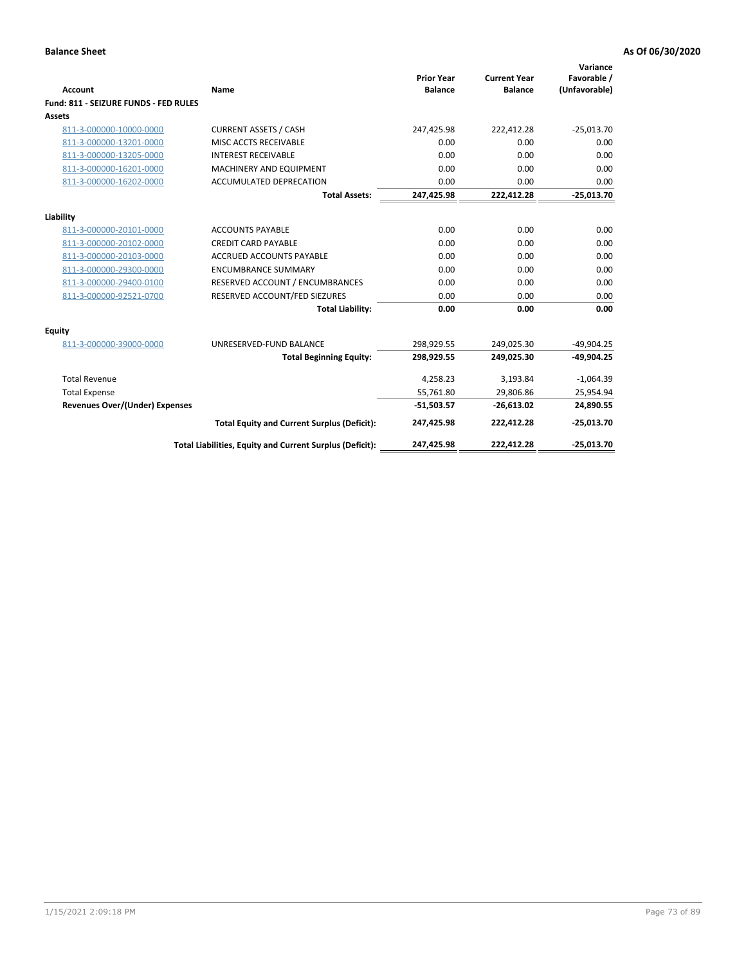| <b>Account</b>                        | Name                                                     | <b>Prior Year</b><br><b>Balance</b> | <b>Current Year</b><br><b>Balance</b> | Variance<br>Favorable /<br>(Unfavorable) |
|---------------------------------------|----------------------------------------------------------|-------------------------------------|---------------------------------------|------------------------------------------|
| Fund: 811 - SEIZURE FUNDS - FED RULES |                                                          |                                     |                                       |                                          |
| <b>Assets</b>                         |                                                          |                                     |                                       |                                          |
| 811-3-000000-10000-0000               | <b>CURRENT ASSETS / CASH</b>                             | 247,425.98                          | 222,412.28                            | $-25,013.70$                             |
| 811-3-000000-13201-0000               | MISC ACCTS RECEIVABLE                                    | 0.00                                | 0.00                                  | 0.00                                     |
| 811-3-000000-13205-0000               | <b>INTEREST RECEIVABLE</b>                               | 0.00                                | 0.00                                  | 0.00                                     |
| 811-3-000000-16201-0000               | <b>MACHINERY AND EQUIPMENT</b>                           | 0.00                                | 0.00                                  | 0.00                                     |
| 811-3-000000-16202-0000               | <b>ACCUMULATED DEPRECATION</b>                           | 0.00                                | 0.00                                  | 0.00                                     |
|                                       | <b>Total Assets:</b>                                     | 247,425.98                          | 222,412.28                            | $-25,013.70$                             |
| Liability                             |                                                          |                                     |                                       |                                          |
| 811-3-000000-20101-0000               | <b>ACCOUNTS PAYABLE</b>                                  | 0.00                                | 0.00                                  | 0.00                                     |
| 811-3-000000-20102-0000               | <b>CREDIT CARD PAYABLE</b>                               | 0.00                                | 0.00                                  | 0.00                                     |
| 811-3-000000-20103-0000               | <b>ACCRUED ACCOUNTS PAYABLE</b>                          | 0.00                                | 0.00                                  | 0.00                                     |
| 811-3-000000-29300-0000               | <b>ENCUMBRANCE SUMMARY</b>                               | 0.00                                | 0.00                                  | 0.00                                     |
| 811-3-000000-29400-0100               | RESERVED ACCOUNT / ENCUMBRANCES                          | 0.00                                | 0.00                                  | 0.00                                     |
| 811-3-000000-92521-0700               | RESERVED ACCOUNT/FED SIEZURES                            | 0.00                                | 0.00                                  | 0.00                                     |
|                                       | <b>Total Liability:</b>                                  | 0.00                                | 0.00                                  | 0.00                                     |
|                                       |                                                          |                                     |                                       |                                          |
| Equity                                |                                                          |                                     |                                       |                                          |
| 811-3-000000-39000-0000               | UNRESERVED-FUND BALANCE                                  | 298,929.55                          | 249,025.30                            | $-49,904.25$                             |
|                                       | <b>Total Beginning Equity:</b>                           | 298,929.55                          | 249,025.30                            | $-49,904.25$                             |
| <b>Total Revenue</b>                  |                                                          | 4,258.23                            | 3,193.84                              | $-1,064.39$                              |
| <b>Total Expense</b>                  |                                                          | 55,761.80                           | 29,806.86                             | 25,954.94                                |
| <b>Revenues Over/(Under) Expenses</b> |                                                          | $-51,503.57$                        | $-26,613.02$                          | 24,890.55                                |
|                                       | <b>Total Equity and Current Surplus (Deficit):</b>       | 247,425.98                          | 222,412.28                            | $-25,013.70$                             |
|                                       | Total Liabilities, Equity and Current Surplus (Deficit): | 247,425.98                          | 222,412.28                            | $-25.013.70$                             |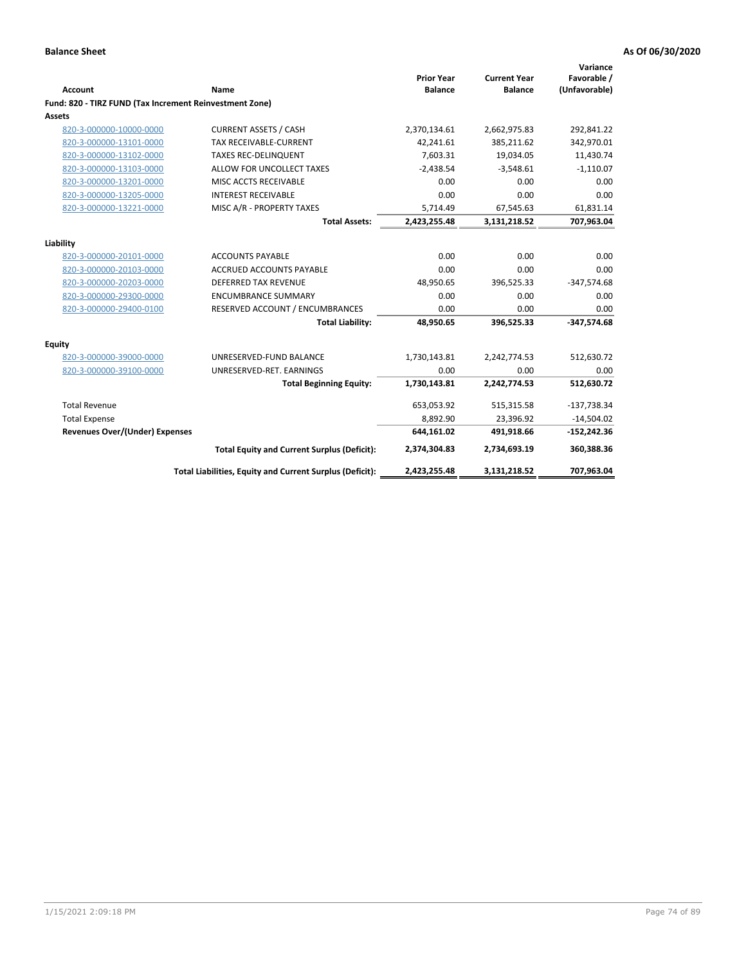|                                                         |                                                          | <b>Prior Year</b> | <b>Current Year</b> | Variance<br>Favorable / |
|---------------------------------------------------------|----------------------------------------------------------|-------------------|---------------------|-------------------------|
| <b>Account</b>                                          | Name                                                     | <b>Balance</b>    | <b>Balance</b>      | (Unfavorable)           |
| Fund: 820 - TIRZ FUND (Tax Increment Reinvestment Zone) |                                                          |                   |                     |                         |
| Assets                                                  |                                                          |                   |                     |                         |
| 820-3-000000-10000-0000                                 | <b>CURRENT ASSETS / CASH</b>                             | 2,370,134.61      | 2,662,975.83        | 292,841.22              |
| 820-3-000000-13101-0000                                 | TAX RECEIVABLE-CURRENT                                   | 42,241.61         | 385,211.62          | 342,970.01              |
| 820-3-000000-13102-0000                                 | <b>TAXES REC-DELINQUENT</b>                              | 7,603.31          | 19,034.05           | 11,430.74               |
| 820-3-000000-13103-0000                                 | ALLOW FOR UNCOLLECT TAXES                                | $-2,438.54$       | $-3,548.61$         | $-1,110.07$             |
| 820-3-000000-13201-0000                                 | MISC ACCTS RECEIVABLE                                    | 0.00              | 0.00                | 0.00                    |
| 820-3-000000-13205-0000                                 | <b>INTEREST RECEIVABLE</b>                               | 0.00              | 0.00                | 0.00                    |
| 820-3-000000-13221-0000                                 | MISC A/R - PROPERTY TAXES                                | 5,714.49          | 67,545.63           | 61,831.14               |
|                                                         | <b>Total Assets:</b>                                     | 2,423,255.48      | 3,131,218.52        | 707,963.04              |
| Liability                                               |                                                          |                   |                     |                         |
| 820-3-000000-20101-0000                                 | <b>ACCOUNTS PAYABLE</b>                                  | 0.00              | 0.00                | 0.00                    |
| 820-3-000000-20103-0000                                 | <b>ACCRUED ACCOUNTS PAYABLE</b>                          | 0.00              | 0.00                | 0.00                    |
| 820-3-000000-20203-0000                                 | <b>DEFERRED TAX REVENUE</b>                              | 48,950.65         | 396,525.33          | $-347,574.68$           |
| 820-3-000000-29300-0000                                 | <b>ENCUMBRANCE SUMMARY</b>                               | 0.00              | 0.00                | 0.00                    |
| 820-3-000000-29400-0100                                 | RESERVED ACCOUNT / ENCUMBRANCES                          | 0.00              | 0.00                | 0.00                    |
|                                                         | <b>Total Liability:</b>                                  | 48,950.65         | 396,525.33          | $-347,574.68$           |
| Equity                                                  |                                                          |                   |                     |                         |
| 820-3-000000-39000-0000                                 | UNRESERVED-FUND BALANCE                                  | 1,730,143.81      | 2,242,774.53        | 512,630.72              |
| 820-3-000000-39100-0000                                 | UNRESERVED-RET. EARNINGS                                 | 0.00              | 0.00                | 0.00                    |
|                                                         | <b>Total Beginning Equity:</b>                           | 1,730,143.81      | 2,242,774.53        | 512,630.72              |
| <b>Total Revenue</b>                                    |                                                          | 653,053.92        | 515,315.58          | $-137,738.34$           |
| <b>Total Expense</b>                                    |                                                          | 8,892.90          | 23,396.92           | $-14,504.02$            |
| <b>Revenues Over/(Under) Expenses</b>                   |                                                          | 644,161.02        | 491,918.66          | $-152,242.36$           |
|                                                         | <b>Total Equity and Current Surplus (Deficit):</b>       | 2,374,304.83      | 2,734,693.19        | 360,388.36              |
|                                                         | Total Liabilities, Equity and Current Surplus (Deficit): | 2,423,255.48      | 3,131,218.52        | 707,963.04              |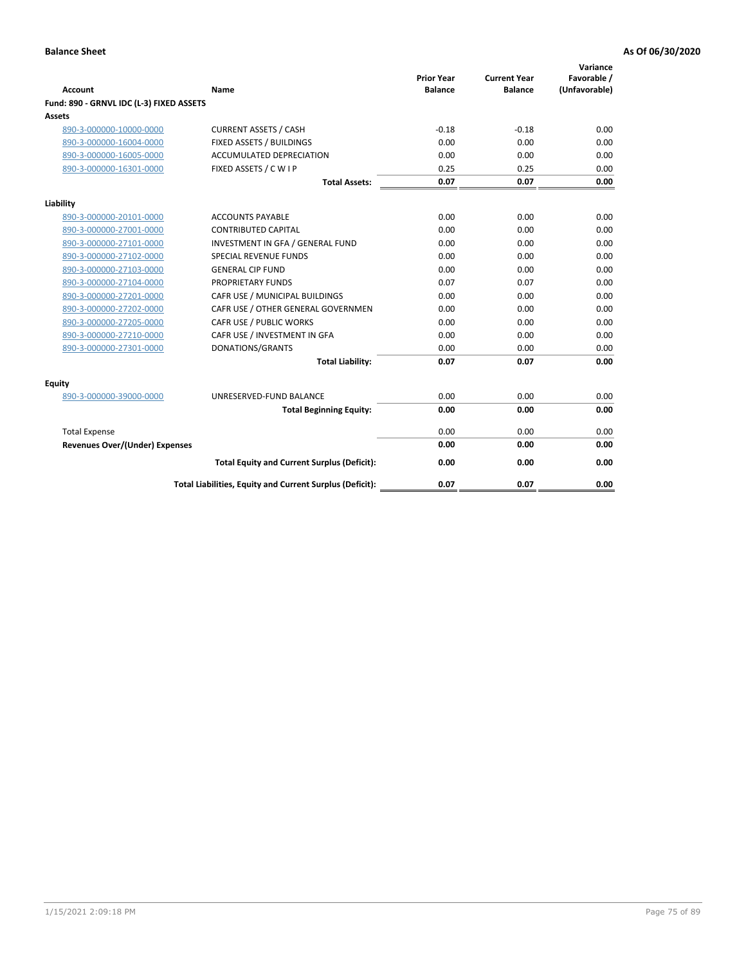| <b>Account</b>                           | Name                                                     | <b>Prior Year</b><br><b>Balance</b> | <b>Current Year</b><br><b>Balance</b> | Variance<br>Favorable /<br>(Unfavorable) |
|------------------------------------------|----------------------------------------------------------|-------------------------------------|---------------------------------------|------------------------------------------|
| Fund: 890 - GRNVL IDC (L-3) FIXED ASSETS |                                                          |                                     |                                       |                                          |
| <b>Assets</b>                            |                                                          |                                     |                                       |                                          |
| 890-3-000000-10000-0000                  | <b>CURRENT ASSETS / CASH</b>                             | $-0.18$                             | $-0.18$                               | 0.00                                     |
| 890-3-000000-16004-0000                  | FIXED ASSETS / BUILDINGS                                 | 0.00                                | 0.00                                  | 0.00                                     |
| 890-3-000000-16005-0000                  | <b>ACCUMULATED DEPRECIATION</b>                          | 0.00                                | 0.00                                  | 0.00                                     |
| 890-3-000000-16301-0000                  | FIXED ASSETS / C W I P                                   | 0.25                                | 0.25                                  | 0.00                                     |
|                                          | <b>Total Assets:</b>                                     | 0.07                                | 0.07                                  | 0.00                                     |
| Liability                                |                                                          |                                     |                                       |                                          |
| 890-3-000000-20101-0000                  | <b>ACCOUNTS PAYABLE</b>                                  | 0.00                                | 0.00                                  | 0.00                                     |
| 890-3-000000-27001-0000                  | <b>CONTRIBUTED CAPITAL</b>                               | 0.00                                | 0.00                                  | 0.00                                     |
| 890-3-000000-27101-0000                  | INVESTMENT IN GFA / GENERAL FUND                         | 0.00                                | 0.00                                  | 0.00                                     |
| 890-3-000000-27102-0000                  | <b>SPECIAL REVENUE FUNDS</b>                             | 0.00                                | 0.00                                  | 0.00                                     |
| 890-3-000000-27103-0000                  | <b>GENERAL CIP FUND</b>                                  | 0.00                                | 0.00                                  | 0.00                                     |
| 890-3-000000-27104-0000                  | PROPRIETARY FUNDS                                        | 0.07                                | 0.07                                  | 0.00                                     |
| 890-3-000000-27201-0000                  | CAFR USE / MUNICIPAL BUILDINGS                           | 0.00                                | 0.00                                  | 0.00                                     |
| 890-3-000000-27202-0000                  | CAFR USE / OTHER GENERAL GOVERNMEN                       | 0.00                                | 0.00                                  | 0.00                                     |
| 890-3-000000-27205-0000                  | CAFR USE / PUBLIC WORKS                                  | 0.00                                | 0.00                                  | 0.00                                     |
| 890-3-000000-27210-0000                  | CAFR USE / INVESTMENT IN GFA                             | 0.00                                | 0.00                                  | 0.00                                     |
| 890-3-000000-27301-0000                  | DONATIONS/GRANTS                                         | 0.00                                | 0.00                                  | 0.00                                     |
|                                          | <b>Total Liability:</b>                                  | 0.07                                | 0.07                                  | 0.00                                     |
| Equity                                   |                                                          |                                     |                                       |                                          |
| 890-3-000000-39000-0000                  | UNRESERVED-FUND BALANCE                                  | 0.00                                | 0.00                                  | 0.00                                     |
|                                          | <b>Total Beginning Equity:</b>                           | 0.00                                | 0.00                                  | 0.00                                     |
| <b>Total Expense</b>                     |                                                          | 0.00                                | 0.00                                  | 0.00                                     |
| Revenues Over/(Under) Expenses           |                                                          | 0.00                                | 0.00                                  | 0.00                                     |
|                                          |                                                          |                                     |                                       |                                          |
|                                          | <b>Total Equity and Current Surplus (Deficit):</b>       | 0.00                                | 0.00                                  | 0.00                                     |
|                                          | Total Liabilities, Equity and Current Surplus (Deficit): | 0.07                                | 0.07                                  | 0.00                                     |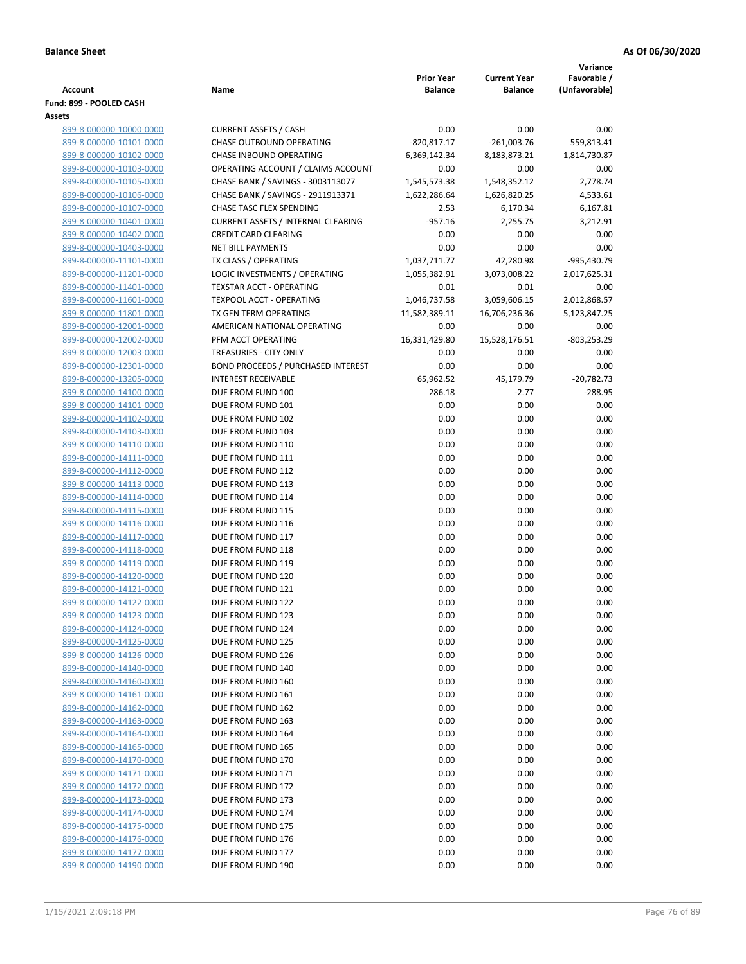|                                                    |                                                      |                                     |                                       | Variance                     |
|----------------------------------------------------|------------------------------------------------------|-------------------------------------|---------------------------------------|------------------------------|
| <b>Account</b>                                     | Name                                                 | <b>Prior Year</b><br><b>Balance</b> | <b>Current Year</b><br><b>Balance</b> | Favorable /<br>(Unfavorable) |
| Fund: 899 - POOLED CASH                            |                                                      |                                     |                                       |                              |
| Assets                                             |                                                      |                                     |                                       |                              |
| 899-8-000000-10000-0000                            | <b>CURRENT ASSETS / CASH</b>                         | 0.00                                | 0.00                                  | 0.00                         |
| 899-8-000000-10101-0000                            | <b>CHASE OUTBOUND OPERATING</b>                      | $-820,817.17$                       | $-261,003.76$                         | 559,813.41                   |
| 899-8-000000-10102-0000                            | CHASE INBOUND OPERATING                              | 6,369,142.34                        | 8,183,873.21                          | 1,814,730.87                 |
| 899-8-000000-10103-0000                            | OPERATING ACCOUNT / CLAIMS ACCOUNT                   | 0.00                                | 0.00                                  | 0.00                         |
| 899-8-000000-10105-0000                            | CHASE BANK / SAVINGS - 3003113077                    | 1,545,573.38                        | 1,548,352.12                          | 2,778.74                     |
| 899-8-000000-10106-0000                            | CHASE BANK / SAVINGS - 2911913371                    | 1,622,286.64                        | 1,626,820.25                          | 4,533.61                     |
| 899-8-000000-10107-0000                            | CHASE TASC FLEX SPENDING                             | 2.53                                | 6,170.34                              | 6,167.81                     |
| 899-8-000000-10401-0000                            | <b>CURRENT ASSETS / INTERNAL CLEARING</b>            | $-957.16$                           | 2,255.75                              | 3,212.91                     |
| 899-8-000000-10402-0000                            | <b>CREDIT CARD CLEARING</b>                          | 0.00                                | 0.00                                  | 0.00                         |
| 899-8-000000-10403-0000                            | <b>NET BILL PAYMENTS</b>                             | 0.00                                | 0.00                                  | 0.00                         |
| 899-8-000000-11101-0000                            | TX CLASS / OPERATING                                 | 1,037,711.77                        | 42,280.98                             | -995,430.79                  |
| 899-8-000000-11201-0000                            | LOGIC INVESTMENTS / OPERATING                        | 1,055,382.91                        | 3,073,008.22                          | 2,017,625.31                 |
| 899-8-000000-11401-0000                            | <b>TEXSTAR ACCT - OPERATING</b>                      | 0.01                                | 0.01                                  | 0.00                         |
| 899-8-000000-11601-0000                            | TEXPOOL ACCT - OPERATING                             | 1,046,737.58                        | 3,059,606.15                          | 2,012,868.57                 |
| 899-8-000000-11801-0000                            | TX GEN TERM OPERATING<br>AMERICAN NATIONAL OPERATING | 11,582,389.11                       | 16,706,236.36                         | 5,123,847.25<br>0.00         |
| 899-8-000000-12001-0000<br>899-8-000000-12002-0000 | PFM ACCT OPERATING                                   | 0.00<br>16,331,429.80               | 0.00<br>15,528,176.51                 | $-803,253.29$                |
| 899-8-000000-12003-0000                            | TREASURIES - CITY ONLY                               | 0.00                                | 0.00                                  | 0.00                         |
| 899-8-000000-12301-0000                            | <b>BOND PROCEEDS / PURCHASED INTEREST</b>            | 0.00                                | 0.00                                  | 0.00                         |
| 899-8-000000-13205-0000                            | <b>INTEREST RECEIVABLE</b>                           | 65,962.52                           | 45,179.79                             | $-20,782.73$                 |
| 899-8-000000-14100-0000                            | DUE FROM FUND 100                                    | 286.18                              | $-2.77$                               | $-288.95$                    |
| 899-8-000000-14101-0000                            | DUE FROM FUND 101                                    | 0.00                                | 0.00                                  | 0.00                         |
| 899-8-000000-14102-0000                            | DUE FROM FUND 102                                    | 0.00                                | 0.00                                  | 0.00                         |
| 899-8-000000-14103-0000                            | DUE FROM FUND 103                                    | 0.00                                | 0.00                                  | 0.00                         |
| 899-8-000000-14110-0000                            | DUE FROM FUND 110                                    | 0.00                                | 0.00                                  | 0.00                         |
| 899-8-000000-14111-0000                            | DUE FROM FUND 111                                    | 0.00                                | 0.00                                  | 0.00                         |
| 899-8-000000-14112-0000                            | DUE FROM FUND 112                                    | 0.00                                | 0.00                                  | 0.00                         |
| 899-8-000000-14113-0000                            | DUE FROM FUND 113                                    | 0.00                                | 0.00                                  | 0.00                         |
| 899-8-000000-14114-0000                            | DUE FROM FUND 114                                    | 0.00                                | 0.00                                  | 0.00                         |
| 899-8-000000-14115-0000                            | DUE FROM FUND 115                                    | 0.00                                | 0.00                                  | 0.00                         |
| 899-8-000000-14116-0000                            | DUE FROM FUND 116                                    | 0.00                                | 0.00                                  | 0.00                         |
| 899-8-000000-14117-0000                            | DUE FROM FUND 117                                    | 0.00                                | 0.00                                  | 0.00                         |
| 899-8-000000-14118-0000                            | DUE FROM FUND 118                                    | 0.00                                | 0.00                                  | 0.00                         |
| 899-8-000000-14119-0000                            | DUE FROM FUND 119                                    | 0.00                                | 0.00                                  | 0.00                         |
| 899-8-000000-14120-0000                            | DUE FROM FUND 120                                    | 0.00                                | 0.00                                  | 0.00                         |
| 899-8-000000-14121-0000                            | DUE FROM FUND 121                                    | 0.00                                | 0.00                                  | 0.00                         |
| 899-8-000000-14122-0000                            | DUE FROM FUND 122                                    | 0.00                                | 0.00                                  | 0.00                         |
| 899-8-000000-14123-0000                            | DUE FROM FUND 123                                    | 0.00<br>0.00                        | 0.00<br>0.00                          | 0.00<br>0.00                 |
| 899-8-000000-14124-0000<br>899-8-000000-14125-0000 | DUE FROM FUND 124<br>DUE FROM FUND 125               | 0.00                                | 0.00                                  | 0.00                         |
| 899-8-000000-14126-0000                            | DUE FROM FUND 126                                    | 0.00                                | 0.00                                  | 0.00                         |
| 899-8-000000-14140-0000                            | DUE FROM FUND 140                                    | 0.00                                | 0.00                                  | 0.00                         |
| 899-8-000000-14160-0000                            | DUE FROM FUND 160                                    | 0.00                                | 0.00                                  | 0.00                         |
| 899-8-000000-14161-0000                            | DUE FROM FUND 161                                    | 0.00                                | 0.00                                  | 0.00                         |
| 899-8-000000-14162-0000                            | DUE FROM FUND 162                                    | 0.00                                | 0.00                                  | 0.00                         |
| 899-8-000000-14163-0000                            | DUE FROM FUND 163                                    | 0.00                                | 0.00                                  | 0.00                         |
| 899-8-000000-14164-0000                            | DUE FROM FUND 164                                    | 0.00                                | 0.00                                  | 0.00                         |
| 899-8-000000-14165-0000                            | DUE FROM FUND 165                                    | 0.00                                | 0.00                                  | 0.00                         |
| 899-8-000000-14170-0000                            | DUE FROM FUND 170                                    | 0.00                                | 0.00                                  | 0.00                         |
| 899-8-000000-14171-0000                            | DUE FROM FUND 171                                    | 0.00                                | 0.00                                  | 0.00                         |
| 899-8-000000-14172-0000                            | DUE FROM FUND 172                                    | 0.00                                | 0.00                                  | 0.00                         |
| 899-8-000000-14173-0000                            | DUE FROM FUND 173                                    | 0.00                                | 0.00                                  | 0.00                         |
| 899-8-000000-14174-0000                            | DUE FROM FUND 174                                    | 0.00                                | 0.00                                  | 0.00                         |
| 899-8-000000-14175-0000                            | DUE FROM FUND 175                                    | 0.00                                | 0.00                                  | 0.00                         |
| 899-8-000000-14176-0000                            | DUE FROM FUND 176                                    | 0.00                                | 0.00                                  | 0.00                         |
| 899-8-000000-14177-0000                            | DUE FROM FUND 177                                    | 0.00                                | 0.00                                  | 0.00                         |
| 899-8-000000-14190-0000                            | DUE FROM FUND 190                                    | 0.00                                | 0.00                                  | 0.00                         |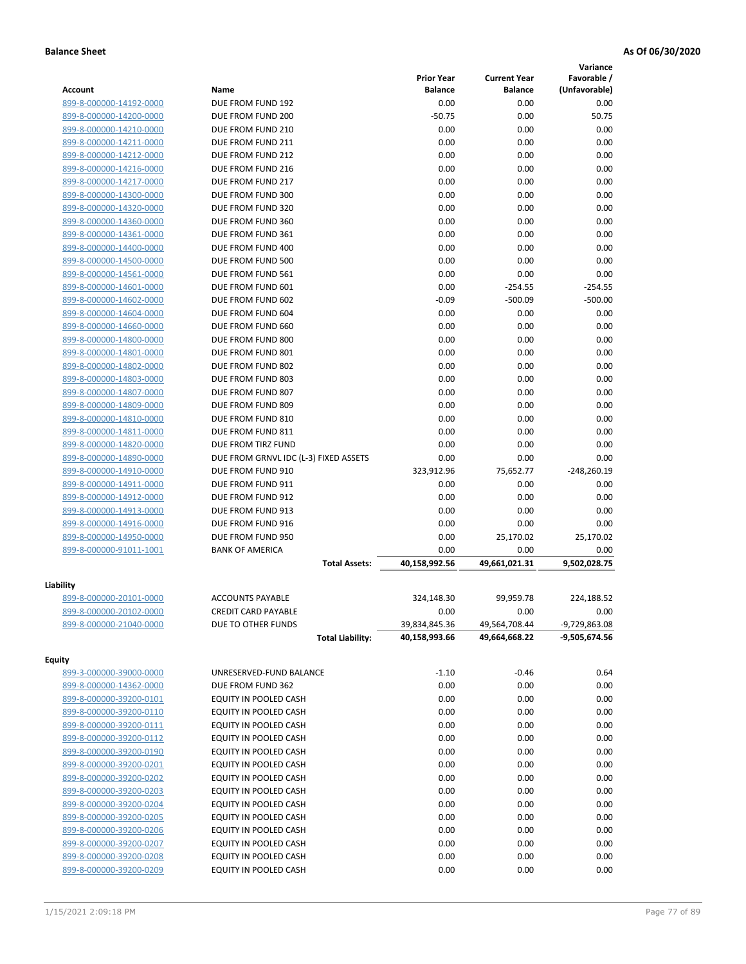|                                                    |                                        |                   |                     | Variance        |
|----------------------------------------------------|----------------------------------------|-------------------|---------------------|-----------------|
|                                                    |                                        | <b>Prior Year</b> | <b>Current Year</b> | Favorable /     |
| <b>Account</b>                                     | Name                                   | <b>Balance</b>    | <b>Balance</b>      | (Unfavorable)   |
| 899-8-000000-14192-0000                            | DUE FROM FUND 192                      | 0.00              | 0.00                | 0.00            |
| 899-8-000000-14200-0000                            | DUE FROM FUND 200                      | $-50.75$          | 0.00                | 50.75           |
| 899-8-000000-14210-0000                            | DUE FROM FUND 210                      | 0.00              | 0.00                | 0.00            |
| 899-8-000000-14211-0000                            | DUE FROM FUND 211                      | 0.00              | 0.00                | 0.00            |
| 899-8-000000-14212-0000                            | DUE FROM FUND 212                      | 0.00              | 0.00                | 0.00            |
| 899-8-000000-14216-0000                            | DUE FROM FUND 216                      | 0.00              | 0.00                | 0.00            |
| 899-8-000000-14217-0000                            | DUE FROM FUND 217<br>DUE FROM FUND 300 | 0.00              | 0.00                | 0.00            |
| 899-8-000000-14300-0000                            |                                        | 0.00              | 0.00                | 0.00<br>0.00    |
| 899-8-000000-14320-0000<br>899-8-000000-14360-0000 | DUE FROM FUND 320<br>DUE FROM FUND 360 | 0.00<br>0.00      | 0.00<br>0.00        | 0.00            |
|                                                    | DUE FROM FUND 361                      | 0.00              | 0.00                | 0.00            |
| 899-8-000000-14361-0000                            | DUE FROM FUND 400                      | 0.00              | 0.00                | 0.00            |
| 899-8-000000-14400-0000<br>899-8-000000-14500-0000 | DUE FROM FUND 500                      | 0.00              | 0.00                | 0.00            |
|                                                    | DUE FROM FUND 561                      | 0.00              | 0.00                | 0.00            |
| 899-8-000000-14561-0000                            | DUE FROM FUND 601                      | 0.00              | $-254.55$           | $-254.55$       |
| 899-8-000000-14601-0000<br>899-8-000000-14602-0000 | DUE FROM FUND 602                      | $-0.09$           | $-500.09$           | $-500.00$       |
| 899-8-000000-14604-0000                            | DUE FROM FUND 604                      | 0.00              | 0.00                | 0.00            |
| 899-8-000000-14660-0000                            | DUE FROM FUND 660                      | 0.00              | 0.00                | 0.00            |
| 899-8-000000-14800-0000                            | DUE FROM FUND 800                      | 0.00              | 0.00                | 0.00            |
| 899-8-000000-14801-0000                            | DUE FROM FUND 801                      | 0.00              | 0.00                | 0.00            |
| 899-8-000000-14802-0000                            | DUE FROM FUND 802                      | 0.00              | 0.00                | 0.00            |
| 899-8-000000-14803-0000                            | DUE FROM FUND 803                      | 0.00              | 0.00                | 0.00            |
| 899-8-000000-14807-0000                            | DUE FROM FUND 807                      | 0.00              | 0.00                | 0.00            |
| 899-8-000000-14809-0000                            | DUE FROM FUND 809                      | 0.00              | 0.00                | 0.00            |
| 899-8-000000-14810-0000                            | DUE FROM FUND 810                      | 0.00              | 0.00                | 0.00            |
| 899-8-000000-14811-0000                            | DUE FROM FUND 811                      | 0.00              | 0.00                | 0.00            |
| 899-8-000000-14820-0000                            | DUE FROM TIRZ FUND                     | 0.00              | 0.00                | 0.00            |
| 899-8-000000-14890-0000                            | DUE FROM GRNVL IDC (L-3) FIXED ASSETS  | 0.00              | 0.00                | 0.00            |
| 899-8-000000-14910-0000                            | DUE FROM FUND 910                      | 323,912.96        | 75,652.77           | $-248,260.19$   |
| 899-8-000000-14911-0000                            | DUE FROM FUND 911                      | 0.00              | 0.00                | 0.00            |
| 899-8-000000-14912-0000                            | DUE FROM FUND 912                      | 0.00              | 0.00                | 0.00            |
| 899-8-000000-14913-0000                            | DUE FROM FUND 913                      | 0.00              | 0.00                | 0.00            |
| 899-8-000000-14916-0000                            | DUE FROM FUND 916                      | 0.00              | 0.00                | 0.00            |
| 899-8-000000-14950-0000                            | DUE FROM FUND 950                      | 0.00              | 25,170.02           | 25,170.02       |
| 899-8-000000-91011-1001                            | <b>BANK OF AMERICA</b>                 | 0.00              | 0.00                | 0.00            |
|                                                    | <b>Total Assets:</b>                   | 40,158,992.56     | 49,661,021.31       | 9,502,028.75    |
|                                                    |                                        |                   |                     |                 |
| Liability<br>899-8-000000-20101-0000               | <b>ACCOUNTS PAYABLE</b>                | 324,148.30        | 99,959.78           | 224,188.52      |
| 899-8-000000-20102-0000                            | <b>CREDIT CARD PAYABLE</b>             | 0.00              | 0.00                | 0.00            |
| 899-8-000000-21040-0000                            | DUE TO OTHER FUNDS                     | 39,834,845.36     | 49,564,708.44       | -9,729,863.08   |
|                                                    | <b>Total Liability:</b>                | 40,158,993.66     | 49,664,668.22       | $-9,505,674.56$ |
|                                                    |                                        |                   |                     |                 |
| <b>Equity</b>                                      |                                        |                   |                     |                 |
| 899-3-000000-39000-0000                            | UNRESERVED-FUND BALANCE                | $-1.10$           | $-0.46$             | 0.64            |
| 899-8-000000-14362-0000                            | DUE FROM FUND 362                      | 0.00              | 0.00                | 0.00            |
| 899-8-000000-39200-0101                            | EQUITY IN POOLED CASH                  | 0.00              | 0.00                | 0.00            |
| 899-8-000000-39200-0110                            | EQUITY IN POOLED CASH                  | 0.00              | 0.00                | 0.00            |
| 899-8-000000-39200-0111                            | EQUITY IN POOLED CASH                  | 0.00              | 0.00                | 0.00            |
| 899-8-000000-39200-0112                            | EQUITY IN POOLED CASH                  | 0.00              | 0.00                | 0.00            |
| 899-8-000000-39200-0190                            | EQUITY IN POOLED CASH                  | 0.00              | 0.00                | 0.00            |
| 899-8-000000-39200-0201                            | EQUITY IN POOLED CASH                  | 0.00              | 0.00                | 0.00            |
| 899-8-000000-39200-0202                            | EQUITY IN POOLED CASH                  | 0.00              | 0.00                | 0.00            |
| 899-8-000000-39200-0203                            | EQUITY IN POOLED CASH                  | 0.00              | 0.00                | 0.00            |
| 899-8-000000-39200-0204                            | EQUITY IN POOLED CASH                  | 0.00              | 0.00                | 0.00            |
| 899-8-000000-39200-0205                            | EQUITY IN POOLED CASH                  | 0.00              | 0.00                | 0.00            |
| 899-8-000000-39200-0206                            | EQUITY IN POOLED CASH                  | 0.00              | 0.00                | 0.00            |
| 899-8-000000-39200-0207                            | EQUITY IN POOLED CASH                  | 0.00              | 0.00                | 0.00            |
| 899-8-000000-39200-0208                            | EQUITY IN POOLED CASH                  | 0.00              | 0.00                | 0.00            |
| 899-8-000000-39200-0209                            | EQUITY IN POOLED CASH                  | 0.00              | 0.00                | 0.00            |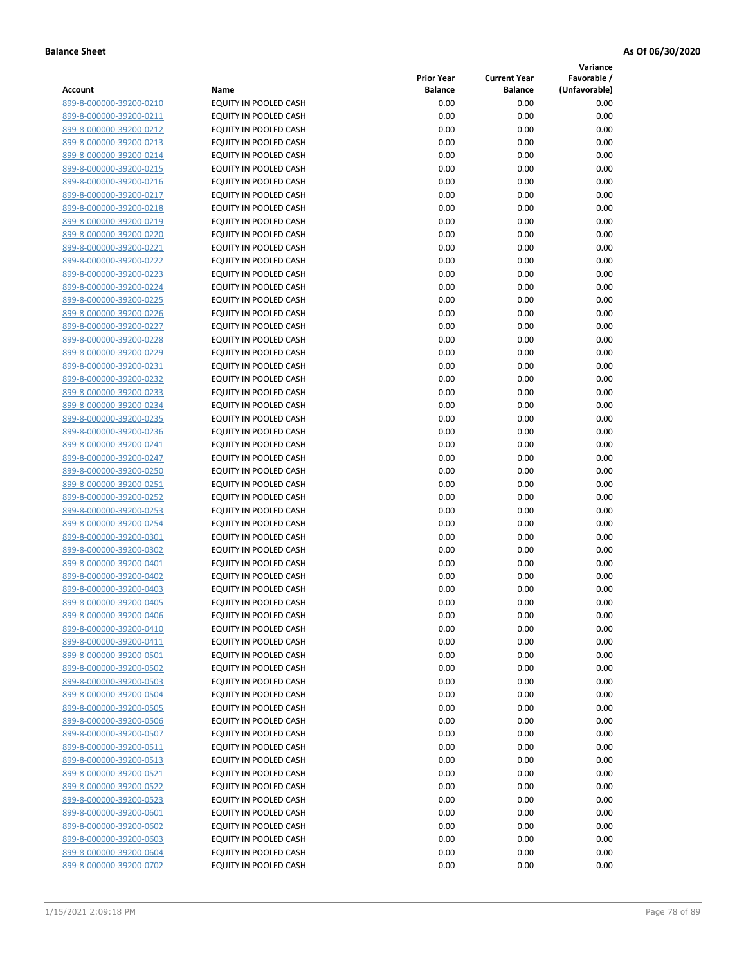**Variance**

|                                                    |                              | <b>Prior Year</b> | <b>Current Year</b> | Favorable /   |
|----------------------------------------------------|------------------------------|-------------------|---------------------|---------------|
| Account                                            | Name                         | <b>Balance</b>    | <b>Balance</b>      | (Unfavorable) |
| 899-8-000000-39200-0210                            | EQUITY IN POOLED CASH        | 0.00              | 0.00                | 0.00          |
| 899-8-000000-39200-0211                            | EQUITY IN POOLED CASH        | 0.00              | 0.00                | 0.00          |
| 899-8-000000-39200-0212                            | EQUITY IN POOLED CASH        | 0.00              | 0.00                | 0.00          |
| 899-8-000000-39200-0213                            | EQUITY IN POOLED CASH        | 0.00              | 0.00                | 0.00          |
| 899-8-000000-39200-0214                            | EQUITY IN POOLED CASH        | 0.00              | 0.00                | 0.00          |
| 899-8-000000-39200-0215                            | EQUITY IN POOLED CASH        | 0.00              | 0.00                | 0.00          |
| 899-8-000000-39200-0216                            | EQUITY IN POOLED CASH        | 0.00              | 0.00                | 0.00          |
| 899-8-000000-39200-0217                            | EQUITY IN POOLED CASH        | 0.00              | 0.00                | 0.00          |
| 899-8-000000-39200-0218                            | <b>EQUITY IN POOLED CASH</b> | 0.00              | 0.00                | 0.00          |
| 899-8-000000-39200-0219                            | EQUITY IN POOLED CASH        | 0.00              | 0.00                | 0.00          |
| 899-8-000000-39200-0220                            | EQUITY IN POOLED CASH        | 0.00              | 0.00                | 0.00          |
| 899-8-000000-39200-0221                            | EQUITY IN POOLED CASH        | 0.00              | 0.00                | 0.00          |
| 899-8-000000-39200-0222                            | EQUITY IN POOLED CASH        | 0.00              | 0.00                | 0.00          |
| 899-8-000000-39200-0223                            | EQUITY IN POOLED CASH        | 0.00              | 0.00                | 0.00          |
| 899-8-000000-39200-0224                            | EQUITY IN POOLED CASH        | 0.00              | 0.00                | 0.00          |
| 899-8-000000-39200-0225                            | EQUITY IN POOLED CASH        | 0.00              | 0.00                | 0.00          |
| 899-8-000000-39200-0226                            | EQUITY IN POOLED CASH        | 0.00              | 0.00                | 0.00          |
| 899-8-000000-39200-0227                            | EQUITY IN POOLED CASH        | 0.00              | 0.00                | 0.00          |
| 899-8-000000-39200-0228                            | <b>EQUITY IN POOLED CASH</b> | 0.00              | 0.00                | 0.00          |
| 899-8-000000-39200-0229                            | EQUITY IN POOLED CASH        | 0.00              | 0.00                | 0.00          |
| 899-8-000000-39200-0231                            | EQUITY IN POOLED CASH        | 0.00              | 0.00                | 0.00          |
| 899-8-000000-39200-0232                            | EQUITY IN POOLED CASH        | 0.00              | 0.00                | 0.00          |
| 899-8-000000-39200-0233                            | EQUITY IN POOLED CASH        | 0.00              | 0.00                | 0.00          |
| 899-8-000000-39200-0234                            | EQUITY IN POOLED CASH        | 0.00              | 0.00                | 0.00          |
| 899-8-000000-39200-0235                            | EQUITY IN POOLED CASH        | 0.00              | 0.00                | 0.00          |
| 899-8-000000-39200-0236                            | EQUITY IN POOLED CASH        | 0.00              | 0.00                | 0.00          |
| 899-8-000000-39200-0241                            | EQUITY IN POOLED CASH        | 0.00              | 0.00                | 0.00          |
| 899-8-000000-39200-0247                            | EQUITY IN POOLED CASH        | 0.00              | 0.00                | 0.00          |
| 899-8-000000-39200-0250                            | EQUITY IN POOLED CASH        | 0.00              | 0.00                | 0.00          |
| 899-8-000000-39200-0251                            | EQUITY IN POOLED CASH        | 0.00              | 0.00                | 0.00          |
| 899-8-000000-39200-0252                            | EQUITY IN POOLED CASH        | 0.00              | 0.00                | 0.00          |
| 899-8-000000-39200-0253                            | EQUITY IN POOLED CASH        | 0.00              | 0.00                | 0.00          |
| 899-8-000000-39200-0254                            | EQUITY IN POOLED CASH        | 0.00              | 0.00                | 0.00          |
| 899-8-000000-39200-0301                            | EQUITY IN POOLED CASH        | 0.00              | 0.00                | 0.00          |
| 899-8-000000-39200-0302                            | EQUITY IN POOLED CASH        | 0.00              | 0.00                | 0.00          |
| 899-8-000000-39200-0401                            | EQUITY IN POOLED CASH        | 0.00              | 0.00                | 0.00          |
| 899-8-000000-39200-0402                            | EQUITY IN POOLED CASH        | 0.00              | 0.00                | 0.00          |
| 899-8-000000-39200-0403                            | EQUITY IN POOLED CASH        | 0.00              | 0.00                | 0.00          |
| 899-8-000000-39200-0405                            | <b>EQUITY IN POOLED CASH</b> | 0.00              | 0.00                | 0.00          |
| 899-8-000000-39200-0406                            | EQUITY IN POOLED CASH        | 0.00              | 0.00                | 0.00          |
| 899-8-000000-39200-0410                            | EQUITY IN POOLED CASH        | 0.00              | 0.00                | 0.00          |
| 899-8-000000-39200-0411                            | EQUITY IN POOLED CASH        | 0.00              | 0.00                | 0.00          |
| 899-8-000000-39200-0501                            | EQUITY IN POOLED CASH        | 0.00              | 0.00                | 0.00          |
| 899-8-000000-39200-0502                            | EQUITY IN POOLED CASH        | 0.00              | 0.00                | 0.00          |
| 899-8-000000-39200-0503                            |                              |                   |                     |               |
|                                                    | EQUITY IN POOLED CASH        | 0.00              | 0.00                | 0.00          |
| 899-8-000000-39200-0504<br>899-8-000000-39200-0505 | EQUITY IN POOLED CASH        | 0.00              | 0.00                | 0.00          |
|                                                    | EQUITY IN POOLED CASH        | 0.00              | 0.00                | 0.00          |
| 899-8-000000-39200-0506                            | EQUITY IN POOLED CASH        | 0.00              | 0.00                | 0.00          |
| 899-8-000000-39200-0507                            | EQUITY IN POOLED CASH        | 0.00              | 0.00                | 0.00          |
| 899-8-000000-39200-0511                            | EQUITY IN POOLED CASH        | 0.00              | 0.00                | 0.00          |
| 899-8-000000-39200-0513                            | EQUITY IN POOLED CASH        | 0.00              | 0.00                | 0.00          |
| 899-8-000000-39200-0521                            | EQUITY IN POOLED CASH        | 0.00              | 0.00                | 0.00          |
| 899-8-000000-39200-0522                            | EQUITY IN POOLED CASH        | 0.00              | 0.00                | 0.00          |
| 899-8-000000-39200-0523                            | EQUITY IN POOLED CASH        | 0.00              | 0.00                | 0.00          |
| 899-8-000000-39200-0601                            | EQUITY IN POOLED CASH        | 0.00              | 0.00                | 0.00          |
| 899-8-000000-39200-0602                            | EQUITY IN POOLED CASH        | 0.00              | 0.00                | 0.00          |
| 899-8-000000-39200-0603                            | EQUITY IN POOLED CASH        | 0.00              | 0.00                | 0.00          |
| 899-8-000000-39200-0604                            | EQUITY IN POOLED CASH        | 0.00              | 0.00                | 0.00          |
| 899-8-000000-39200-0702                            | EQUITY IN POOLED CASH        | 0.00              | 0.00                | 0.00          |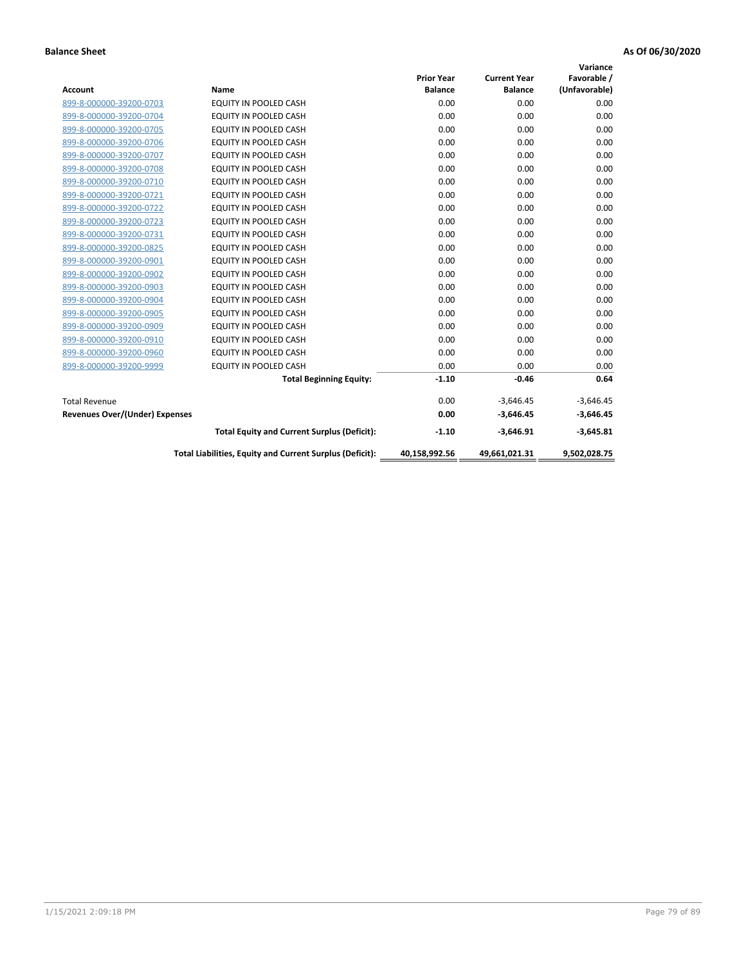|                                       |                                                          |                   |                     | Variance      |
|---------------------------------------|----------------------------------------------------------|-------------------|---------------------|---------------|
|                                       |                                                          | <b>Prior Year</b> | <b>Current Year</b> | Favorable /   |
| <b>Account</b>                        | Name                                                     | <b>Balance</b>    | <b>Balance</b>      | (Unfavorable) |
| 899-8-000000-39200-0703               | EQUITY IN POOLED CASH                                    | 0.00              | 0.00                | 0.00          |
| 899-8-000000-39200-0704               | EQUITY IN POOLED CASH                                    | 0.00              | 0.00                | 0.00          |
| 899-8-000000-39200-0705               | EQUITY IN POOLED CASH                                    | 0.00              | 0.00                | 0.00          |
| 899-8-000000-39200-0706               | <b>EQUITY IN POOLED CASH</b>                             | 0.00              | 0.00                | 0.00          |
| 899-8-000000-39200-0707               | <b>EQUITY IN POOLED CASH</b>                             | 0.00              | 0.00                | 0.00          |
| 899-8-000000-39200-0708               | <b>EQUITY IN POOLED CASH</b>                             | 0.00              | 0.00                | 0.00          |
| 899-8-000000-39200-0710               | <b>EQUITY IN POOLED CASH</b>                             | 0.00              | 0.00                | 0.00          |
| 899-8-000000-39200-0721               | EQUITY IN POOLED CASH                                    | 0.00              | 0.00                | 0.00          |
| 899-8-000000-39200-0722               | <b>EQUITY IN POOLED CASH</b>                             | 0.00              | 0.00                | 0.00          |
| 899-8-000000-39200-0723               | <b>EQUITY IN POOLED CASH</b>                             | 0.00              | 0.00                | 0.00          |
| 899-8-000000-39200-0731               | <b>EQUITY IN POOLED CASH</b>                             | 0.00              | 0.00                | 0.00          |
| 899-8-000000-39200-0825               | EQUITY IN POOLED CASH                                    | 0.00              | 0.00                | 0.00          |
| 899-8-000000-39200-0901               | <b>EQUITY IN POOLED CASH</b>                             | 0.00              | 0.00                | 0.00          |
| 899-8-000000-39200-0902               | EQUITY IN POOLED CASH                                    | 0.00              | 0.00                | 0.00          |
| 899-8-000000-39200-0903               | <b>EQUITY IN POOLED CASH</b>                             | 0.00              | 0.00                | 0.00          |
| 899-8-000000-39200-0904               | <b>EQUITY IN POOLED CASH</b>                             | 0.00              | 0.00                | 0.00          |
| 899-8-000000-39200-0905               | EQUITY IN POOLED CASH                                    | 0.00              | 0.00                | 0.00          |
| 899-8-000000-39200-0909               | EQUITY IN POOLED CASH                                    | 0.00              | 0.00                | 0.00          |
| 899-8-000000-39200-0910               | <b>EQUITY IN POOLED CASH</b>                             | 0.00              | 0.00                | 0.00          |
| 899-8-000000-39200-0960               | <b>EQUITY IN POOLED CASH</b>                             | 0.00              | 0.00                | 0.00          |
| 899-8-000000-39200-9999               | <b>EQUITY IN POOLED CASH</b>                             | 0.00              | 0.00                | 0.00          |
|                                       | <b>Total Beginning Equity:</b>                           | $-1.10$           | $-0.46$             | 0.64          |
| <b>Total Revenue</b>                  |                                                          | 0.00              | $-3,646.45$         | $-3,646.45$   |
| <b>Revenues Over/(Under) Expenses</b> |                                                          | 0.00              | $-3,646.45$         | $-3,646.45$   |
|                                       | <b>Total Equity and Current Surplus (Deficit):</b>       | $-1.10$           | $-3,646.91$         | $-3,645.81$   |
|                                       | Total Liabilities, Equity and Current Surplus (Deficit): | 40,158,992.56     | 49,661,021.31       | 9,502,028.75  |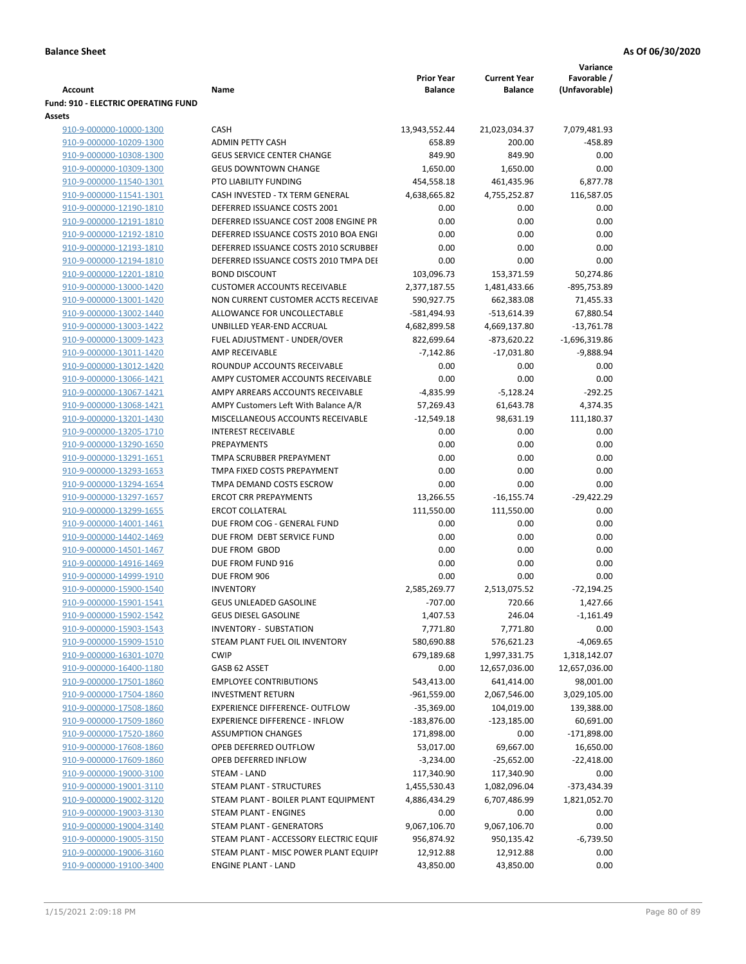|                                            |                                        |                   |                     | Variance        |
|--------------------------------------------|----------------------------------------|-------------------|---------------------|-----------------|
|                                            |                                        | <b>Prior Year</b> | <b>Current Year</b> | Favorable /     |
| Account                                    | Name                                   | <b>Balance</b>    | <b>Balance</b>      | (Unfavorable)   |
| <b>Fund: 910 - ELECTRIC OPERATING FUND</b> |                                        |                   |                     |                 |
| <b>Assets</b>                              |                                        |                   |                     |                 |
| 910-9-000000-10000-1300                    | <b>CASH</b>                            | 13,943,552.44     | 21,023,034.37       | 7,079,481.93    |
| 910-9-000000-10209-1300                    | <b>ADMIN PETTY CASH</b>                | 658.89            | 200.00              | $-458.89$       |
| 910-9-000000-10308-1300                    | <b>GEUS SERVICE CENTER CHANGE</b>      | 849.90            | 849.90              | 0.00            |
| 910-9-000000-10309-1300                    | <b>GEUS DOWNTOWN CHANGE</b>            | 1,650.00          | 1,650.00            | 0.00            |
| 910-9-000000-11540-1301                    | PTO LIABILITY FUNDING                  | 454,558.18        | 461,435.96          | 6,877.78        |
| 910-9-000000-11541-1301                    | CASH INVESTED - TX TERM GENERAL        | 4,638,665.82      | 4,755,252.87        | 116,587.05      |
| 910-9-000000-12190-1810                    | DEFERRED ISSUANCE COSTS 2001           | 0.00              | 0.00                | 0.00            |
| 910-9-000000-12191-1810                    | DEFERRED ISSUANCE COST 2008 ENGINE PR  | 0.00              | 0.00                | 0.00            |
| 910-9-000000-12192-1810                    | DEFERRED ISSUANCE COSTS 2010 BOA ENGI  | 0.00              | 0.00                | 0.00            |
| 910-9-000000-12193-1810                    | DEFERRED ISSUANCE COSTS 2010 SCRUBBEI  | 0.00              | 0.00                | 0.00            |
| 910-9-000000-12194-1810                    | DEFERRED ISSUANCE COSTS 2010 TMPA DEI  | 0.00              | 0.00                | 0.00            |
| 910-9-000000-12201-1810                    | <b>BOND DISCOUNT</b>                   | 103,096.73        | 153,371.59          | 50,274.86       |
| 910-9-000000-13000-1420                    | <b>CUSTOMER ACCOUNTS RECEIVABLE</b>    | 2,377,187.55      | 1,481,433.66        | -895,753.89     |
| 910-9-000000-13001-1420                    | NON CURRENT CUSTOMER ACCTS RECEIVAE    | 590,927.75        | 662,383.08          | 71,455.33       |
| 910-9-000000-13002-1440                    | ALLOWANCE FOR UNCOLLECTABLE            | -581,494.93       | $-513,614.39$       | 67,880.54       |
| 910-9-000000-13003-1422                    | UNBILLED YEAR-END ACCRUAL              | 4,682,899.58      | 4,669,137.80        | $-13,761.78$    |
| 910-9-000000-13009-1423                    | FUEL ADJUSTMENT - UNDER/OVER           | 822,699.64        | -873,620.22         | $-1,696,319.86$ |
| 910-9-000000-13011-1420                    | <b>AMP RECEIVABLE</b>                  | $-7,142.86$       | $-17,031.80$        | -9,888.94       |
| 910-9-000000-13012-1420                    | ROUNDUP ACCOUNTS RECEIVABLE            | 0.00              | 0.00                | 0.00            |
| 910-9-000000-13066-1421                    | AMPY CUSTOMER ACCOUNTS RECEIVABLE      | 0.00              | 0.00                | 0.00            |
| 910-9-000000-13067-1421                    | AMPY ARREARS ACCOUNTS RECEIVABLE       | $-4,835.99$       | $-5,128.24$         | $-292.25$       |
| 910-9-000000-13068-1421                    | AMPY Customers Left With Balance A/R   | 57,269.43         | 61,643.78           | 4,374.35        |
| 910-9-000000-13201-1430                    | MISCELLANEOUS ACCOUNTS RECEIVABLE      | $-12,549.18$      | 98,631.19           | 111,180.37      |
| 910-9-000000-13205-1710                    | <b>INTEREST RECEIVABLE</b>             | 0.00              | 0.00                | 0.00            |
| 910-9-000000-13290-1650                    | PREPAYMENTS                            | 0.00              | 0.00                | 0.00            |
| 910-9-000000-13291-1651                    | TMPA SCRUBBER PREPAYMENT               | 0.00              | 0.00                | 0.00            |
| 910-9-000000-13293-1653                    | TMPA FIXED COSTS PREPAYMENT            | 0.00              | 0.00                | 0.00            |
| 910-9-000000-13294-1654                    | TMPA DEMAND COSTS ESCROW               | 0.00              | 0.00                | 0.00            |
| 910-9-000000-13297-1657                    | <b>ERCOT CRR PREPAYMENTS</b>           | 13,266.55         | $-16, 155.74$       | $-29,422.29$    |
| 910-9-000000-13299-1655                    | <b>ERCOT COLLATERAL</b>                | 111,550.00        | 111,550.00          | 0.00            |
| 910-9-000000-14001-1461                    | DUE FROM COG - GENERAL FUND            | 0.00              | 0.00                | 0.00            |
| 910-9-000000-14402-1469                    | DUE FROM DEBT SERVICE FUND             | 0.00              | 0.00                | 0.00            |
| 910-9-000000-14501-1467                    | DUE FROM GBOD                          | 0.00              | 0.00                | 0.00            |
| 910-9-000000-14916-1469                    | DUE FROM FUND 916                      | 0.00              | 0.00                | 0.00            |
| 910-9-000000-14999-1910                    | DUE FROM 906                           | 0.00              | 0.00                | 0.00            |
| 910-9-000000-15900-1540                    | <b>INVENTORY</b>                       | 2,585,269.77      | 2,513,075.52        | $-72,194.25$    |
| 910-9-000000-15901-1541                    | <b>GEUS UNLEADED GASOLINE</b>          | $-707.00$         | 720.66              | 1,427.66        |
| 910-9-000000-15902-1542                    | <b>GEUS DIESEL GASOLINE</b>            | 1,407.53          | 246.04              | $-1,161.49$     |
| 910-9-000000-15903-1543                    | <b>INVENTORY - SUBSTATION</b>          | 7,771.80          | 7,771.80            | 0.00            |
| 910-9-000000-15909-1510                    | STEAM PLANT FUEL OIL INVENTORY         | 580,690.88        | 576,621.23          | $-4,069.65$     |
| 910-9-000000-16301-1070                    | <b>CWIP</b>                            | 679,189.68        | 1,997,331.75        | 1,318,142.07    |
| 910-9-000000-16400-1180                    | GASB 62 ASSET                          | 0.00              | 12,657,036.00       | 12,657,036.00   |
| 910-9-000000-17501-1860                    | <b>EMPLOYEE CONTRIBUTIONS</b>          | 543,413.00        | 641,414.00          | 98,001.00       |
| 910-9-000000-17504-1860                    | <b>INVESTMENT RETURN</b>               | $-961,559.00$     | 2,067,546.00        | 3,029,105.00    |
| 910-9-000000-17508-1860                    | EXPERIENCE DIFFERENCE- OUTFLOW         | $-35,369.00$      | 104,019.00          | 139,388.00      |
| 910-9-000000-17509-1860                    | <b>EXPERIENCE DIFFERENCE - INFLOW</b>  | $-183,876.00$     | -123,185.00         | 60,691.00       |
| 910-9-000000-17520-1860                    | <b>ASSUMPTION CHANGES</b>              | 171,898.00        | 0.00                | $-171,898.00$   |
| 910-9-000000-17608-1860                    | OPEB DEFERRED OUTFLOW                  | 53,017.00         | 69,667.00           | 16,650.00       |
| 910-9-000000-17609-1860                    | OPEB DEFERRED INFLOW                   | $-3,234.00$       | $-25,652.00$        | $-22,418.00$    |
| 910-9-000000-19000-3100                    | STEAM - LAND                           | 117,340.90        | 117,340.90          | 0.00            |
| 910-9-000000-19001-3110                    | STEAM PLANT - STRUCTURES               | 1,455,530.43      | 1,082,096.04        | -373,434.39     |
| 910-9-000000-19002-3120                    | STEAM PLANT - BOILER PLANT EQUIPMENT   | 4,886,434.29      | 6,707,486.99        | 1,821,052.70    |
| 910-9-000000-19003-3130                    | STEAM PLANT - ENGINES                  | 0.00              | 0.00                | 0.00            |
| 910-9-000000-19004-3140                    | STEAM PLANT - GENERATORS               | 9,067,106.70      | 9,067,106.70        | 0.00            |
| 910-9-000000-19005-3150                    | STEAM PLANT - ACCESSORY ELECTRIC EQUIF | 956,874.92        | 950,135.42          | -6,739.50       |
| 910-9-000000-19006-3160                    | STEAM PLANT - MISC POWER PLANT EQUIPI  | 12,912.88         | 12,912.88           | 0.00            |
| 910-9-000000-19100-3400                    | <b>ENGINE PLANT - LAND</b>             | 43,850.00         | 43,850.00           | 0.00            |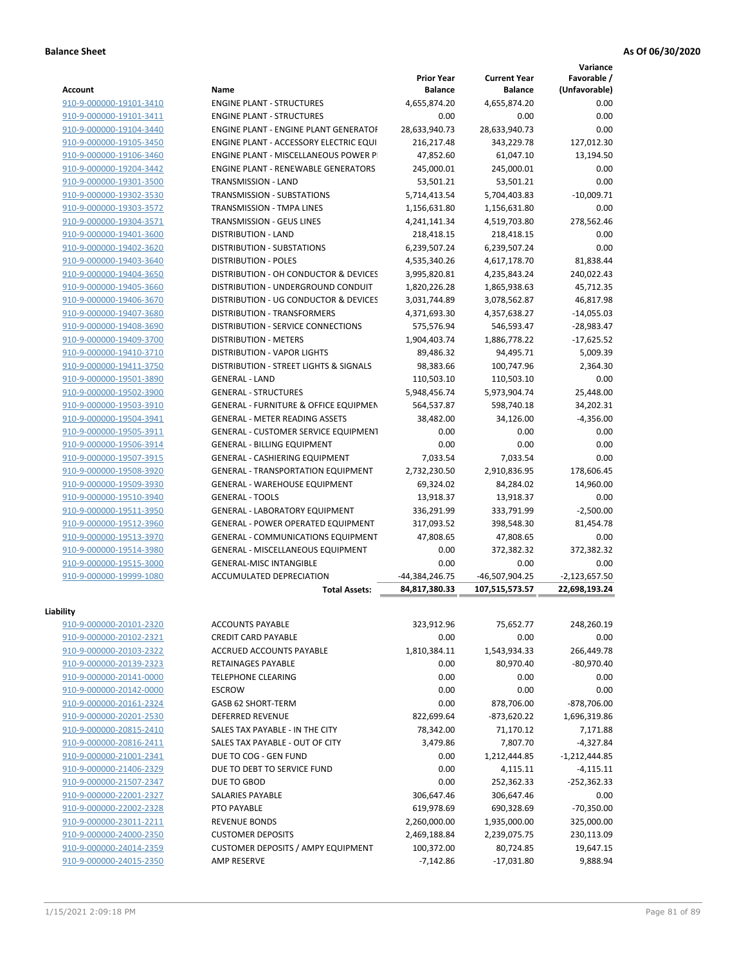**Variance**

| Account                 | Name                                             | <b>Prior Year</b><br><b>Balance</b> | <b>Current Year</b><br><b>Balance</b> | Favorable /<br>(Unfavorable) |
|-------------------------|--------------------------------------------------|-------------------------------------|---------------------------------------|------------------------------|
| 910-9-000000-19101-3410 | <b>ENGINE PLANT - STRUCTURES</b>                 | 4,655,874.20                        | 4,655,874.20                          | 0.00                         |
| 910-9-000000-19101-3411 | <b>ENGINE PLANT - STRUCTURES</b>                 | 0.00                                | 0.00                                  | 0.00                         |
| 910-9-000000-19104-3440 | ENGINE PLANT - ENGINE PLANT GENERATOF            | 28,633,940.73                       | 28,633,940.73                         | 0.00                         |
| 910-9-000000-19105-3450 | <b>ENGINE PLANT - ACCESSORY ELECTRIC EQUI</b>    | 216,217.48                          | 343,229.78                            | 127,012.30                   |
| 910-9-000000-19106-3460 | <b>ENGINE PLANT - MISCELLANEOUS POWER P</b>      | 47,852.60                           | 61,047.10                             | 13,194.50                    |
| 910-9-000000-19204-3442 | <b>ENGINE PLANT - RENEWABLE GENERATORS</b>       | 245,000.01                          | 245,000.01                            | 0.00                         |
| 910-9-000000-19301-3500 | TRANSMISSION - LAND                              | 53,501.21                           | 53,501.21                             | 0.00                         |
| 910-9-000000-19302-3530 | TRANSMISSION - SUBSTATIONS                       | 5,714,413.54                        | 5,704,403.83                          | $-10,009.71$                 |
| 910-9-000000-19303-3572 | TRANSMISSION - TMPA LINES                        | 1,156,631.80                        | 1,156,631.80                          | 0.00                         |
| 910-9-000000-19304-3571 | <b>TRANSMISSION - GEUS LINES</b>                 | 4,241,141.34                        | 4,519,703.80                          | 278,562.46                   |
| 910-9-000000-19401-3600 | <b>DISTRIBUTION - LAND</b>                       | 218,418.15                          | 218,418.15                            | 0.00                         |
| 910-9-000000-19402-3620 | <b>DISTRIBUTION - SUBSTATIONS</b>                | 6,239,507.24                        | 6,239,507.24                          | 0.00                         |
| 910-9-000000-19403-3640 | <b>DISTRIBUTION - POLES</b>                      | 4,535,340.26                        | 4,617,178.70                          | 81,838.44                    |
| 910-9-000000-19404-3650 | DISTRIBUTION - OH CONDUCTOR & DEVICES            | 3,995,820.81                        | 4,235,843.24                          | 240,022.43                   |
| 910-9-000000-19405-3660 | DISTRIBUTION - UNDERGROUND CONDUIT               | 1,820,226.28                        | 1,865,938.63                          | 45,712.35                    |
| 910-9-000000-19406-3670 | DISTRIBUTION - UG CONDUCTOR & DEVICES            | 3,031,744.89                        | 3,078,562.87                          | 46,817.98                    |
| 910-9-000000-19407-3680 | <b>DISTRIBUTION - TRANSFORMERS</b>               | 4,371,693.30                        | 4,357,638.27                          | $-14,055.03$                 |
| 910-9-000000-19408-3690 | DISTRIBUTION - SERVICE CONNECTIONS               | 575,576.94                          | 546,593.47                            | $-28,983.47$                 |
| 910-9-000000-19409-3700 | <b>DISTRIBUTION - METERS</b>                     | 1,904,403.74                        | 1,886,778.22                          | $-17,625.52$                 |
| 910-9-000000-19410-3710 | <b>DISTRIBUTION - VAPOR LIGHTS</b>               | 89,486.32                           | 94,495.71                             | 5,009.39                     |
| 910-9-000000-19411-3750 | DISTRIBUTION - STREET LIGHTS & SIGNALS           | 98,383.66                           | 100,747.96                            | 2,364.30                     |
| 910-9-000000-19501-3890 | <b>GENERAL - LAND</b>                            | 110,503.10                          | 110,503.10                            | 0.00                         |
| 910-9-000000-19502-3900 | <b>GENERAL - STRUCTURES</b>                      | 5,948,456.74                        | 5,973,904.74                          | 25,448.00                    |
| 910-9-000000-19503-3910 | <b>GENERAL - FURNITURE &amp; OFFICE EQUIPMEN</b> | 564,537.87                          | 598,740.18                            | 34,202.31                    |
| 910-9-000000-19504-3941 | <b>GENERAL - METER READING ASSETS</b>            | 38,482.00                           | 34,126.00                             | $-4,356.00$                  |
| 910-9-000000-19505-3911 | GENERAL - CUSTOMER SERVICE EQUIPMENT             | 0.00                                | 0.00                                  | 0.00                         |
| 910-9-000000-19506-3914 | <b>GENERAL - BILLING EQUIPMENT</b>               | 0.00                                | 0.00                                  | 0.00                         |
| 910-9-000000-19507-3915 | GENERAL - CASHIERING EQUIPMENT                   | 7,033.54                            | 7,033.54                              | 0.00                         |
| 910-9-000000-19508-3920 | <b>GENERAL - TRANSPORTATION EQUIPMENT</b>        | 2,732,230.50                        | 2,910,836.95                          | 178,606.45                   |
| 910-9-000000-19509-3930 | GENERAL - WAREHOUSE EQUIPMENT                    | 69,324.02                           | 84,284.02                             | 14,960.00                    |
| 910-9-000000-19510-3940 | <b>GENERAL - TOOLS</b>                           | 13,918.37                           | 13,918.37                             | 0.00                         |
| 910-9-000000-19511-3950 | <b>GENERAL - LABORATORY EQUIPMENT</b>            | 336,291.99                          | 333,791.99                            | $-2,500.00$                  |
| 910-9-000000-19512-3960 | <b>GENERAL - POWER OPERATED EQUIPMENT</b>        | 317,093.52                          | 398,548.30                            | 81,454.78                    |
| 910-9-000000-19513-3970 | GENERAL - COMMUNICATIONS EQUIPMENT               | 47,808.65                           | 47,808.65                             | 0.00                         |
| 910-9-000000-19514-3980 | <b>GENERAL - MISCELLANEOUS EQUIPMENT</b>         | 0.00                                | 372,382.32                            | 372,382.32                   |
| 910-9-000000-19515-3000 | <b>GENERAL-MISC INTANGIBLE</b>                   | 0.00                                | 0.00                                  | 0.00                         |
| 910-9-000000-19999-1080 | <b>ACCUMULATED DEPRECIATION</b>                  | -44,384,246.75                      | -46,507,904.25                        | $-2,123,657.50$              |
|                         | <b>Total Assets:</b>                             | 84,817,380.33                       | 107,515,573.57                        | 22,698,193.24                |
|                         |                                                  |                                     |                                       |                              |
| Liability               |                                                  |                                     |                                       |                              |
| 910-9-000000-20101-2320 | <b>ACCOUNTS PAYABLE</b>                          | 323,912.96                          | 75,652.77                             | 248,260.19                   |
| 910-9-000000-20102-2321 | <b>CREDIT CARD PAYABLE</b>                       | 0.00                                | 0.00                                  | 0.00                         |
| 910-9-000000-20103-2322 | ACCRUED ACCOUNTS PAYABLE                         | 1,810,384.11                        | 1,543,934.33                          | 266,449.78                   |
| 910-9-000000-20139-2323 | RETAINAGES PAYABLE                               | 0.00                                | 80,970.40                             | $-80,970.40$                 |
| 910-9-000000-20141-0000 | <b>TELEPHONE CLEARING</b>                        | 0.00                                | 0.00                                  | 0.00                         |
| 910-9-000000-20142-0000 | <b>ESCROW</b>                                    | 0.00                                | 0.00                                  | 0.00                         |
| 910-9-000000-20161-2324 | GASB 62 SHORT-TERM                               | 0.00                                | 878,706.00                            | $-878,706.00$                |
| 910-9-000000-20201-2530 | <b>DEFERRED REVENUE</b>                          | 822,699.64                          | $-873,620.22$                         | 1,696,319.86                 |
| 910-9-000000-20815-2410 | SALES TAX PAYABLE - IN THE CITY                  | 78,342.00                           | 71,170.12                             | 7,171.88                     |
| 910-9-000000-20816-2411 | SALES TAX PAYABLE - OUT OF CITY                  | 3,479.86                            | 7,807.70                              | $-4,327.84$                  |
| 910-9-000000-21001-2341 | DUE TO COG - GEN FUND                            | 0.00                                | 1,212,444.85                          | $-1,212,444.85$              |
| 910-9-000000-21406-2329 | DUE TO DEBT TO SERVICE FUND                      | 0.00                                | 4,115.11                              | $-4,115.11$                  |
| 910-9-000000-21507-2347 | DUE TO GBOD                                      | 0.00                                | 252,362.33                            | $-252,362.33$                |
| 910-9-000000-22001-2327 | SALARIES PAYABLE                                 | 306,647.46                          | 306,647.46                            | 0.00                         |
| 910-9-000000-22002-2328 | PTO PAYABLE                                      | 619,978.69                          | 690,328.69                            | $-70,350.00$                 |
| 910-9-000000-23011-2211 | <b>REVENUE BONDS</b>                             | 2,260,000.00                        | 1,935,000.00                          | 325,000.00                   |
| 910-9-000000-24000-2350 | <b>CUSTOMER DEPOSITS</b>                         | 2,469,188.84                        | 2,239,075.75                          | 230,113.09                   |
| 910-9-000000-24014-2359 | <b>CUSTOMER DEPOSITS / AMPY EQUIPMENT</b>        | 100,372.00                          | 80,724.85                             | 19,647.15                    |
| 910-9-000000-24015-2350 | AMP RESERVE                                      | $-7,142.86$                         | $-17,031.80$                          | 9,888.94                     |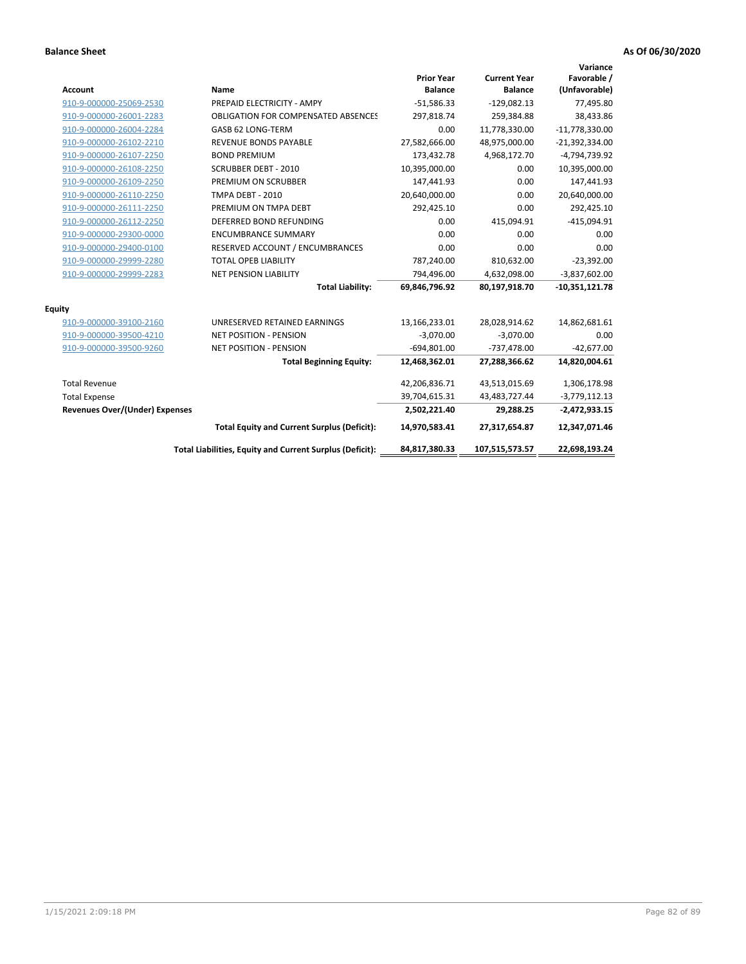| <b>Account</b>                        | Name                                                     | <b>Prior Year</b><br><b>Balance</b> | <b>Current Year</b><br><b>Balance</b> | Variance<br>Favorable /<br>(Unfavorable) |
|---------------------------------------|----------------------------------------------------------|-------------------------------------|---------------------------------------|------------------------------------------|
| 910-9-000000-25069-2530               | PREPAID ELECTRICITY - AMPY                               | $-51,586.33$                        | $-129,082.13$                         | 77,495.80                                |
| 910-9-000000-26001-2283               | <b>OBLIGATION FOR COMPENSATED ABSENCES</b>               | 297,818.74                          | 259,384.88                            | 38,433.86                                |
| 910-9-000000-26004-2284               | GASB 62 LONG-TERM                                        | 0.00                                | 11,778,330.00                         | $-11,778,330.00$                         |
| 910-9-000000-26102-2210               | <b>REVENUE BONDS PAYABLE</b>                             | 27,582,666.00                       | 48,975,000.00                         | $-21,392,334.00$                         |
| 910-9-000000-26107-2250               | <b>BOND PREMIUM</b>                                      | 173,432.78                          | 4,968,172.70                          | -4,794,739.92                            |
| 910-9-000000-26108-2250               | <b>SCRUBBER DEBT - 2010</b>                              | 10,395,000.00                       | 0.00                                  | 10,395,000.00                            |
| 910-9-000000-26109-2250               | PREMIUM ON SCRUBBER                                      | 147,441.93                          | 0.00                                  | 147,441.93                               |
| 910-9-000000-26110-2250               | <b>TMPA DEBT - 2010</b>                                  | 20,640,000.00                       | 0.00                                  | 20,640,000.00                            |
| 910-9-000000-26111-2250               | PREMIUM ON TMPA DEBT                                     | 292,425.10                          | 0.00                                  | 292,425.10                               |
| 910-9-000000-26112-2250               | DEFERRED BOND REFUNDING                                  | 0.00                                | 415,094.91                            | $-415,094.91$                            |
| 910-9-000000-29300-0000               | <b>ENCUMBRANCE SUMMARY</b>                               | 0.00                                | 0.00                                  | 0.00                                     |
| 910-9-000000-29400-0100               | RESERVED ACCOUNT / ENCUMBRANCES                          | 0.00                                | 0.00                                  | 0.00                                     |
| 910-9-000000-29999-2280               | <b>TOTAL OPEB LIABILITY</b>                              | 787,240.00                          | 810,632.00                            | $-23,392.00$                             |
| 910-9-000000-29999-2283               | <b>NET PENSION LIABILITY</b>                             | 794,496.00                          | 4,632,098.00                          | $-3,837,602.00$                          |
|                                       | <b>Total Liability:</b>                                  | 69,846,796.92                       | 80,197,918.70                         | $-10,351,121.78$                         |
| <b>Equity</b>                         |                                                          |                                     |                                       |                                          |
| 910-9-000000-39100-2160               | UNRESERVED RETAINED EARNINGS                             | 13,166,233.01                       | 28,028,914.62                         | 14,862,681.61                            |
| 910-9-000000-39500-4210               | <b>NET POSITION - PENSION</b>                            | $-3,070.00$                         | $-3,070.00$                           | 0.00                                     |
| 910-9-000000-39500-9260               | <b>NET POSITION - PENSION</b>                            | $-694,801.00$                       | $-737,478.00$                         | $-42,677.00$                             |
|                                       | <b>Total Beginning Equity:</b>                           | 12,468,362.01                       | 27,288,366.62                         | 14,820,004.61                            |
| <b>Total Revenue</b>                  |                                                          | 42,206,836.71                       | 43,513,015.69                         | 1,306,178.98                             |
| <b>Total Expense</b>                  |                                                          | 39,704,615.31                       | 43,483,727.44                         | $-3,779,112.13$                          |
| <b>Revenues Over/(Under) Expenses</b> |                                                          | 2,502,221.40                        | 29,288.25                             | $-2,472,933.15$                          |
|                                       | <b>Total Equity and Current Surplus (Deficit):</b>       | 14,970,583.41                       | 27,317,654.87                         | 12,347,071.46                            |
|                                       | Total Liabilities, Equity and Current Surplus (Deficit): | 84,817,380.33                       | 107,515,573.57                        | 22,698,193.24                            |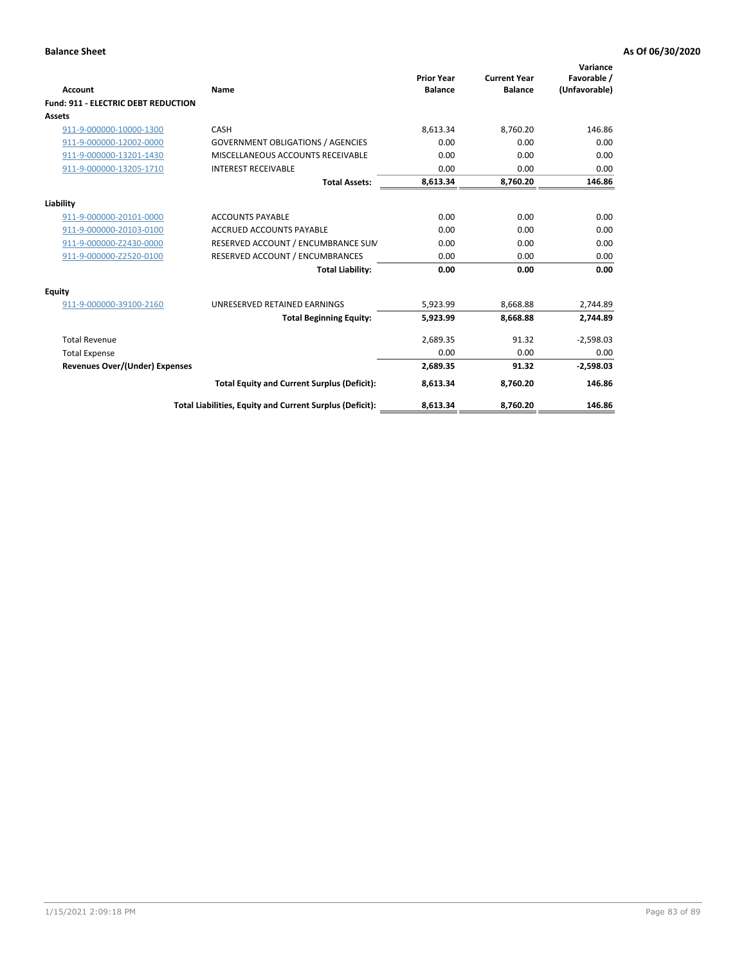| Account                                    | Name                                                     | <b>Prior Year</b><br><b>Balance</b> | <b>Current Year</b><br><b>Balance</b> | Variance<br>Favorable /<br>(Unfavorable) |
|--------------------------------------------|----------------------------------------------------------|-------------------------------------|---------------------------------------|------------------------------------------|
| <b>Fund: 911 - ELECTRIC DEBT REDUCTION</b> |                                                          |                                     |                                       |                                          |
| Assets                                     |                                                          |                                     |                                       |                                          |
| 911-9-000000-10000-1300                    | CASH                                                     | 8,613.34                            | 8,760.20                              | 146.86                                   |
| 911-9-000000-12002-0000                    | <b>GOVERNMENT OBLIGATIONS / AGENCIES</b>                 | 0.00                                | 0.00                                  | 0.00                                     |
| 911-9-000000-13201-1430                    | MISCELLANEOUS ACCOUNTS RECEIVABLE                        | 0.00                                | 0.00                                  | 0.00                                     |
| 911-9-000000-13205-1710                    | <b>INTEREST RECEIVABLE</b>                               | 0.00                                | 0.00                                  | 0.00                                     |
|                                            | <b>Total Assets:</b>                                     | 8,613.34                            | 8,760.20                              | 146.86                                   |
| Liability                                  |                                                          |                                     |                                       |                                          |
| 911-9-000000-20101-0000                    | <b>ACCOUNTS PAYABLE</b>                                  | 0.00                                | 0.00                                  | 0.00                                     |
| 911-9-000000-20103-0100                    | <b>ACCRUED ACCOUNTS PAYABLE</b>                          | 0.00                                | 0.00                                  | 0.00                                     |
| 911-9-000000-Z2430-0000                    | RESERVED ACCOUNT / ENCUMBRANCE SUM                       | 0.00                                | 0.00                                  | 0.00                                     |
| 911-9-000000-Z2520-0100                    | RESERVED ACCOUNT / ENCUMBRANCES                          | 0.00                                | 0.00                                  | 0.00                                     |
|                                            | <b>Total Liability:</b>                                  | 0.00                                | 0.00                                  | 0.00                                     |
| <b>Equity</b>                              |                                                          |                                     |                                       |                                          |
| 911-9-000000-39100-2160                    | UNRESERVED RETAINED EARNINGS                             | 5,923.99                            | 8,668.88                              | 2,744.89                                 |
|                                            | <b>Total Beginning Equity:</b>                           | 5,923.99                            | 8.668.88                              | 2.744.89                                 |
| <b>Total Revenue</b>                       |                                                          | 2,689.35                            | 91.32                                 | $-2,598.03$                              |
| <b>Total Expense</b>                       |                                                          | 0.00                                | 0.00                                  | 0.00                                     |
| <b>Revenues Over/(Under) Expenses</b>      |                                                          | 2,689.35                            | 91.32                                 | $-2,598.03$                              |
|                                            | <b>Total Equity and Current Surplus (Deficit):</b>       | 8,613.34                            | 8,760.20                              | 146.86                                   |
|                                            | Total Liabilities, Equity and Current Surplus (Deficit): | 8,613.34                            | 8,760.20                              | 146.86                                   |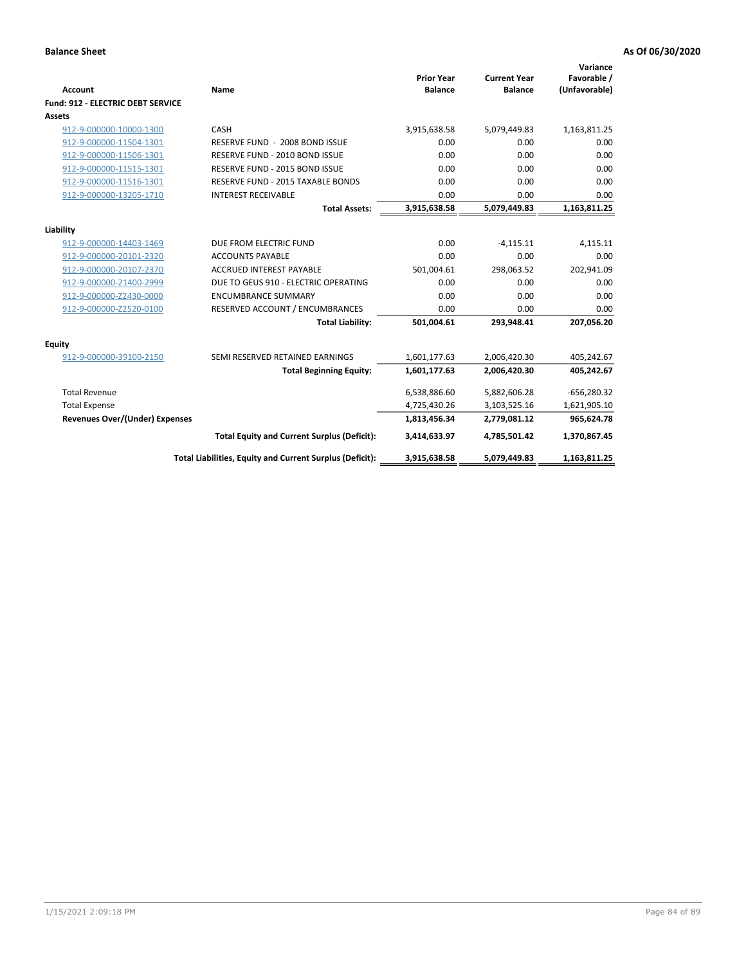| <b>Account</b>                    | <b>Name</b>                                              | <b>Prior Year</b><br><b>Balance</b> | <b>Current Year</b><br><b>Balance</b> | Variance<br>Favorable /<br>(Unfavorable) |
|-----------------------------------|----------------------------------------------------------|-------------------------------------|---------------------------------------|------------------------------------------|
| Fund: 912 - ELECTRIC DEBT SERVICE |                                                          |                                     |                                       |                                          |
| <b>Assets</b>                     |                                                          |                                     |                                       |                                          |
| 912-9-000000-10000-1300           | CASH                                                     | 3,915,638.58                        | 5,079,449.83                          | 1,163,811.25                             |
| 912-9-000000-11504-1301           | RESERVE FUND - 2008 BOND ISSUE                           | 0.00                                | 0.00                                  | 0.00                                     |
| 912-9-000000-11506-1301           | RESERVE FUND - 2010 BOND ISSUE                           | 0.00                                | 0.00                                  | 0.00                                     |
| 912-9-000000-11515-1301           | RESERVE FUND - 2015 BOND ISSUE                           | 0.00                                | 0.00                                  | 0.00                                     |
| 912-9-000000-11516-1301           | RESERVE FUND - 2015 TAXABLE BONDS                        | 0.00                                | 0.00                                  | 0.00                                     |
| 912-9-000000-13205-1710           | <b>INTEREST RECEIVABLE</b>                               | 0.00                                | 0.00                                  | 0.00                                     |
|                                   | <b>Total Assets:</b>                                     | 3,915,638.58                        | 5,079,449.83                          | 1,163,811.25                             |
|                                   |                                                          |                                     |                                       |                                          |
| Liability                         |                                                          |                                     |                                       |                                          |
| 912-9-000000-14403-1469           | DUE FROM ELECTRIC FUND                                   | 0.00                                | $-4,115.11$                           | 4,115.11                                 |
| 912-9-000000-20101-2320           | <b>ACCOUNTS PAYABLE</b>                                  | 0.00                                | 0.00                                  | 0.00                                     |
| 912-9-000000-20107-2370           | <b>ACCRUED INTEREST PAYABLE</b>                          | 501,004.61                          | 298,063.52                            | 202,941.09                               |
| 912-9-000000-21400-2999           | DUE TO GEUS 910 - ELECTRIC OPERATING                     | 0.00                                | 0.00                                  | 0.00                                     |
| 912-9-000000-Z2430-0000           | <b>ENCUMBRANCE SUMMARY</b>                               | 0.00                                | 0.00                                  | 0.00                                     |
| 912-9-000000-Z2520-0100           | RESERVED ACCOUNT / ENCUMBRANCES                          | 0.00                                | 0.00                                  | 0.00                                     |
|                                   | <b>Total Liability:</b>                                  | 501,004.61                          | 293,948.41                            | 207,056.20                               |
| <b>Equity</b>                     |                                                          |                                     |                                       |                                          |
| 912-9-000000-39100-2150           | SEMI RESERVED RETAINED EARNINGS                          | 1,601,177.63                        | 2,006,420.30                          | 405,242.67                               |
|                                   | <b>Total Beginning Equity:</b>                           | 1,601,177.63                        | 2,006,420.30                          | 405,242.67                               |
| <b>Total Revenue</b>              |                                                          | 6,538,886.60                        | 5,882,606.28                          | $-656,280.32$                            |
| <b>Total Expense</b>              |                                                          | 4,725,430.26                        | 3,103,525.16                          | 1,621,905.10                             |
| Revenues Over/(Under) Expenses    |                                                          | 1,813,456.34                        | 2,779,081.12                          | 965,624.78                               |
|                                   | <b>Total Equity and Current Surplus (Deficit):</b>       | 3,414,633.97                        | 4,785,501.42                          | 1,370,867.45                             |
|                                   | Total Liabilities, Equity and Current Surplus (Deficit): | 3,915,638.58                        | 5,079,449.83                          | 1,163,811.25                             |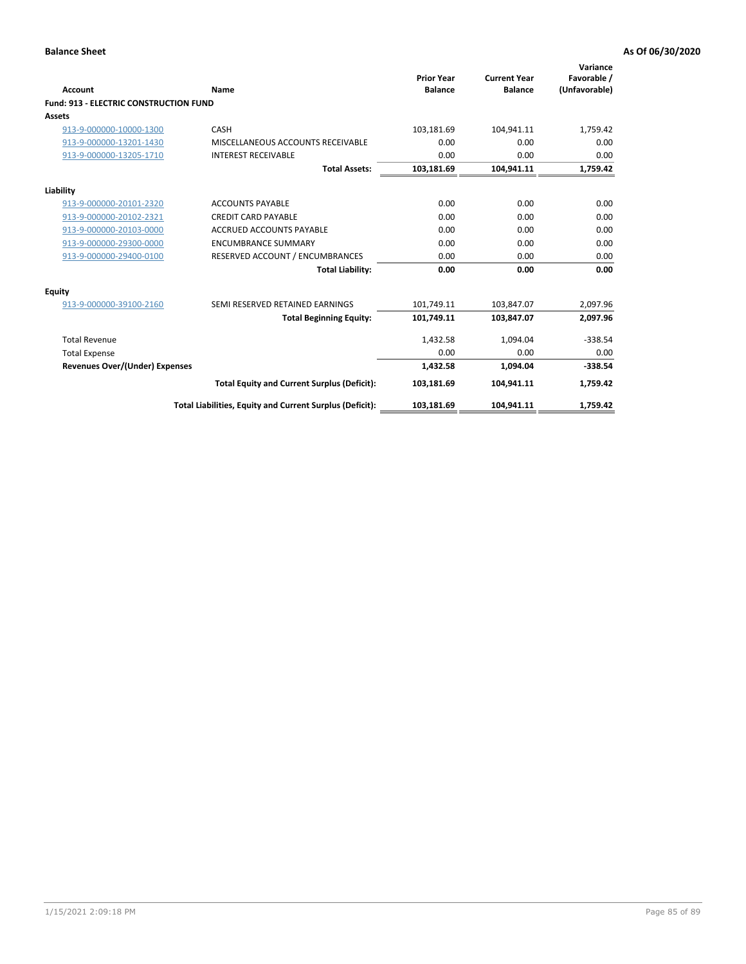| Account                                       | Name                                                     | <b>Prior Year</b><br><b>Balance</b> | <b>Current Year</b><br><b>Balance</b> | Variance<br>Favorable /<br>(Unfavorable) |
|-----------------------------------------------|----------------------------------------------------------|-------------------------------------|---------------------------------------|------------------------------------------|
| <b>Fund: 913 - ELECTRIC CONSTRUCTION FUND</b> |                                                          |                                     |                                       |                                          |
| <b>Assets</b>                                 |                                                          |                                     |                                       |                                          |
| 913-9-000000-10000-1300                       | CASH                                                     | 103,181.69                          | 104,941.11                            | 1,759.42                                 |
| 913-9-000000-13201-1430                       | MISCELLANEOUS ACCOUNTS RECEIVABLE                        | 0.00                                | 0.00                                  | 0.00                                     |
| 913-9-000000-13205-1710                       | <b>INTEREST RECEIVABLE</b>                               | 0.00                                | 0.00                                  | 0.00                                     |
|                                               | <b>Total Assets:</b>                                     | 103,181.69                          | 104,941.11                            | 1,759.42                                 |
| Liability                                     |                                                          |                                     |                                       |                                          |
| 913-9-000000-20101-2320                       | <b>ACCOUNTS PAYABLE</b>                                  | 0.00                                | 0.00                                  | 0.00                                     |
| 913-9-000000-20102-2321                       | <b>CREDIT CARD PAYABLE</b>                               | 0.00                                | 0.00                                  | 0.00                                     |
| 913-9-000000-20103-0000                       | <b>ACCRUED ACCOUNTS PAYABLE</b>                          | 0.00                                | 0.00                                  | 0.00                                     |
| 913-9-000000-29300-0000                       | <b>ENCUMBRANCE SUMMARY</b>                               | 0.00                                | 0.00                                  | 0.00                                     |
| 913-9-000000-29400-0100                       | RESERVED ACCOUNT / ENCUMBRANCES                          | 0.00                                | 0.00                                  | 0.00                                     |
|                                               | <b>Total Liability:</b>                                  | 0.00                                | 0.00                                  | 0.00                                     |
| <b>Equity</b>                                 |                                                          |                                     |                                       |                                          |
| 913-9-000000-39100-2160                       | SEMI RESERVED RETAINED EARNINGS                          | 101,749.11                          | 103,847.07                            | 2,097.96                                 |
|                                               | <b>Total Beginning Equity:</b>                           | 101,749.11                          | 103.847.07                            | 2,097.96                                 |
| <b>Total Revenue</b>                          |                                                          | 1,432.58                            | 1,094.04                              | $-338.54$                                |
| <b>Total Expense</b>                          |                                                          | 0.00                                | 0.00                                  | 0.00                                     |
| <b>Revenues Over/(Under) Expenses</b>         |                                                          | 1,432.58                            | 1,094.04                              | $-338.54$                                |
|                                               | <b>Total Equity and Current Surplus (Deficit):</b>       | 103,181.69                          | 104.941.11                            | 1.759.42                                 |
|                                               | Total Liabilities, Equity and Current Surplus (Deficit): | 103,181.69                          | 104,941.11                            | 1,759.42                                 |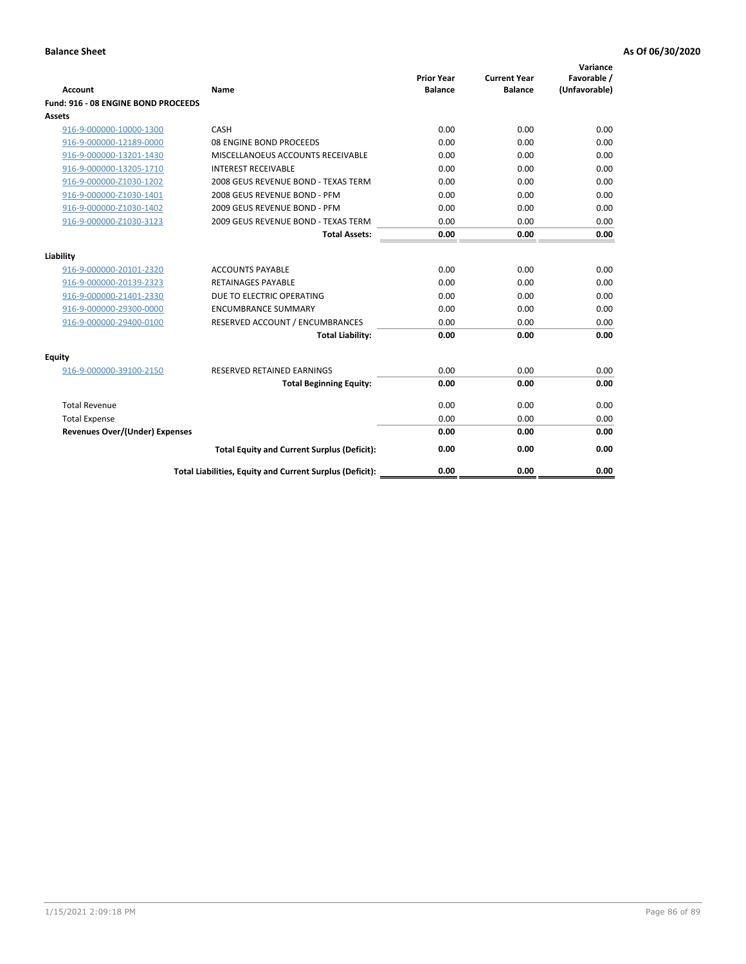| <b>Account</b>                        | Name                                                     | <b>Prior Year</b><br><b>Balance</b> | <b>Current Year</b><br><b>Balance</b> | Variance<br>Favorable /<br>(Unfavorable) |
|---------------------------------------|----------------------------------------------------------|-------------------------------------|---------------------------------------|------------------------------------------|
| Fund: 916 - 08 ENGINE BOND PROCEEDS   |                                                          |                                     |                                       |                                          |
| Assets                                |                                                          |                                     |                                       |                                          |
| 916-9-000000-10000-1300               | CASH                                                     | 0.00                                | 0.00                                  | 0.00                                     |
| 916-9-000000-12189-0000               | 08 ENGINE BOND PROCEEDS                                  | 0.00                                | 0.00                                  | 0.00                                     |
| 916-9-000000-13201-1430               | MISCELLANOEUS ACCOUNTS RECEIVABLE                        | 0.00                                | 0.00                                  | 0.00                                     |
| 916-9-000000-13205-1710               | <b>INTEREST RECEIVABLE</b>                               | 0.00                                | 0.00                                  | 0.00                                     |
| 916-9-000000-Z1030-1202               | 2008 GEUS REVENUE BOND - TEXAS TERM                      | 0.00                                | 0.00                                  | 0.00                                     |
| 916-9-000000-Z1030-1401               | 2008 GEUS REVENUE BOND - PFM                             | 0.00                                | 0.00                                  | 0.00                                     |
| 916-9-000000-Z1030-1402               | 2009 GEUS REVENUE BOND - PFM                             | 0.00                                | 0.00                                  | 0.00                                     |
| 916-9-000000-Z1030-3123               | 2009 GEUS REVENUE BOND - TEXAS TERM                      | 0.00                                | 0.00                                  | 0.00                                     |
|                                       | <b>Total Assets:</b>                                     | 0.00                                | 0.00                                  | 0.00                                     |
| Liability                             |                                                          |                                     |                                       |                                          |
| 916-9-000000-20101-2320               | <b>ACCOUNTS PAYABLE</b>                                  | 0.00                                | 0.00                                  | 0.00                                     |
| 916-9-000000-20139-2323               | <b>RETAINAGES PAYABLE</b>                                | 0.00                                | 0.00                                  | 0.00                                     |
| 916-9-000000-21401-2330               | DUE TO ELECTRIC OPERATING                                | 0.00                                | 0.00                                  | 0.00                                     |
| 916-9-000000-29300-0000               | <b>ENCUMBRANCE SUMMARY</b>                               | 0.00                                | 0.00                                  | 0.00                                     |
| 916-9-000000-29400-0100               | RESERVED ACCOUNT / ENCUMBRANCES                          | 0.00                                | 0.00                                  | 0.00                                     |
|                                       | <b>Total Liability:</b>                                  | 0.00                                | 0.00                                  | 0.00                                     |
|                                       |                                                          |                                     |                                       |                                          |
| Equity                                |                                                          |                                     |                                       |                                          |
| 916-9-000000-39100-2150               | <b>RESERVED RETAINED EARNINGS</b>                        | 0.00                                | 0.00                                  | 0.00                                     |
|                                       | <b>Total Beginning Equity:</b>                           | 0.00                                | 0.00                                  | 0.00                                     |
| <b>Total Revenue</b>                  |                                                          | 0.00                                | 0.00                                  | 0.00                                     |
| <b>Total Expense</b>                  |                                                          | 0.00                                | 0.00                                  | 0.00                                     |
| <b>Revenues Over/(Under) Expenses</b> |                                                          | 0.00                                | 0.00                                  | 0.00                                     |
|                                       | <b>Total Equity and Current Surplus (Deficit):</b>       | 0.00                                | 0.00                                  | 0.00                                     |
|                                       | Total Liabilities, Equity and Current Surplus (Deficit): | 0.00                                | 0.00                                  | 0.00                                     |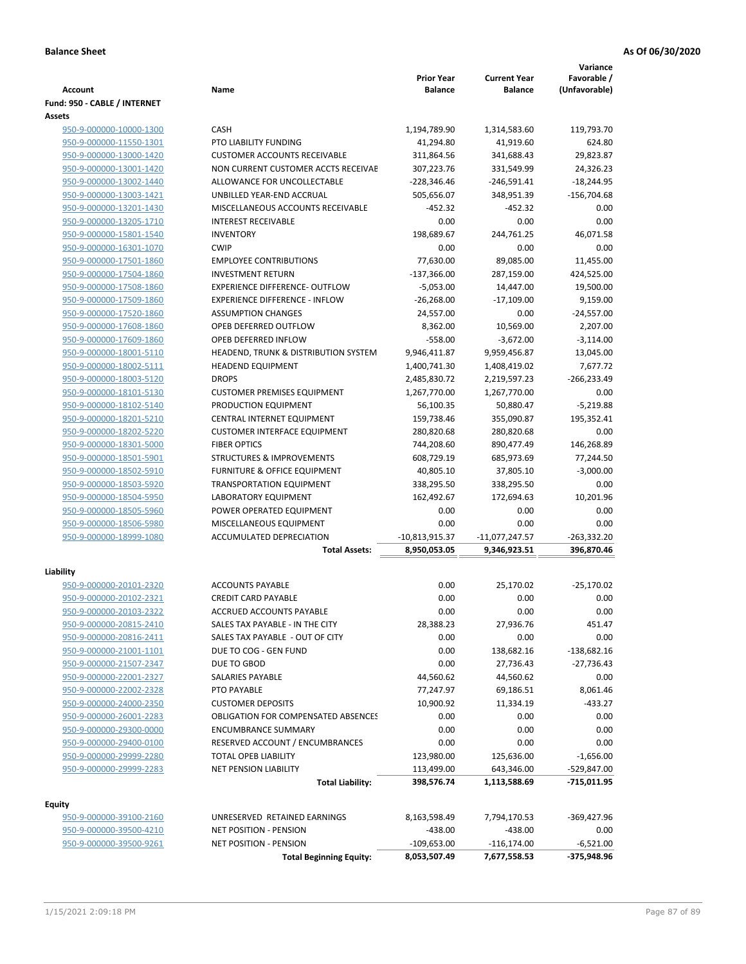|                              |                                            | <b>Prior Year</b> | <b>Current Year</b> | Variance<br>Favorable / |
|------------------------------|--------------------------------------------|-------------------|---------------------|-------------------------|
| <b>Account</b>               | Name                                       | <b>Balance</b>    | <b>Balance</b>      | (Unfavorable)           |
| Fund: 950 - CABLE / INTERNET |                                            |                   |                     |                         |
| Assets                       |                                            |                   |                     |                         |
| 950-9-000000-10000-1300      | <b>CASH</b>                                | 1,194,789.90      | 1,314,583.60        | 119,793.70              |
| 950-9-000000-11550-1301      | <b>PTO LIABILITY FUNDING</b>               | 41,294.80         | 41,919.60           | 624.80                  |
| 950-9-000000-13000-1420      | <b>CUSTOMER ACCOUNTS RECEIVABLE</b>        | 311,864.56        | 341,688.43          | 29,823.87               |
| 950-9-000000-13001-1420      | NON CURRENT CUSTOMER ACCTS RECEIVAE        | 307,223.76        | 331,549.99          | 24,326.23               |
| 950-9-000000-13002-1440      | ALLOWANCE FOR UNCOLLECTABLE                | $-228,346.46$     | $-246,591.41$       | $-18,244.95$            |
| 950-9-000000-13003-1421      | UNBILLED YEAR-END ACCRUAL                  | 505,656.07        | 348,951.39          | $-156,704.68$           |
| 950-9-000000-13201-1430      | MISCELLANEOUS ACCOUNTS RECEIVABLE          | $-452.32$         | $-452.32$           | 0.00                    |
| 950-9-000000-13205-1710      | <b>INTEREST RECEIVABLE</b>                 | 0.00              | 0.00                | 0.00                    |
| 950-9-000000-15801-1540      | <b>INVENTORY</b>                           | 198,689.67        | 244,761.25          | 46,071.58               |
| 950-9-000000-16301-1070      | <b>CWIP</b>                                | 0.00              | 0.00                | 0.00                    |
| 950-9-000000-17501-1860      | <b>EMPLOYEE CONTRIBUTIONS</b>              | 77,630.00         | 89,085.00           | 11,455.00               |
| 950-9-000000-17504-1860      | <b>INVESTMENT RETURN</b>                   | $-137,366.00$     | 287,159.00          | 424,525.00              |
| 950-9-000000-17508-1860      | <b>EXPERIENCE DIFFERENCE- OUTFLOW</b>      | $-5,053.00$       | 14,447.00           | 19,500.00               |
| 950-9-000000-17509-1860      | <b>EXPERIENCE DIFFERENCE - INFLOW</b>      | $-26,268.00$      | $-17,109.00$        | 9,159.00                |
| 950-9-000000-17520-1860      | <b>ASSUMPTION CHANGES</b>                  | 24,557.00         | 0.00                | $-24,557.00$            |
| 950-9-000000-17608-1860      | OPEB DEFERRED OUTFLOW                      | 8,362.00          | 10,569.00           | 2,207.00                |
| 950-9-000000-17609-1860      | OPEB DEFERRED INFLOW                       | $-558.00$         | $-3,672.00$         | $-3,114.00$             |
| 950-9-000000-18001-5110      | HEADEND, TRUNK & DISTRIBUTION SYSTEM       | 9,946,411.87      | 9,959,456.87        | 13,045.00               |
| 950-9-000000-18002-5111      | <b>HEADEND EQUIPMENT</b>                   | 1,400,741.30      | 1,408,419.02        | 7,677.72                |
| 950-9-000000-18003-5120      | <b>DROPS</b>                               | 2,485,830.72      | 2,219,597.23        | $-266,233.49$           |
| 950-9-000000-18101-5130      | <b>CUSTOMER PREMISES EQUIPMENT</b>         | 1,267,770.00      | 1,267,770.00        | 0.00                    |
| 950-9-000000-18102-5140      | PRODUCTION EQUIPMENT                       | 56,100.35         | 50,880.47           | $-5,219.88$             |
| 950-9-000000-18201-5210      | CENTRAL INTERNET EQUIPMENT                 | 159,738.46        | 355,090.87          | 195,352.41              |
| 950-9-000000-18202-5220      | <b>CUSTOMER INTERFACE EQUIPMENT</b>        | 280,820.68        | 280,820.68          | 0.00                    |
| 950-9-000000-18301-5000      | <b>FIBER OPTICS</b>                        | 744,208.60        | 890,477.49          | 146,268.89              |
| 950-9-000000-18501-5901      | <b>STRUCTURES &amp; IMPROVEMENTS</b>       | 608,729.19        | 685,973.69          | 77,244.50               |
| 950-9-000000-18502-5910      | FURNITURE & OFFICE EQUIPMENT               | 40,805.10         | 37,805.10           | $-3,000.00$             |
| 950-9-000000-18503-5920      | <b>TRANSPORTATION EQUIPMENT</b>            | 338,295.50        | 338,295.50          | 0.00                    |
| 950-9-000000-18504-5950      | LABORATORY EQUIPMENT                       | 162,492.67        | 172,694.63          | 10,201.96               |
| 950-9-000000-18505-5960      | POWER OPERATED EQUIPMENT                   | 0.00              | 0.00                | 0.00                    |
| 950-9-000000-18506-5980      | MISCELLANEOUS EQUIPMENT                    | 0.00              | 0.00                | 0.00                    |
| 950-9-000000-18999-1080      | ACCUMULATED DEPRECIATION                   | -10,813,915.37    | $-11,077,247.57$    | $-263,332.20$           |
|                              | <b>Total Assets:</b>                       | 8,950,053.05      | 9,346,923.51        | 396,870.46              |
| Liability                    |                                            |                   |                     |                         |
| 950-9-000000-20101-2320      | <b>ACCOUNTS PAYABLE</b>                    | 0.00              | 25,170.02           | $-25,170.02$            |
| 950-9-000000-20102-2321      | <b>CREDIT CARD PAYABLE</b>                 | 0.00              | 0.00                | 0.00                    |
| 950-9-000000-20103-2322      | ACCRUED ACCOUNTS PAYABLE                   | 0.00              | 0.00                | 0.00                    |
| 950-9-000000-20815-2410      | SALES TAX PAYABLE - IN THE CITY            | 28,388.23         | 27,936.76           | 451.47                  |
| 950-9-000000-20816-2411      | SALES TAX PAYABLE - OUT OF CITY            | 0.00              | 0.00                | 0.00                    |
| 950-9-000000-21001-1101      | DUE TO COG - GEN FUND                      | 0.00              | 138,682.16          | $-138,682.16$           |
| 950-9-000000-21507-2347      | DUE TO GBOD                                | 0.00              | 27,736.43           | $-27,736.43$            |
| 950-9-000000-22001-2327      | SALARIES PAYABLE                           | 44,560.62         | 44,560.62           | 0.00                    |
| 950-9-000000-22002-2328      | PTO PAYABLE                                | 77,247.97         | 69,186.51           | 8,061.46                |
| 950-9-000000-24000-2350      | <b>CUSTOMER DEPOSITS</b>                   | 10,900.92         | 11,334.19           | $-433.27$               |
| 950-9-000000-26001-2283      | <b>OBLIGATION FOR COMPENSATED ABSENCES</b> | 0.00              | 0.00                | 0.00                    |
| 950-9-000000-29300-0000      | <b>ENCUMBRANCE SUMMARY</b>                 | 0.00              | 0.00                | 0.00                    |
| 950-9-000000-29400-0100      | RESERVED ACCOUNT / ENCUMBRANCES            | 0.00              | 0.00                | 0.00                    |
| 950-9-000000-29999-2280      | <b>TOTAL OPEB LIABILITY</b>                | 123,980.00        | 125,636.00          | $-1,656.00$             |
| 950-9-000000-29999-2283      | NET PENSION LIABILITY                      | 113,499.00        | 643,346.00          | -529,847.00             |
|                              | <b>Total Liability:</b>                    | 398,576.74        | 1,113,588.69        | -715,011.95             |
|                              |                                            |                   |                     |                         |
| <b>Equity</b>                |                                            |                   |                     |                         |
| 950-9-000000-39100-2160      | UNRESERVED RETAINED EARNINGS               | 8,163,598.49      | 7,794,170.53        | -369,427.96             |
| 950-9-000000-39500-4210      | NET POSITION - PENSION                     | $-438.00$         | $-438.00$           | 0.00                    |
| 950-9-000000-39500-9261      | <b>NET POSITION - PENSION</b>              | $-109,653.00$     | $-116, 174.00$      | $-6,521.00$             |
|                              | <b>Total Beginning Equity:</b>             | 8,053,507.49      | 7,677,558.53        | -375,948.96             |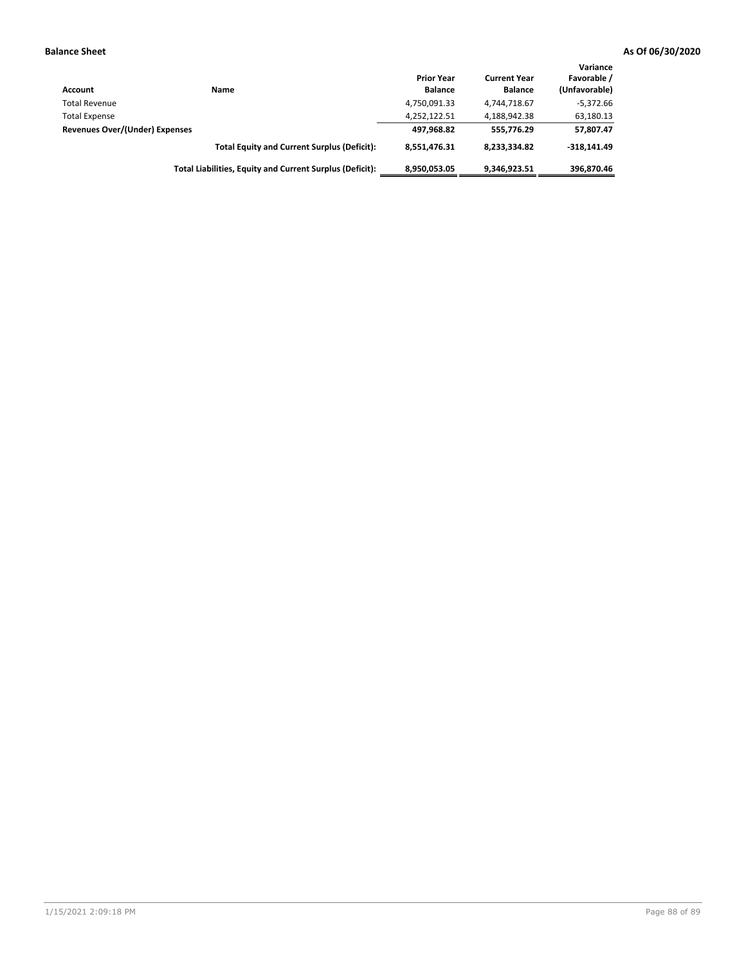| Account                        | Name                                                     | <b>Prior Year</b><br><b>Balance</b> | <b>Current Year</b><br><b>Balance</b> | Variance<br>Favorable /<br>(Unfavorable) |
|--------------------------------|----------------------------------------------------------|-------------------------------------|---------------------------------------|------------------------------------------|
| <b>Total Revenue</b>           |                                                          | 4,750,091.33                        | 4,744,718.67                          | $-5.372.66$                              |
| <b>Total Expense</b>           |                                                          | 4,252,122.51                        | 4,188,942.38                          | 63,180.13                                |
| Revenues Over/(Under) Expenses |                                                          | 497,968.82                          | 555.776.29                            | 57,807.47                                |
|                                | <b>Total Equity and Current Surplus (Deficit):</b>       | 8.551.476.31                        | 8,233,334.82                          | $-318.141.49$                            |
|                                | Total Liabilities, Equity and Current Surplus (Deficit): | 8,950,053.05                        | 9.346.923.51                          | 396.870.46                               |